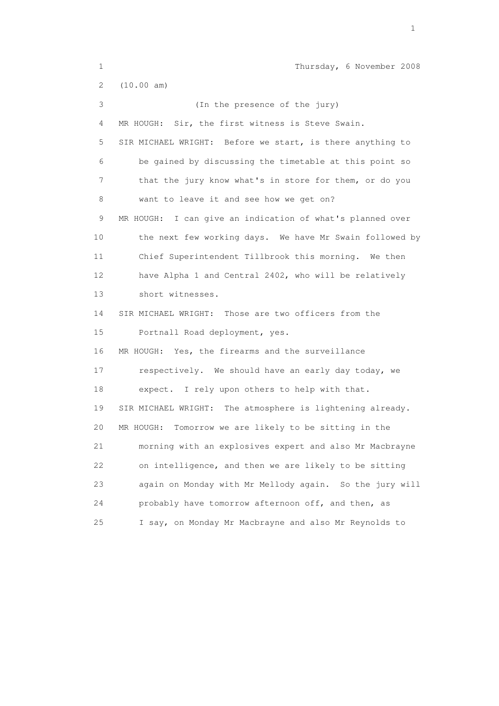| $\mathbf 1$           | Thursday, 6 November 2008                                  |
|-----------------------|------------------------------------------------------------|
| $\mathbf{2}^{\prime}$ | (10.00 am)                                                 |
| 3                     | (In the presence of the jury)                              |
| 4                     | MR HOUGH:<br>Sir, the first witness is Steve Swain.        |
| 5                     | SIR MICHAEL WRIGHT: Before we start, is there anything to  |
| 6                     | be gained by discussing the timetable at this point so     |
| 7                     | that the jury know what's in store for them, or do you     |
| 8                     | want to leave it and see how we get on?                    |
| 9                     | MR HOUGH: I can give an indication of what's planned over  |
| 10                    | the next few working days. We have Mr Swain followed by    |
| 11                    | Chief Superintendent Tillbrook this morning. We then       |
| 12                    | have Alpha 1 and Central 2402, who will be relatively      |
| 13                    | short witnesses.                                           |
| 14                    | SIR MICHAEL WRIGHT: Those are two officers from the        |
| 15                    | Portnall Road deployment, yes.                             |
| 16                    | MR HOUGH: Yes, the firearms and the surveillance           |
| 17                    | respectively. We should have an early day today, we        |
| 18                    | expect. I rely upon others to help with that.              |
| 19                    | SIR MICHAEL WRIGHT: The atmosphere is lightening already.  |
| 20                    | MR HOUGH: Tomorrow we are likely to be sitting in the      |
| 21                    | morning with an explosives expert and also Mr Macbrayne    |
| 22                    | on intelligence, and then we are likely to be sitting      |
| 23                    | again on Monday with Mr Mellody again.<br>So the jury will |
| 24                    | probably have tomorrow afternoon off, and then, as         |
| 25                    | I say, on Monday Mr Macbrayne and also Mr Reynolds to      |
|                       |                                                            |

the contract of the contract of the contract of the contract of the contract of the contract of the contract of the contract of the contract of the contract of the contract of the contract of the contract of the contract o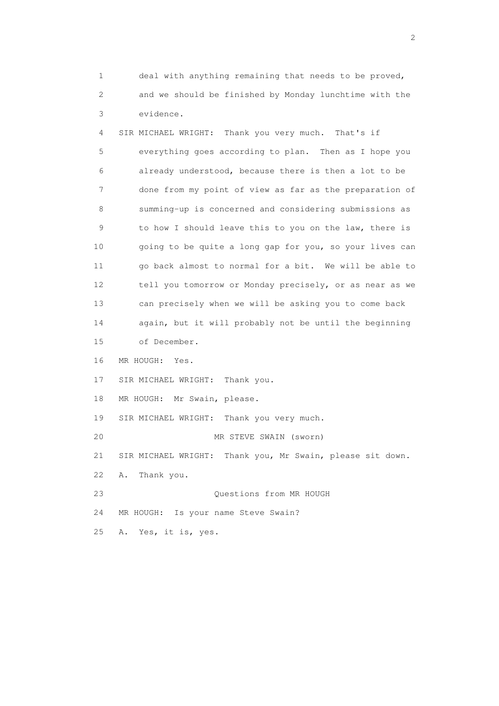1 deal with anything remaining that needs to be proved, 2 and we should be finished by Monday lunchtime with the 3 evidence.

 4 SIR MICHAEL WRIGHT: Thank you very much. That's if 5 everything goes according to plan. Then as I hope you 6 already understood, because there is then a lot to be 7 done from my point of view as far as the preparation of 8 summing-up is concerned and considering submissions as 9 to how I should leave this to you on the law, there is 10 going to be quite a long gap for you, so your lives can 11 go back almost to normal for a bit. We will be able to 12 tell you tomorrow or Monday precisely, or as near as we 13 can precisely when we will be asking you to come back 14 again, but it will probably not be until the beginning 15 of December. 16 MR HOUGH: Yes. 17 SIR MICHAEL WRIGHT: Thank you. 18 MR HOUGH: Mr Swain, please. 19 SIR MICHAEL WRIGHT: Thank you very much. 20 MR STEVE SWAIN (sworn) 21 SIR MICHAEL WRIGHT: Thank you, Mr Swain, please sit down. 22 A. Thank you. 23 Questions from MR HOUGH 24 MR HOUGH: Is your name Steve Swain?

25 A. Yes, it is, yes.

 $\overline{2}$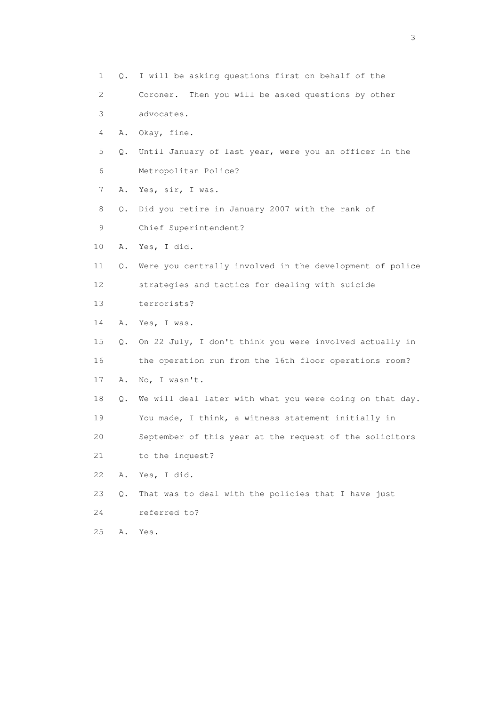1 Q. I will be asking questions first on behalf of the 2 Coroner. Then you will be asked questions by other 3 advocates. 4 A. Okay, fine. 5 Q. Until January of last year, were you an officer in the 6 Metropolitan Police? 7 A. Yes, sir, I was. 8 Q. Did you retire in January 2007 with the rank of 9 Chief Superintendent? 10 A. Yes, I did. 11 Q. Were you centrally involved in the development of police 12 strategies and tactics for dealing with suicide 13 terrorists? 14 A. Yes, I was. 15 Q. On 22 July, I don't think you were involved actually in 16 the operation run from the 16th floor operations room? 17 A. No, I wasn't. 18 Q. We will deal later with what you were doing on that day. 19 You made, I think, a witness statement initially in 20 September of this year at the request of the solicitors 21 to the inquest? 22 A. Yes, I did. 23 Q. That was to deal with the policies that I have just 24 referred to? 25 A. Yes.

 $\sim$  3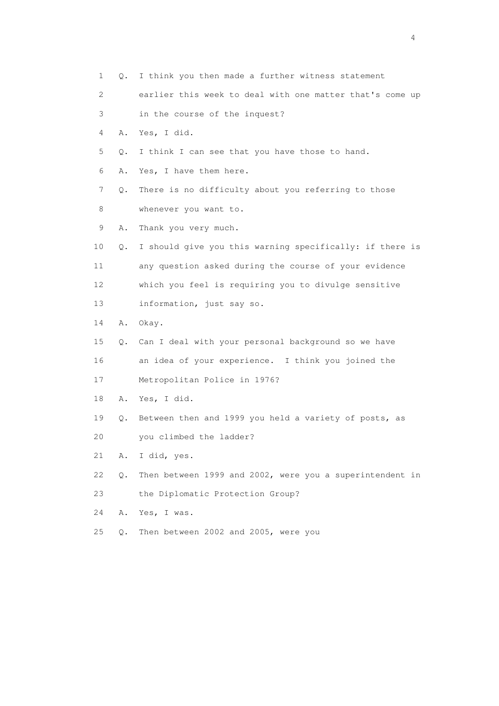1 Q. I think you then made a further witness statement 2 earlier this week to deal with one matter that's come up 3 in the course of the inquest? 4 A. Yes, I did. 5 Q. I think I can see that you have those to hand. 6 A. Yes, I have them here. 7 Q. There is no difficulty about you referring to those 8 whenever you want to. 9 A. Thank you very much. 10 Q. I should give you this warning specifically: if there is 11 any question asked during the course of your evidence 12 which you feel is requiring you to divulge sensitive 13 information, just say so. 14 A. Okay. 15 Q. Can I deal with your personal background so we have 16 an idea of your experience. I think you joined the 17 Metropolitan Police in 1976? 18 A. Yes, I did. 19 Q. Between then and 1999 you held a variety of posts, as 20 you climbed the ladder? 21 A. I did, yes. 22 Q. Then between 1999 and 2002, were you a superintendent in 23 the Diplomatic Protection Group? 24 A. Yes, I was. 25 Q. Then between 2002 and 2005, were you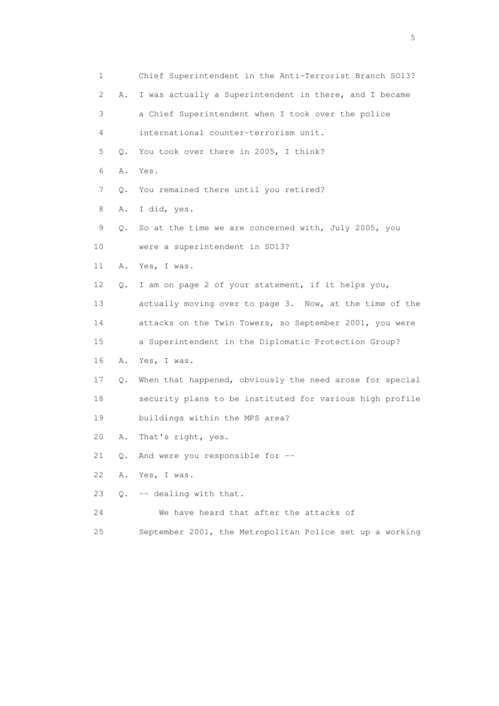| 1  |           | Chief Superintendent in the Anti-Terrorist Branch S013?  |
|----|-----------|----------------------------------------------------------|
| 2  | Α.        | I was actually a Superintendent in there, and I became   |
| 3  |           | a Chief Superintendent when I took over the police       |
| 4  |           | international counter-terrorism unit.                    |
| 5  | Q.        | You took over there in 2005, I think?                    |
| 6  | Α.        | Yes.                                                     |
| 7  | Q.        | You remained there until you retired?                    |
| 8  | Α.        | I did, yes.                                              |
| 9  | Q.        | So at the time we are concerned with, July 2005, you     |
| 10 |           | were a superintendent in SO13?                           |
| 11 | Α.        | Yes, I was.                                              |
| 12 | Q.        | I am on page 2 of your statement, if it helps you,       |
| 13 |           | actually moving over to page 3. Now, at the time of the  |
| 14 |           | attacks on the Twin Towers, so September 2001, you were  |
| 15 |           | a Superintendent in the Diplomatic Protection Group?     |
| 16 | Α.        | Yes, I was.                                              |
| 17 | Q.        | When that happened, obviously the need arose for special |
| 18 |           | security plans to be instituted for various high profile |
| 19 |           | buildings within the MPS area?                           |
| 20 | Α.        | That's right, yes.                                       |
| 21 | Q.        | And were you responsible for --                          |
| 22 | Α.        | Yes, I was.                                              |
| 23 | $\circ$ . | -- dealing with that.                                    |
| 24 |           | We have heard that after the attacks of                  |
|    |           |                                                          |

25 September 2001, the Metropolitan Police set up a working

 $\sim$  5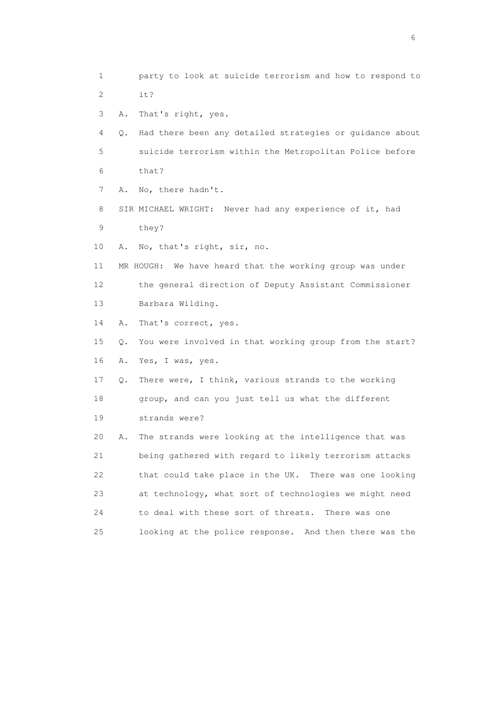- 1 party to look at suicide terrorism and how to respond to 2 it?
- 3 A. That's right, yes.
- 4 Q. Had there been any detailed strategies or guidance about 5 suicide terrorism within the Metropolitan Police before 6 that?
- 7 A. No, there hadn't.
- 8 SIR MICHAEL WRIGHT: Never had any experience of it, had 9 they?
- 10 A. No, that's right, sir, no.
- 11 MR HOUGH: We have heard that the working group was under 12 the general direction of Deputy Assistant Commissioner 13 Barbara Wilding.
- 14 A. That's correct, yes.
- 15 Q. You were involved in that working group from the start? 16 A. Yes, I was, yes.
- 17 Q. There were, I think, various strands to the working 18 group, and can you just tell us what the different 19 strands were?
- 20 A. The strands were looking at the intelligence that was 21 being gathered with regard to likely terrorism attacks 22 that could take place in the UK. There was one looking 23 at technology, what sort of technologies we might need 24 to deal with these sort of threats. There was one 25 looking at the police response. And then there was the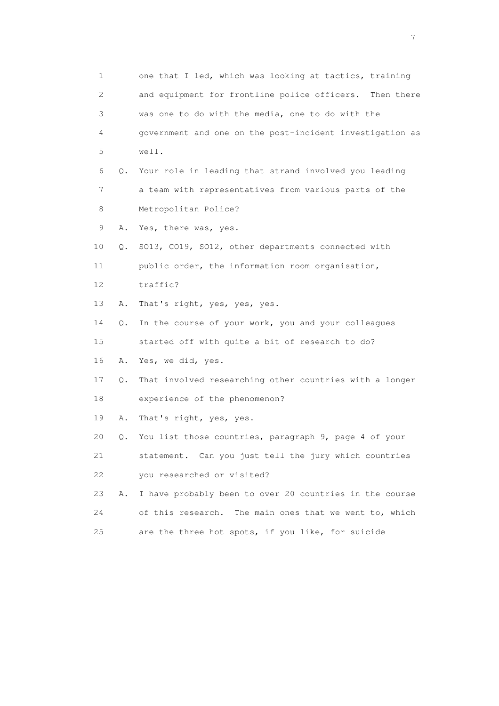| $\mathbf 1$               |    | one that I led, which was looking at tactics, training    |
|---------------------------|----|-----------------------------------------------------------|
| $\mathbf{2}^{\mathsf{I}}$ |    | and equipment for frontline police officers. Then there   |
| 3                         |    | was one to do with the media, one to do with the          |
| 4                         |    | government and one on the post-incident investigation as  |
| 5                         |    | well.                                                     |
| 6                         | Q. | Your role in leading that strand involved you leading     |
| 7                         |    | a team with representatives from various parts of the     |
| 8                         |    | Metropolitan Police?                                      |
| 9                         | Α. | Yes, there was, yes.                                      |
| 10                        | Q. | SO13, CO19, SO12, other departments connected with        |
| 11                        |    | public order, the information room organisation,          |
| 12                        |    | traffic?                                                  |
| 13                        | Α. | That's right, yes, yes, yes.                              |
| 14                        | Q. | In the course of your work, you and your colleagues       |
| 15                        |    | started off with quite a bit of research to do?           |
| 16                        | Α. | Yes, we did, yes.                                         |
| 17                        | Q. | That involved researching other countries with a longer   |
| 18                        |    | experience of the phenomenon?                             |
| 19                        | Α. | That's right, yes, yes.                                   |
| 20                        | Q. | You list those countries, paragraph 9, page 4 of your     |
| 21                        |    | statement. Can you just tell the jury which countries     |
| 22                        |    | you researched or visited?                                |
| 23                        | Α. | I have probably been to over 20 countries in the course   |
| 24                        |    | of this research.<br>The main ones that we went to, which |
| 25                        |    | are the three hot spots, if you like, for suicide         |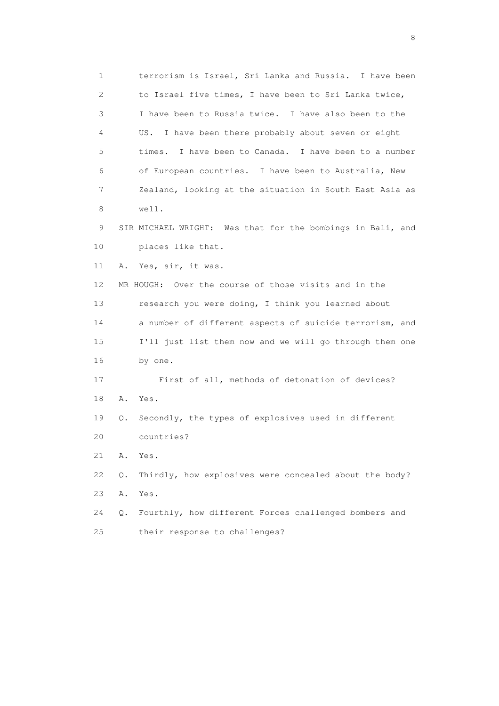1 terrorism is Israel, Sri Lanka and Russia. I have been 2 to Israel five times, I have been to Sri Lanka twice, 3 I have been to Russia twice. I have also been to the 4 US. I have been there probably about seven or eight 5 times. I have been to Canada. I have been to a number 6 of European countries. I have been to Australia, New 7 Zealand, looking at the situation in South East Asia as 8 well. 9 SIR MICHAEL WRIGHT: Was that for the bombings in Bali, and 10 places like that. 11 A. Yes, sir, it was. 12 MR HOUGH: Over the course of those visits and in the 13 research you were doing, I think you learned about 14 a number of different aspects of suicide terrorism, and 15 I'll just list them now and we will go through them one 16 by one. 17 First of all, methods of detonation of devices? 18 A. Yes. 19 Q. Secondly, the types of explosives used in different 20 countries? 21 A. Yes. 22 Q. Thirdly, how explosives were concealed about the body? 23 A. Yes. 24 Q. Fourthly, how different Forces challenged bombers and 25 their response to challenges?

en de la construction de la construction de la construction de la construction de la construction de la constr<br>En 1980, en 1980, en 1980, en 1980, en 1980, en 1980, en 1980, en 1980, en 1980, en 1980, en 1980, en 1980, en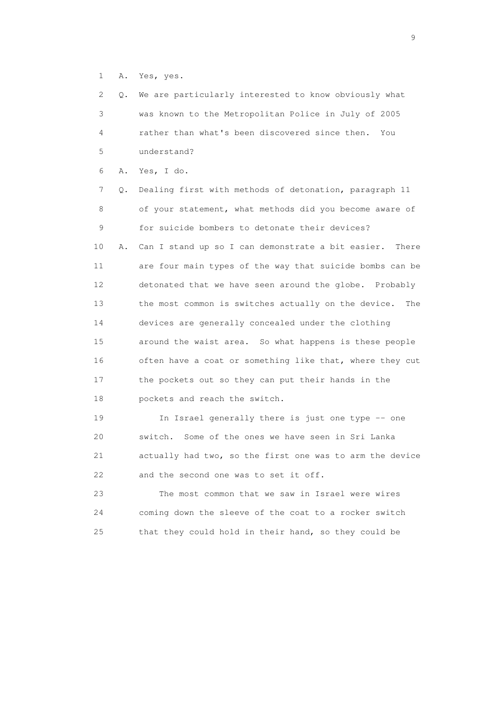1 A. Yes, yes.

| 2. | Q. | We are particularly interested to know obviously what      |
|----|----|------------------------------------------------------------|
| 3  |    | was known to the Metropolitan Police in July of 2005       |
| 4  |    | rather than what's been discovered since then.<br>You      |
| 5  |    | understand?                                                |
| 6  | Α. | Yes, I do.                                                 |
| 7  | Q. | Dealing first with methods of detonation, paragraph 11     |
| 8  |    | of your statement, what methods did you become aware of    |
| 9  |    | for suicide bombers to detonate their devices?             |
| 10 | Α. | Can I stand up so I can demonstrate a bit easier.<br>There |
| 11 |    | are four main types of the way that suicide bombs can be   |
| 12 |    | detonated that we have seen around the globe. Probably     |
| 13 |    | the most common is switches actually on the device.<br>The |
| 14 |    | devices are generally concealed under the clothing         |
| 15 |    | around the waist area. So what happens is these people     |
| 16 |    | often have a coat or something like that, where they cut   |
| 17 |    | the pockets out so they can put their hands in the         |
| 18 |    | pockets and reach the switch.                              |
| 19 |    | In Israel generally there is just one type -- one          |
| 20 |    | switch.<br>Some of the ones we have seen in Sri Lanka      |
| 21 |    | actually had two, so the first one was to arm the device   |
| 22 |    | and the second one was to set it off.                      |
| 23 |    | The most common that we saw in Israel were wires           |
| 24 |    | coming down the sleeve of the coat to a rocker switch      |
| 25 |    | that they could hold in their hand, so they could be       |

en de la construction de la construction de la construction de la construction de la construction de la constr<br>1911 : la construction de la construction de la construction de la construction de la construction de la const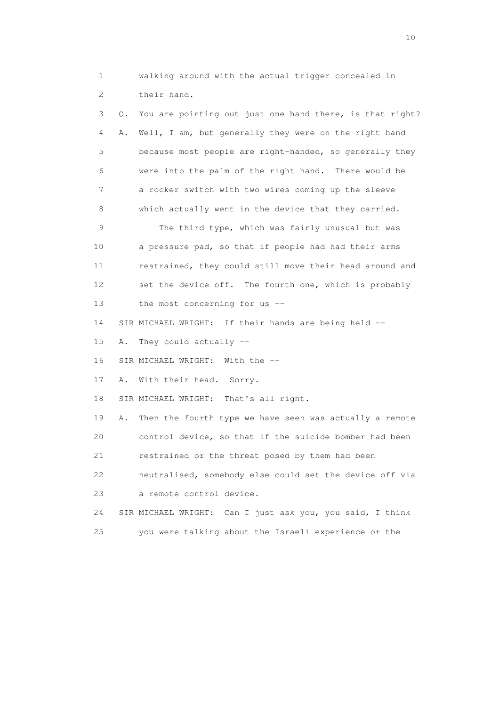1 walking around with the actual trigger concealed in 2 their hand.

 3 Q. You are pointing out just one hand there, is that right? 4 A. Well, I am, but generally they were on the right hand 5 because most people are right-handed, so generally they 6 were into the palm of the right hand. There would be 7 a rocker switch with two wires coming up the sleeve 8 which actually went in the device that they carried. 9 The third type, which was fairly unusual but was 10 a pressure pad, so that if people had had their arms 11 restrained, they could still move their head around and 12 set the device off. The fourth one, which is probably 13 the most concerning for us -- 14 SIR MICHAEL WRIGHT: If their hands are being held -- 15 A. They could actually -- 16 SIR MICHAEL WRIGHT: With the -- 17 A. With their head. Sorry. 18 SIR MICHAEL WRIGHT: That's all right. 19 A. Then the fourth type we have seen was actually a remote 20 control device, so that if the suicide bomber had been 21 restrained or the threat posed by them had been 22 neutralised, somebody else could set the device off via 23 a remote control device. 24 SIR MICHAEL WRIGHT: Can I just ask you, you said, I think 25 you were talking about the Israeli experience or the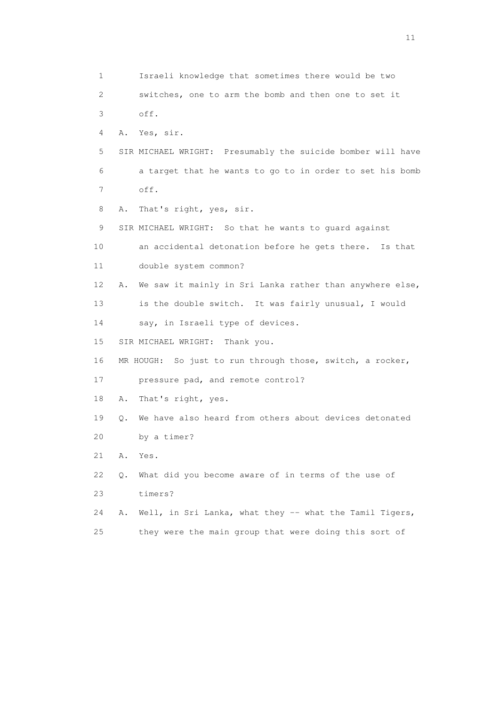1 Israeli knowledge that sometimes there would be two 2 switches, one to arm the bomb and then one to set it 3 off. 4 A. Yes, sir. 5 SIR MICHAEL WRIGHT: Presumably the suicide bomber will have 6 a target that he wants to go to in order to set his bomb 7 off. 8 A. That's right, yes, sir. 9 SIR MICHAEL WRIGHT: So that he wants to guard against 10 an accidental detonation before he gets there. Is that 11 double system common? 12 A. We saw it mainly in Sri Lanka rather than anywhere else, 13 is the double switch. It was fairly unusual, I would 14 say, in Israeli type of devices. 15 SIR MICHAEL WRIGHT: Thank you. 16 MR HOUGH: So just to run through those, switch, a rocker, 17 pressure pad, and remote control? 18 A. That's right, yes. 19 Q. We have also heard from others about devices detonated 20 by a timer? 21 A. Yes. 22 Q. What did you become aware of in terms of the use of 23 timers? 24 A. Well, in Sri Lanka, what they -- what the Tamil Tigers, 25 they were the main group that were doing this sort of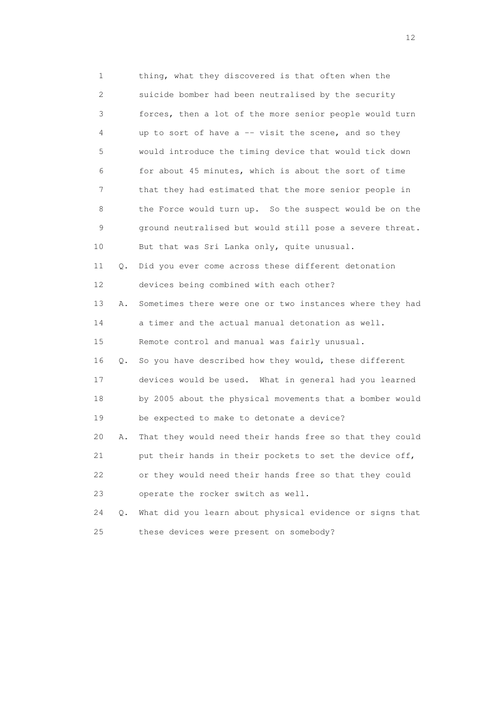1 thing, what they discovered is that often when the 2 suicide bomber had been neutralised by the security 3 forces, then a lot of the more senior people would turn 4 up to sort of have a -- visit the scene, and so they 5 would introduce the timing device that would tick down 6 for about 45 minutes, which is about the sort of time 7 that they had estimated that the more senior people in 8 the Force would turn up. So the suspect would be on the 9 ground neutralised but would still pose a severe threat. 10 But that was Sri Lanka only, quite unusual. 11 Q. Did you ever come across these different detonation 12 devices being combined with each other? 13 A. Sometimes there were one or two instances where they had 14 a timer and the actual manual detonation as well. 15 Remote control and manual was fairly unusual. 16 Q. So you have described how they would, these different 17 devices would be used. What in general had you learned 18 by 2005 about the physical movements that a bomber would 19 be expected to make to detonate a device? 20 A. That they would need their hands free so that they could 21 put their hands in their pockets to set the device off, 22 or they would need their hands free so that they could 23 operate the rocker switch as well. 24 Q. What did you learn about physical evidence or signs that 25 these devices were present on somebody?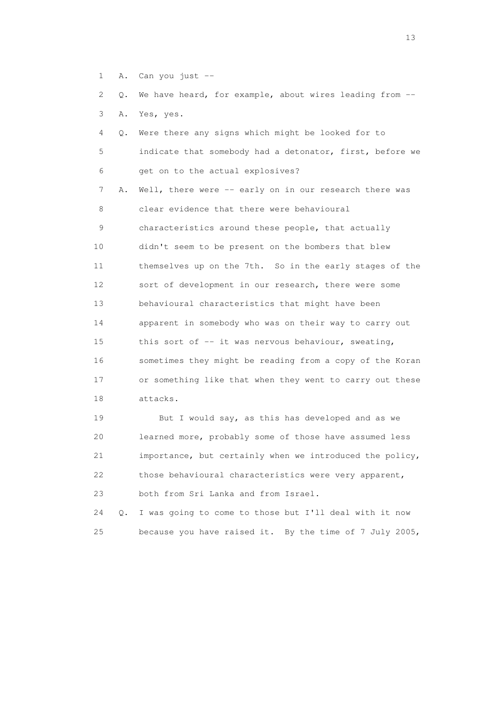1 A. Can you just --

 2 Q. We have heard, for example, about wires leading from -- 3 A. Yes, yes.

| 4               | Q. Were there any signs which might be looked for to      |
|-----------------|-----------------------------------------------------------|
| 5               | indicate that somebody had a detonator, first, before we  |
| 6               | get on to the actual explosives?                          |
| 7               | A. Well, there were -- early on in our research there was |
| 8               | clear evidence that there were behavioural                |
| 9               | characteristics around these people, that actually        |
| 10              | didn't seem to be present on the bombers that blew        |
| 11              | themselves up on the 7th. So in the early stages of the   |
| 12 <sup>°</sup> | sort of development in our research, there were some      |
| 13              | behavioural characteristics that might have been          |
| 14              | apparent in somebody who was on their way to carry out    |
| 15              | this sort of -- it was nervous behaviour, sweating,       |
| 16              | sometimes they might be reading from a copy of the Koran  |
| 17              | or something like that when they went to carry out these  |
| 18              | attacks.                                                  |
|                 |                                                           |

 19 But I would say, as this has developed and as we 20 learned more, probably some of those have assumed less 21 importance, but certainly when we introduced the policy, 22 those behavioural characteristics were very apparent, 23 both from Sri Lanka and from Israel.

 24 Q. I was going to come to those but I'll deal with it now 25 because you have raised it. By the time of 7 July 2005,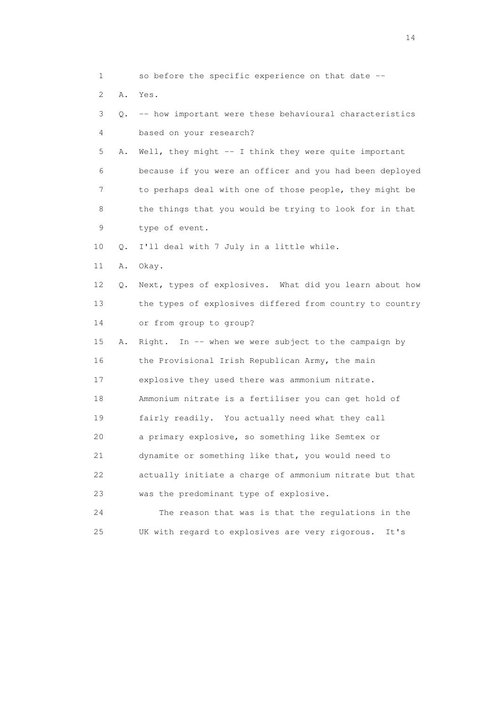1 so before the specific experience on that date -- 2 A. Yes. 3 Q. -- how important were these behavioural characteristics 4 based on your research? 5 A. Well, they might -- I think they were quite important 6 because if you were an officer and you had been deployed 7 to perhaps deal with one of those people, they might be 8 the things that you would be trying to look for in that 9 type of event. 10 Q. I'll deal with 7 July in a little while. 11 A. Okay. 12 Q. Next, types of explosives. What did you learn about how 13 the types of explosives differed from country to country 14 or from group to group? 15 A. Right. In -- when we were subject to the campaign by 16 the Provisional Irish Republican Army, the main 17 explosive they used there was ammonium nitrate. 18 Ammonium nitrate is a fertiliser you can get hold of 19 fairly readily. You actually need what they call 20 a primary explosive, so something like Semtex or 21 dynamite or something like that, you would need to 22 actually initiate a charge of ammonium nitrate but that 23 was the predominant type of explosive. 24 The reason that was is that the regulations in the 25 UK with regard to explosives are very rigorous. It's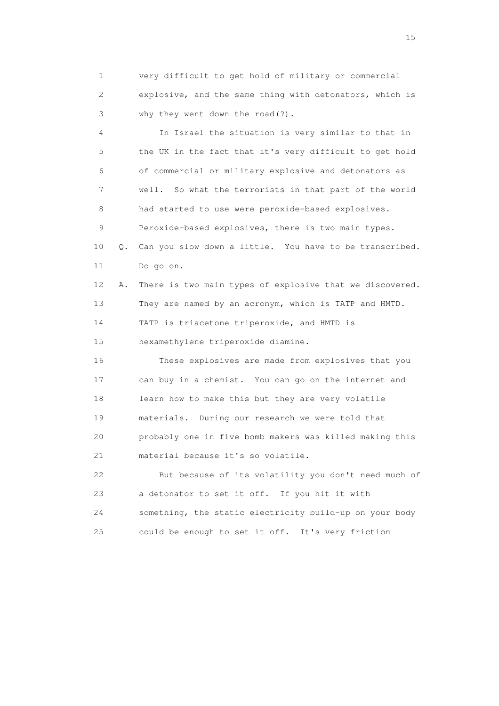1 very difficult to get hold of military or commercial 2 explosive, and the same thing with detonators, which is 3 why they went down the road(?).

 4 In Israel the situation is very similar to that in 5 the UK in the fact that it's very difficult to get hold 6 of commercial or military explosive and detonators as 7 well. So what the terrorists in that part of the world 8 had started to use were peroxide-based explosives. 9 Peroxide-based explosives, there is two main types. 10 Q. Can you slow down a little. You have to be transcribed. 11 Do go on. 12 A. There is two main types of explosive that we discovered. 13 They are named by an acronym, which is TATP and HMTD. 14 TATP is triacetone triperoxide, and HMTD is 15 hexamethylene triperoxide diamine. 16 These explosives are made from explosives that you 17 can buy in a chemist. You can go on the internet and 18 learn how to make this but they are very volatile 19 materials. During our research we were told that 20 probably one in five bomb makers was killed making this

21 material because it's so volatile.

 22 But because of its volatility you don't need much of 23 a detonator to set it off. If you hit it with 24 something, the static electricity build-up on your body 25 could be enough to set it off. It's very friction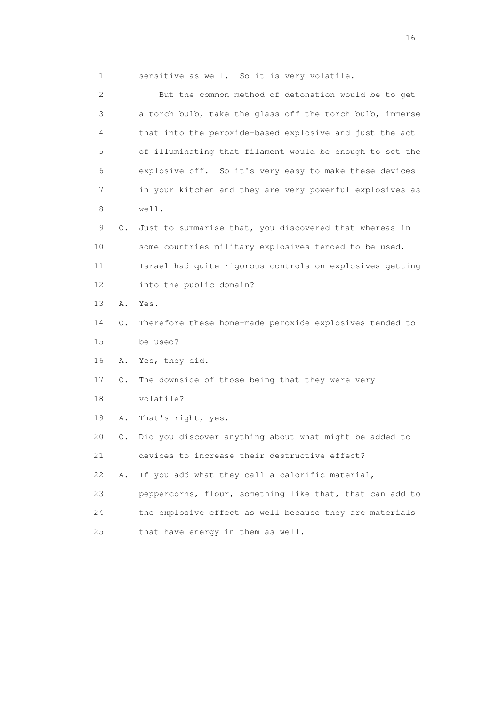| $\mathbf{1}$    |           | sensitive as well. So it is very volatile.               |
|-----------------|-----------|----------------------------------------------------------|
| 2               |           | But the common method of detonation would be to get      |
| 3               |           | a torch bulb, take the glass off the torch bulb, immerse |
| 4               |           | that into the peroxide-based explosive and just the act  |
| 5               |           | of illuminating that filament would be enough to set the |
| 6               |           | explosive off. So it's very easy to make these devices   |
| 7               |           | in your kitchen and they are very powerful explosives as |
| 8               |           | well.                                                    |
| 9               | $\circ$ . | Just to summarise that, you discovered that whereas in   |
| 10              |           | some countries military explosives tended to be used,    |
| 11              |           | Israel had quite rigorous controls on explosives getting |
| 12 <sup>°</sup> |           | into the public domain?                                  |
| 13              | Α.        | Yes.                                                     |
| 14              | $\circ$ . | Therefore these home-made peroxide explosives tended to  |

15 be used?

16 A. Yes, they did.

17 Q. The downside of those being that they were very

18 volatile?

19 A. That's right, yes.

20 Q. Did you discover anything about what might be added to

21 devices to increase their destructive effect?

22 A. If you add what they call a calorific material,

 23 peppercorns, flour, something like that, that can add to 24 the explosive effect as well because they are materials

25 that have energy in them as well.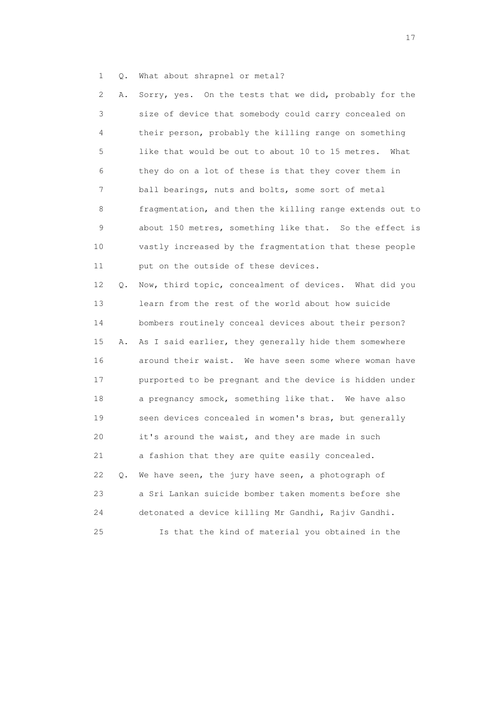1 Q. What about shrapnel or metal?

 2 A. Sorry, yes. On the tests that we did, probably for the 3 size of device that somebody could carry concealed on 4 their person, probably the killing range on something 5 like that would be out to about 10 to 15 metres. What 6 they do on a lot of these is that they cover them in 7 ball bearings, nuts and bolts, some sort of metal 8 fragmentation, and then the killing range extends out to 9 about 150 metres, something like that. So the effect is 10 vastly increased by the fragmentation that these people 11 put on the outside of these devices. 12 Q. Now, third topic, concealment of devices. What did you 13 learn from the rest of the world about how suicide

 14 bombers routinely conceal devices about their person? 15 A. As I said earlier, they generally hide them somewhere 16 around their waist. We have seen some where woman have 17 purported to be pregnant and the device is hidden under 18 a pregnancy smock, something like that. We have also 19 seen devices concealed in women's bras, but generally 20 it's around the waist, and they are made in such 21 a fashion that they are quite easily concealed. 22 Q. We have seen, the jury have seen, a photograph of 23 a Sri Lankan suicide bomber taken moments before she 24 detonated a device killing Mr Gandhi, Rajiv Gandhi. 25 Is that the kind of material you obtained in the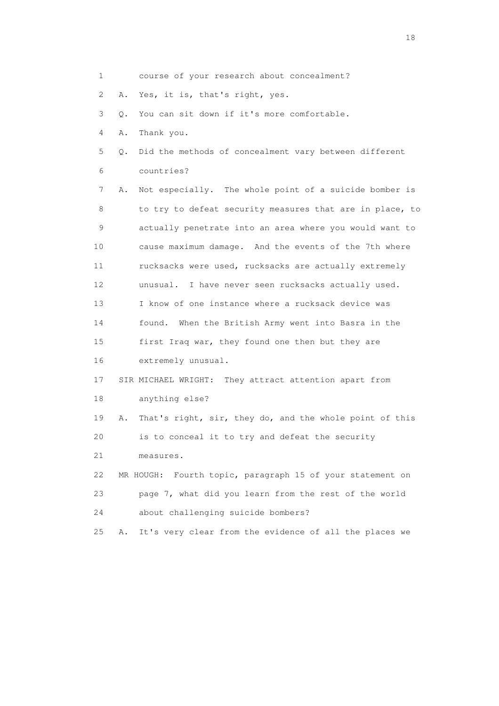| 1               |    | course of your research about concealment?                   |
|-----------------|----|--------------------------------------------------------------|
| 2               | Α. | Yes, it is, that's right, yes.                               |
| 3               | Q. | You can sit down if it's more comfortable.                   |
| 4               | Α. | Thank you.                                                   |
| 5               | Q. | Did the methods of concealment vary between different        |
| 6               |    | countries?                                                   |
| 7               | Α. | Not especially. The whole point of a suicide bomber is       |
| 8               |    | to try to defeat security measures that are in place, to     |
| 9               |    | actually penetrate into an area where you would want to      |
| 10              |    | cause maximum damage. And the events of the 7th where        |
| 11              |    | rucksacks were used, rucksacks are actually extremely        |
| 12 <sup>°</sup> |    | I have never seen rucksacks actually used.<br>unusual.       |
| 13              |    | I know of one instance where a rucksack device was           |
| 14              |    | found. When the British Army went into Basra in the          |
| 15              |    | first Iraq war, they found one then but they are             |
| 16              |    | extremely unusual.                                           |
| 17              |    | SIR MICHAEL WRIGHT: They attract attention apart from        |
| 18              |    | anything else?                                               |
| 19              | Α. | That's right, sir, they do, and the whole point of this      |
| 20              |    | is to conceal it to try and defeat the security              |
| 21              |    | measures.                                                    |
| 22              |    | Fourth topic, paragraph 15 of your statement on<br>MR HOUGH: |
| 23              |    | page 7, what did you learn from the rest of the world        |
| 24              |    | about challenging suicide bombers?                           |
| 25              | Α. | It's very clear from the evidence of all the places we       |
|                 |    |                                                              |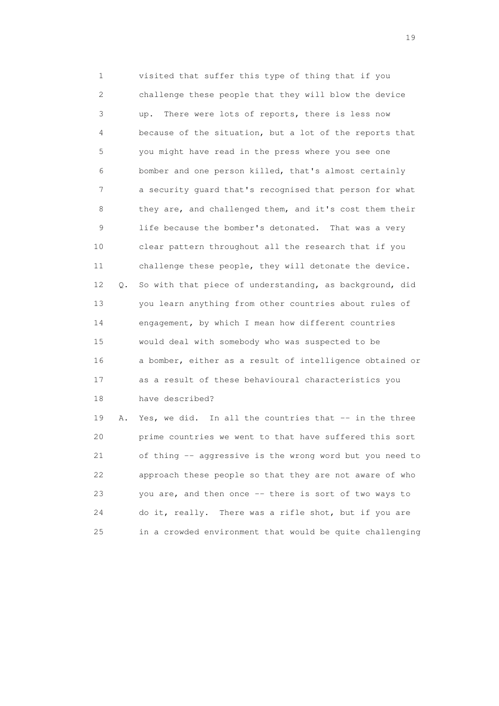1 visited that suffer this type of thing that if you 2 challenge these people that they will blow the device 3 up. There were lots of reports, there is less now 4 because of the situation, but a lot of the reports that 5 you might have read in the press where you see one 6 bomber and one person killed, that's almost certainly 7 a security guard that's recognised that person for what 8 they are, and challenged them, and it's cost them their 9 life because the bomber's detonated. That was a very 10 clear pattern throughout all the research that if you 11 challenge these people, they will detonate the device. 12 Q. So with that piece of understanding, as background, did 13 you learn anything from other countries about rules of 14 engagement, by which I mean how different countries 15 would deal with somebody who was suspected to be 16 a bomber, either as a result of intelligence obtained or 17 as a result of these behavioural characteristics you 18 have described?

 19 A. Yes, we did. In all the countries that -- in the three 20 prime countries we went to that have suffered this sort 21 of thing -- aggressive is the wrong word but you need to 22 approach these people so that they are not aware of who 23 you are, and then once -- there is sort of two ways to 24 do it, really. There was a rifle shot, but if you are 25 in a crowded environment that would be quite challenging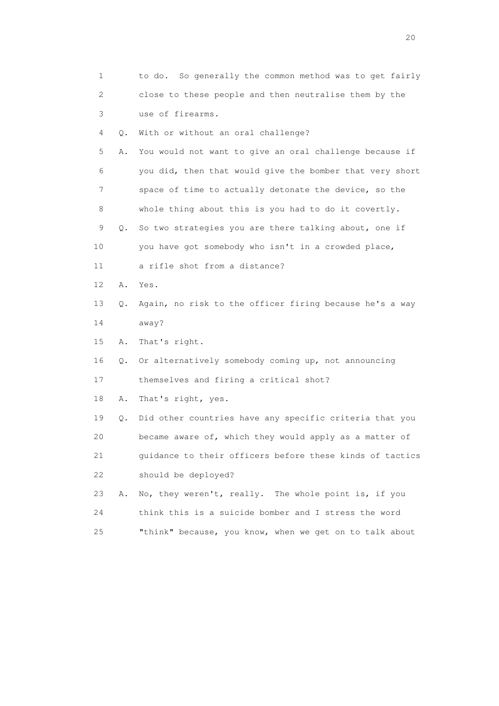| 1  |    | to do. So generally the common method was to get fairly  |
|----|----|----------------------------------------------------------|
| 2  |    | close to these people and then neutralise them by the    |
| 3  |    | use of firearms.                                         |
| 4  | Q. | With or without an oral challenge?                       |
| 5  | Α. | You would not want to give an oral challenge because if  |
| 6  |    | you did, then that would give the bomber that very short |
| 7  |    | space of time to actually detonate the device, so the    |
| 8  |    | whole thing about this is you had to do it covertly.     |
| 9  | Q. | So two strategies you are there talking about, one if    |
| 10 |    | you have got somebody who isn't in a crowded place,      |
| 11 |    | a rifle shot from a distance?                            |
| 12 | Α. | Yes.                                                     |
| 13 | Q. | Again, no risk to the officer firing because he's a way  |
| 14 |    | away?                                                    |
| 15 | Α. | That's right.                                            |
| 16 | Q. | Or alternatively somebody coming up, not announcing      |
| 17 |    | themselves and firing a critical shot?                   |
| 18 | Α. | That's right, yes.                                       |
| 19 | Q. | Did other countries have any specific criteria that you  |
| 20 |    | became aware of, which they would apply as a matter of   |
| 21 |    | guidance to their officers before these kinds of tactics |
| 22 |    | should be deployed?                                      |
| 23 | Α. | No, they weren't, really. The whole point is, if you     |
| 24 |    | think this is a suicide bomber and I stress the word     |
| 25 |    | "think" because, you know, when we get on to talk about  |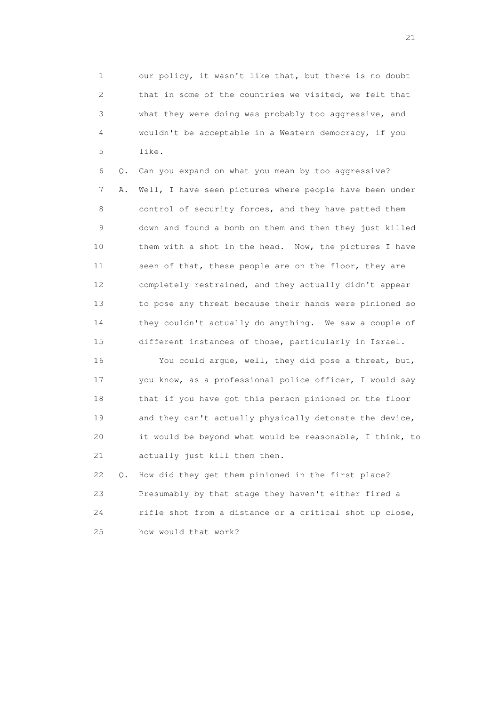1 our policy, it wasn't like that, but there is no doubt 2 that in some of the countries we visited, we felt that 3 what they were doing was probably too aggressive, and 4 wouldn't be acceptable in a Western democracy, if you 5 like.

 6 Q. Can you expand on what you mean by too aggressive? 7 A. Well, I have seen pictures where people have been under 8 control of security forces, and they have patted them 9 down and found a bomb on them and then they just killed 10 them with a shot in the head. Now, the pictures I have 11 seen of that, these people are on the floor, they are 12 completely restrained, and they actually didn't appear 13 to pose any threat because their hands were pinioned so 14 they couldn't actually do anything. We saw a couple of 15 different instances of those, particularly in Israel.

 16 You could argue, well, they did pose a threat, but, 17 you know, as a professional police officer, I would say 18 that if you have got this person pinioned on the floor 19 and they can't actually physically detonate the device, 20 it would be beyond what would be reasonable, I think, to 21 actually just kill them then.

 22 Q. How did they get them pinioned in the first place? 23 Presumably by that stage they haven't either fired a 24 rifle shot from a distance or a critical shot up close, 25 how would that work?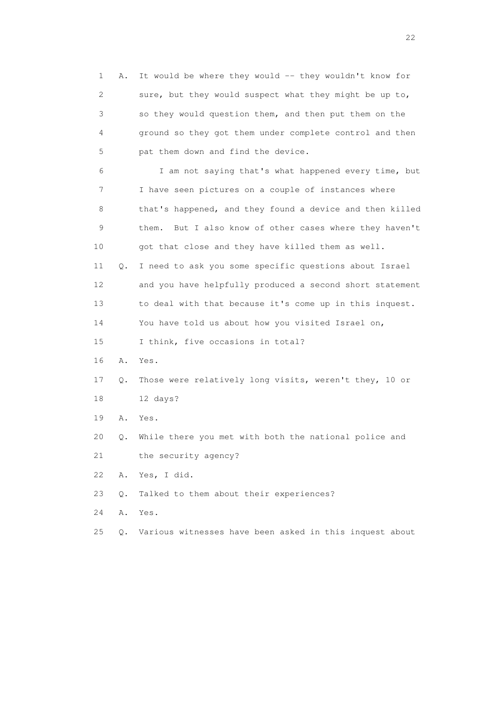1 A. It would be where they would -- they wouldn't know for 2 sure, but they would suspect what they might be up to, 3 so they would question them, and then put them on the 4 ground so they got them under complete control and then 5 pat them down and find the device. 6 I am not saying that's what happened every time, but 7 I have seen pictures on a couple of instances where 8 that's happened, and they found a device and then killed 9 them. But I also know of other cases where they haven't 10 got that close and they have killed them as well. 11 Q. I need to ask you some specific questions about Israel 12 and you have helpfully produced a second short statement 13 to deal with that because it's come up in this inquest. 14 You have told us about how you visited Israel on, 15 I think, five occasions in total? 16 A. Yes. 17 Q. Those were relatively long visits, weren't they, 10 or 18 12 days? 19 A. Yes. 20 Q. While there you met with both the national police and 21 the security agency? 22 A. Yes, I did. 23 Q. Talked to them about their experiences? 24 A. Yes.

25 Q. Various witnesses have been asked in this inquest about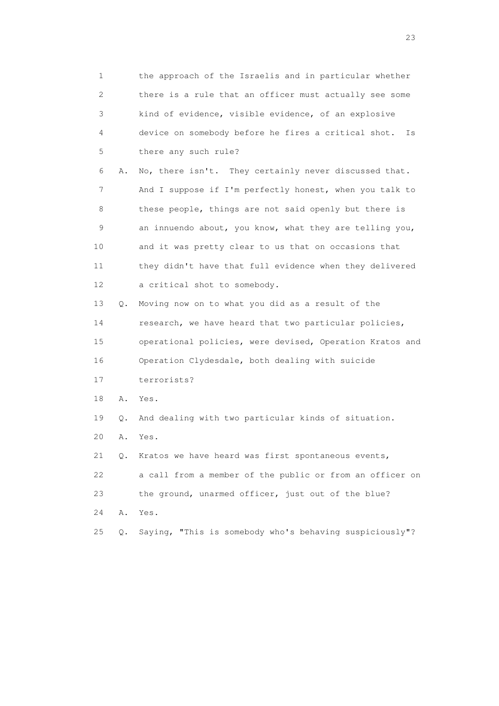1 the approach of the Israelis and in particular whether 2 there is a rule that an officer must actually see some 3 kind of evidence, visible evidence, of an explosive 4 device on somebody before he fires a critical shot. Is 5 there any such rule? 6 A. No, there isn't. They certainly never discussed that. 7 And I suppose if I'm perfectly honest, when you talk to 8 these people, things are not said openly but there is 9 an innuendo about, you know, what they are telling you, 10 and it was pretty clear to us that on occasions that 11 they didn't have that full evidence when they delivered 12 a critical shot to somebody. 13 Q. Moving now on to what you did as a result of the 14 research, we have heard that two particular policies, 15 operational policies, were devised, Operation Kratos and 16 Operation Clydesdale, both dealing with suicide 17 terrorists? 18 A. Yes. 19 Q. And dealing with two particular kinds of situation. 20 A. Yes. 21 Q. Kratos we have heard was first spontaneous events, 22 a call from a member of the public or from an officer on 23 the ground, unarmed officer, just out of the blue? 24 A. Yes. 25 Q. Saying, "This is somebody who's behaving suspiciously"?

23 and 23 and 23 and 23 and 23 and 23 and 23 and 23 and 23 and 23 and 23 and 23 and 23 and 23 and 23 and 23 and 24 and 25 and 25 and 26 and 26 and 26 and 26 and 26 and 26 and 26 and 26 and 26 and 26 and 26 and 26 and 26 an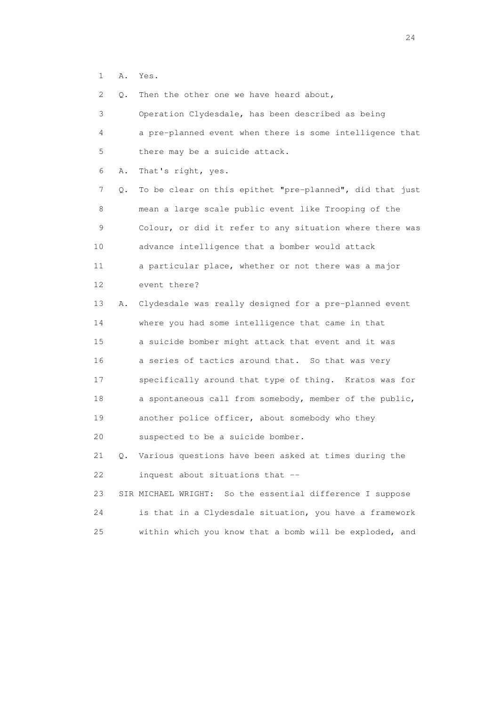1 A. Yes.

2 Q. Then the other one we have heard about,

| 3               |    | Operation Clydesdale, has been described as being         |
|-----------------|----|-----------------------------------------------------------|
| 4               |    | a pre-planned event when there is some intelligence that  |
| 5               |    | there may be a suicide attack.                            |
| 6               | Α. | That's right, yes.                                        |
| 7               | Q. | To be clear on this epithet "pre-planned", did that just  |
| 8               |    | mean a large scale public event like Trooping of the      |
| 9               |    | Colour, or did it refer to any situation where there was  |
| 10              |    | advance intelligence that a bomber would attack           |
| 11              |    | a particular place, whether or not there was a major      |
| 12 <sup>°</sup> |    | event there?                                              |
| 13              | Α. | Clydesdale was really designed for a pre-planned event    |
| 14              |    | where you had some intelligence that came in that         |
| 15              |    | a suicide bomber might attack that event and it was       |
| 16              |    | a series of tactics around that. So that was very         |
| 17              |    | specifically around that type of thing. Kratos was for    |
| 18              |    | a spontaneous call from somebody, member of the public,   |
| 19              |    | another police officer, about somebody who they           |
| 20              |    | suspected to be a suicide bomber.                         |
| 21              | Q. | Various questions have been asked at times during the     |
| 22              |    | inquest about situations that --                          |
| 23              |    | SIR MICHAEL WRIGHT: So the essential difference I suppose |
| 24              |    | is that in a Clydesdale situation, you have a framework   |
| 25              |    | within which you know that a bomb will be exploded, and   |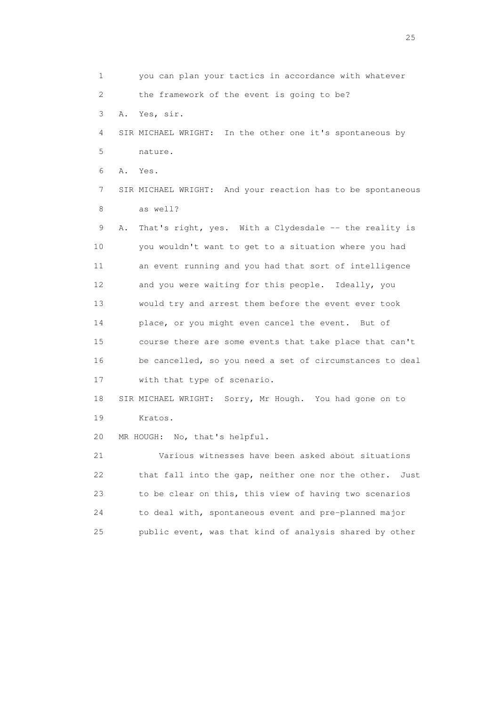1 you can plan your tactics in accordance with whatever 2 the framework of the event is going to be? 3 A. Yes, sir. 4 SIR MICHAEL WRIGHT: In the other one it's spontaneous by 5 nature. 6 A. Yes. 7 SIR MICHAEL WRIGHT: And your reaction has to be spontaneous 8 as well? 9 A. That's right, yes. With a Clydesdale -- the reality is 10 you wouldn't want to get to a situation where you had 11 an event running and you had that sort of intelligence 12 and you were waiting for this people. Ideally, you 13 would try and arrest them before the event ever took 14 place, or you might even cancel the event. But of 15 course there are some events that take place that can't 16 be cancelled, so you need a set of circumstances to deal 17 with that type of scenario. 18 SIR MICHAEL WRIGHT: Sorry, Mr Hough. You had gone on to 19 Kratos. 20 MR HOUGH: No, that's helpful. 21 Various witnesses have been asked about situations 22 that fall into the gap, neither one nor the other. Just 23 to be clear on this, this view of having two scenarios 24 to deal with, spontaneous event and pre-planned major 25 public event, was that kind of analysis shared by other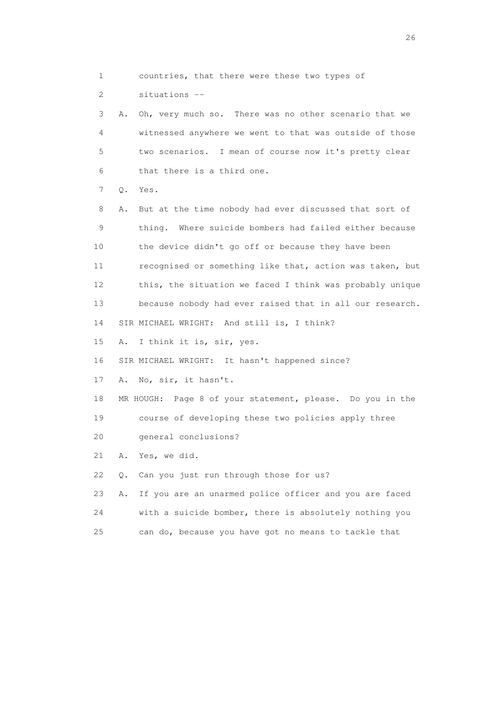2 situations -- 3 A. Oh, very much so. There was no other scenario that we 4 witnessed anywhere we went to that was outside of those 5 two scenarios. I mean of course now it's pretty clear 6 that there is a third one. 7 Q. Yes. 8 A. But at the time nobody had ever discussed that sort of 9 thing. Where suicide bombers had failed either because 10 the device didn't go off or because they have been 11 recognised or something like that, action was taken, but 12 this, the situation we faced I think was probably unique 13 because nobody had ever raised that in all our research. 14 SIR MICHAEL WRIGHT: And still is, I think? 15 A. I think it is, sir, yes. 16 SIR MICHAEL WRIGHT: It hasn't happened since? 17 A. No, sir, it hasn't. 18 MR HOUGH: Page 8 of your statement, please. Do you in the 19 course of developing these two policies apply three 20 general conclusions? 21 A. Yes, we did. 22 Q. Can you just run through those for us? 23 A. If you are an unarmed police officer and you are faced 24 with a suicide bomber, there is absolutely nothing you

1 countries, that there were these two types of

25 can do, because you have got no means to tackle that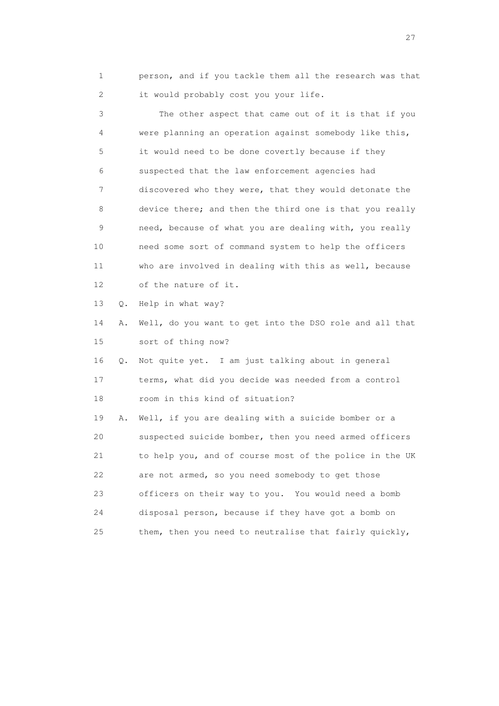1 person, and if you tackle them all the research was that 2 it would probably cost you your life.

 3 The other aspect that came out of it is that if you 4 were planning an operation against somebody like this, 5 it would need to be done covertly because if they 6 suspected that the law enforcement agencies had 7 discovered who they were, that they would detonate the 8 device there; and then the third one is that you really 9 need, because of what you are dealing with, you really 10 need some sort of command system to help the officers 11 who are involved in dealing with this as well, because 12 of the nature of it. 13 Q. Help in what way? 14 A. Well, do you want to get into the DSO role and all that 15 sort of thing now?

 16 Q. Not quite yet. I am just talking about in general 17 terms, what did you decide was needed from a control 18 room in this kind of situation?

 19 A. Well, if you are dealing with a suicide bomber or a 20 suspected suicide bomber, then you need armed officers 21 to help you, and of course most of the police in the UK 22 are not armed, so you need somebody to get those 23 officers on their way to you. You would need a bomb 24 disposal person, because if they have got a bomb on 25 them, then you need to neutralise that fairly quickly,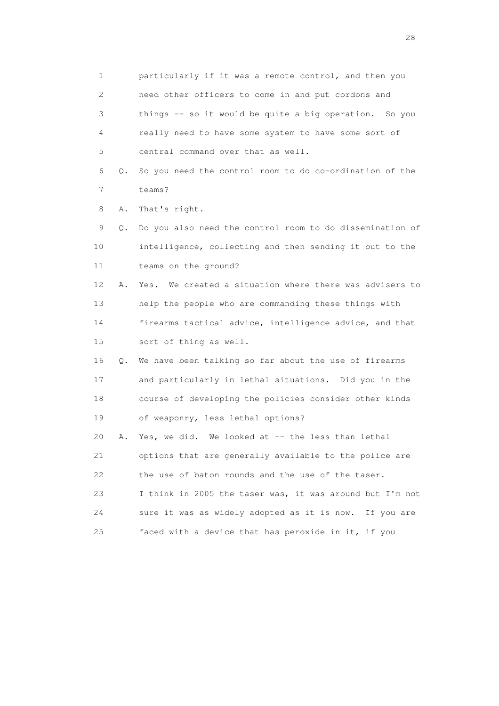1 particularly if it was a remote control, and then you 2 need other officers to come in and put cordons and 3 things -- so it would be quite a big operation. So you 4 really need to have some system to have some sort of 5 central command over that as well. 6 Q. So you need the control room to do co-ordination of the 7 teams? 8 A. That's right. 9 Q. Do you also need the control room to do dissemination of 10 intelligence, collecting and then sending it out to the 11 teams on the ground? 12 A. Yes. We created a situation where there was advisers to 13 help the people who are commanding these things with 14 firearms tactical advice, intelligence advice, and that 15 sort of thing as well. 16 Q. We have been talking so far about the use of firearms 17 and particularly in lethal situations. Did you in the 18 course of developing the policies consider other kinds 19 of weaponry, less lethal options? 20 A. Yes, we did. We looked at -- the less than lethal 21 options that are generally available to the police are 22 the use of baton rounds and the use of the taser. 23 I think in 2005 the taser was, it was around but I'm not 24 sure it was as widely adopted as it is now. If you are 25 faced with a device that has peroxide in it, if you

28 and 28 and 28 and 28 and 28 and 28 and 28 and 28 and 28 and 28 and 28 and 28 and 28 and 28 and 28 and 28 and 28 and 28 and 28 and 28 and 28 and 28 and 28 and 28 and 28 and 28 and 28 and 28 and 28 and 28 and 28 and 28 an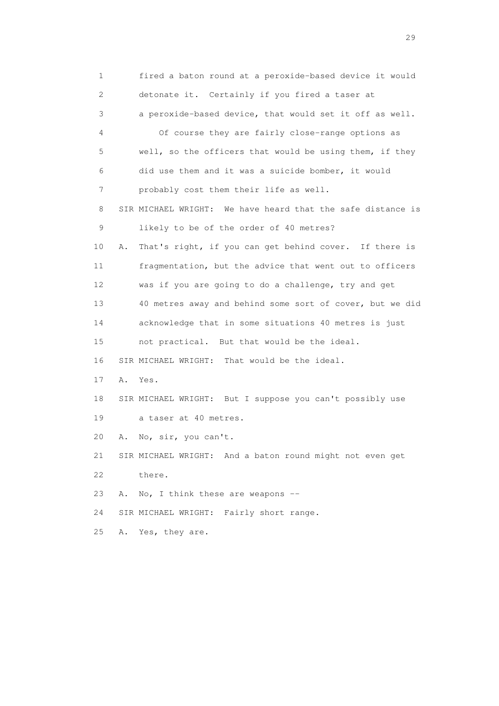1 fired a baton round at a peroxide-based device it would 2 detonate it. Certainly if you fired a taser at 3 a peroxide-based device, that would set it off as well. 4 Of course they are fairly close-range options as 5 well, so the officers that would be using them, if they 6 did use them and it was a suicide bomber, it would 7 probably cost them their life as well. 8 SIR MICHAEL WRIGHT: We have heard that the safe distance is 9 likely to be of the order of 40 metres? 10 A. That's right, if you can get behind cover. If there is 11 fragmentation, but the advice that went out to officers 12 was if you are going to do a challenge, try and get 13 40 metres away and behind some sort of cover, but we did 14 acknowledge that in some situations 40 metres is just 15 not practical. But that would be the ideal. 16 SIR MICHAEL WRIGHT: That would be the ideal. 17 A. Yes. 18 SIR MICHAEL WRIGHT: But I suppose you can't possibly use 19 a taser at 40 metres. 20 A. No, sir, you can't. 21 SIR MICHAEL WRIGHT: And a baton round might not even get 22 there. 23 A. No, I think these are weapons -- 24 SIR MICHAEL WRIGHT: Fairly short range. 25 A. Yes, they are.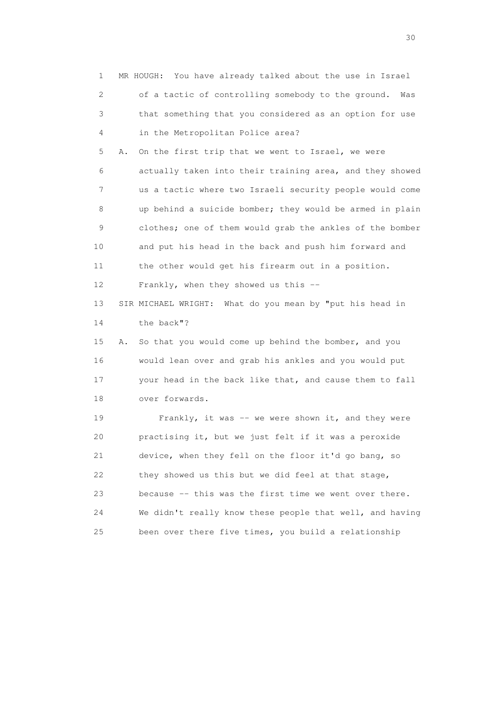1 MR HOUGH: You have already talked about the use in Israel 2 of a tactic of controlling somebody to the ground. Was 3 that something that you considered as an option for use 4 in the Metropolitan Police area? 5 A. On the first trip that we went to Israel, we were 6 actually taken into their training area, and they showed 7 us a tactic where two Israeli security people would come 8 up behind a suicide bomber; they would be armed in plain 9 clothes; one of them would grab the ankles of the bomber 10 and put his head in the back and push him forward and 11 the other would get his firearm out in a position. 12 Frankly, when they showed us this -- 13 SIR MICHAEL WRIGHT: What do you mean by "put his head in 14 the back"? 15 A. So that you would come up behind the bomber, and you 16 would lean over and grab his ankles and you would put 17 your head in the back like that, and cause them to fall 18 over forwards. 19 Frankly, it was -- we were shown it, and they were 20 practising it, but we just felt if it was a peroxide 21 device, when they fell on the floor it'd go bang, so 22 they showed us this but we did feel at that stage, 23 because -- this was the first time we went over there. 24 We didn't really know these people that well, and having 25 been over there five times, you build a relationship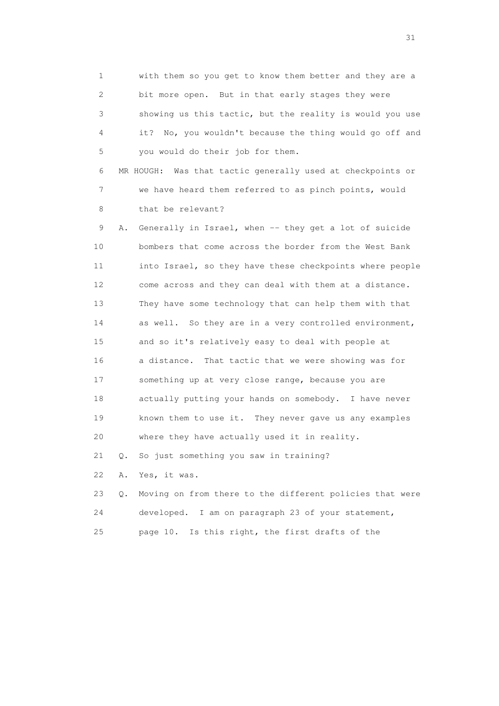1 with them so you get to know them better and they are a 2 bit more open. But in that early stages they were 3 showing us this tactic, but the reality is would you use 4 it? No, you wouldn't because the thing would go off and 5 you would do their job for them.

 6 MR HOUGH: Was that tactic generally used at checkpoints or 7 we have heard them referred to as pinch points, would 8 that be relevant?

 9 A. Generally in Israel, when -- they get a lot of suicide 10 bombers that come across the border from the West Bank 11 into Israel, so they have these checkpoints where people 12 come across and they can deal with them at a distance. 13 They have some technology that can help them with that 14 as well. So they are in a very controlled environment, 15 and so it's relatively easy to deal with people at 16 a distance. That tactic that we were showing was for 17 something up at very close range, because you are 18 actually putting your hands on somebody. I have never 19 known them to use it. They never gave us any examples 20 where they have actually used it in reality.

21 Q. So just something you saw in training?

22 A. Yes, it was.

|    | 23 Q. Moving on from there to the different policies that were |
|----|----------------------------------------------------------------|
| 24 | developed. I am on paragraph 23 of your statement,             |
| 25 | page 10. Is this right, the first drafts of the                |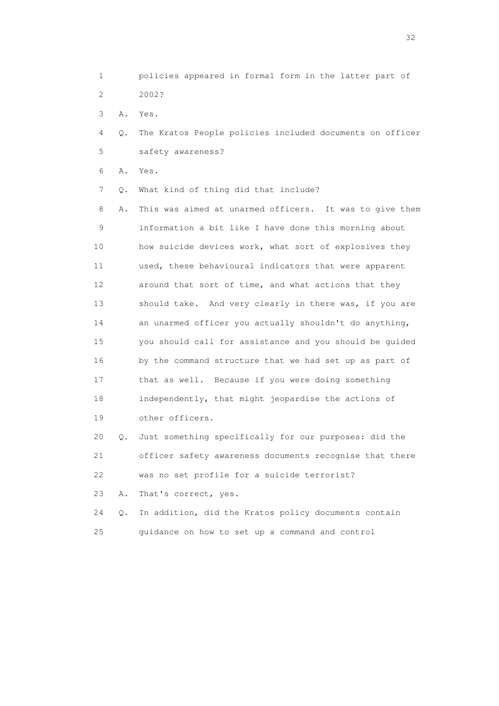1 policies appeared in formal form in the latter part of 2 2002?

3 A. Yes.

 4 Q. The Kratos People policies included documents on officer 5 safety awareness?

6 A. Yes.

7 Q. What kind of thing did that include?

 8 A. This was aimed at unarmed officers. It was to give them 9 information a bit like I have done this morning about 10 how suicide devices work, what sort of explosives they 11 used, these behavioural indicators that were apparent 12 around that sort of time, and what actions that they 13 should take. And very clearly in there was, if you are 14 an unarmed officer you actually shouldn't do anything, 15 you should call for assistance and you should be guided 16 by the command structure that we had set up as part of 17 that as well. Because if you were doing something 18 independently, that might jeopardise the actions of 19 other officers. 20 Q. Just something specifically for our purposes: did the

 21 officer safety awareness documents recognise that there 22 was no set profile for a suicide terrorist?

23 A. That's correct, yes.

 24 Q. In addition, did the Kratos policy documents contain 25 guidance on how to set up a command and control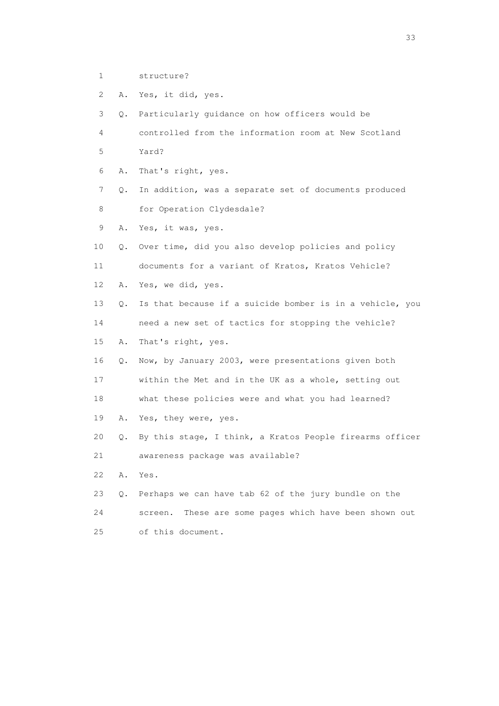- 1 structure?
- 2 A. Yes, it did, yes.

 3 Q. Particularly guidance on how officers would be 4 controlled from the information room at New Scotland 5 Yard? 6 A. That's right, yes. 7 Q. In addition, was a separate set of documents produced 8 for Operation Clydesdale? 9 A. Yes, it was, yes. 10 Q. Over time, did you also develop policies and policy 11 documents for a variant of Kratos, Kratos Vehicle? 12 A. Yes, we did, yes. 13 Q. Is that because if a suicide bomber is in a vehicle, you 14 need a new set of tactics for stopping the vehicle? 15 A. That's right, yes. 16 Q. Now, by January 2003, were presentations given both 17 within the Met and in the UK as a whole, setting out 18 what these policies were and what you had learned? 19 A. Yes, they were, yes. 20 Q. By this stage, I think, a Kratos People firearms officer 21 awareness package was available? 22 A. Yes. 23 Q. Perhaps we can have tab 62 of the jury bundle on the 24 screen. These are some pages which have been shown out 25 of this document.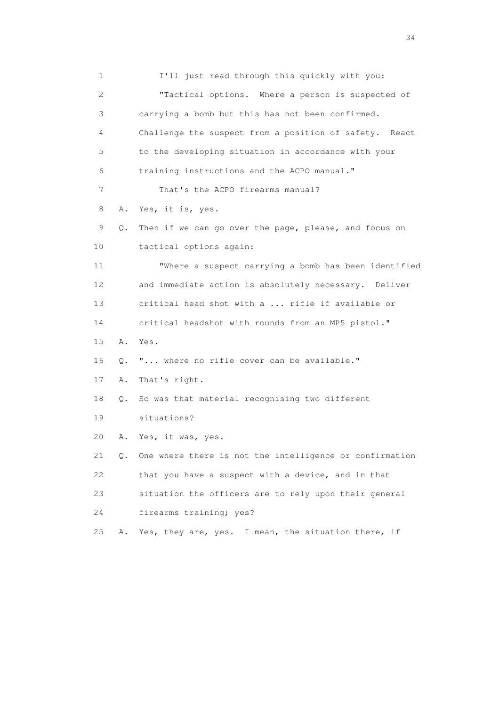1 I'll just read through this quickly with you: 2 "Tactical options. Where a person is suspected of 3 carrying a bomb but this has not been confirmed. 4 Challenge the suspect from a position of safety. React 5 to the developing situation in accordance with your 6 training instructions and the ACPO manual." 7 That's the ACPO firearms manual? 8 A. Yes, it is, yes. 9 Q. Then if we can go over the page, please, and focus on 10 tactical options again: 11 "Where a suspect carrying a bomb has been identified 12 and immediate action is absolutely necessary. Deliver 13 critical head shot with a ... rifle if available or 14 critical headshot with rounds from an MP5 pistol." 15 A. Yes. 16 Q. "... where no rifle cover can be available." 17 A. That's right. 18 Q. So was that material recognising two different 19 situations? 20 A. Yes, it was, yes. 21 Q. One where there is not the intelligence or confirmation 22 that you have a suspect with a device, and in that 23 situation the officers are to rely upon their general 24 firearms training; yes? 25 A. Yes, they are, yes. I mean, the situation there, if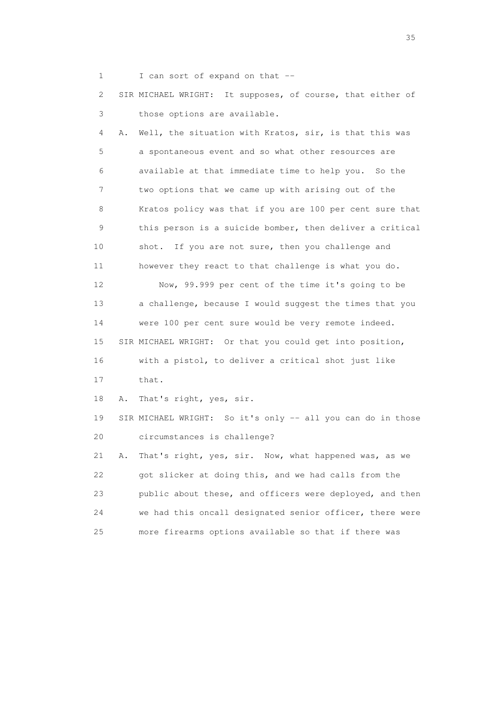1 I can sort of expand on that --

 2 SIR MICHAEL WRIGHT: It supposes, of course, that either of 3 those options are available.

 4 A. Well, the situation with Kratos, sir, is that this was 5 a spontaneous event and so what other resources are 6 available at that immediate time to help you. So the 7 two options that we came up with arising out of the 8 Kratos policy was that if you are 100 per cent sure that 9 this person is a suicide bomber, then deliver a critical 10 shot. If you are not sure, then you challenge and 11 however they react to that challenge is what you do. 12 Now, 99.999 per cent of the time it's going to be 13 a challenge, because I would suggest the times that you 14 were 100 per cent sure would be very remote indeed. 15 SIR MICHAEL WRIGHT: Or that you could get into position, 16 with a pistol, to deliver a critical shot just like 17 that. 18 A. That's right, yes, sir. 19 SIR MICHAEL WRIGHT: So it's only -- all you can do in those 20 circumstances is challenge? 21 A. That's right, yes, sir. Now, what happened was, as we 22 got slicker at doing this, and we had calls from the

 23 public about these, and officers were deployed, and then 24 we had this oncall designated senior officer, there were 25 more firearms options available so that if there was

<u>35</u> and the state of the state of the state of the state of the state of the state of the state of the state of the state of the state of the state of the state of the state of the state of the state of the state of the s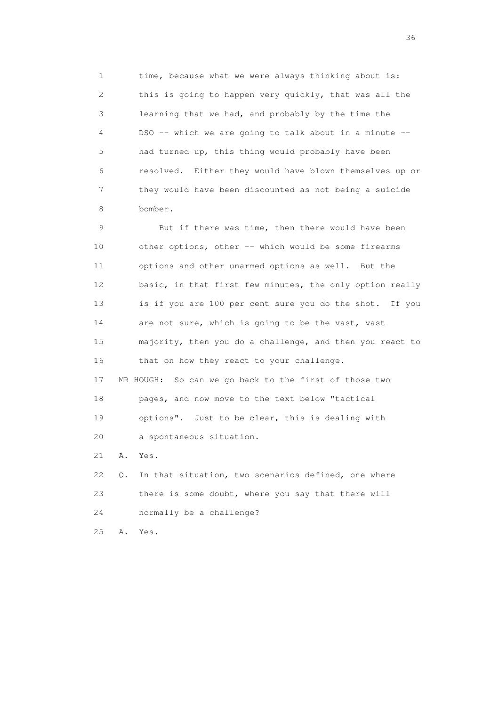1 time, because what we were always thinking about is: 2 this is going to happen very quickly, that was all the 3 learning that we had, and probably by the time the 4 DSO -- which we are going to talk about in a minute -- 5 had turned up, this thing would probably have been 6 resolved. Either they would have blown themselves up or 7 they would have been discounted as not being a suicide 8 bomber.

 9 But if there was time, then there would have been 10 other options, other -- which would be some firearms 11 options and other unarmed options as well. But the 12 basic, in that first few minutes, the only option really 13 is if you are 100 per cent sure you do the shot. If you 14 are not sure, which is going to be the vast, vast 15 majority, then you do a challenge, and then you react to 16 that on how they react to your challenge. 17 MR HOUGH: So can we go back to the first of those two

19 options". Just to be clear, this is dealing with

18 pages, and now move to the text below "tactical

20 a spontaneous situation.

21 A. Yes.

 22 Q. In that situation, two scenarios defined, one where 23 there is some doubt, where you say that there will 24 normally be a challenge?

25 A. Yes.

 $36<sup>2</sup>$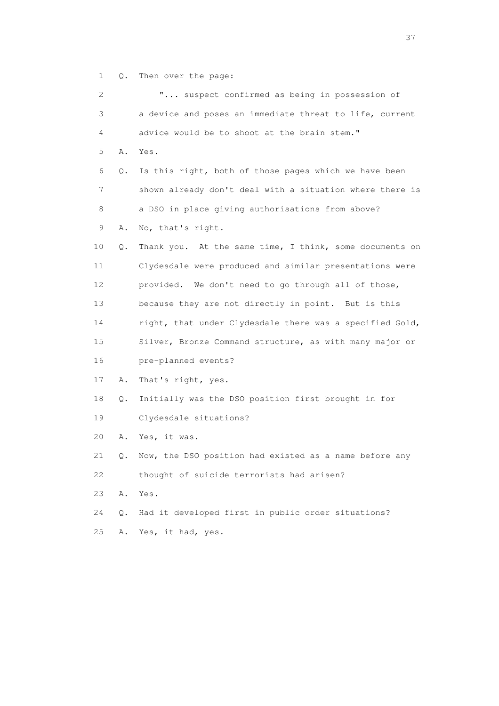1 Q. Then over the page:

| 2  |    | " suspect confirmed as being in possession of            |
|----|----|----------------------------------------------------------|
| 3  |    | a device and poses an immediate threat to life, current  |
| 4  |    | advice would be to shoot at the brain stem."             |
| 5  | Α. | Yes.                                                     |
| 6  | Q. | Is this right, both of those pages which we have been    |
| 7  |    | shown already don't deal with a situation where there is |
| 8  |    | a DSO in place giving authorisations from above?         |
| 9  | Α. | No, that's right.                                        |
| 10 | Q. | Thank you. At the same time, I think, some documents on  |
| 11 |    | Clydesdale were produced and similar presentations were  |
| 12 |    | provided. We don't need to go through all of those,      |
| 13 |    | because they are not directly in point. But is this      |
| 14 |    | right, that under Clydesdale there was a specified Gold, |
| 15 |    | Silver, Bronze Command structure, as with many major or  |
| 16 |    | pre-planned events?                                      |
| 17 | Α. | That's right, yes.                                       |
| 18 | Q. | Initially was the DSO position first brought in for      |
| 19 |    | Clydesdale situations?                                   |
| 20 | Α. | Yes, it was.                                             |
| 21 | Q. | Now, the DSO position had existed as a name before any   |
| 22 |    | thought of suicide terrorists had arisen?                |
| 23 | Α. | Yes.                                                     |
| 24 | Q. | Had it developed first in public order situations?       |
| 25 | Α. | Yes, it had, yes.                                        |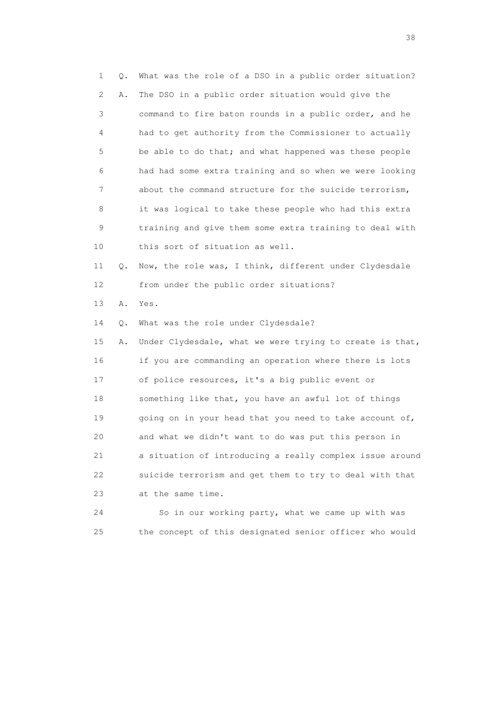1 Q. What was the role of a DSO in a public order situation? 2 A. The DSO in a public order situation would give the 3 command to fire baton rounds in a public order, and he 4 had to get authority from the Commissioner to actually 5 be able to do that; and what happened was these people 6 had had some extra training and so when we were looking 7 about the command structure for the suicide terrorism, 8 it was logical to take these people who had this extra 9 training and give them some extra training to deal with 10 this sort of situation as well. 11 Q. Now, the role was, I think, different under Clydesdale 12 from under the public order situations? 13 A. Yes. 14 Q. What was the role under Clydesdale? 15 A. Under Clydesdale, what we were trying to create is that, 16 if you are commanding an operation where there is lots 17 of police resources, it's a big public event or 18 something like that, you have an awful lot of things 19 going on in your head that you need to take account of, 20 and what we didn't want to do was put this person in 21 a situation of introducing a really complex issue around 22 suicide terrorism and get them to try to deal with that 23 at the same time. 24 So in our working party, what we came up with was

25 the concept of this designated senior officer who would

and the state of the state of the state of the state of the state of the state of the state of the state of the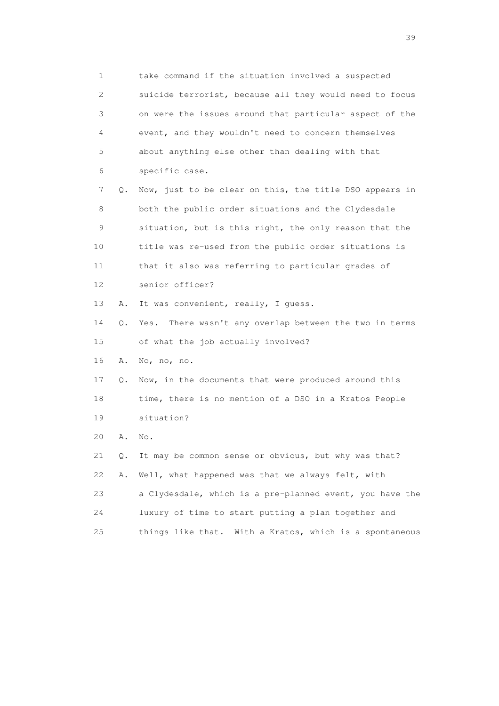1 take command if the situation involved a suspected 2 suicide terrorist, because all they would need to focus 3 on were the issues around that particular aspect of the 4 event, and they wouldn't need to concern themselves 5 about anything else other than dealing with that 6 specific case. 7 Q. Now, just to be clear on this, the title DSO appears in 8 both the public order situations and the Clydesdale 9 situation, but is this right, the only reason that the 10 title was re-used from the public order situations is 11 that it also was referring to particular grades of 12 senior officer? 13 A. It was convenient, really, I guess. 14 Q. Yes. There wasn't any overlap between the two in terms 15 of what the job actually involved? 16 A. No, no, no. 17 Q. Now, in the documents that were produced around this 18 time, there is no mention of a DSO in a Kratos People 19 situation? 20 A. No. 21 Q. It may be common sense or obvious, but why was that? 22 A. Well, what happened was that we always felt, with 23 a Clydesdale, which is a pre-planned event, you have the 24 luxury of time to start putting a plan together and 25 things like that. With a Kratos, which is a spontaneous

 $39<sup>2</sup>$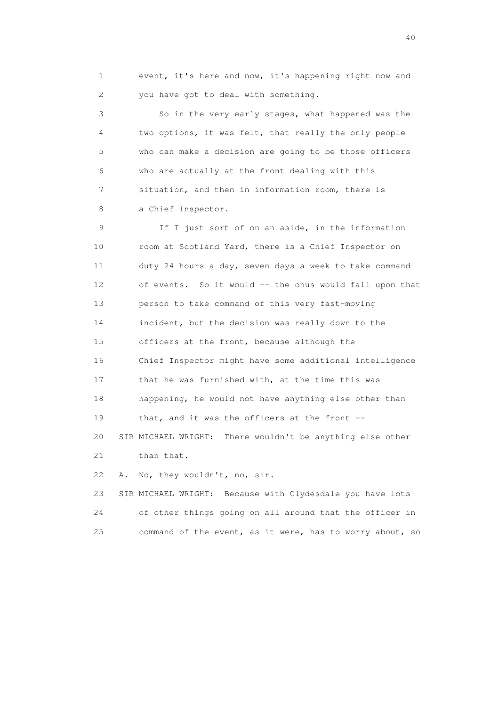1 event, it's here and now, it's happening right now and 2 you have got to deal with something.

 3 So in the very early stages, what happened was the 4 two options, it was felt, that really the only people 5 who can make a decision are going to be those officers 6 who are actually at the front dealing with this 7 situation, and then in information room, there is 8 a Chief Inspector.

 9 If I just sort of on an aside, in the information 10 room at Scotland Yard, there is a Chief Inspector on 11 duty 24 hours a day, seven days a week to take command 12 of events. So it would -- the onus would fall upon that 13 person to take command of this very fast-moving 14 incident, but the decision was really down to the 15 officers at the front, because although the 16 Chief Inspector might have some additional intelligence 17 that he was furnished with, at the time this was 18 happening, he would not have anything else other than 19 that, and it was the officers at the front -- 20 SIR MICHAEL WRIGHT: There wouldn't be anything else other 21 than that. 22 A. No, they wouldn't, no, sir. 23 SIR MICHAEL WRIGHT: Because with Clydesdale you have lots

 24 of other things going on all around that the officer in 25 command of the event, as it were, has to worry about, so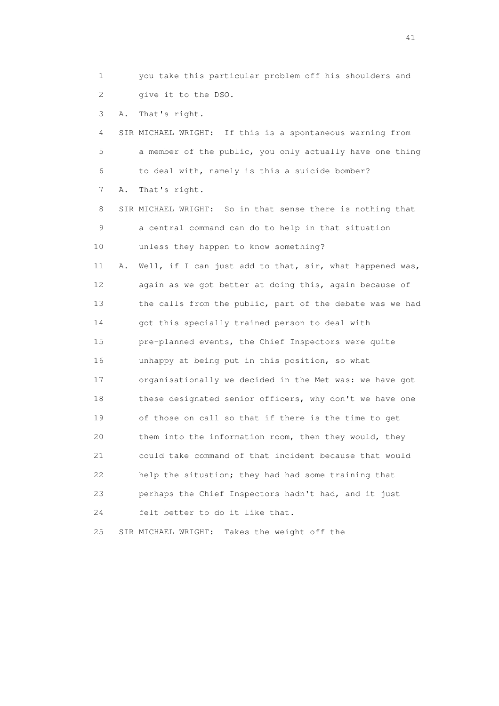1 you take this particular problem off his shoulders and 2 give it to the DSO.

3 A. That's right.

 4 SIR MICHAEL WRIGHT: If this is a spontaneous warning from 5 a member of the public, you only actually have one thing 6 to deal with, namely is this a suicide bomber?

7 A. That's right.

 8 SIR MICHAEL WRIGHT: So in that sense there is nothing that 9 a central command can do to help in that situation 10 unless they happen to know something?

 11 A. Well, if I can just add to that, sir, what happened was, 12 again as we got better at doing this, again because of 13 the calls from the public, part of the debate was we had 14 got this specially trained person to deal with 15 pre-planned events, the Chief Inspectors were quite 16 unhappy at being put in this position, so what 17 organisationally we decided in the Met was: we have got 18 these designated senior officers, why don't we have one 19 of those on call so that if there is the time to get 20 them into the information room, then they would, they 21 could take command of that incident because that would 22 help the situation; they had had some training that 23 perhaps the Chief Inspectors hadn't had, and it just 24 felt better to do it like that.

25 SIR MICHAEL WRIGHT: Takes the weight off the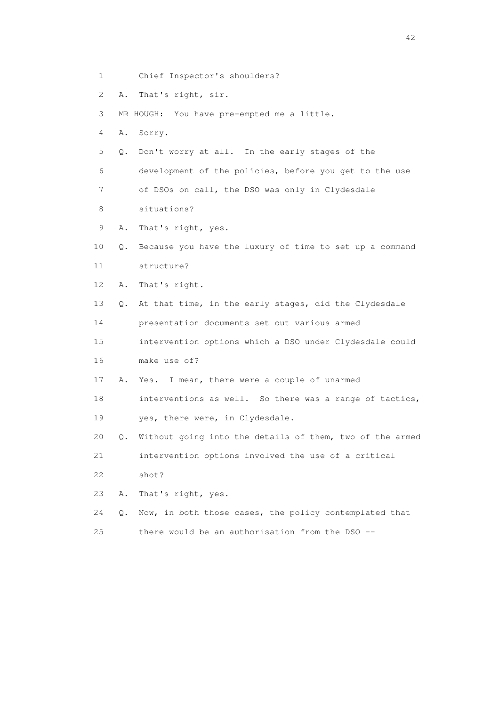- 1 Chief Inspector's shoulders?
- 2 A. That's right, sir.

3 MR HOUGH: You have pre-empted me a little.

- 4 A. Sorry.
- 5 Q. Don't worry at all. In the early stages of the

6 development of the policies, before you get to the use

7 of DSOs on call, the DSO was only in Clydesdale

- 8 situations?
- 9 A. That's right, yes.
- 10 Q. Because you have the luxury of time to set up a command 11 structure?
- 12 A. That's right.
- 13 Q. At that time, in the early stages, did the Clydesdale

14 presentation documents set out various armed

 15 intervention options which a DSO under Clydesdale could 16 make use of?

- 17 A. Yes. I mean, there were a couple of unarmed
- 18 interventions as well. So there was a range of tactics, 19 yes, there were, in Clydesdale.
- 20 Q. Without going into the details of them, two of the armed

21 intervention options involved the use of a critical

- 22 shot?
- 23 A. That's right, yes.
- 24 Q. Now, in both those cases, the policy contemplated that
- 25 there would be an authorisation from the DSO --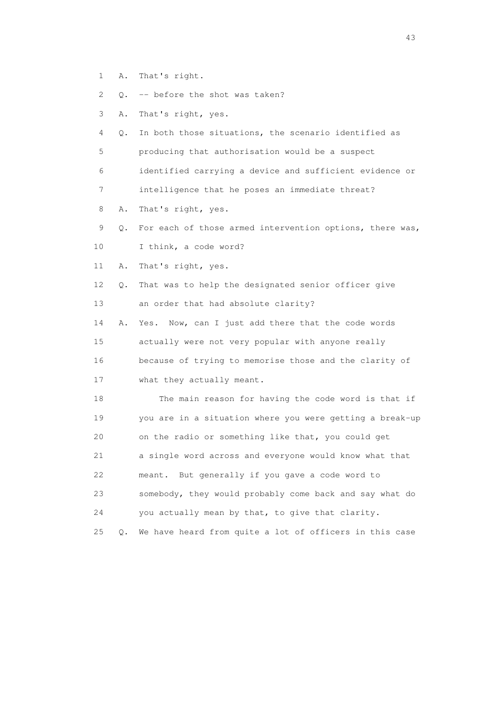1 A. That's right.

2 Q. -- before the shot was taken?

- 3 A. That's right, yes.
- 4 Q. In both those situations, the scenario identified as 5 producing that authorisation would be a suspect 6 identified carrying a device and sufficient evidence or

7 intelligence that he poses an immediate threat?

- 8 A. That's right, yes.
- 9 Q. For each of those armed intervention options, there was,
- 10 I think, a code word?

11 A. That's right, yes.

 12 Q. That was to help the designated senior officer give 13 an order that had absolute clarity?

 14 A. Yes. Now, can I just add there that the code words 15 actually were not very popular with anyone really 16 because of trying to memorise those and the clarity of 17 what they actually meant.

 18 The main reason for having the code word is that if 19 you are in a situation where you were getting a break-up 20 on the radio or something like that, you could get 21 a single word across and everyone would know what that 22 meant. But generally if you gave a code word to 23 somebody, they would probably come back and say what do 24 you actually mean by that, to give that clarity.

25 Q. We have heard from quite a lot of officers in this case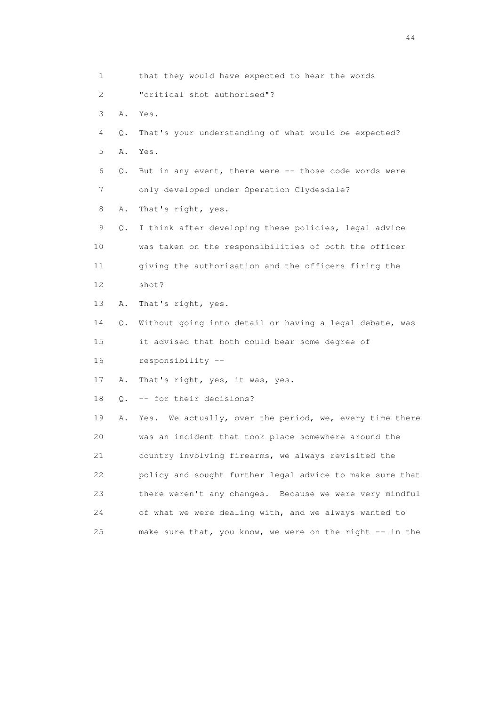1 that they would have expected to hear the words 2 "critical shot authorised"? 3 A. Yes. 4 Q. That's your understanding of what would be expected? 5 A. Yes. 6 Q. But in any event, there were -- those code words were 7 only developed under Operation Clydesdale? 8 A. That's right, yes. 9 Q. I think after developing these policies, legal advice 10 was taken on the responsibilities of both the officer 11 giving the authorisation and the officers firing the 12 shot? 13 A. That's right, yes. 14 Q. Without going into detail or having a legal debate, was 15 it advised that both could bear some degree of 16 responsibility -- 17 A. That's right, yes, it was, yes. 18 Q. -- for their decisions? 19 A. Yes. We actually, over the period, we, every time there 20 was an incident that took place somewhere around the 21 country involving firearms, we always revisited the 22 policy and sought further legal advice to make sure that 23 there weren't any changes. Because we were very mindful 24 of what we were dealing with, and we always wanted to 25 make sure that, you know, we were on the right -- in the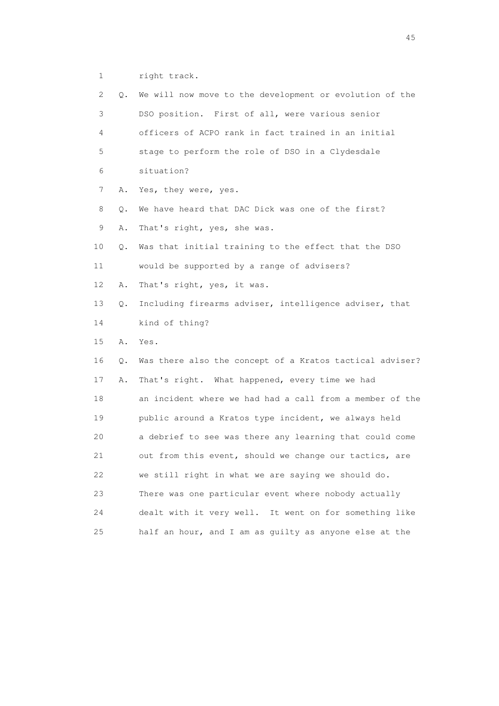1 right track.

| 2  | Q. | We will now move to the development or evolution of the  |
|----|----|----------------------------------------------------------|
| 3  |    | DSO position. First of all, were various senior          |
| 4  |    | officers of ACPO rank in fact trained in an initial      |
| 5  |    | stage to perform the role of DSO in a Clydesdale         |
| 6  |    | situation?                                               |
| 7  | Α. | Yes, they were, yes.                                     |
| 8  | Q. | We have heard that DAC Dick was one of the first?        |
| 9  | Α. | That's right, yes, she was.                              |
| 10 | Q. | Was that initial training to the effect that the DSO     |
| 11 |    | would be supported by a range of advisers?               |
| 12 | Α. | That's right, yes, it was.                               |
| 13 | Q. | Including firearms adviser, intelligence adviser, that   |
| 14 |    | kind of thing?                                           |
| 15 | Α. | Yes.                                                     |
| 16 | Q. | Was there also the concept of a Kratos tactical adviser? |
| 17 | Α. | That's right. What happened, every time we had           |
| 18 |    | an incident where we had had a call from a member of the |
| 19 |    | public around a Kratos type incident, we always held     |
| 20 |    | a debrief to see was there any learning that could come  |
| 21 |    | out from this event, should we change our tactics, are   |
| 22 |    | we still right in what we are saying we should do.       |
| 23 |    | There was one particular event where nobody actually     |
| 24 |    | dealt with it very well. It went on for something like   |
| 25 |    | half an hour, and I am as guilty as anyone else at the   |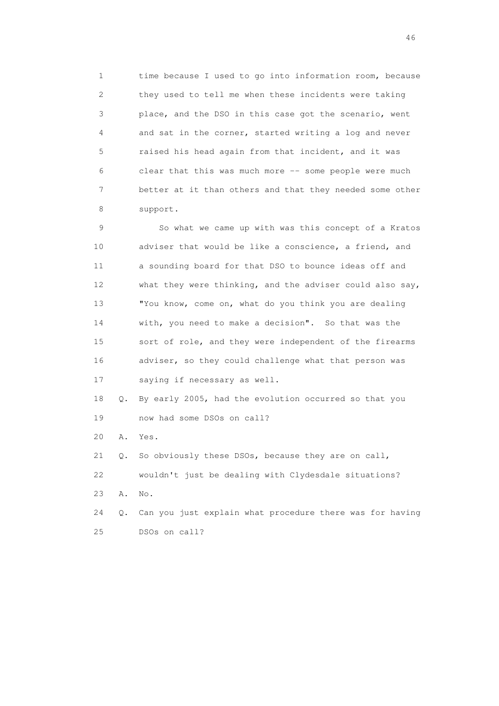1 time because I used to go into information room, because 2 they used to tell me when these incidents were taking 3 place, and the DSO in this case got the scenario, went 4 and sat in the corner, started writing a log and never 5 raised his head again from that incident, and it was 6 clear that this was much more -- some people were much 7 better at it than others and that they needed some other 8 support.

 9 So what we came up with was this concept of a Kratos 10 adviser that would be like a conscience, a friend, and 11 a sounding board for that DSO to bounce ideas off and 12 what they were thinking, and the adviser could also say, 13 "You know, come on, what do you think you are dealing 14 with, you need to make a decision". So that was the 15 sort of role, and they were independent of the firearms 16 adviser, so they could challenge what that person was 17 saying if necessary as well.

 18 Q. By early 2005, had the evolution occurred so that you 19 now had some DSOs on call?

20 A. Yes.

 21 Q. So obviously these DSOs, because they are on call, 22 wouldn't just be dealing with Clydesdale situations? 23 A. No.

 24 Q. Can you just explain what procedure there was for having 25 DSOs on call?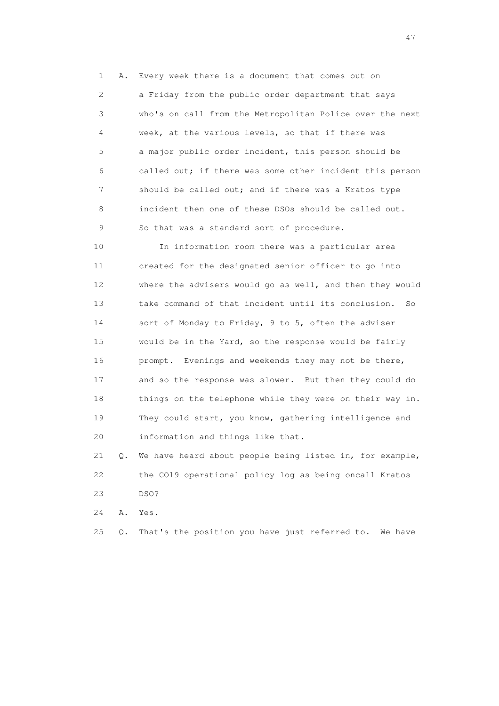1 A. Every week there is a document that comes out on 2 a Friday from the public order department that says 3 who's on call from the Metropolitan Police over the next 4 week, at the various levels, so that if there was 5 a major public order incident, this person should be 6 called out; if there was some other incident this person 7 should be called out; and if there was a Kratos type 8 incident then one of these DSOs should be called out. 9 So that was a standard sort of procedure.

 10 In information room there was a particular area 11 created for the designated senior officer to go into 12 where the advisers would go as well, and then they would 13 take command of that incident until its conclusion. So 14 sort of Monday to Friday, 9 to 5, often the adviser 15 would be in the Yard, so the response would be fairly 16 prompt. Evenings and weekends they may not be there, 17 and so the response was slower. But then they could do 18 things on the telephone while they were on their way in. 19 They could start, you know, gathering intelligence and 20 information and things like that.

 21 Q. We have heard about people being listed in, for example, 22 the CO19 operational policy log as being oncall Kratos 23 DSO?

24 A. Yes.

25 Q. That's the position you have just referred to. We have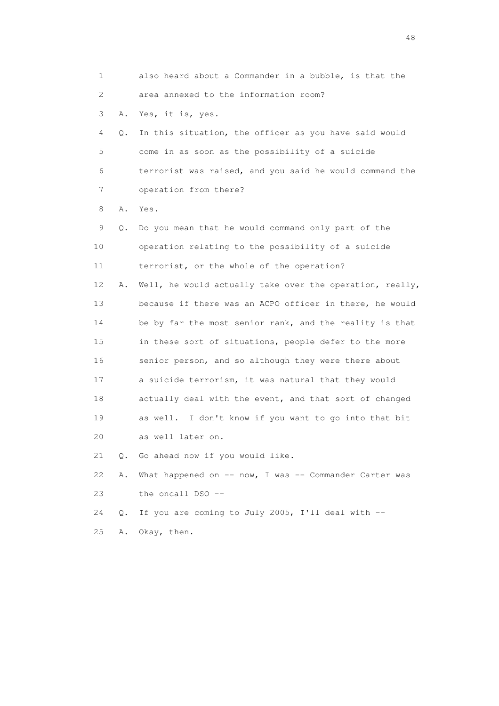1 also heard about a Commander in a bubble, is that the 2 area annexed to the information room? 3 A. Yes, it is, yes. 4 Q. In this situation, the officer as you have said would 5 come in as soon as the possibility of a suicide 6 terrorist was raised, and you said he would command the 7 operation from there? 8 A. Yes. 9 Q. Do you mean that he would command only part of the 10 operation relating to the possibility of a suicide 11 terrorist, or the whole of the operation? 12 A. Well, he would actually take over the operation, really, 13 because if there was an ACPO officer in there, he would 14 be by far the most senior rank, and the reality is that 15 in these sort of situations, people defer to the more 16 senior person, and so although they were there about 17 a suicide terrorism, it was natural that they would 18 actually deal with the event, and that sort of changed 19 as well. I don't know if you want to go into that bit 20 as well later on. 21 Q. Go ahead now if you would like. 22 A. What happened on -- now, I was -- Commander Carter was 23 the oncall DSO -- 24 Q. If you are coming to July 2005, I'll deal with -- 25 A. Okay, then.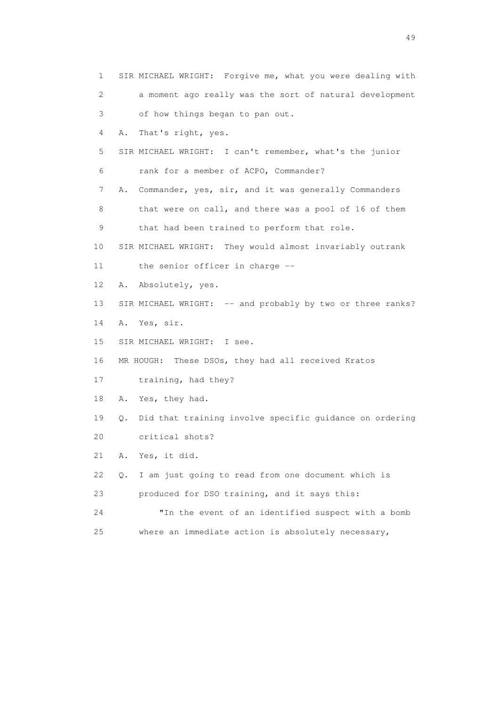| $\mathbf{1}$ | SIR MICHAEL WRIGHT: Forgive me, what you were dealing with    |
|--------------|---------------------------------------------------------------|
| 2            | a moment ago really was the sort of natural development       |
| 3            | of how things began to pan out.                               |
| 4            | That's right, yes.<br>Α.                                      |
| 5            | SIR MICHAEL WRIGHT: I can't remember, what's the junior       |
| 6            | rank for a member of ACPO, Commander?                         |
| 7            | A. Commander, yes, sir, and it was generally Commanders       |
| 8            | that were on call, and there was a pool of 16 of them         |
| 9            | that had been trained to perform that role.                   |
| 10           | SIR MICHAEL WRIGHT: They would almost invariably outrank      |
| 11           | the senior officer in charge --                               |
| 12           | Absolutely, yes.<br>Α.                                        |
| 13           | SIR MICHAEL WRIGHT: -- and probably by two or three ranks?    |
| 14           | A. Yes, sir.                                                  |
| 15           | SIR MICHAEL WRIGHT: I see.                                    |
| 16           | MR HOUGH: These DSOs, they had all received Kratos            |
| 17           | training, had they?                                           |
| 18           | A. Yes, they had.                                             |
| 19           | Did that training involve specific guidance on ordering<br>Q. |
| 20           | critical shots?                                               |
| 21           | Yes, it did.<br>Α.                                            |
| 22           | I am just going to read from one document which is<br>Q.      |
| 23           | produced for DSO training, and it says this:                  |
| 24           | "In the event of an identified suspect with a bomb            |
| 25           | where an immediate action is absolutely necessary,            |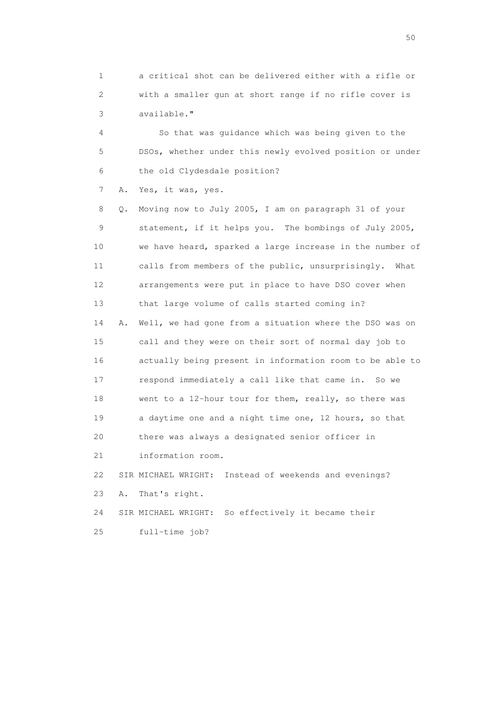1 a critical shot can be delivered either with a rifle or 2 with a smaller gun at short range if no rifle cover is 3 available."

 4 So that was guidance which was being given to the 5 DSOs, whether under this newly evolved position or under 6 the old Clydesdale position?

7 A. Yes, it was, yes.

 8 Q. Moving now to July 2005, I am on paragraph 31 of your 9 statement, if it helps you. The bombings of July 2005, 10 we have heard, sparked a large increase in the number of 11 calls from members of the public, unsurprisingly. What 12 arrangements were put in place to have DSO cover when 13 that large volume of calls started coming in? 14 A. Well, we had gone from a situation where the DSO was on 15 call and they were on their sort of normal day job to 16 actually being present in information room to be able to 17 respond immediately a call like that came in. So we 18 went to a 12-hour tour for them, really, so there was 19 a daytime one and a night time one, 12 hours, so that 20 there was always a designated senior officer in 21 information room. 22 SIR MICHAEL WRIGHT: Instead of weekends and evenings? 23 A. That's right.

24 SIR MICHAEL WRIGHT: So effectively it became their

25 full-time job?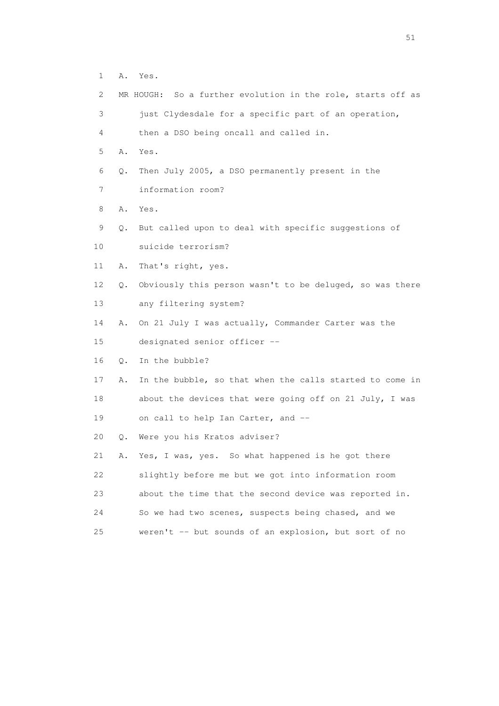- 1 A. Yes.
- 2 MR HOUGH: So a further evolution in the role, starts off as
- 3 just Clydesdale for a specific part of an operation,

4 then a DSO being oncall and called in.

- 5 A. Yes.
- 6 Q. Then July 2005, a DSO permanently present in the
- 7 information room?
- 8 A. Yes.
- 9 Q. But called upon to deal with specific suggestions of
- 10 suicide terrorism?
- 11 A. That's right, yes.
- 12 Q. Obviously this person wasn't to be deluged, so was there 13 any filtering system?
- 14 A. On 21 July I was actually, Commander Carter was the
- 15 designated senior officer --
- 16 Q. In the bubble?
- 17 A. In the bubble, so that when the calls started to come in 18 about the devices that were going off on 21 July, I was 19 on call to help Ian Carter, and --
- 20 Q. Were you his Kratos adviser?
- 21 A. Yes, I was, yes. So what happened is he got there 22 slightly before me but we got into information room 23 about the time that the second device was reported in. 24 So we had two scenes, suspects being chased, and we 25 weren't -- but sounds of an explosion, but sort of no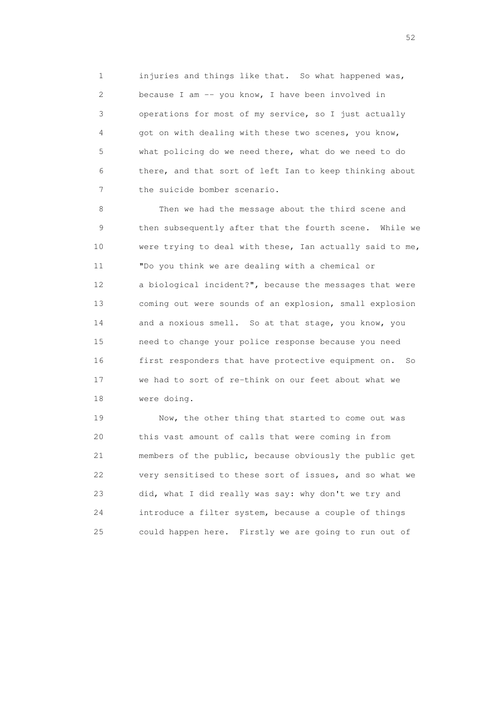1 injuries and things like that. So what happened was, 2 because I am -- you know, I have been involved in 3 operations for most of my service, so I just actually 4 got on with dealing with these two scenes, you know, 5 what policing do we need there, what do we need to do 6 there, and that sort of left Ian to keep thinking about 7 the suicide bomber scenario.

 8 Then we had the message about the third scene and 9 then subsequently after that the fourth scene. While we 10 were trying to deal with these, Ian actually said to me, 11 "Do you think we are dealing with a chemical or 12 a biological incident?", because the messages that were 13 coming out were sounds of an explosion, small explosion 14 and a noxious smell. So at that stage, you know, you 15 need to change your police response because you need 16 first responders that have protective equipment on. So 17 we had to sort of re-think on our feet about what we 18 were doing.

 19 Now, the other thing that started to come out was 20 this vast amount of calls that were coming in from 21 members of the public, because obviously the public get 22 very sensitised to these sort of issues, and so what we 23 did, what I did really was say: why don't we try and 24 introduce a filter system, because a couple of things 25 could happen here. Firstly we are going to run out of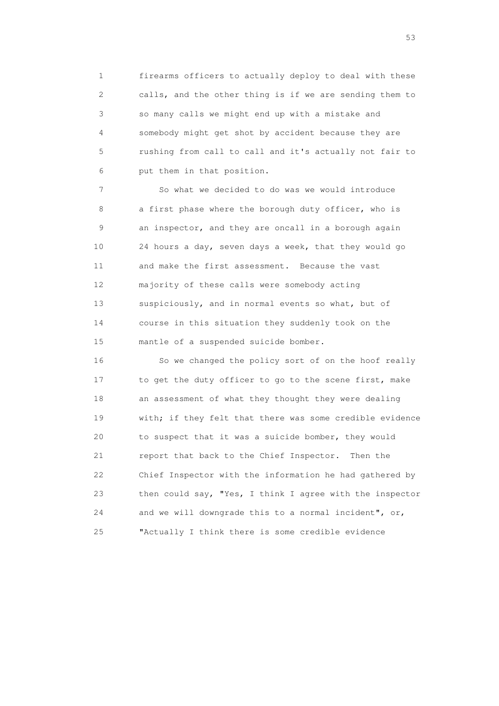1 firearms officers to actually deploy to deal with these 2 calls, and the other thing is if we are sending them to 3 so many calls we might end up with a mistake and 4 somebody might get shot by accident because they are 5 rushing from call to call and it's actually not fair to 6 put them in that position.

 7 So what we decided to do was we would introduce 8 a first phase where the borough duty officer, who is 9 an inspector, and they are oncall in a borough again 10 24 hours a day, seven days a week, that they would go 11 and make the first assessment. Because the vast 12 majority of these calls were somebody acting 13 suspiciously, and in normal events so what, but of 14 course in this situation they suddenly took on the 15 mantle of a suspended suicide bomber.

 16 So we changed the policy sort of on the hoof really 17 to get the duty officer to go to the scene first, make 18 an assessment of what they thought they were dealing 19 with; if they felt that there was some credible evidence 20 to suspect that it was a suicide bomber, they would 21 report that back to the Chief Inspector. Then the 22 Chief Inspector with the information he had gathered by 23 then could say, "Yes, I think I agree with the inspector 24 and we will downgrade this to a normal incident", or, 25 "Actually I think there is some credible evidence

 $\sim$  53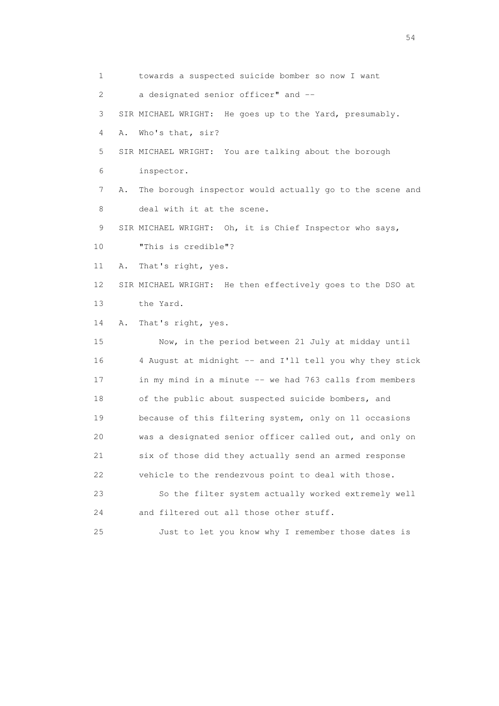1 towards a suspected suicide bomber so now I want 2 a designated senior officer" and -- 3 SIR MICHAEL WRIGHT: He goes up to the Yard, presumably. 4 A. Who's that, sir? 5 SIR MICHAEL WRIGHT: You are talking about the borough 6 inspector. 7 A. The borough inspector would actually go to the scene and 8 deal with it at the scene. 9 SIR MICHAEL WRIGHT: Oh, it is Chief Inspector who says, 10 "This is credible"? 11 A. That's right, yes. 12 SIR MICHAEL WRIGHT: He then effectively goes to the DSO at 13 the Yard. 14 A. That's right, yes. 15 Now, in the period between 21 July at midday until 16 4 August at midnight -- and I'll tell you why they stick 17 in my mind in a minute -- we had 763 calls from members 18 of the public about suspected suicide bombers, and 19 because of this filtering system, only on 11 occasions 20 was a designated senior officer called out, and only on 21 six of those did they actually send an armed response 22 vehicle to the rendezvous point to deal with those. 23 So the filter system actually worked extremely well 24 and filtered out all those other stuff. 25 Just to let you know why I remember those dates is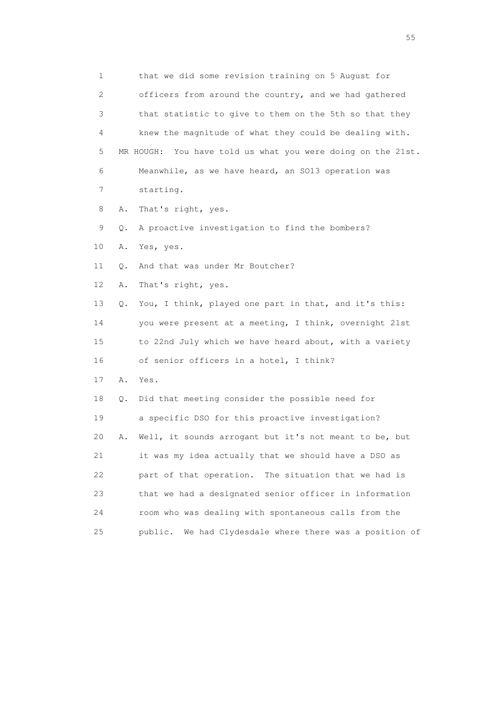1 that we did some revision training on 5 August for 2 officers from around the country, and we had gathered 3 that statistic to give to them on the 5th so that they 4 knew the magnitude of what they could be dealing with. 5 MR HOUGH: You have told us what you were doing on the 21st. 6 Meanwhile, as we have heard, an SO13 operation was 7 starting. 8 A. That's right, yes. 9 Q. A proactive investigation to find the bombers? 10 A. Yes, yes. 11 O. And that was under Mr Boutcher? 12 A. That's right, yes. 13 Q. You, I think, played one part in that, and it's this: 14 you were present at a meeting, I think, overnight 21st 15 to 22nd July which we have heard about, with a variety 16 of senior officers in a hotel, I think? 17 A. Yes. 18 Q. Did that meeting consider the possible need for 19 a specific DSO for this proactive investigation? 20 A. Well, it sounds arrogant but it's not meant to be, but 21 it was my idea actually that we should have a DSO as 22 part of that operation. The situation that we had is 23 that we had a designated senior officer in information 24 room who was dealing with spontaneous calls from the 25 public. We had Clydesdale where there was a position of

the state of the state of the state of the state of the state of the state of the state of the state of the state of the state of the state of the state of the state of the state of the state of the state of the state of t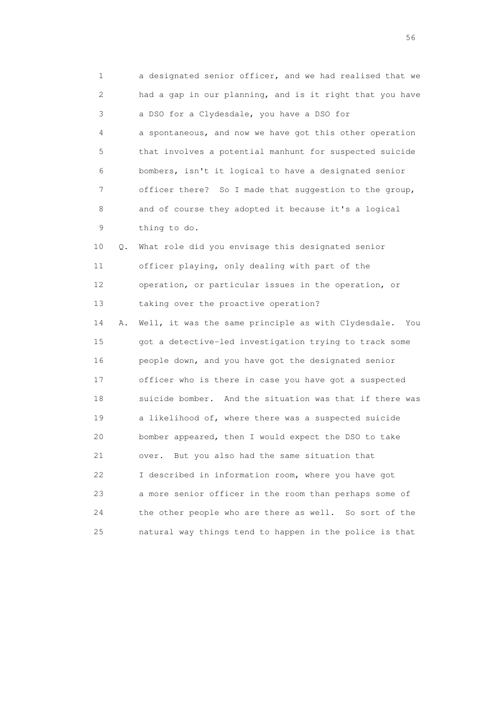1 a designated senior officer, and we had realised that we 2 had a gap in our planning, and is it right that you have 3 a DSO for a Clydesdale, you have a DSO for 4 a spontaneous, and now we have got this other operation 5 that involves a potential manhunt for suspected suicide 6 bombers, isn't it logical to have a designated senior 7 officer there? So I made that suggestion to the group, 8 and of course they adopted it because it's a logical 9 thing to do. 10 Q. What role did you envisage this designated senior 11 officer playing, only dealing with part of the 12 operation, or particular issues in the operation, or 13 taking over the proactive operation? 14 A. Well, it was the same principle as with Clydesdale. You 15 got a detective-led investigation trying to track some 16 people down, and you have got the designated senior 17 officer who is there in case you have got a suspected 18 suicide bomber. And the situation was that if there was 19 a likelihood of, where there was a suspected suicide 20 bomber appeared, then I would expect the DSO to take 21 over. But you also had the same situation that 22 I described in information room, where you have got 23 a more senior officer in the room than perhaps some of 24 the other people who are there as well. So sort of the 25 natural way things tend to happen in the police is that

 $56<sup>o</sup>$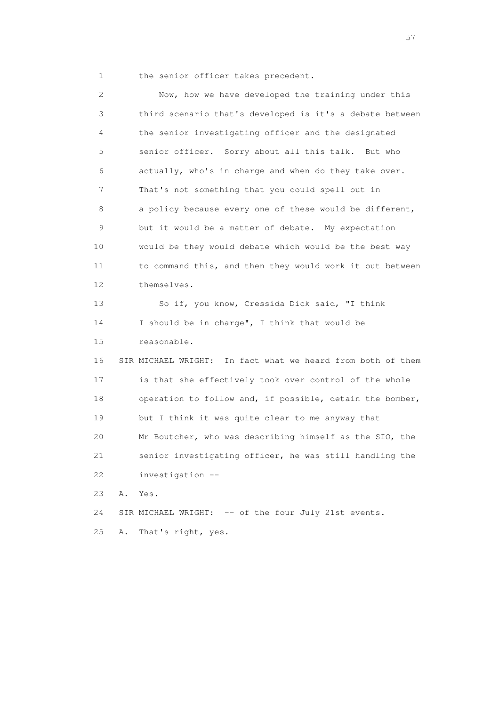1 the senior officer takes precedent.

 2 Now, how we have developed the training under this 3 third scenario that's developed is it's a debate between 4 the senior investigating officer and the designated 5 senior officer. Sorry about all this talk. But who 6 actually, who's in charge and when do they take over. 7 That's not something that you could spell out in 8 a policy because every one of these would be different, 9 but it would be a matter of debate. My expectation 10 would be they would debate which would be the best way 11 to command this, and then they would work it out between 12 themselves. 13 So if, you know, Cressida Dick said, "I think 14 I should be in charge", I think that would be 15 reasonable. 16 SIR MICHAEL WRIGHT: In fact what we heard from both of them 17 is that she effectively took over control of the whole 18 operation to follow and, if possible, detain the bomber, 19 but I think it was quite clear to me anyway that 20 Mr Boutcher, who was describing himself as the SIO, the 21 senior investigating officer, he was still handling the 22 investigation -- 23 A. Yes. 24 SIR MICHAEL WRIGHT: -- of the four July 21st events. 25 A. That's right, yes.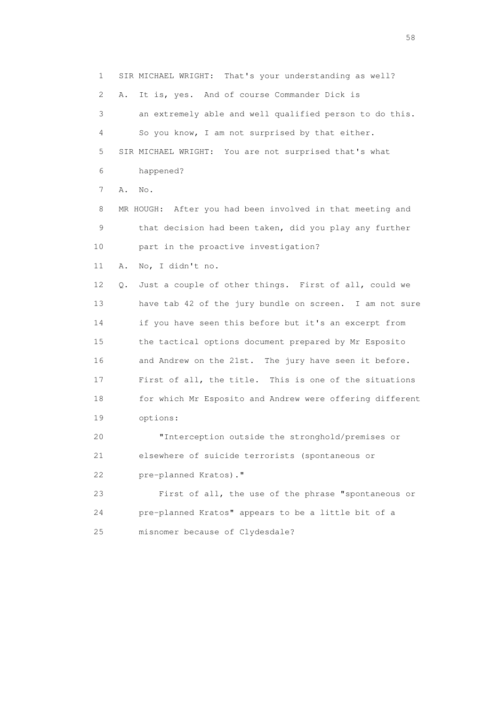1 SIR MICHAEL WRIGHT: That's your understanding as well? 2 A. It is, yes. And of course Commander Dick is 3 an extremely able and well qualified person to do this. 4 So you know, I am not surprised by that either. 5 SIR MICHAEL WRIGHT: You are not surprised that's what 6 happened? 7 A. No. 8 MR HOUGH: After you had been involved in that meeting and 9 that decision had been taken, did you play any further 10 part in the proactive investigation? 11 A. No, I didn't no. 12 Q. Just a couple of other things. First of all, could we 13 have tab 42 of the jury bundle on screen. I am not sure 14 if you have seen this before but it's an excerpt from 15 the tactical options document prepared by Mr Esposito 16 and Andrew on the 21st. The jury have seen it before. 17 First of all, the title. This is one of the situations 18 for which Mr Esposito and Andrew were offering different 19 options: 20 "Interception outside the stronghold/premises or 21 elsewhere of suicide terrorists (spontaneous or 22 pre-planned Kratos)." 23 First of all, the use of the phrase "spontaneous or 24 pre-planned Kratos" appears to be a little bit of a 25 misnomer because of Clydesdale?

the state of the state of the state of the state of the state of the state of the state of the state of the state of the state of the state of the state of the state of the state of the state of the state of the state of t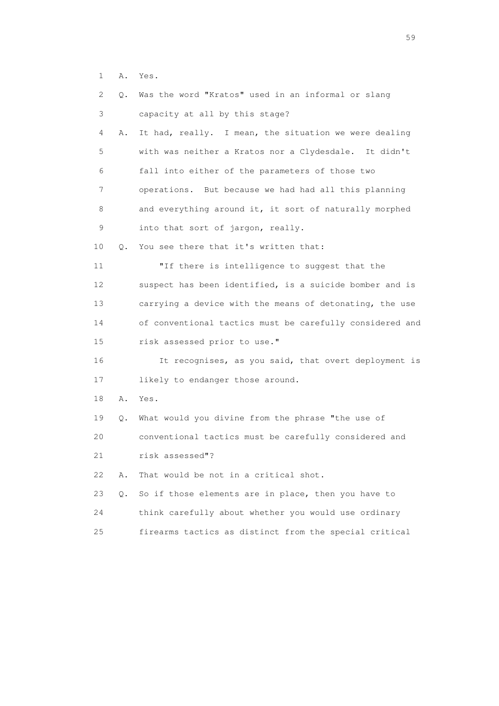1 A. Yes.

| 2.              | Q. | Was the word "Kratos" used in an informal or slang       |
|-----------------|----|----------------------------------------------------------|
| 3               |    | capacity at all by this stage?                           |
| 4               | Α. | It had, really. I mean, the situation we were dealing    |
| 5               |    | with was neither a Kratos nor a Clydesdale. It didn't    |
| 6               |    | fall into either of the parameters of those two          |
| 7               |    | operations. But because we had had all this planning     |
| 8               |    | and everything around it, it sort of naturally morphed   |
| $\mathsf 9$     |    | into that sort of jargon, really.                        |
| 10              | Q. | You see there that it's written that:                    |
| 11              |    | "If there is intelligence to suggest that the            |
| 12 <sup>°</sup> |    | suspect has been identified, is a suicide bomber and is  |
| 13              |    | carrying a device with the means of detonating, the use  |
| 14              |    | of conventional tactics must be carefully considered and |
| 15              |    | risk assessed prior to use."                             |
| 16              |    | It recognises, as you said, that overt deployment is     |
| 17              |    | likely to endanger those around.                         |
| 18              | Α. | Yes.                                                     |
| 19              | Q. | What would you divine from the phrase "the use of        |
| 20              |    | conventional tactics must be carefully considered and    |
| 21              |    | risk assessed"?                                          |
| 22              | Α. | That would be not in a critical shot.                    |
| 23              | Q. | So if those elements are in place, then you have to      |
| 24              |    | think carefully about whether you would use ordinary     |
| 25              |    | firearms tactics as distinct from the special critical   |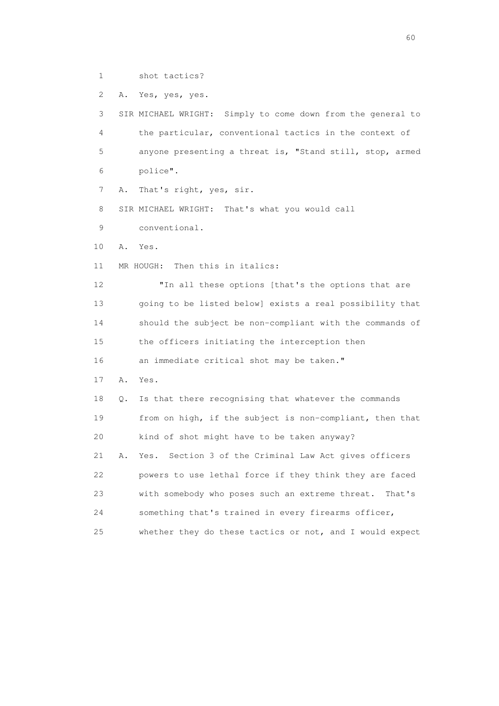1 shot tactics?

2 A. Yes, yes, yes.

 3 SIR MICHAEL WRIGHT: Simply to come down from the general to 4 the particular, conventional tactics in the context of 5 anyone presenting a threat is, "Stand still, stop, armed 6 police".

7 A. That's right, yes, sir.

8 SIR MICHAEL WRIGHT: That's what you would call

9 conventional.

10 A. Yes.

11 MR HOUGH: Then this in italics:

 12 "In all these options [that's the options that are 13 going to be listed below] exists a real possibility that 14 should the subject be non-compliant with the commands of 15 the officers initiating the interception then 16 an immediate critical shot may be taken."

17 A. Yes.

 18 Q. Is that there recognising that whatever the commands 19 from on high, if the subject is non-compliant, then that 20 kind of shot might have to be taken anyway? 21 A. Yes. Section 3 of the Criminal Law Act gives officers 22 powers to use lethal force if they think they are faced

23 with somebody who poses such an extreme threat. That's

24 something that's trained in every firearms officer,

25 whether they do these tactics or not, and I would expect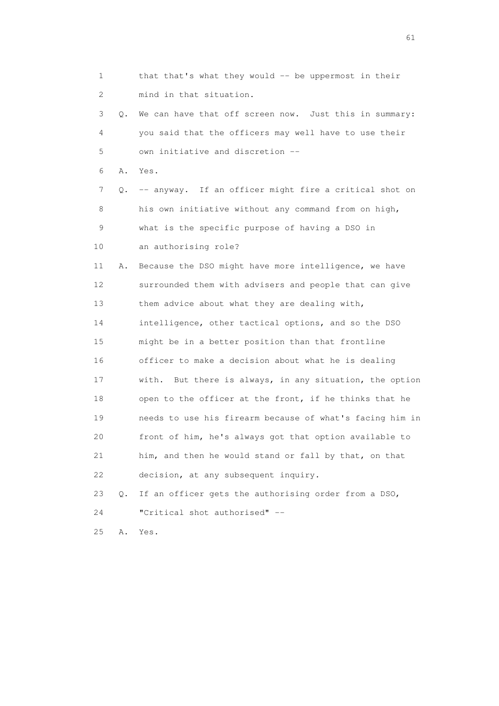| 1  |           | that that's what they would -- be uppermost in their     |
|----|-----------|----------------------------------------------------------|
| 2  |           | mind in that situation.                                  |
| 3  | $\circ$ . | We can have that off screen now. Just this in summary:   |
| 4  |           | you said that the officers may well have to use their    |
| 5  |           | own initiative and discretion --                         |
| 6  | Α.        | Yes.                                                     |
| 7  | Q.        | -- anyway. If an officer might fire a critical shot on   |
| 8  |           | his own initiative without any command from on high,     |
| 9  |           | what is the specific purpose of having a DSO in          |
| 10 |           | an authorising role?                                     |
| 11 | Α.        | Because the DSO might have more intelligence, we have    |
| 12 |           | surrounded them with advisers and people that can give   |
| 13 |           | them advice about what they are dealing with,            |
| 14 |           | intelligence, other tactical options, and so the DSO     |
| 15 |           | might be in a better position than that frontline        |
| 16 |           | officer to make a decision about what he is dealing      |
| 17 |           | with. But there is always, in any situation, the option  |
| 18 |           | open to the officer at the front, if he thinks that he   |
| 19 |           | needs to use his firearm because of what's facing him in |
| 20 |           | front of him, he's always got that option available to   |
| 21 |           | him, and then he would stand or fall by that, on that    |
| 22 |           | decision, at any subsequent inquiry.                     |
| 23 | Q.        | If an officer gets the authorising order from a DSO,     |
| 24 |           | "Critical shot authorised" --                            |
| 25 | Α.        | Yes.                                                     |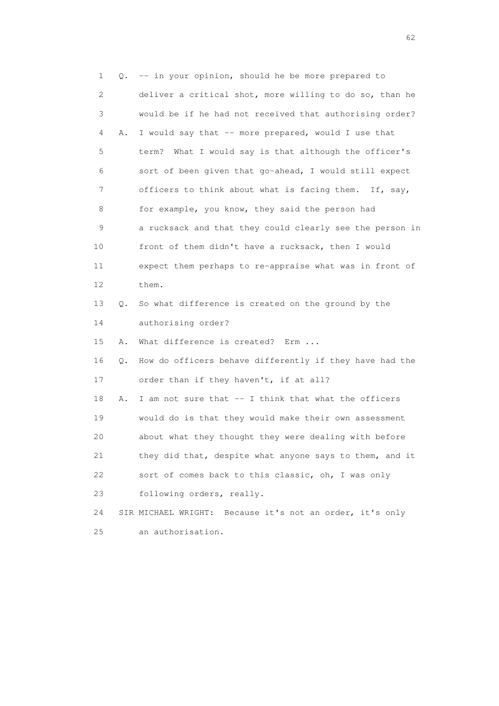1 Q. -- in your opinion, should he be more prepared to 2 deliver a critical shot, more willing to do so, than he 3 would be if he had not received that authorising order? 4 A. I would say that -- more prepared, would I use that 5 term? What I would say is that although the officer's 6 sort of been given that go-ahead, I would still expect 7 officers to think about what is facing them. If, say, 8 for example, you know, they said the person had 9 a rucksack and that they could clearly see the person in 10 front of them didn't have a rucksack, then I would 11 expect them perhaps to re-appraise what was in front of 12 them. 13 Q. So what difference is created on the ground by the 14 authorising order? 15 A. What difference is created? Erm ... 16 Q. How do officers behave differently if they have had the 17 order than if they haven't, if at all? 18 A. I am not sure that -- I think that what the officers 19 would do is that they would make their own assessment 20 about what they thought they were dealing with before 21 they did that, despite what anyone says to them, and it 22 sort of comes back to this classic, oh, I was only 23 following orders, really. 24 SIR MICHAEL WRIGHT: Because it's not an order, it's only 25 an authorisation.

 $\sim$  62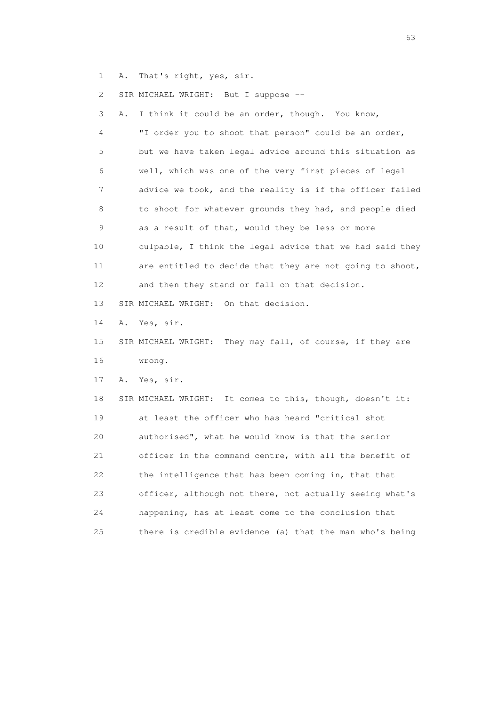1 A. That's right, yes, sir.

2 SIR MICHAEL WRIGHT: But I suppose --

 3 A. I think it could be an order, though. You know, 4 "I order you to shoot that person" could be an order, 5 but we have taken legal advice around this situation as 6 well, which was one of the very first pieces of legal 7 advice we took, and the reality is if the officer failed 8 to shoot for whatever grounds they had, and people died 9 as a result of that, would they be less or more 10 culpable, I think the legal advice that we had said they 11 are entitled to decide that they are not going to shoot, 12 and then they stand or fall on that decision. 13 SIR MICHAEL WRIGHT: On that decision. 14 A. Yes, sir.

 15 SIR MICHAEL WRIGHT: They may fall, of course, if they are 16 wrong.

17 A. Yes, sir.

 18 SIR MICHAEL WRIGHT: It comes to this, though, doesn't it: 19 at least the officer who has heard "critical shot 20 authorised", what he would know is that the senior 21 officer in the command centre, with all the benefit of 22 the intelligence that has been coming in, that that 23 officer, although not there, not actually seeing what's 24 happening, has at least come to the conclusion that 25 there is credible evidence (a) that the man who's being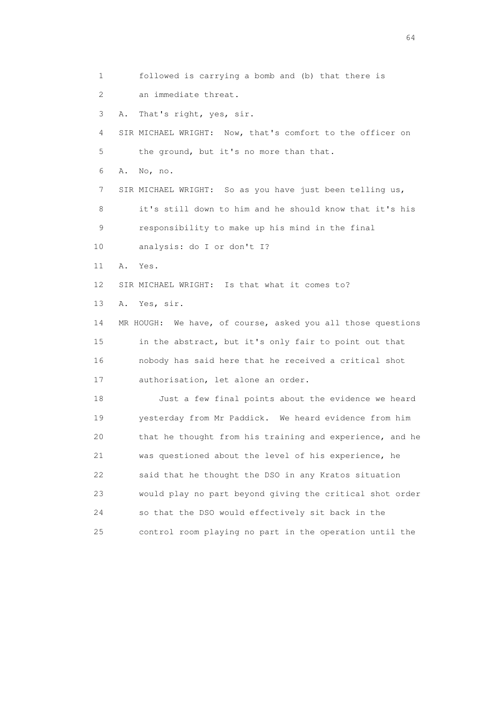1 followed is carrying a bomb and (b) that there is 2 an immediate threat. 3 A. That's right, yes, sir. 4 SIR MICHAEL WRIGHT: Now, that's comfort to the officer on 5 the ground, but it's no more than that. 6 A. No, no. 7 SIR MICHAEL WRIGHT: So as you have just been telling us, 8 it's still down to him and he should know that it's his 9 responsibility to make up his mind in the final 10 analysis: do I or don't I? 11 A. Yes. 12 SIR MICHAEL WRIGHT: Is that what it comes to? 13 A. Yes, sir. 14 MR HOUGH: We have, of course, asked you all those questions 15 in the abstract, but it's only fair to point out that 16 nobody has said here that he received a critical shot 17 authorisation, let alone an order. 18 Just a few final points about the evidence we heard 19 yesterday from Mr Paddick. We heard evidence from him 20 that he thought from his training and experience, and he 21 was questioned about the level of his experience, he 22 said that he thought the DSO in any Kratos situation 23 would play no part beyond giving the critical shot order 24 so that the DSO would effectively sit back in the 25 control room playing no part in the operation until the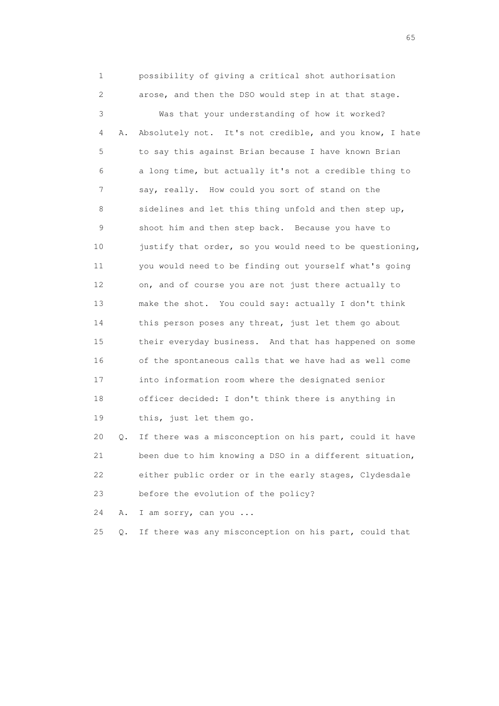1 possibility of giving a critical shot authorisation 2 arose, and then the DSO would step in at that stage. 3 Was that your understanding of how it worked? 4 A. Absolutely not. It's not credible, and you know, I hate 5 to say this against Brian because I have known Brian 6 a long time, but actually it's not a credible thing to 7 say, really. How could you sort of stand on the 8 sidelines and let this thing unfold and then step up, 9 shoot him and then step back. Because you have to 10 justify that order, so you would need to be questioning, 11 you would need to be finding out yourself what's going 12 on, and of course you are not just there actually to 13 make the shot. You could say: actually I don't think 14 this person poses any threat, just let them go about 15 their everyday business. And that has happened on some 16 of the spontaneous calls that we have had as well come 17 into information room where the designated senior 18 officer decided: I don't think there is anything in 19 this, just let them go. 20 Q. If there was a misconception on his part, could it have

 21 been due to him knowing a DSO in a different situation, 22 either public order or in the early stages, Clydesdale 23 before the evolution of the policy?

24 A. I am sorry, can you ...

25 Q. If there was any misconception on his part, could that

 $\sim$  65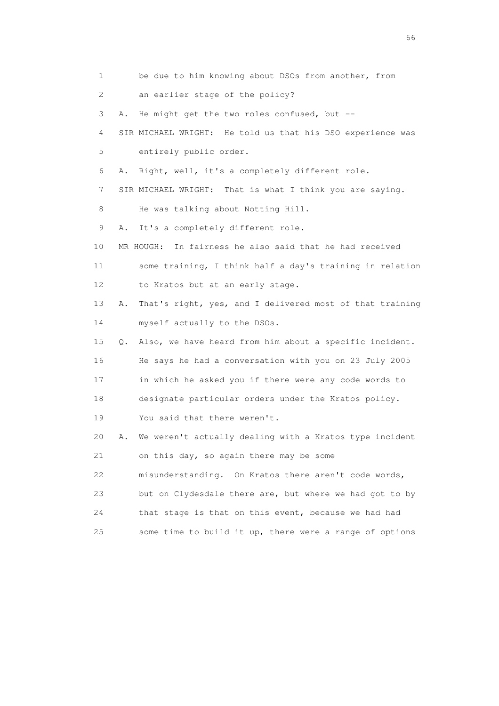| 1               |    | be due to him knowing about DSOs from another, from        |
|-----------------|----|------------------------------------------------------------|
| 2               |    | an earlier stage of the policy?                            |
| 3               | Α. | He might get the two roles confused, but --                |
| 4               |    | SIR MICHAEL WRIGHT: He told us that his DSO experience was |
| 5               |    | entirely public order.                                     |
| 6               | Α. | Right, well, it's a completely different role.             |
| 7               |    | SIR MICHAEL WRIGHT: That is what I think you are saying.   |
| 8               |    | He was talking about Notting Hill.                         |
| 9               | Α. | It's a completely different role.                          |
| 10              |    | MR HOUGH: In fairness he also said that he had received    |
| 11              |    | some training, I think half a day's training in relation   |
| 12 <sup>°</sup> |    | to Kratos but at an early stage.                           |
| 13              | Α. | That's right, yes, and I delivered most of that training   |
| 14              |    | myself actually to the DSOs.                               |
| 15              | Q. | Also, we have heard from him about a specific incident.    |
| 16              |    | He says he had a conversation with you on 23 July 2005     |
| 17              |    | in which he asked you if there were any code words to      |
| 18              |    | designate particular orders under the Kratos policy.       |
| 19              |    | You said that there weren't.                               |
| 20              | Α. | We weren't actually dealing with a Kratos type incident    |
| 21              |    | on this day, so again there may be some                    |
| 22              |    | misunderstanding. On Kratos there aren't code words,       |
| 23              |    | but on Clydesdale there are, but where we had got to by    |
| 24              |    | that stage is that on this event, because we had had       |
| 25              |    | some time to build it up, there were a range of options    |

 $\sim$  66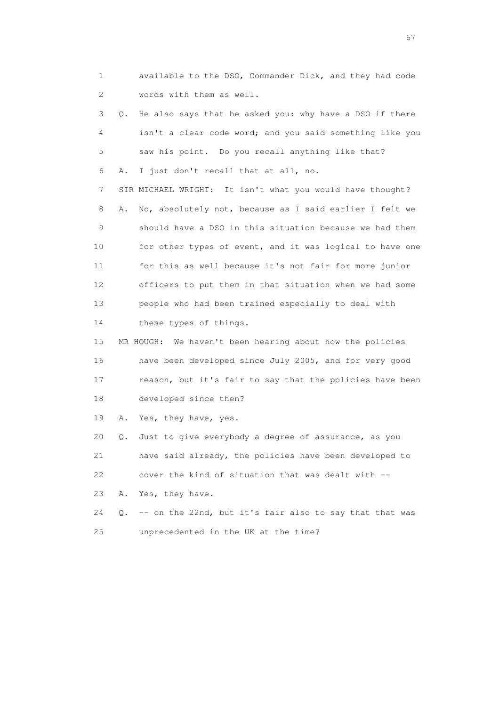1 available to the DSO, Commander Dick, and they had code 2 words with them as well.

 3 Q. He also says that he asked you: why have a DSO if there 4 isn't a clear code word; and you said something like you 5 saw his point. Do you recall anything like that? 6 A. I just don't recall that at all, no. 7 SIR MICHAEL WRIGHT: It isn't what you would have thought? 8 A. No, absolutely not, because as I said earlier I felt we 9 should have a DSO in this situation because we had them 10 for other types of event, and it was logical to have one 11 for this as well because it's not fair for more junior 12 officers to put them in that situation when we had some 13 people who had been trained especially to deal with 14 these types of things. 15 MR HOUGH: We haven't been hearing about how the policies 16 have been developed since July 2005, and for very good 17 reason, but it's fair to say that the policies have been 18 developed since then? 19 A. Yes, they have, yes. 20 Q. Just to give everybody a degree of assurance, as you 21 have said already, the policies have been developed to

22 cover the kind of situation that was dealt with --

23 A. Yes, they have.

 24 Q. -- on the 22nd, but it's fair also to say that that was 25 unprecedented in the UK at the time?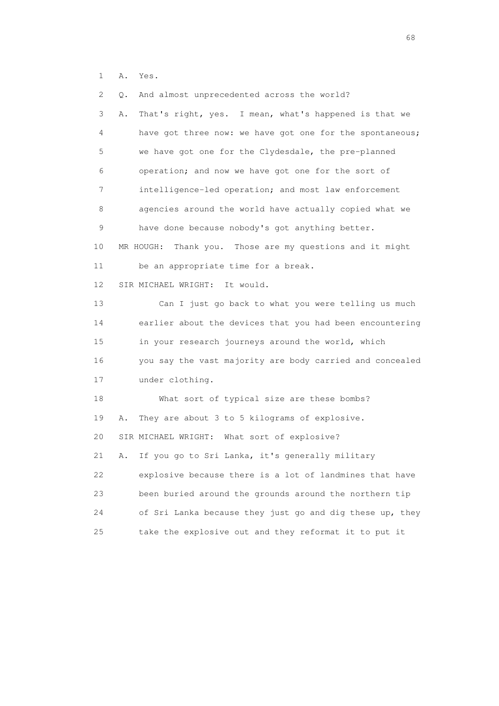1 A. Yes.

| $\mathbf{2}^{\mathsf{I}}$ | And almost unprecedented across the world?<br>Q.            |
|---------------------------|-------------------------------------------------------------|
| 3                         | That's right, yes. I mean, what's happened is that we<br>Α. |
| 4                         | have got three now: we have got one for the spontaneous;    |
| 5                         | we have got one for the Clydesdale, the pre-planned         |
| 6                         | operation; and now we have got one for the sort of          |
| 7                         | intelligence-led operation; and most law enforcement        |
| 8                         | agencies around the world have actually copied what we      |
| 9                         | have done because nobody's got anything better.             |
| 10                        | MR HOUGH:<br>Thank you. Those are my questions and it might |
| 11                        | be an appropriate time for a break.                         |
| 12 <sup>°</sup>           | SIR MICHAEL WRIGHT: It would.                               |
| 13                        | Can I just go back to what you were telling us much         |
| 14                        | earlier about the devices that you had been encountering    |
| 15                        | in your research journeys around the world, which           |
| 16                        | you say the vast majority are body carried and concealed    |
| 17                        | under clothing.                                             |
| 18                        | What sort of typical size are these bombs?                  |
| 19                        | They are about 3 to 5 kilograms of explosive.<br>Α.         |
| 20                        | SIR MICHAEL WRIGHT: What sort of explosive?                 |
| 21                        | If you go to Sri Lanka, it's generally military<br>Α.       |
| 22                        | explosive because there is a lot of landmines that have     |
| 23                        | been buried around the grounds around the northern tip      |
| 24                        | of Sri Lanka because they just go and dig these up, they    |
| 25                        | take the explosive out and they reformat it to put it       |

entration of the contract of the contract of the contract of the contract of the contract of the contract of the contract of the contract of the contract of the contract of the contract of the contract of the contract of t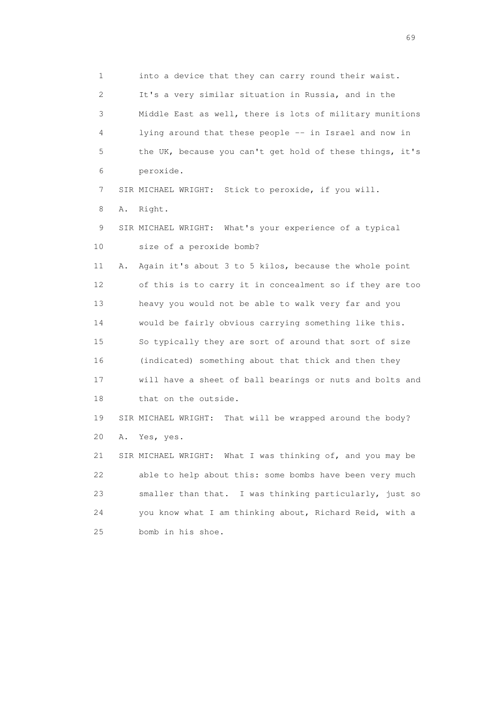1 into a device that they can carry round their waist. 2 It's a very similar situation in Russia, and in the 3 Middle East as well, there is lots of military munitions 4 lying around that these people -- in Israel and now in 5 the UK, because you can't get hold of these things, it's 6 peroxide. 7 SIR MICHAEL WRIGHT: Stick to peroxide, if you will. 8 A. Right. 9 SIR MICHAEL WRIGHT: What's your experience of a typical 10 size of a peroxide bomb? 11 A. Again it's about 3 to 5 kilos, because the whole point 12 of this is to carry it in concealment so if they are too 13 heavy you would not be able to walk very far and you 14 would be fairly obvious carrying something like this. 15 So typically they are sort of around that sort of size 16 (indicated) something about that thick and then they 17 will have a sheet of ball bearings or nuts and bolts and 18 that on the outside. 19 SIR MICHAEL WRIGHT: That will be wrapped around the body? 20 A. Yes, yes. 21 SIR MICHAEL WRIGHT: What I was thinking of, and you may be 22 able to help about this: some bombs have been very much 23 smaller than that. I was thinking particularly, just so 24 you know what I am thinking about, Richard Reid, with a 25 bomb in his shoe.

entral de la construction de la construction de la construction de la construction de la construction de la co<br>1990 : la construction de la construction de la construction de la construction de la construction de la const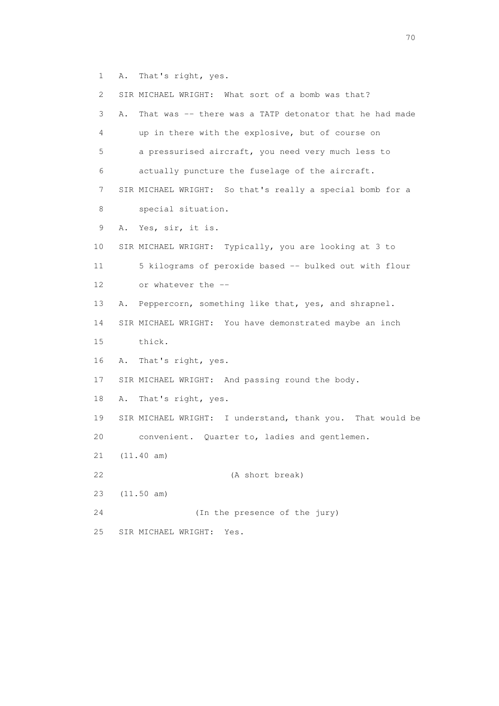1 A. That's right, yes.

 2 SIR MICHAEL WRIGHT: What sort of a bomb was that? 3 A. That was -- there was a TATP detonator that he had made 4 up in there with the explosive, but of course on 5 a pressurised aircraft, you need very much less to 6 actually puncture the fuselage of the aircraft. 7 SIR MICHAEL WRIGHT: So that's really a special bomb for a 8 special situation. 9 A. Yes, sir, it is. 10 SIR MICHAEL WRIGHT: Typically, you are looking at 3 to 11 5 kilograms of peroxide based -- bulked out with flour 12 or whatever the -- 13 A. Peppercorn, something like that, yes, and shrapnel. 14 SIR MICHAEL WRIGHT: You have demonstrated maybe an inch 15 thick. 16 A. That's right, yes. 17 SIR MICHAEL WRIGHT: And passing round the body. 18 A. That's right, yes. 19 SIR MICHAEL WRIGHT: I understand, thank you. That would be 20 convenient. Quarter to, ladies and gentlemen. 21 (11.40 am) 22 (A short break) 23 (11.50 am) 24 (In the presence of the jury) 25 SIR MICHAEL WRIGHT: Yes.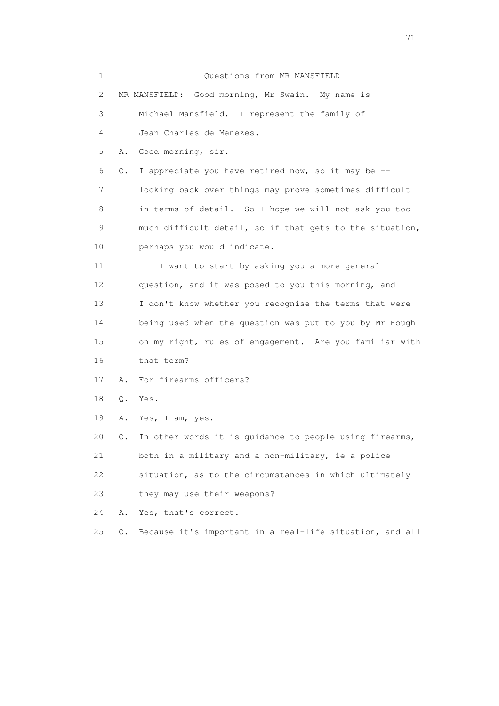| 1  |       | Questions from MR MANSFIELD                              |
|----|-------|----------------------------------------------------------|
| 2  |       | MR MANSFIELD: Good morning, Mr Swain. My name is         |
| 3  |       | Michael Mansfield. I represent the family of             |
| 4  |       | Jean Charles de Menezes.                                 |
| 5  | Α.    | Good morning, sir.                                       |
| 6  | Q.    | I appreciate you have retired now, so it may be --       |
| 7  |       | looking back over things may prove sometimes difficult   |
| 8  |       | in terms of detail. So I hope we will not ask you too    |
| 9  |       | much difficult detail, so if that gets to the situation, |
| 10 |       | perhaps you would indicate.                              |
| 11 |       | I want to start by asking you a more general             |
| 12 |       | question, and it was posed to you this morning, and      |
| 13 |       | I don't know whether you recognise the terms that were   |
| 14 |       | being used when the question was put to you by Mr Hough  |
| 15 |       | on my right, rules of engagement. Are you familiar with  |
| 16 |       | that term?                                               |
| 17 | Α.    | For firearms officers?                                   |
| 18 | Q.    | Yes.                                                     |
| 19 | Α.    | Yes, I am, yes.                                          |
| 20 | Q.    | In other words it is guidance to people using firearms,  |
| 21 |       | both in a military and a non-military, ie a police       |
| 22 |       | situation, as to the circumstances in which ultimately   |
| 23 |       | they may use their weapons?                              |
| 24 | Α.    | Yes, that's correct.                                     |
| 25 | $Q$ . | Because it's important in a real-life situation, and all |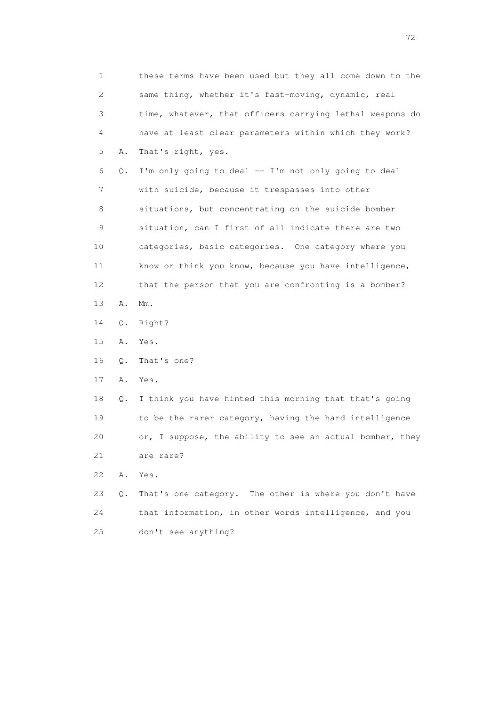1 these terms have been used but they all come down to the 2 same thing, whether it's fast-moving, dynamic, real 3 time, whatever, that officers carrying lethal weapons do 4 have at least clear parameters within which they work? 5 A. That's right, yes. 6 Q. I'm only going to deal -- I'm not only going to deal 7 with suicide, because it trespasses into other 8 situations, but concentrating on the suicide bomber 9 situation, can I first of all indicate there are two 10 categories, basic categories. One category where you 11 know or think you know, because you have intelligence, 12 that the person that you are confronting is a bomber? 13 A. Mm. 14 Q. Right? 15 A. Yes. 16 Q. That's one? 17 A. Yes. 18 Q. I think you have hinted this morning that that's going 19 to be the rarer category, having the hard intelligence 20 or, I suppose, the ability to see an actual bomber, they 21 are rare? 22 A. Yes. 23 Q. That's one category. The other is where you don't have 24 that information, in other words intelligence, and you 25 don't see anything?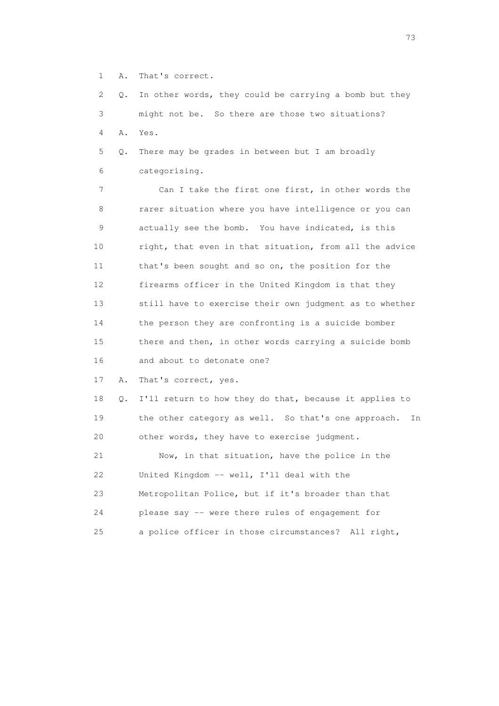1 A. That's correct.

 2 Q. In other words, they could be carrying a bomb but they 3 might not be. So there are those two situations? 4 A. Yes.

 5 Q. There may be grades in between but I am broadly 6 categorising.

 7 Can I take the first one first, in other words the 8 rarer situation where you have intelligence or you can 9 actually see the bomb. You have indicated, is this 10 right, that even in that situation, from all the advice 11 that's been sought and so on, the position for the 12 firearms officer in the United Kingdom is that they 13 still have to exercise their own judgment as to whether 14 the person they are confronting is a suicide bomber 15 there and then, in other words carrying a suicide bomb 16 and about to detonate one?

17 A. That's correct, yes.

 18 Q. I'll return to how they do that, because it applies to 19 the other category as well. So that's one approach. In 20 other words, they have to exercise judgment.

 21 Now, in that situation, have the police in the 22 United Kingdom -- well, I'll deal with the 23 Metropolitan Police, but if it's broader than that 24 please say -- were there rules of engagement for 25 a police officer in those circumstances? All right,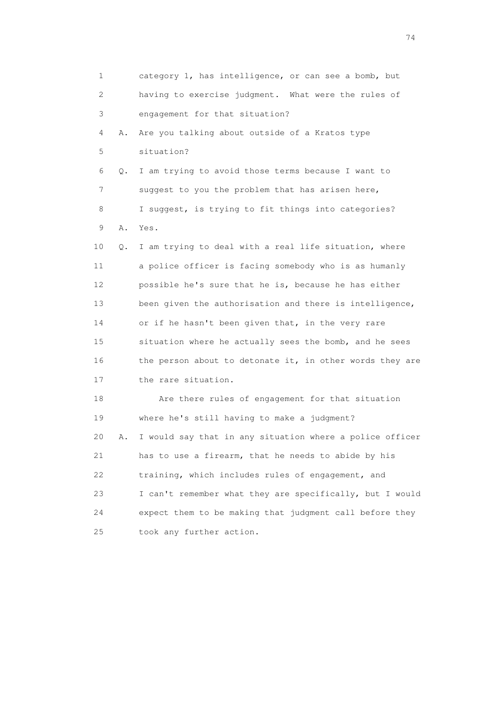1 category 1, has intelligence, or can see a bomb, but 2 having to exercise judgment. What were the rules of 3 engagement for that situation? 4 A. Are you talking about outside of a Kratos type 5 situation? 6 Q. I am trying to avoid those terms because I want to 7 suggest to you the problem that has arisen here, 8 I suggest, is trying to fit things into categories? 9 A. Yes. 10 Q. I am trying to deal with a real life situation, where 11 a police officer is facing somebody who is as humanly 12 possible he's sure that he is, because he has either 13 been given the authorisation and there is intelligence, 14 or if he hasn't been given that, in the very rare 15 situation where he actually sees the bomb, and he sees 16 the person about to detonate it, in other words they are 17 the rare situation. 18 Are there rules of engagement for that situation 19 where he's still having to make a judgment? 20 A. I would say that in any situation where a police officer 21 has to use a firearm, that he needs to abide by his 22 training, which includes rules of engagement, and 23 I can't remember what they are specifically, but I would 24 expect them to be making that judgment call before they 25 took any further action.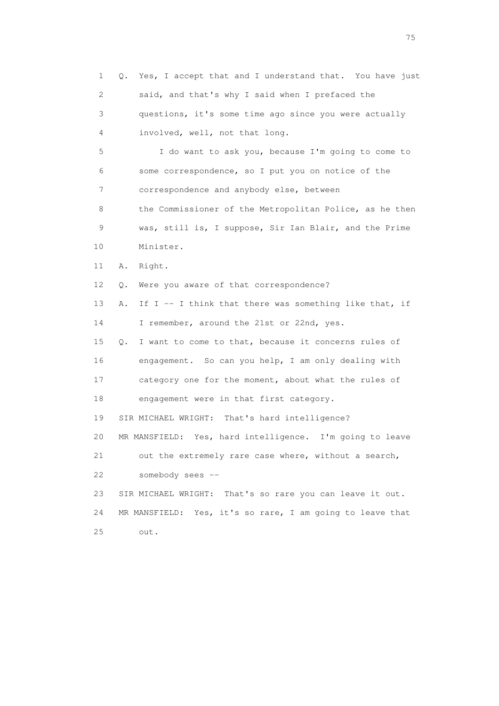1 Q. Yes, I accept that and I understand that. You have just 2 said, and that's why I said when I prefaced the 3 questions, it's some time ago since you were actually 4 involved, well, not that long. 5 I do want to ask you, because I'm going to come to 6 some correspondence, so I put you on notice of the 7 correspondence and anybody else, between 8 the Commissioner of the Metropolitan Police, as he then 9 was, still is, I suppose, Sir Ian Blair, and the Prime 10 Minister. 11 A. Right. 12 Q. Were you aware of that correspondence? 13 A. If I -- I think that there was something like that, if 14 I remember, around the 21st or 22nd, yes. 15 Q. I want to come to that, because it concerns rules of 16 engagement. So can you help, I am only dealing with 17 category one for the moment, about what the rules of 18 engagement were in that first category. 19 SIR MICHAEL WRIGHT: That's hard intelligence? 20 MR MANSFIELD: Yes, hard intelligence. I'm going to leave 21 out the extremely rare case where, without a search, 22 somebody sees -- 23 SIR MICHAEL WRIGHT: That's so rare you can leave it out. 24 MR MANSFIELD: Yes, it's so rare, I am going to leave that 25 out.

na matsay na katalog as na kasang na mga 175 may 2008. Ang isang isang nagsang nagsang nagsang nagsang nagsang<br>Tagapang nagsang nagsang nagsang nagsang nagsang nagsang nagsang nagsang nagsang nagsang nagsang nagsang nagsa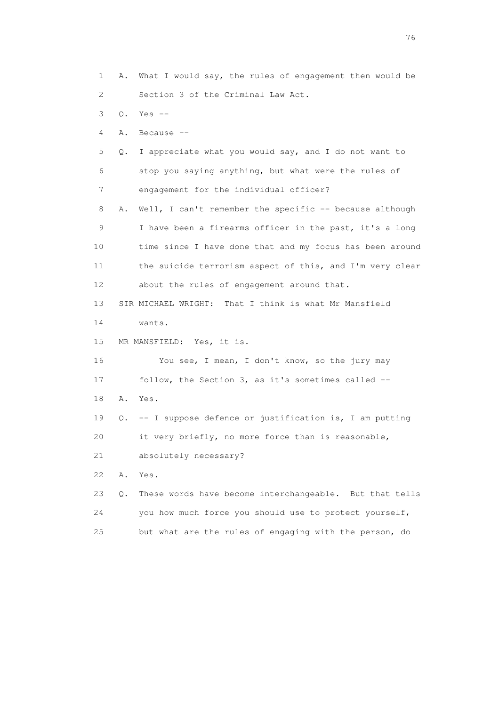1 A. What I would say, the rules of engagement then would be 2 Section 3 of the Criminal Law Act. 3 Q. Yes -- 4 A. Because -- 5 Q. I appreciate what you would say, and I do not want to 6 stop you saying anything, but what were the rules of 7 engagement for the individual officer? 8 A. Well, I can't remember the specific -- because although 9 I have been a firearms officer in the past, it's a long 10 time since I have done that and my focus has been around 11 the suicide terrorism aspect of this, and I'm very clear 12 about the rules of engagement around that. 13 SIR MICHAEL WRIGHT: That I think is what Mr Mansfield 14 wants. 15 MR MANSFIELD: Yes, it is. 16 You see, I mean, I don't know, so the jury may 17 follow, the Section 3, as it's sometimes called -- 18 A. Yes. 19 Q. -- I suppose defence or justification is, I am putting 20 it very briefly, no more force than is reasonable, 21 absolutely necessary? 22 A. Yes. 23 Q. These words have become interchangeable. But that tells 24 you how much force you should use to protect yourself, 25 but what are the rules of engaging with the person, do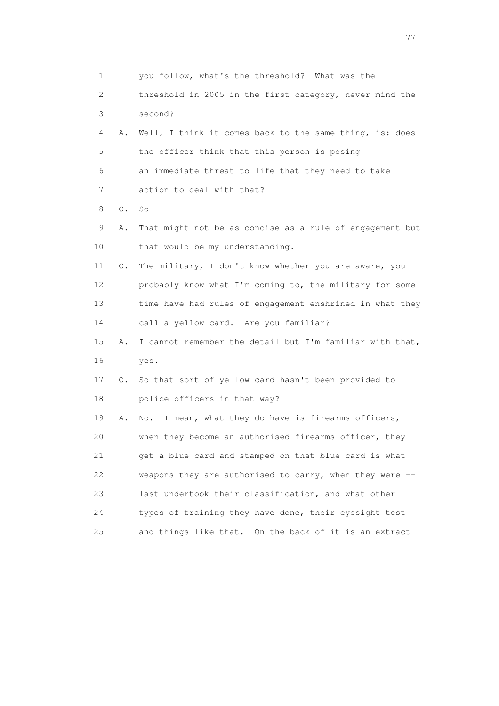1 you follow, what's the threshold? What was the 2 threshold in 2005 in the first category, never mind the 3 second? 4 A. Well, I think it comes back to the same thing, is: does 5 the officer think that this person is posing 6 an immediate threat to life that they need to take 7 action to deal with that? 8 Q. So -- 9 A. That might not be as concise as a rule of engagement but 10 that would be my understanding. 11 Q. The military, I don't know whether you are aware, you 12 probably know what I'm coming to, the military for some 13 time have had rules of engagement enshrined in what they 14 call a yellow card. Are you familiar? 15 A. I cannot remember the detail but I'm familiar with that, 16 yes. 17 Q. So that sort of yellow card hasn't been provided to 18 police officers in that way? 19 A. No. I mean, what they do have is firearms officers, 20 when they become an authorised firearms officer, they 21 get a blue card and stamped on that blue card is what 22 weapons they are authorised to carry, when they were -- 23 last undertook their classification, and what other 24 types of training they have done, their eyesight test 25 and things like that. On the back of it is an extract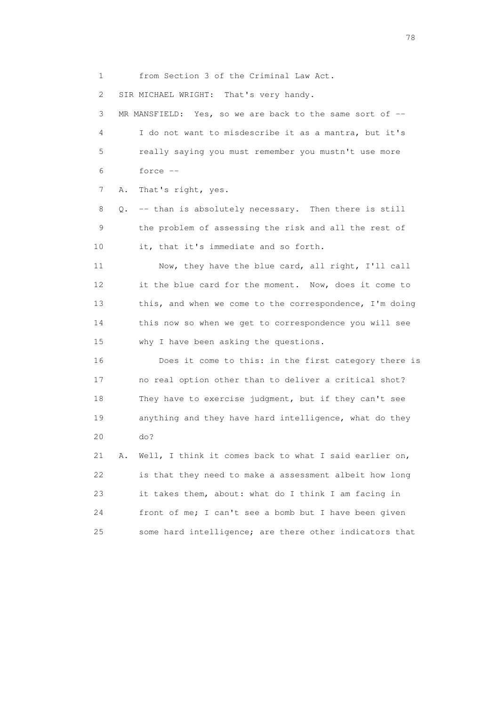1 from Section 3 of the Criminal Law Act.

2 SIR MICHAEL WRIGHT: That's very handy.

 3 MR MANSFIELD: Yes, so we are back to the same sort of -- 4 I do not want to misdescribe it as a mantra, but it's 5 really saying you must remember you mustn't use more 6 force --

7 A. That's right, yes.

 8 Q. -- than is absolutely necessary. Then there is still 9 the problem of assessing the risk and all the rest of 10 it, that it's immediate and so forth.

 11 Now, they have the blue card, all right, I'll call 12 it the blue card for the moment. Now, does it come to 13 this, and when we come to the correspondence, I'm doing 14 this now so when we get to correspondence you will see 15 why I have been asking the questions.

 16 Does it come to this: in the first category there is 17 no real option other than to deliver a critical shot? 18 They have to exercise judgment, but if they can't see 19 anything and they have hard intelligence, what do they 20 do?

 21 A. Well, I think it comes back to what I said earlier on, 22 is that they need to make a assessment albeit how long 23 it takes them, about: what do I think I am facing in 24 front of me; I can't see a bomb but I have been given 25 some hard intelligence; are there other indicators that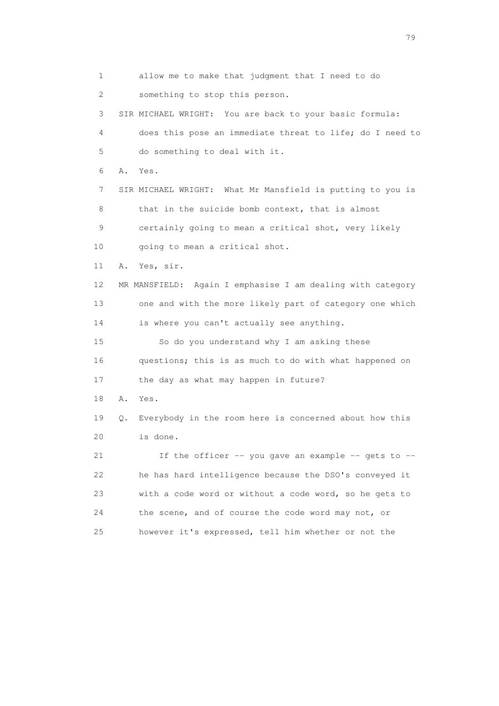1 allow me to make that judgment that I need to do 2 something to stop this person. 3 SIR MICHAEL WRIGHT: You are back to your basic formula: 4 does this pose an immediate threat to life; do I need to 5 do something to deal with it. 6 A. Yes. 7 SIR MICHAEL WRIGHT: What Mr Mansfield is putting to you is 8 that in the suicide bomb context, that is almost 9 certainly going to mean a critical shot, very likely 10 going to mean a critical shot. 11 A. Yes, sir. 12 MR MANSFIELD: Again I emphasise I am dealing with category 13 one and with the more likely part of category one which 14 is where you can't actually see anything. 15 So do you understand why I am asking these 16 questions; this is as much to do with what happened on 17 the day as what may happen in future? 18 A. Yes. 19 Q. Everybody in the room here is concerned about how this 20 is done. 21 If the officer -- you gave an example -- gets to -- 22 he has hard intelligence because the DSO's conveyed it 23 with a code word or without a code word, so he gets to 24 the scene, and of course the code word may not, or 25 however it's expressed, tell him whether or not the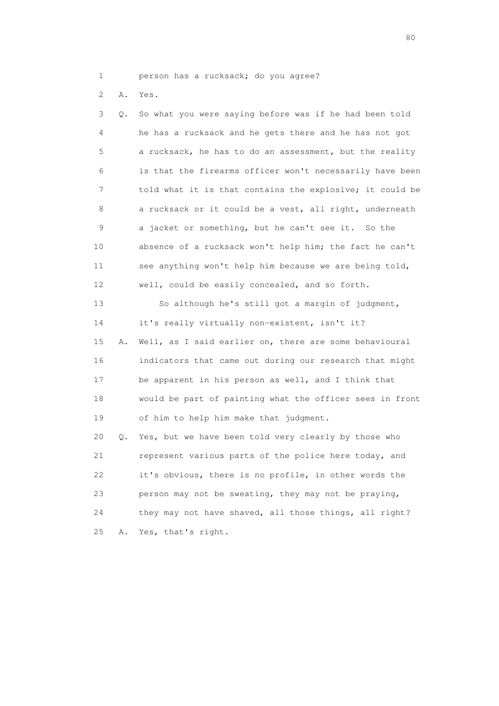- 1 person has a rucksack; do you agree?
- 2 A. Yes.

 3 Q. So what you were saying before was if he had been told 4 he has a rucksack and he gets there and he has not got 5 a rucksack, he has to do an assessment, but the reality 6 is that the firearms officer won't necessarily have been 7 told what it is that contains the explosive; it could be 8 a rucksack or it could be a vest, all right, underneath 9 a jacket or something, but he can't see it. So the 10 absence of a rucksack won't help him; the fact he can't 11 see anything won't help him because we are being told, 12 well, could be easily concealed, and so forth. 13 So although he's still got a margin of judgment, 14 it's really virtually non-existent, isn't it? 15 A. Well, as I said earlier on, there are some behavioural 16 indicators that came out during our research that might 17 be apparent in his person as well, and I think that 18 would be part of painting what the officer sees in front 19 of him to help him make that judgment. 20 Q. Yes, but we have been told very clearly by those who 21 represent various parts of the police here today, and 22 it's obvious, there is no profile, in other words the 23 person may not be sweating, they may not be praying, 24 they may not have shaved, all those things, all right?

25 A. Yes, that's right.

entration of the state of the state of the state of the state of the state of the state of the state of the state of the state of the state of the state of the state of the state of the state of the state of the state of t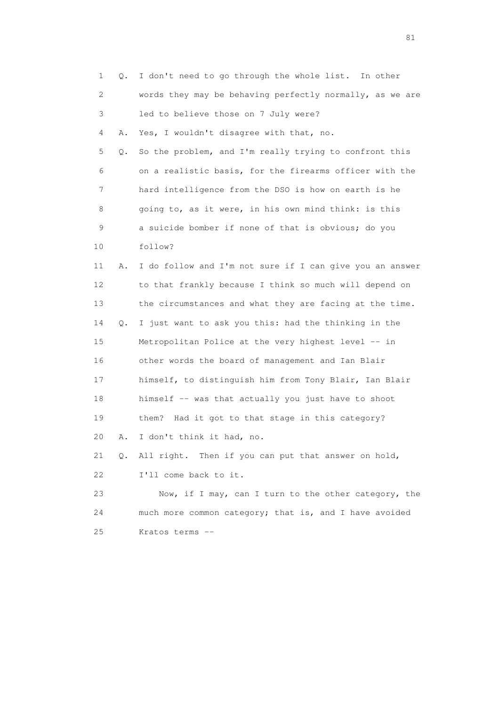|    | 1<br>Q.  | I don't need to go through the whole list.<br>In other   |
|----|----------|----------------------------------------------------------|
|    | 2        | words they may be behaving perfectly normally, as we are |
|    | 3        | led to believe those on 7 July were?                     |
|    | 4<br>Α.  | Yes, I wouldn't disagree with that, no.                  |
|    | 5<br>Q.  | So the problem, and I'm really trying to confront this   |
|    | 6        | on a realistic basis, for the firearms officer with the  |
|    | 7        | hard intelligence from the DSO is how on earth is he     |
|    | 8        | going to, as it were, in his own mind think: is this     |
|    | 9        | a suicide bomber if none of that is obvious; do you      |
|    | 10       | follow?                                                  |
| 11 | Α.       | I do follow and I'm not sure if I can give you an answer |
|    | 12       | to that frankly because I think so much will depend on   |
|    | 13       | the circumstances and what they are facing at the time.  |
|    | 14<br>Q. | I just want to ask you this: had the thinking in the     |
|    | 15       | Metropolitan Police at the very highest level -- in      |
|    | 16       | other words the board of management and Ian Blair        |
|    | 17       | himself, to distinguish him from Tony Blair, Ian Blair   |
|    | 18       | himself -- was that actually you just have to shoot      |
|    | 19       | Had it got to that stage in this category?<br>them?      |
| 20 | Α.       | I don't think it had, no.                                |
| 21 |          | Q. All right. Then if you can put that answer on hold,   |
| 22 |          | I'll come back to it.                                    |
| 23 |          | Now, if I may, can I turn to the other category, the     |
| 24 |          | much more common category; that is, and I have avoided   |
| 25 |          | Kratos terms --                                          |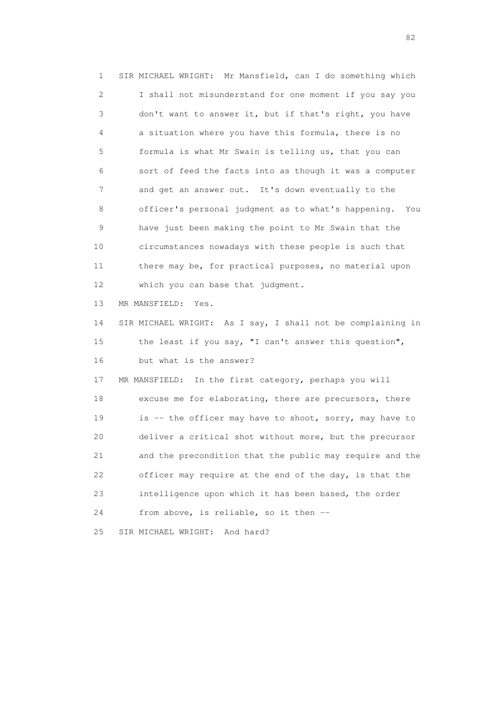1 SIR MICHAEL WRIGHT: Mr Mansfield, can I do something which 2 I shall not misunderstand for one moment if you say you 3 don't want to answer it, but if that's right, you have 4 a situation where you have this formula, there is no 5 formula is what Mr Swain is telling us, that you can 6 sort of feed the facts into as though it was a computer 7 and get an answer out. It's down eventually to the 8 officer's personal judgment as to what's happening. You 9 have just been making the point to Mr Swain that the 10 circumstances nowadays with these people is such that 11 there may be, for practical purposes, no material upon 12 which you can base that judgment. 13 MR MANSFIELD: Yes. 14 SIR MICHAEL WRIGHT: As I say, I shall not be complaining in 15 the least if you say, "I can't answer this question", 16 but what is the answer? 17 MR MANSFIELD: In the first category, perhaps you will 18 excuse me for elaborating, there are precursors, there 19 is -- the officer may have to shoot, sorry, may have to 20 deliver a critical shot without more, but the precursor 21 and the precondition that the public may require and the 22 officer may require at the end of the day, is that the 23 intelligence upon which it has been based, the order 24 from above, is reliable, so it then -- 25 SIR MICHAEL WRIGHT: And hard?

experience of the state of the state of the state of the state of the state of the state of the state of the s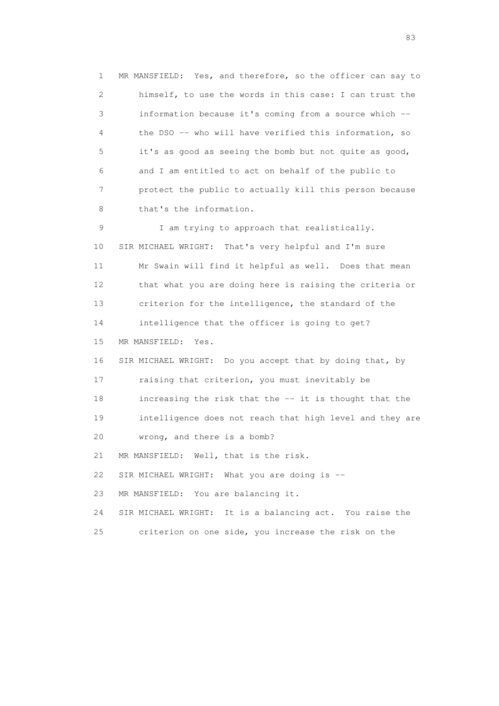1 MR MANSFIELD: Yes, and therefore, so the officer can say to 2 himself, to use the words in this case: I can trust the 3 information because it's coming from a source which -- 4 the DSO -- who will have verified this information, so 5 it's as good as seeing the bomb but not quite as good, 6 and I am entitled to act on behalf of the public to 7 protect the public to actually kill this person because 8 that's the information. 9 I am trying to approach that realistically. 10 SIR MICHAEL WRIGHT: That's very helpful and I'm sure 11 Mr Swain will find it helpful as well. Does that mean 12 that what you are doing here is raising the criteria or 13 criterion for the intelligence, the standard of the 14 intelligence that the officer is going to get? 15 MR MANSFIELD: Yes. 16 SIR MICHAEL WRIGHT: Do you accept that by doing that, by 17 raising that criterion, you must inevitably be 18 increasing the risk that the -- it is thought that the 19 intelligence does not reach that high level and they are 20 wrong, and there is a bomb? 21 MR MANSFIELD: Well, that is the risk. 22 SIR MICHAEL WRIGHT: What you are doing is -- 23 MR MANSFIELD: You are balancing it. 24 SIR MICHAEL WRIGHT: It is a balancing act. You raise the 25 criterion on one side, you increase the risk on the

experience and the contract of the contract of the contract of the contract of the contract of the contract of the contract of the contract of the contract of the contract of the contract of the contract of the contract of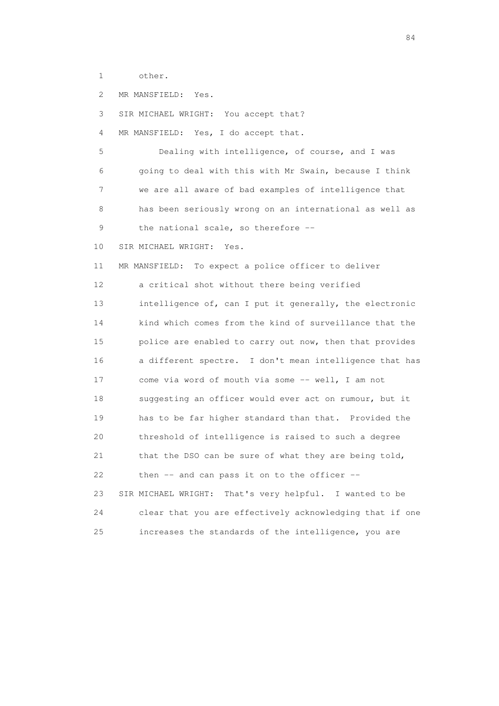1 other.

2 MR MANSFIELD: Yes.

3 SIR MICHAEL WRIGHT: You accept that?

4 MR MANSFIELD: Yes, I do accept that.

 5 Dealing with intelligence, of course, and I was 6 going to deal with this with Mr Swain, because I think 7 we are all aware of bad examples of intelligence that 8 has been seriously wrong on an international as well as 9 the national scale, so therefore --

10 SIR MICHAEL WRIGHT: Yes.

 11 MR MANSFIELD: To expect a police officer to deliver 12 a critical shot without there being verified 13 intelligence of, can I put it generally, the electronic 14 kind which comes from the kind of surveillance that the 15 police are enabled to carry out now, then that provides 16 a different spectre. I don't mean intelligence that has 17 come via word of mouth via some -- well, I am not 18 suggesting an officer would ever act on rumour, but it 19 has to be far higher standard than that. Provided the 20 threshold of intelligence is raised to such a degree 21 that the DSO can be sure of what they are being told, 22 then -- and can pass it on to the officer -- 23 SIR MICHAEL WRIGHT: That's very helpful. I wanted to be 24 clear that you are effectively acknowledging that if one 25 increases the standards of the intelligence, you are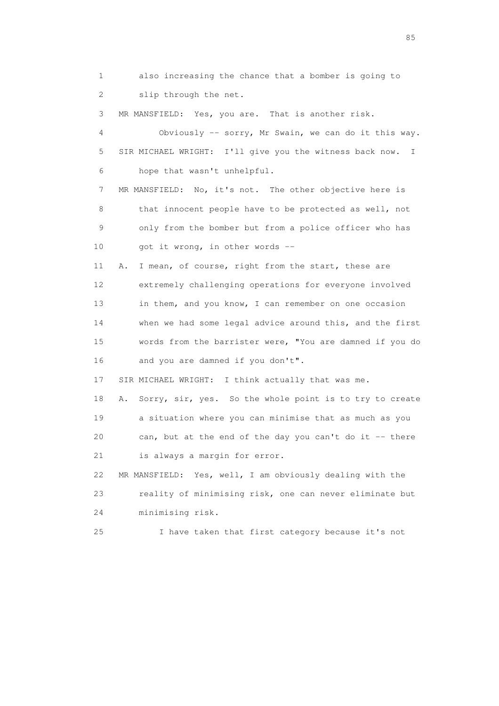1 also increasing the chance that a bomber is going to 2 slip through the net.

3 MR MANSFIELD: Yes, you are. That is another risk.

 4 Obviously -- sorry, Mr Swain, we can do it this way. 5 SIR MICHAEL WRIGHT: I'll give you the witness back now. I 6 hope that wasn't unhelpful.

 7 MR MANSFIELD: No, it's not. The other objective here is 8 that innocent people have to be protected as well, not 9 only from the bomber but from a police officer who has 10 got it wrong, in other words --

 11 A. I mean, of course, right from the start, these are 12 extremely challenging operations for everyone involved 13 in them, and you know, I can remember on one occasion 14 when we had some legal advice around this, and the first 15 words from the barrister were, "You are damned if you do 16 and you are damned if you don't".

17 SIR MICHAEL WRIGHT: I think actually that was me.

 18 A. Sorry, sir, yes. So the whole point is to try to create 19 a situation where you can minimise that as much as you 20 can, but at the end of the day you can't do it -- there 21 is always a margin for error.

 22 MR MANSFIELD: Yes, well, I am obviously dealing with the 23 reality of minimising risk, one can never eliminate but 24 minimising risk.

25 I have taken that first category because it's not

experience of the contract of the contract of the contract of the contract of the contract of the contract of the contract of the contract of the contract of the contract of the contract of the contract of the contract of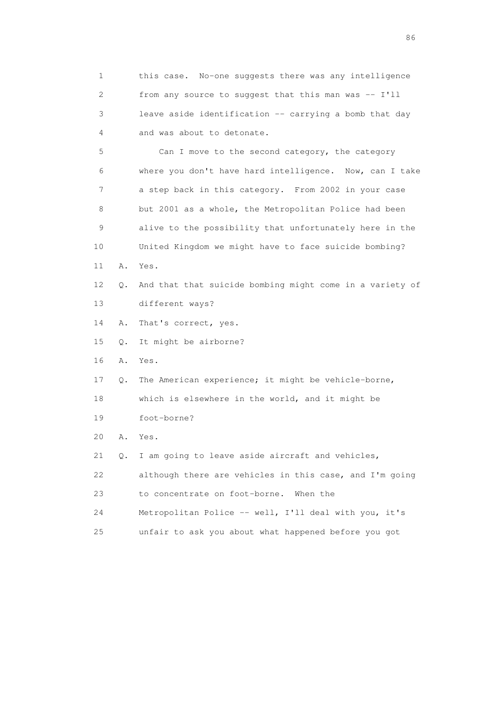1 this case. No-one suggests there was any intelligence 2 from any source to suggest that this man was -- I'll 3 leave aside identification -- carrying a bomb that day 4 and was about to detonate. 5 Can I move to the second category, the category 6 where you don't have hard intelligence. Now, can I take 7 a step back in this category. From 2002 in your case 8 but 2001 as a whole, the Metropolitan Police had been 9 alive to the possibility that unfortunately here in the 10 United Kingdom we might have to face suicide bombing? 11 A. Yes. 12 Q. And that that suicide bombing might come in a variety of 13 different ways? 14 A. That's correct, yes. 15 Q. It might be airborne? 16 A. Yes. 17 Q. The American experience; it might be vehicle-borne, 18 which is elsewhere in the world, and it might be 19 foot-borne? 20 A. Yes. 21 Q. I am going to leave aside aircraft and vehicles, 22 although there are vehicles in this case, and I'm going 23 to concentrate on foot-borne. When the 24 Metropolitan Police -- well, I'll deal with you, it's 25 unfair to ask you about what happened before you got

entration of the contract of the contract of the contract of the contract of the contract of the contract of the contract of the contract of the contract of the contract of the contract of the contract of the contract of t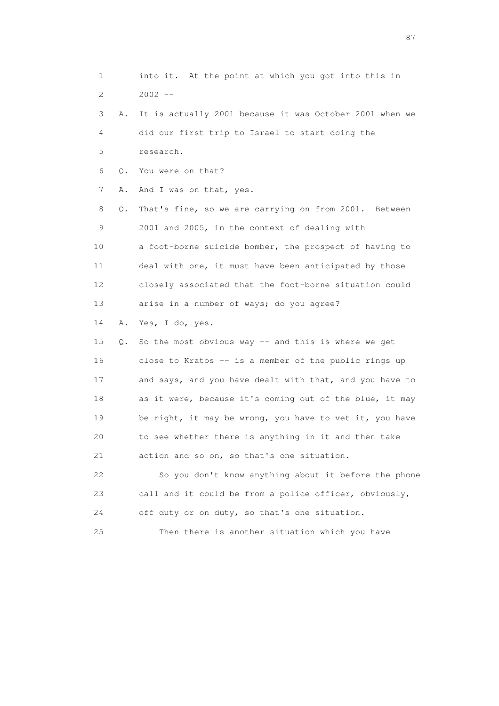1 into it. At the point at which you got into this in  $2002 -$  3 A. It is actually 2001 because it was October 2001 when we 4 did our first trip to Israel to start doing the 5 research. 6 Q. You were on that? 7 A. And I was on that, yes. 8 Q. That's fine, so we are carrying on from 2001. Between 9 2001 and 2005, in the context of dealing with 10 a foot-borne suicide bomber, the prospect of having to 11 deal with one, it must have been anticipated by those 12 closely associated that the foot-borne situation could 13 arise in a number of ways; do you agree? 14 A. Yes, I do, yes. 15 Q. So the most obvious way -- and this is where we get 16 close to Kratos -- is a member of the public rings up 17 and says, and you have dealt with that, and you have to 18 as it were, because it's coming out of the blue, it may 19 be right, it may be wrong, you have to vet it, you have 20 to see whether there is anything in it and then take 21 action and so on, so that's one situation. 22 So you don't know anything about it before the phone 23 call and it could be from a police officer, obviously, 24 off duty or on duty, so that's one situation. 25 Then there is another situation which you have

experience of the state of the state of the state of the state of the state of the state of the state of the state of the state of the state of the state of the state of the state of the state of the state of the state of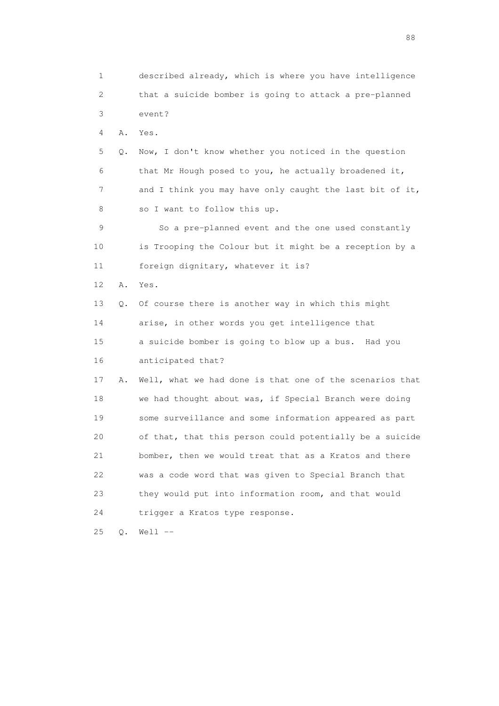1 described already, which is where you have intelligence 2 that a suicide bomber is going to attack a pre-planned 3 event? 4 A. Yes. 5 Q. Now, I don't know whether you noticed in the question 6 that Mr Hough posed to you, he actually broadened it, 7 and I think you may have only caught the last bit of it, 8 so I want to follow this up. 9 So a pre-planned event and the one used constantly 10 is Trooping the Colour but it might be a reception by a 11 foreign dignitary, whatever it is? 12 A. Yes. 13 Q. Of course there is another way in which this might 14 arise, in other words you get intelligence that 15 a suicide bomber is going to blow up a bus. Had you 16 anticipated that? 17 A. Well, what we had done is that one of the scenarios that 18 we had thought about was, if Special Branch were doing 19 some surveillance and some information appeared as part 20 of that, that this person could potentially be a suicide 21 bomber, then we would treat that as a Kratos and there 22 was a code word that was given to Special Branch that 23 they would put into information room, and that would 24 trigger a Kratos type response. 25 Q. Well --

en de la construction de la construction de la construction de la construction de la construction de la constr<br>1880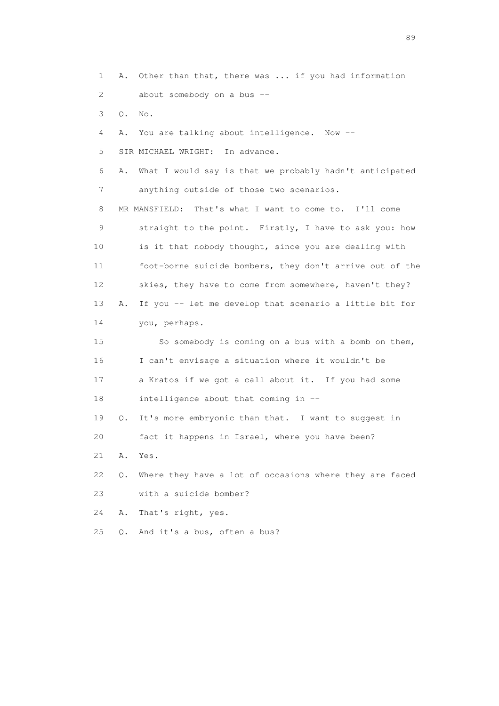1 A. Other than that, there was ... if you had information 2 about somebody on a bus -- 3 Q. No. 4 A. You are talking about intelligence. Now -- 5 SIR MICHAEL WRIGHT: In advance. 6 A. What I would say is that we probably hadn't anticipated 7 anything outside of those two scenarios. 8 MR MANSFIELD: That's what I want to come to. I'll come 9 straight to the point. Firstly, I have to ask you: how 10 is it that nobody thought, since you are dealing with 11 foot-borne suicide bombers, they don't arrive out of the 12 skies, they have to come from somewhere, haven't they? 13 A. If you -- let me develop that scenario a little bit for 14 you, perhaps. 15 So somebody is coming on a bus with a bomb on them, 16 I can't envisage a situation where it wouldn't be 17 a Kratos if we got a call about it. If you had some 18 intelligence about that coming in -- 19 Q. It's more embryonic than that. I want to suggest in 20 fact it happens in Israel, where you have been? 21 A. Yes. 22 Q. Where they have a lot of occasions where they are faced 23 with a suicide bomber? 24 A. That's right, yes. 25 Q. And it's a bus, often a bus?

en andere en de la seule de la constantin de la constantin de la constantin de la constantin de la constantin<br>189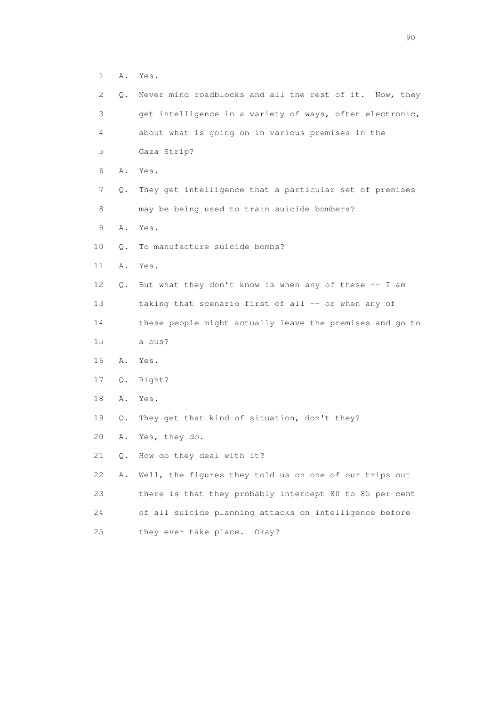1 A. Yes.

| 2           | Q. | Never mind roadblocks and all the rest of it. Now, they  |
|-------------|----|----------------------------------------------------------|
| 3           |    | get intelligence in a variety of ways, often electronic, |
| 4           |    | about what is going on in various premises in the        |
| 5           |    | Gaza Strip?                                              |
| 6           | Α. | Yes.                                                     |
| 7           | Q. | They get intelligence that a particular set of premises  |
| 8           |    | may be being used to train suicide bombers?              |
| $\mathsf 9$ | Α. | Yes.                                                     |
| 10          | Q. | To manufacture suicide bombs?                            |
| 11          | Α. | Yes.                                                     |
| 12          | Q. | But what they don't know is when any of these -- I am    |
| 13          |    | taking that scenario first of all -- or when any of      |
| 14          |    | these people might actually leave the premises and go to |
| 15          |    | a bus?                                                   |
| 16          | Α. | Yes.                                                     |
| 17          | Q. | Right?                                                   |
| 18          | Α. | Yes.                                                     |
| 19          | Q. | They get that kind of situation, don't they?             |
| 20          | Α. | Yes, they do.                                            |
| 21          | Q. | How do they deal with it?                                |
| 22          | Α. | Well, the figures they told us on one of our trips out   |
| 23          |    | there is that they probably intercept 80 to 85 per cent  |
| 24          |    | of all suicide planning attacks on intelligence before   |
| 25          |    | they ever take place.<br>Okay?                           |

entration of the contract of the contract of the contract of the contract of the contract of the contract of the contract of the contract of the contract of the contract of the contract of the contract of the contract of t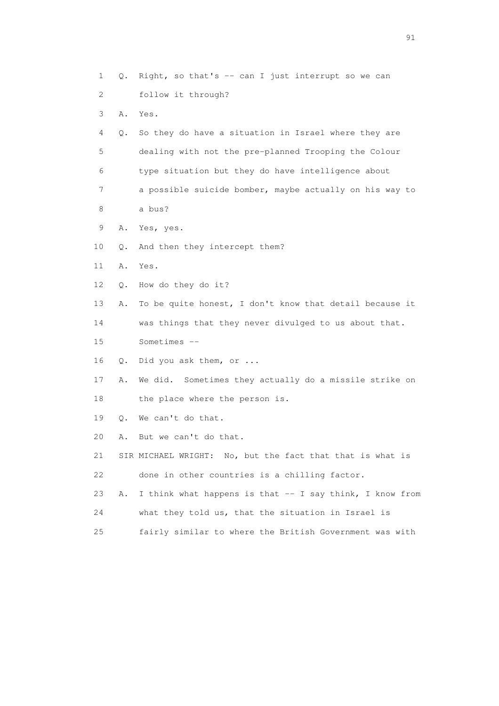1 Q. Right, so that's -- can I just interrupt so we can 2 follow it through? 3 A. Yes. 4 Q. So they do have a situation in Israel where they are 5 dealing with not the pre-planned Trooping the Colour 6 type situation but they do have intelligence about 7 a possible suicide bomber, maybe actually on his way to 8 a bus? 9 A. Yes, yes. 10 Q. And then they intercept them? 11 A. Yes. 12 Q. How do they do it? 13 A. To be quite honest, I don't know that detail because it 14 was things that they never divulged to us about that. 15 Sometimes -- 16 Q. Did you ask them, or ... 17 A. We did. Sometimes they actually do a missile strike on 18 the place where the person is. 19 Q. We can't do that. 20 A. But we can't do that. 21 SIR MICHAEL WRIGHT: No, but the fact that that is what is 22 done in other countries is a chilling factor. 23 A. I think what happens is that -- I say think, I know from 24 what they told us, that the situation in Israel is 25 fairly similar to where the British Government was with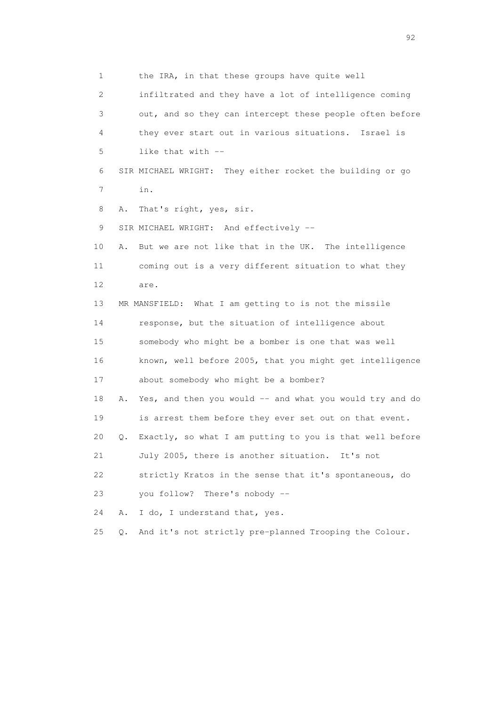1 the IRA, in that these groups have quite well 2 infiltrated and they have a lot of intelligence coming 3 out, and so they can intercept these people often before 4 they ever start out in various situations. Israel is 5 like that with -- 6 SIR MICHAEL WRIGHT: They either rocket the building or go 7 in. 8 A. That's right, yes, sir. 9 SIR MICHAEL WRIGHT: And effectively -- 10 A. But we are not like that in the UK. The intelligence 11 coming out is a very different situation to what they 12 are. 13 MR MANSFIELD: What I am getting to is not the missile 14 response, but the situation of intelligence about 15 somebody who might be a bomber is one that was well 16 known, well before 2005, that you might get intelligence 17 about somebody who might be a bomber? 18 A. Yes, and then you would -- and what you would try and do 19 is arrest them before they ever set out on that event. 20 Q. Exactly, so what I am putting to you is that well before 21 July 2005, there is another situation. It's not 22 strictly Kratos in the sense that it's spontaneous, do 23 you follow? There's nobody -- 24 A. I do, I understand that, yes. 25 Q. And it's not strictly pre-planned Trooping the Colour.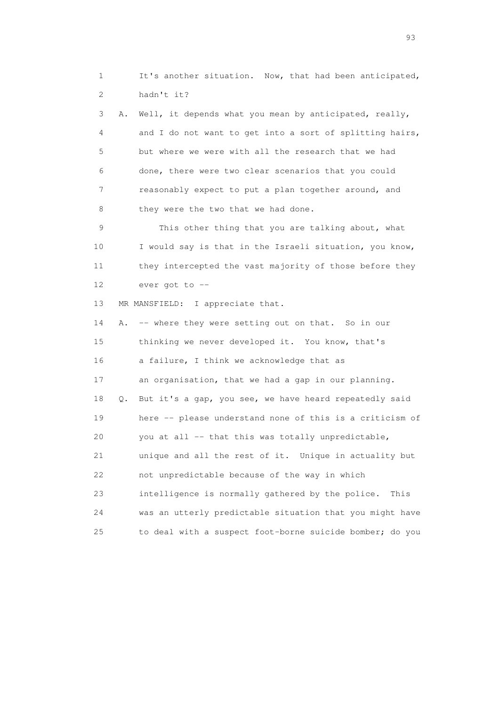1 It's another situation. Now, that had been anticipated, 2 hadn't it?

 3 A. Well, it depends what you mean by anticipated, really, 4 and I do not want to get into a sort of splitting hairs, 5 but where we were with all the research that we had 6 done, there were two clear scenarios that you could 7 reasonably expect to put a plan together around, and 8 they were the two that we had done.

 9 This other thing that you are talking about, what 10 I would say is that in the Israeli situation, you know, 11 they intercepted the vast majority of those before they 12 ever got to --

13 MR MANSFIELD: I appreciate that.

14 A. -- where they were setting out on that. So in our 15 thinking we never developed it. You know, that's 16 a failure, I think we acknowledge that as 17 an organisation, that we had a gap in our planning. 18 Q. But it's a gap, you see, we have heard repeatedly said 19 here -- please understand none of this is a criticism of 20 you at all -- that this was totally unpredictable, 21 unique and all the rest of it. Unique in actuality but 22 not unpredictable because of the way in which 23 intelligence is normally gathered by the police. This 24 was an utterly predictable situation that you might have 25 to deal with a suspect foot-borne suicide bomber; do you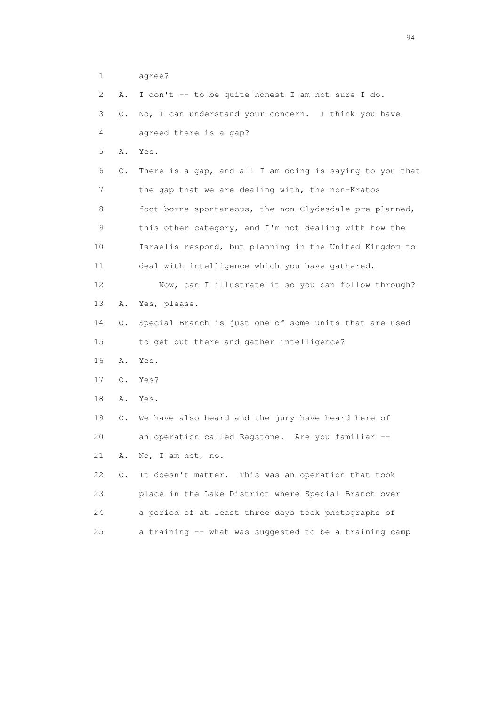1 agree?

2 A. I don't -- to be quite honest I am not sure I do.

 3 Q. No, I can understand your concern. I think you have 4 agreed there is a gap?

5 A. Yes.

 6 Q. There is a gap, and all I am doing is saying to you that 7 the gap that we are dealing with, the non-Kratos 8 foot-borne spontaneous, the non-Clydesdale pre-planned, 9 this other category, and I'm not dealing with how the 10 Israelis respond, but planning in the United Kingdom to 11 deal with intelligence which you have gathered.

 12 Now, can I illustrate it so you can follow through? 13 A. Yes, please.

 14 Q. Special Branch is just one of some units that are used 15 to get out there and gather intelligence?

16 A. Yes.

17 Q. Yes?

18 A. Yes.

 19 Q. We have also heard and the jury have heard here of 20 an operation called Ragstone. Are you familiar -- 21 A. No, I am not, no.

 22 Q. It doesn't matter. This was an operation that took 23 place in the Lake District where Special Branch over 24 a period of at least three days took photographs of 25 a training -- what was suggested to be a training camp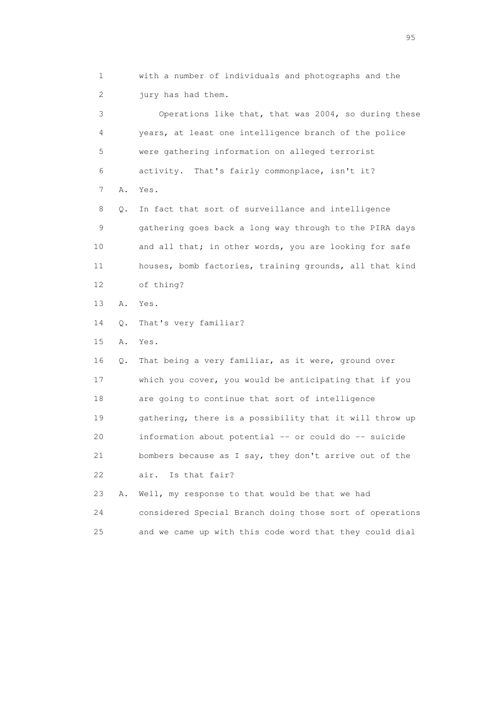1 with a number of individuals and photographs and the 2 jury has had them.

 3 Operations like that, that was 2004, so during these 4 years, at least one intelligence branch of the police 5 were gathering information on alleged terrorist 6 activity. That's fairly commonplace, isn't it? 7 A. Yes. 8 Q. In fact that sort of surveillance and intelligence 9 gathering goes back a long way through to the PIRA days 10 and all that; in other words, you are looking for safe 11 houses, bomb factories, training grounds, all that kind 12 of thing?

13 A. Yes.

14 Q. That's very familiar?

15 A. Yes.

 16 Q. That being a very familiar, as it were, ground over 17 which you cover, you would be anticipating that if you 18 are going to continue that sort of intelligence 19 gathering, there is a possibility that it will throw up 20 information about potential -- or could do -- suicide 21 bombers because as I say, they don't arrive out of the 22 air. Is that fair?

 23 A. Well, my response to that would be that we had 24 considered Special Branch doing those sort of operations 25 and we came up with this code word that they could dial

experience of the contract of the contract of the contract of the contract of the contract of the contract of the contract of the contract of the contract of the contract of the contract of the contract of the contract of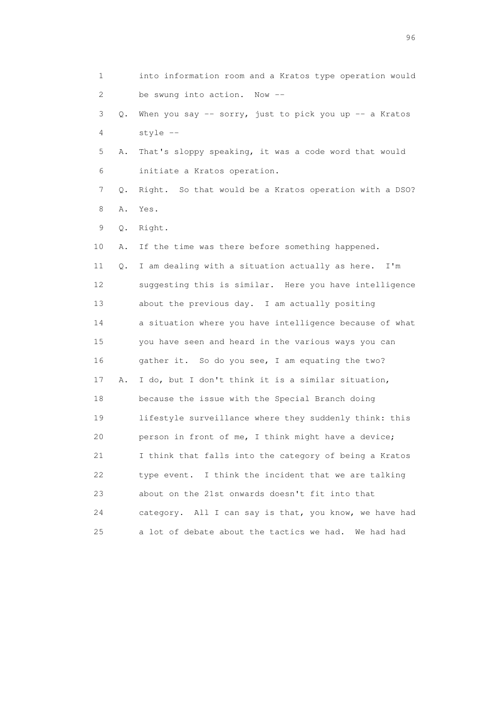1 into information room and a Kratos type operation would 2 be swung into action. Now -- 3 Q. When you say -- sorry, just to pick you up -- a Kratos 4 style -- 5 A. That's sloppy speaking, it was a code word that would 6 initiate a Kratos operation. 7 Q. Right. So that would be a Kratos operation with a DSO? 8 A. Yes. 9 Q. Right. 10 A. If the time was there before something happened. 11 Q. I am dealing with a situation actually as here. I'm 12 suggesting this is similar. Here you have intelligence 13 about the previous day. I am actually positing 14 a situation where you have intelligence because of what 15 you have seen and heard in the various ways you can 16 gather it. So do you see, I am equating the two? 17 A. I do, but I don't think it is a similar situation, 18 because the issue with the Special Branch doing 19 lifestyle surveillance where they suddenly think: this 20 person in front of me, I think might have a device; 21 I think that falls into the category of being a Kratos 22 type event. I think the incident that we are talking 23 about on the 21st onwards doesn't fit into that 24 category. All I can say is that, you know, we have had 25 a lot of debate about the tactics we had. We had had

<u>96 and the state of the state of the state of the state of the state of the state of the state of the state of the state of the state of the state of the state of the state of the state of the state of the state of the st</u>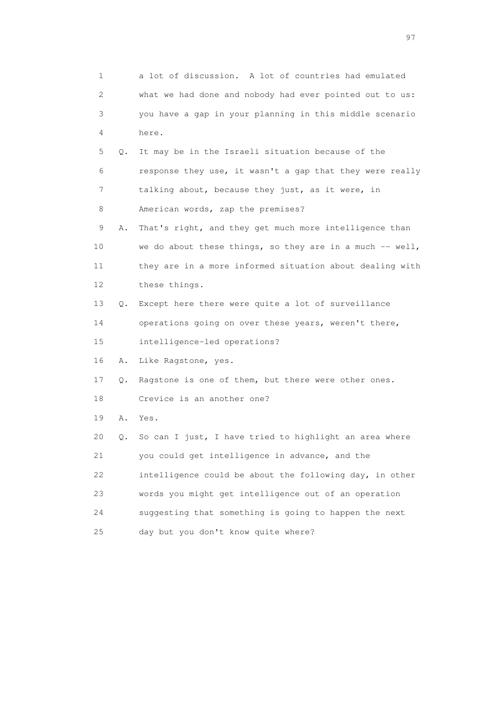1 a lot of discussion. A lot of countries had emulated 2 what we had done and nobody had ever pointed out to us: 3 you have a gap in your planning in this middle scenario 4 here. 5 Q. It may be in the Israeli situation because of the 6 response they use, it wasn't a gap that they were really 7 talking about, because they just, as it were, in 8 American words, zap the premises? 9 A. That's right, and they get much more intelligence than 10 we do about these things, so they are in a much -- well, 11 they are in a more informed situation about dealing with 12 these things. 13 Q. Except here there were quite a lot of surveillance 14 operations going on over these years, weren't there, 15 intelligence-led operations? 16 A. Like Ragstone, yes. 17 Q. Ragstone is one of them, but there were other ones. 18 Crevice is an another one? 19 A. Yes. 20 Q. So can I just, I have tried to highlight an area where 21 you could get intelligence in advance, and the 22 intelligence could be about the following day, in other 23 words you might get intelligence out of an operation 24 suggesting that something is going to happen the next 25 day but you don't know quite where?

experience of the contract of the contract of the contract of the contract of the contract of the contract of the contract of the contract of the contract of the contract of the contract of the contract of the contract of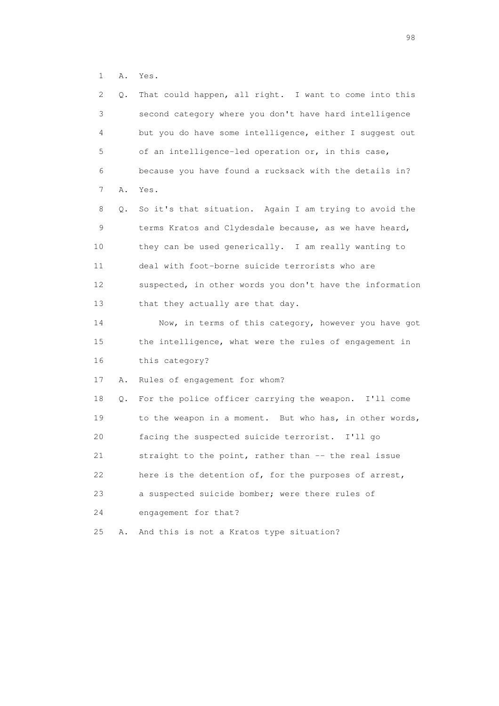1 A. Yes.

| 2  | Q. | That could happen, all right. I want to come into this   |
|----|----|----------------------------------------------------------|
| 3  |    | second category where you don't have hard intelligence   |
| 4  |    | but you do have some intelligence, either I suggest out  |
| 5  |    | of an intelligence-led operation or, in this case,       |
| 6  |    | because you have found a rucksack with the details in?   |
| 7  | Α. | Yes.                                                     |
| 8  | Q. | So it's that situation. Again I am trying to avoid the   |
| 9  |    | terms Kratos and Clydesdale because, as we have heard,   |
| 10 |    | they can be used generically. I am really wanting to     |
| 11 |    | deal with foot-borne suicide terrorists who are          |
| 12 |    | suspected, in other words you don't have the information |
| 13 |    | that they actually are that day.                         |
| 14 |    | Now, in terms of this category, however you have got     |
| 15 |    | the intelligence, what were the rules of engagement in   |
| 16 |    | this category?                                           |
| 17 | Α. | Rules of engagement for whom?                            |
| 18 | Q. | For the police officer carrying the weapon. I'll come    |
| 19 |    | to the weapon in a moment. But who has, in other words,  |
| 20 |    | facing the suspected suicide terrorist. I'll go          |
| 21 |    | straight to the point, rather than -- the real issue     |
| 22 |    | here is the detention of, for the purposes of arrest,    |
| 23 |    | a suspected suicide bomber; were there rules of          |
| 24 |    | engagement for that?                                     |
| 25 | Α. | And this is not a Kratos type situation?                 |
|    |    |                                                          |

en 1988 en 1989 en 1989 en 1989 en 1989 en 1989 en 1989 en 1989 en 1989 en 1989 en 1989 en 1989 en 1989 en 19<br>De grote en 1989 en 1989 en 1989 en 1989 en 1989 en 1989 en 1989 en 1989 en 1989 en 1989 en 1989 en 1989 en 19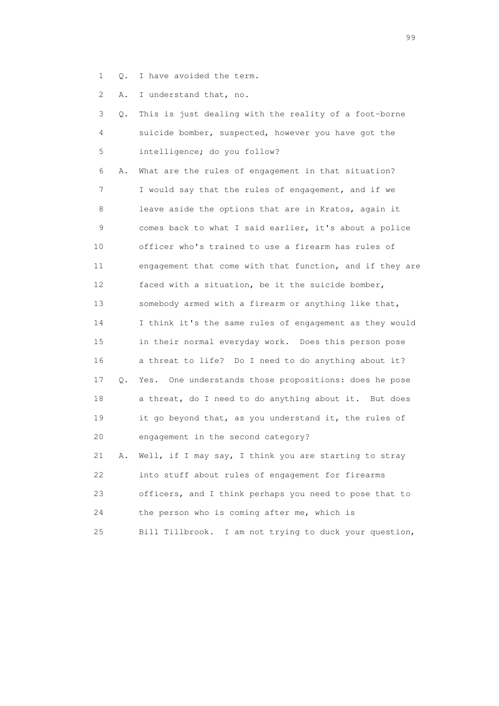1 Q. I have avoided the term.

2 A. I understand that, no.

|          | 3 Q. This is just dealing with the reality of a foot-borne |
|----------|------------------------------------------------------------|
| $\sim$ 4 | suicide bomber, suspected, however you have got the        |
|          | 5 intelligence; do you follow?                             |

 6 A. What are the rules of engagement in that situation? 7 I would say that the rules of engagement, and if we 8 leave aside the options that are in Kratos, again it 9 comes back to what I said earlier, it's about a police 10 officer who's trained to use a firearm has rules of 11 engagement that come with that function, and if they are 12 faced with a situation, be it the suicide bomber, 13 somebody armed with a firearm or anything like that, 14 I think it's the same rules of engagement as they would 15 in their normal everyday work. Does this person pose 16 a threat to life? Do I need to do anything about it? 17 Q. Yes. One understands those propositions: does he pose 18 a threat, do I need to do anything about it. But does 19 it go beyond that, as you understand it, the rules of 20 engagement in the second category? 21 A. Well, if I may say, I think you are starting to stray 22 into stuff about rules of engagement for firearms

| 23  | officers, and I think perhaps you need to pose that to |
|-----|--------------------------------------------------------|
| 24  | the person who is coming after me, which is            |
| 25. | Bill Tillbrook. I am not trying to duck your question, |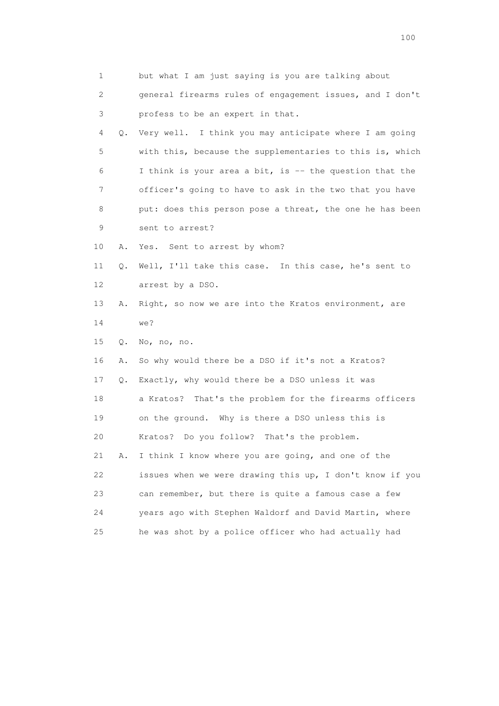| 1        | but what I am just saying is you are talking about       |
|----------|----------------------------------------------------------|
| 2        | general firearms rules of engagement issues, and I don't |
| 3        | profess to be an expert in that.                         |
| 4<br>Q.  | Very well. I think you may anticipate where I am going   |
| 5        | with this, because the supplementaries to this is, which |
| 6        | I think is your area a bit, is $-$ the question that the |
| 7        | officer's going to have to ask in the two that you have  |
| 8        | put: does this person pose a threat, the one he has been |
| 9        | sent to arrest?                                          |
| 10<br>Α. | Sent to arrest by whom?<br>Yes.                          |
| 11<br>Q. | Well, I'll take this case. In this case, he's sent to    |
| 12       | arrest by a DSO.                                         |
| 13<br>Α. | Right, so now we are into the Kratos environment, are    |
| 14       | we?                                                      |
| 15<br>Q. | No, no, no.                                              |
| 16<br>Α. | So why would there be a DSO if it's not a Kratos?        |
| 17<br>Q. | Exactly, why would there be a DSO unless it was          |
| 18       | a Kratos? That's the problem for the firearms officers   |
| 19       | on the ground. Why is there a DSO unless this is         |
| 20       | Kratos? Do you follow? That's the problem.               |
| 21<br>Α. | I think I know where you are going, and one of the       |
| 22       | issues when we were drawing this up, I don't know if you |
| 23       | can remember, but there is quite a famous case a few     |
| 24       | years ago with Stephen Waldorf and David Martin, where   |
| 25       | he was shot by a police officer who had actually had     |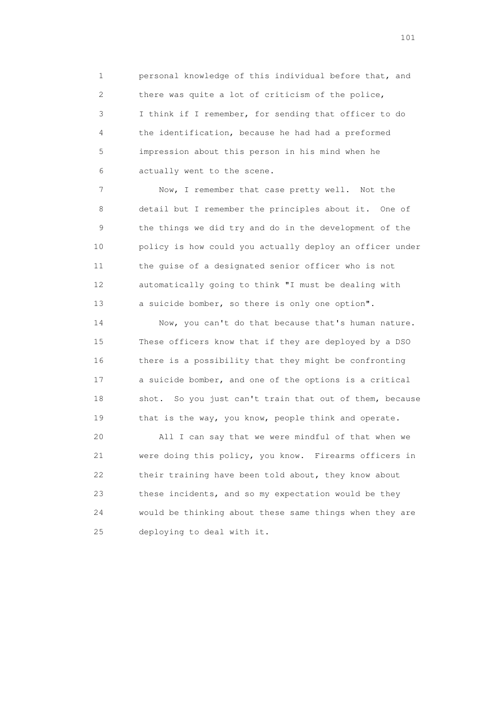1 personal knowledge of this individual before that, and 2 there was quite a lot of criticism of the police, 3 I think if I remember, for sending that officer to do 4 the identification, because he had had a preformed 5 impression about this person in his mind when he 6 actually went to the scene.

 7 Now, I remember that case pretty well. Not the 8 detail but I remember the principles about it. One of 9 the things we did try and do in the development of the 10 policy is how could you actually deploy an officer under 11 the guise of a designated senior officer who is not 12 automatically going to think "I must be dealing with 13 a suicide bomber, so there is only one option".

 14 Now, you can't do that because that's human nature. 15 These officers know that if they are deployed by a DSO 16 there is a possibility that they might be confronting 17 a suicide bomber, and one of the options is a critical 18 shot. So you just can't train that out of them, because 19 that is the way, you know, people think and operate.

 20 All I can say that we were mindful of that when we 21 were doing this policy, you know. Firearms officers in 22 their training have been told about, they know about 23 these incidents, and so my expectation would be they 24 would be thinking about these same things when they are 25 deploying to deal with it.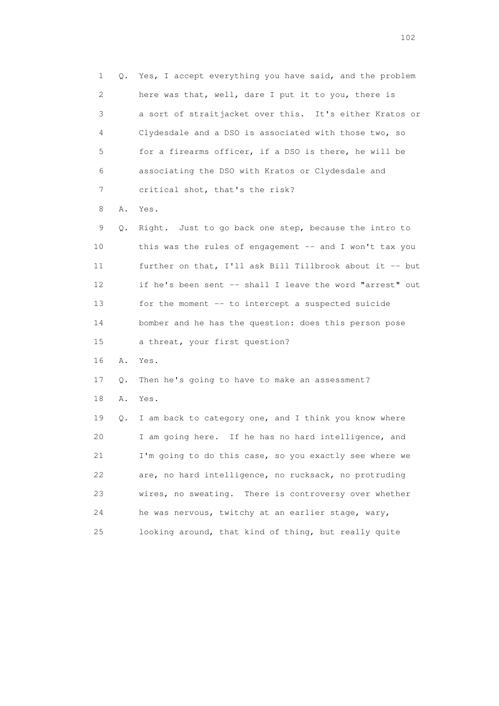1 Q. Yes, I accept everything you have said, and the problem 2 here was that, well, dare I put it to you, there is 3 a sort of straitjacket over this. It's either Kratos or 4 Clydesdale and a DSO is associated with those two, so 5 for a firearms officer, if a DSO is there, he will be 6 associating the DSO with Kratos or Clydesdale and 7 critical shot, that's the risk? 8 A. Yes. 9 Q. Right. Just to go back one step, because the intro to 10 this was the rules of engagement -- and I won't tax you 11 further on that, I'll ask Bill Tillbrook about it -- but 12 if he's been sent -- shall I leave the word "arrest" out 13 for the moment -- to intercept a suspected suicide 14 bomber and he has the question: does this person pose 15 a threat, your first question? 16 A. Yes. 17 Q. Then he's going to have to make an assessment? 18 A. Yes. 19 Q. I am back to category one, and I think you know where 20 I am going here. If he has no hard intelligence, and 21 I'm going to do this case, so you exactly see where we 22 are, no hard intelligence, no rucksack, no protruding 23 wires, no sweating. There is controversy over whether 24 he was nervous, twitchy at an earlier stage, wary, 25 looking around, that kind of thing, but really quite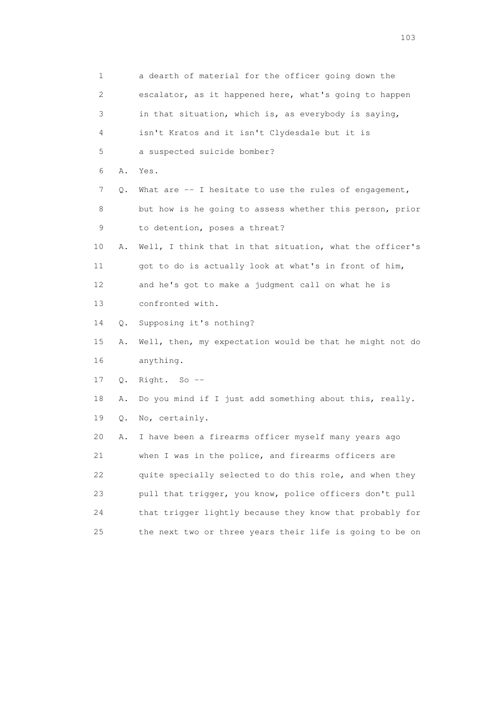1 a dearth of material for the officer going down the 2 escalator, as it happened here, what's going to happen 3 in that situation, which is, as everybody is saying, 4 isn't Kratos and it isn't Clydesdale but it is 5 a suspected suicide bomber? 6 A. Yes. 7 Q. What are -- I hesitate to use the rules of engagement, 8 but how is he going to assess whether this person, prior 9 to detention, poses a threat? 10 A. Well, I think that in that situation, what the officer's 11 got to do is actually look at what's in front of him, 12 and he's got to make a judgment call on what he is 13 confronted with. 14 Q. Supposing it's nothing? 15 A. Well, then, my expectation would be that he might not do 16 anything. 17 Q. Right. So -- 18 A. Do you mind if I just add something about this, really. 19 Q. No, certainly. 20 A. I have been a firearms officer myself many years ago 21 when I was in the police, and firearms officers are 22 quite specially selected to do this role, and when they 23 pull that trigger, you know, police officers don't pull 24 that trigger lightly because they know that probably for 25 the next two or three years their life is going to be on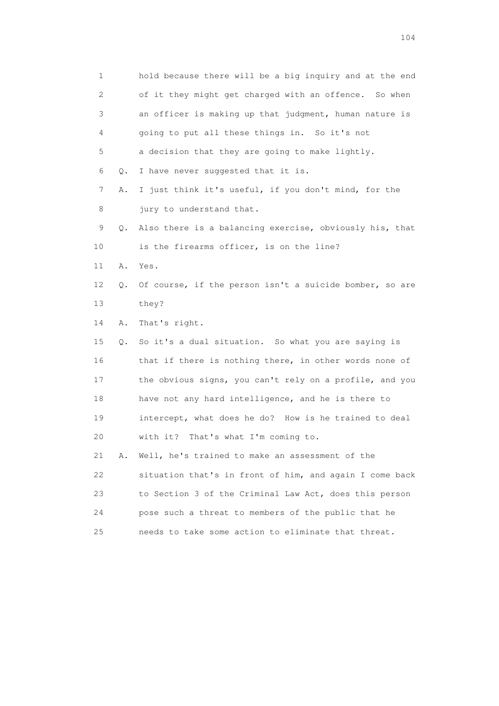| $\mathbf{1}$ |    | hold because there will be a big inquiry and at the end |
|--------------|----|---------------------------------------------------------|
| 2            |    | of it they might get charged with an offence. So when   |
| 3            |    | an officer is making up that judgment, human nature is  |
| 4            |    | going to put all these things in. So it's not           |
| 5            |    | a decision that they are going to make lightly.         |
| 6            | Q. | I have never suggested that it is.                      |
| 7            | Α. | I just think it's useful, if you don't mind, for the    |
| 8            |    | jury to understand that.                                |
| 9            | Q. | Also there is a balancing exercise, obviously his, that |
| 10           |    | is the firearms officer, is on the line?                |
| 11           | Α. | Yes.                                                    |
| 12           | Q. | Of course, if the person isn't a suicide bomber, so are |
| 13           |    | they?                                                   |
| 14           | Α. | That's right.                                           |
| 15           | О. | So it's a dual situation. So what you are saying is     |
| 16           |    | that if there is nothing there, in other words none of  |
| 17           |    | the obvious signs, you can't rely on a profile, and you |
| 18           |    | have not any hard intelligence, and he is there to      |
| 19           |    | intercept, what does he do? How is he trained to deal   |
| 20           |    | with it? That's what I'm coming to.                     |
| 21           | Α. | Well, he's trained to make an assessment of the         |
| 22           |    | situation that's in front of him, and again I come back |
| 23           |    | to Section 3 of the Criminal Law Act, does this person  |
| 24           |    | pose such a threat to members of the public that he     |
| 25           |    | needs to take some action to eliminate that threat.     |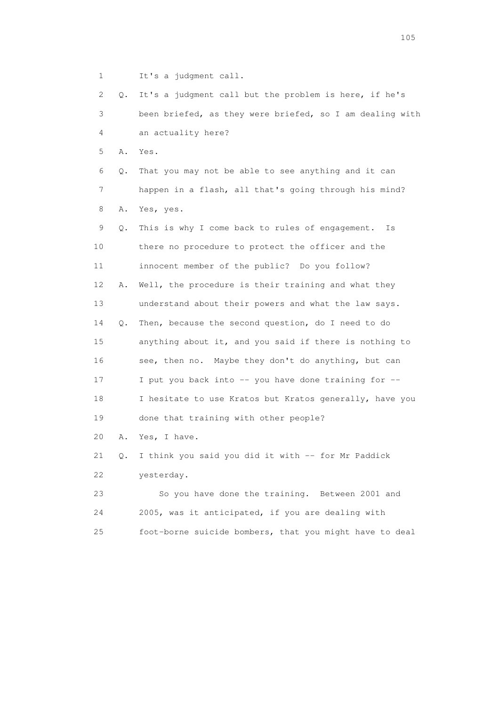1 It's a judgment call.

 2 Q. It's a judgment call but the problem is here, if he's 3 been briefed, as they were briefed, so I am dealing with 4 an actuality here? 5 A. Yes. 6 Q. That you may not be able to see anything and it can 7 happen in a flash, all that's going through his mind? 8 A. Yes, yes. 9 Q. This is why I come back to rules of engagement. Is 10 there no procedure to protect the officer and the 11 innocent member of the public? Do you follow? 12 A. Well, the procedure is their training and what they 13 understand about their powers and what the law says. 14 Q. Then, because the second question, do I need to do 15 anything about it, and you said if there is nothing to 16 see, then no. Maybe they don't do anything, but can 17 I put you back into -- you have done training for -- 18 I hesitate to use Kratos but Kratos generally, have you 19 done that training with other people? 20 A. Yes, I have. 21 Q. I think you said you did it with -- for Mr Paddick 22 yesterday. 23 So you have done the training. Between 2001 and 24 2005, was it anticipated, if you are dealing with

25 foot-borne suicide bombers, that you might have to deal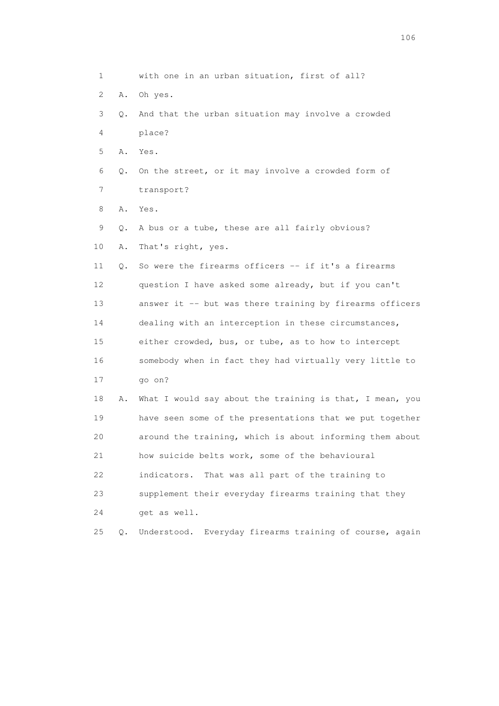1 with one in an urban situation, first of all? 2 A. Oh yes. 3 Q. And that the urban situation may involve a crowded 4 place? 5 A. Yes. 6 Q. On the street, or it may involve a crowded form of 7 transport? 8 A. Yes. 9 Q. A bus or a tube, these are all fairly obvious? 10 A. That's right, yes. 11 Q. So were the firearms officers -- if it's a firearms 12 question I have asked some already, but if you can't 13 answer it -- but was there training by firearms officers 14 dealing with an interception in these circumstances, 15 either crowded, bus, or tube, as to how to intercept 16 somebody when in fact they had virtually very little to 17 go on? 18 A. What I would say about the training is that, I mean, you 19 have seen some of the presentations that we put together 20 around the training, which is about informing them about 21 how suicide belts work, some of the behavioural 22 indicators. That was all part of the training to 23 supplement their everyday firearms training that they 24 get as well. 25 Q. Understood. Everyday firearms training of course, again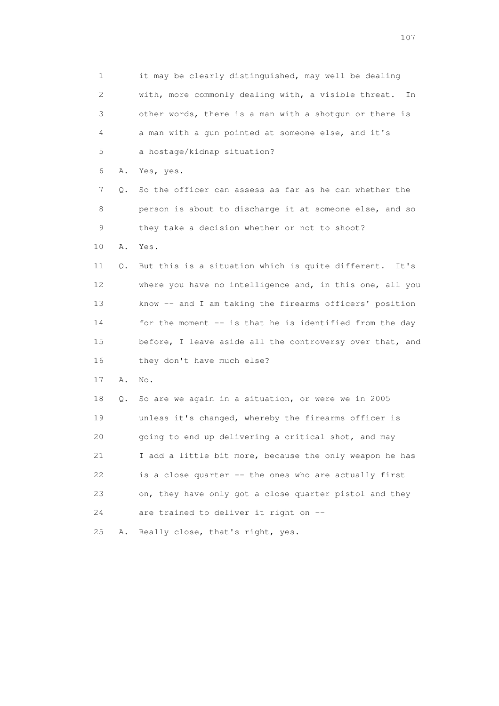1 it may be clearly distinguished, may well be dealing 2 with, more commonly dealing with, a visible threat. In 3 other words, there is a man with a shotgun or there is 4 a man with a gun pointed at someone else, and it's 5 a hostage/kidnap situation? 6 A. Yes, yes. 7 Q. So the officer can assess as far as he can whether the 8 person is about to discharge it at someone else, and so 9 they take a decision whether or not to shoot? 10 A. Yes. 11 Q. But this is a situation which is quite different. It's 12 where you have no intelligence and, in this one, all you 13 know -- and I am taking the firearms officers' position 14 for the moment -- is that he is identified from the day 15 before, I leave aside all the controversy over that, and 16 they don't have much else? 17 A. No. 18 Q. So are we again in a situation, or were we in 2005 19 unless it's changed, whereby the firearms officer is 20 going to end up delivering a critical shot, and may 21 I add a little bit more, because the only weapon he has 22 is a close quarter -- the ones who are actually first 23 on, they have only got a close quarter pistol and they 24 are trained to deliver it right on -- 25 A. Really close, that's right, yes.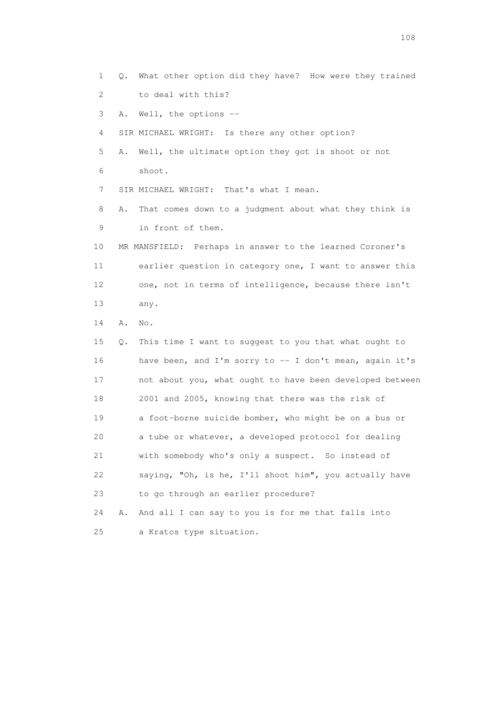2 to deal with this? 3 A. Well, the options -- 4 SIR MICHAEL WRIGHT: Is there any other option? 5 A. Well, the ultimate option they got is shoot or not 6 shoot. 7 SIR MICHAEL WRIGHT: That's what I mean. 8 A. That comes down to a judgment about what they think is 9 in front of them. 10 MR MANSFIELD: Perhaps in answer to the learned Coroner's 11 earlier question in category one, I want to answer this 12 one, not in terms of intelligence, because there isn't 13 any. 14 A. No. 15 Q. This time I want to suggest to you that what ought to 16 have been, and I'm sorry to -- I don't mean, again it's 17 not about you, what ought to have been developed between 18 2001 and 2005, knowing that there was the risk of 19 a foot-borne suicide bomber, who might be on a bus or 20 a tube or whatever, a developed protocol for dealing 21 with somebody who's only a suspect. So instead of 22 saying, "Oh, is he, I'll shoot him", you actually have 23 to go through an earlier procedure? 24 A. And all I can say to you is for me that falls into 25 a Kratos type situation.

1 Q. What other option did they have? How were they trained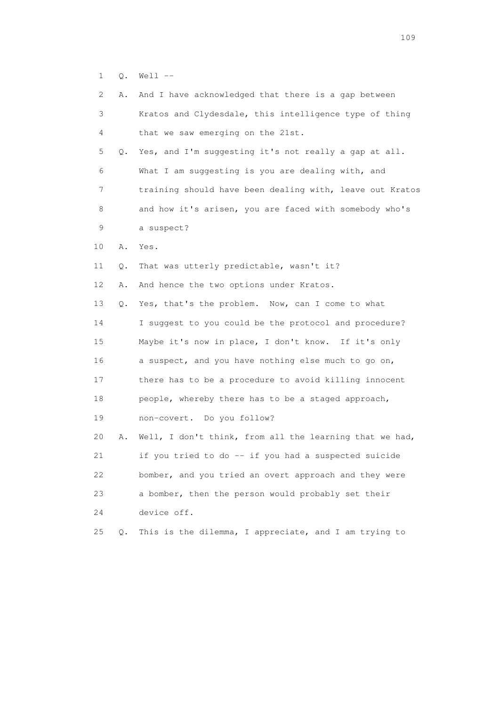1 Q. Well --

| 2  | Α. | And I have acknowledged that there is a gap between      |
|----|----|----------------------------------------------------------|
| 3  |    | Kratos and Clydesdale, this intelligence type of thing   |
| 4  |    | that we saw emerging on the 21st.                        |
| 5  | 0. | Yes, and I'm suggesting it's not really a gap at all.    |
| 6  |    | What I am suggesting is you are dealing with, and        |
| 7  |    | training should have been dealing with, leave out Kratos |
| 8  |    | and how it's arisen, you are faced with somebody who's   |
| 9  |    | a suspect?                                               |
| 10 | Α. | Yes.                                                     |
| 11 | Q. | That was utterly predictable, wasn't it?                 |
| 12 | Α. | And hence the two options under Kratos.                  |
| 13 | Q. | Yes, that's the problem. Now, can I come to what         |
| 14 |    | I suggest to you could be the protocol and procedure?    |
| 15 |    | Maybe it's now in place, I don't know. If it's only      |
| 16 |    | a suspect, and you have nothing else much to go on,      |
| 17 |    | there has to be a procedure to avoid killing innocent    |
| 18 |    | people, whereby there has to be a staged approach,       |
| 19 |    | non-covert. Do you follow?                               |
| 20 | Α. | Well, I don't think, from all the learning that we had,  |
| 21 |    | if you tried to do -- if you had a suspected suicide     |
| 22 |    | bomber, and you tried an overt approach and they were    |
| 23 |    | a bomber, then the person would probably set their       |
| 24 |    | device off.                                              |
| 25 | Q. | This is the dilemma, I appreciate, and I am trying to    |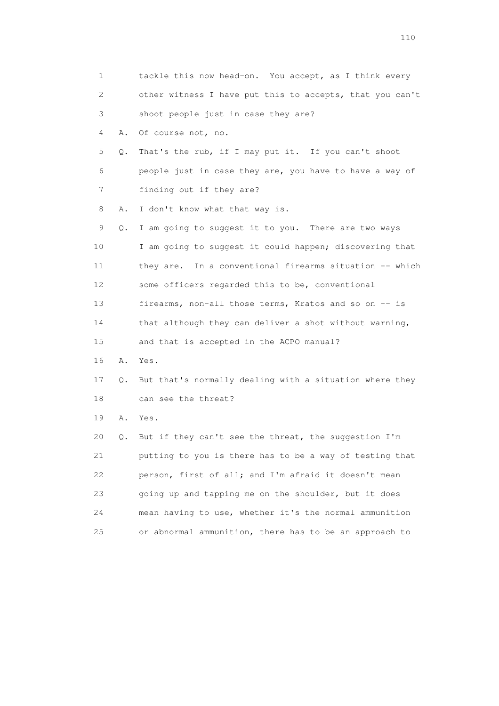| 1  |    | tackle this now head-on. You accept, as I think every    |
|----|----|----------------------------------------------------------|
| 2  |    | other witness I have put this to accepts, that you can't |
| 3  |    | shoot people just in case they are?                      |
| 4  | Α. | Of course not, no.                                       |
| 5  | Q. | That's the rub, if I may put it. If you can't shoot      |
| 6  |    | people just in case they are, you have to have a way of  |
| 7  |    | finding out if they are?                                 |
| 8  | Α. | I don't know what that way is.                           |
| 9  | Q. | I am going to suggest it to you. There are two ways      |
| 10 |    | I am going to suggest it could happen; discovering that  |
| 11 |    | they are. In a conventional firearms situation -- which  |
| 12 |    | some officers regarded this to be, conventional          |
| 13 |    | firearms, non-all those terms, Kratos and so on -- is    |
| 14 |    | that although they can deliver a shot without warning,   |
| 15 |    | and that is accepted in the ACPO manual?                 |
| 16 | Α. | Yes.                                                     |
| 17 | Q. | But that's normally dealing with a situation where they  |
| 18 |    | can see the threat?                                      |
| 19 | Α. | Yes.                                                     |
| 20 | О. | But if they can't see the threat, the suggestion I'm     |
| 21 |    | putting to you is there has to be a way of testing that  |
| 22 |    | person, first of all; and I'm afraid it doesn't mean     |
| 23 |    | going up and tapping me on the shoulder, but it does     |
| 24 |    | mean having to use, whether it's the normal ammunition   |
| 25 |    | or abnormal ammunition, there has to be an approach to   |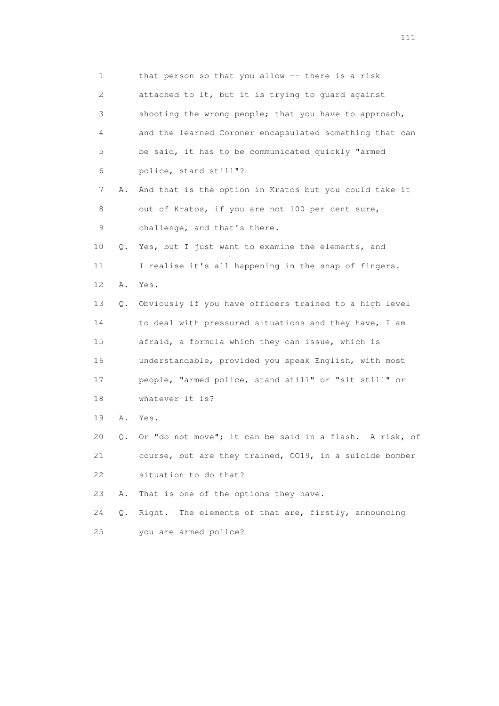1 that person so that you allow -- there is a risk 2 attached to it, but it is trying to guard against 3 shooting the wrong people; that you have to approach, 4 and the learned Coroner encapsulated something that can 5 be said, it has to be communicated quickly "armed 6 police, stand still"? 7 A. And that is the option in Kratos but you could take it 8 out of Kratos, if you are not 100 per cent sure, 9 challenge, and that's there. 10 Q. Yes, but I just want to examine the elements, and 11 I realise it's all happening in the snap of fingers. 12 A. Yes. 13 Q. Obviously if you have officers trained to a high level 14 to deal with pressured situations and they have, I am 15 afraid, a formula which they can issue, which is 16 understandable, provided you speak English, with most 17 people, "armed police, stand still" or "sit still" or 18 whatever it is? 19 A. Yes. 20 Q. Or "do not move"; it can be said in a flash. A risk, of 21 course, but are they trained, CO19, in a suicide bomber 22 situation to do that? 23 A. That is one of the options they have. 24 Q. Right. The elements of that are, firstly, announcing 25 you are armed police?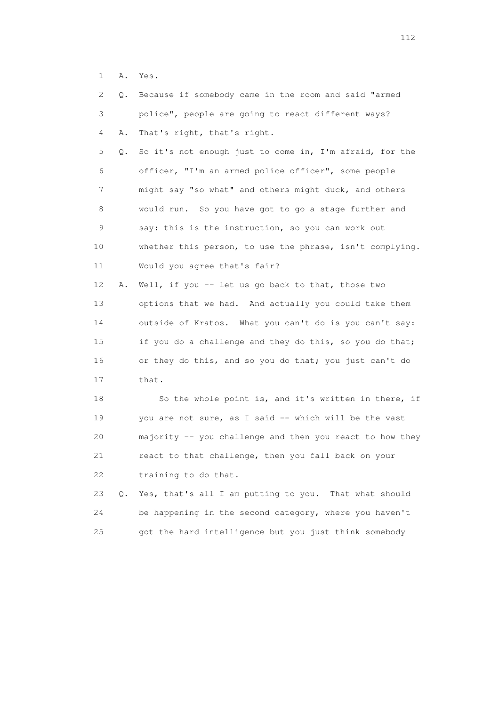1 A. Yes.

| 2  | Q.        | Because if somebody came in the room and said "armed     |
|----|-----------|----------------------------------------------------------|
| 3  |           | police", people are going to react different ways?       |
| 4  | Α.        | That's right, that's right.                              |
| 5  | Q.        | So it's not enough just to come in, I'm afraid, for the  |
| 6  |           | officer, "I'm an armed police officer", some people      |
| 7  |           | might say "so what" and others might duck, and others    |
| 8  |           | would run. So you have got to go a stage further and     |
| 9  |           | say: this is the instruction, so you can work out        |
| 10 |           | whether this person, to use the phrase, isn't complying. |
| 11 |           | Would you agree that's fair?                             |
| 12 | Α.        | Well, if you -- let us go back to that, those two        |
| 13 |           | options that we had. And actually you could take them    |
| 14 |           | outside of Kratos. What you can't do is you can't say:   |
| 15 |           | if you do a challenge and they do this, so you do that;  |
| 16 |           | or they do this, and so you do that; you just can't do   |
| 17 |           | that.                                                    |
| 18 |           | So the whole point is, and it's written in there, if     |
| 19 |           | you are not sure, as I said -- which will be the vast    |
| 20 |           | majority -- you challenge and then you react to how they |
| 21 |           | react to that challenge, then you fall back on your      |
| 22 |           | training to do that.                                     |
| 23 | $\circ$ . | Yes, that's all I am putting to you. That what should    |
| 24 |           | be happening in the second category, where you haven't   |
| 25 |           | got the hard intelligence but you just think somebody    |
|    |           |                                                          |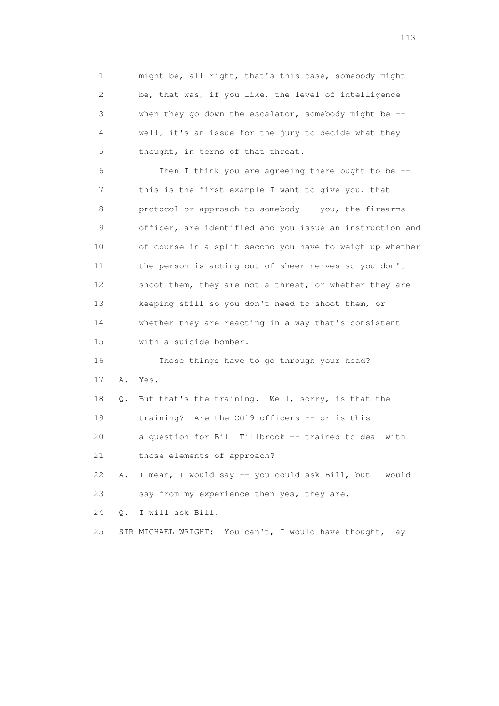1 might be, all right, that's this case, somebody might 2 be, that was, if you like, the level of intelligence 3 when they go down the escalator, somebody might be -- 4 well, it's an issue for the jury to decide what they 5 thought, in terms of that threat. 6 Then I think you are agreeing there ought to be -- 7 this is the first example I want to give you, that 8 protocol or approach to somebody -- you, the firearms 9 officer, are identified and you issue an instruction and 10 of course in a split second you have to weigh up whether 11 the person is acting out of sheer nerves so you don't 12 shoot them, they are not a threat, or whether they are 13 keeping still so you don't need to shoot them, or 14 whether they are reacting in a way that's consistent 15 with a suicide bomber. 16 Those things have to go through your head? 17 A. Yes. 18 Q. But that's the training. Well, sorry, is that the 19 training? Are the CO19 officers -- or is this 20 a question for Bill Tillbrook -- trained to deal with 21 those elements of approach? 22 A. I mean, I would say -- you could ask Bill, but I would 23 say from my experience then yes, they are. 24 Q. I will ask Bill. 25 SIR MICHAEL WRIGHT: You can't, I would have thought, lay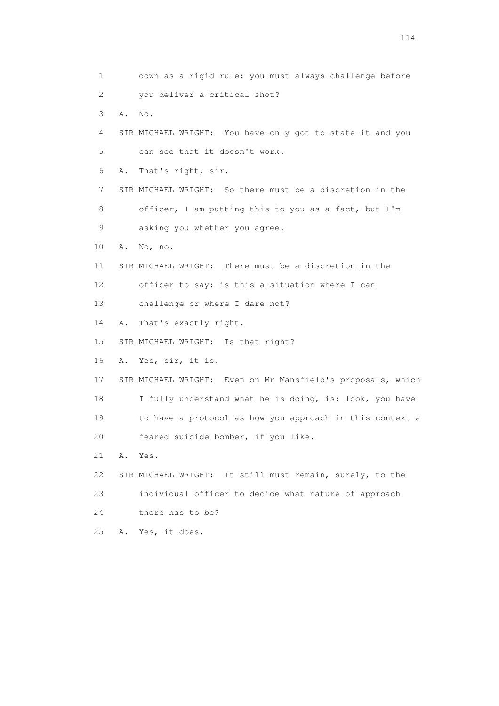1 down as a rigid rule: you must always challenge before 2 you deliver a critical shot? 3 A. No. 4 SIR MICHAEL WRIGHT: You have only got to state it and you 5 can see that it doesn't work. 6 A. That's right, sir. 7 SIR MICHAEL WRIGHT: So there must be a discretion in the 8 officer, I am putting this to you as a fact, but I'm 9 asking you whether you agree. 10 A. No, no. 11 SIR MICHAEL WRIGHT: There must be a discretion in the 12 officer to say: is this a situation where I can 13 challenge or where I dare not? 14 A. That's exactly right. 15 SIR MICHAEL WRIGHT: Is that right? 16 A. Yes, sir, it is. 17 SIR MICHAEL WRIGHT: Even on Mr Mansfield's proposals, which 18 I fully understand what he is doing, is: look, you have 19 to have a protocol as how you approach in this context a 20 feared suicide bomber, if you like. 21 A. Yes. 22 SIR MICHAEL WRIGHT: It still must remain, surely, to the 23 individual officer to decide what nature of approach 24 there has to be? 25 A. Yes, it does.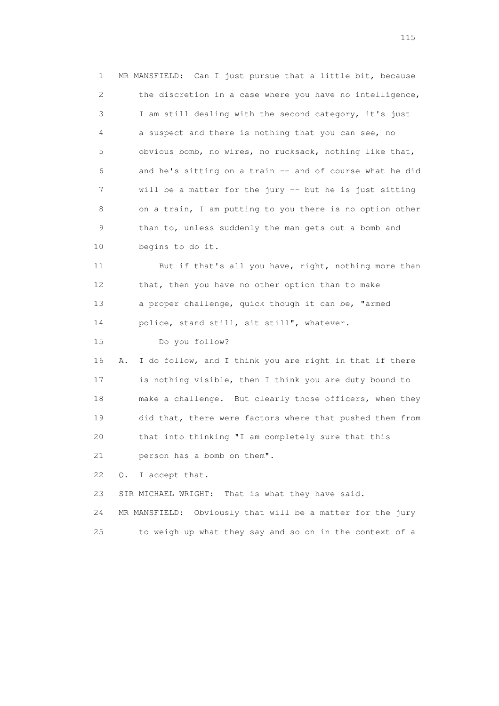1 MR MANSFIELD: Can I just pursue that a little bit, because 2 the discretion in a case where you have no intelligence, 3 I am still dealing with the second category, it's just 4 a suspect and there is nothing that you can see, no 5 obvious bomb, no wires, no rucksack, nothing like that, 6 and he's sitting on a train -- and of course what he did 7 will be a matter for the jury -- but he is just sitting 8 on a train, I am putting to you there is no option other 9 than to, unless suddenly the man gets out a bomb and 10 begins to do it.

 11 But if that's all you have, right, nothing more than 12 that, then you have no other option than to make 13 a proper challenge, quick though it can be, "armed 14 police, stand still, sit still", whatever.

15 Do you follow?

 16 A. I do follow, and I think you are right in that if there 17 is nothing visible, then I think you are duty bound to 18 make a challenge. But clearly those officers, when they 19 did that, there were factors where that pushed them from 20 that into thinking "I am completely sure that this 21 person has a bomb on them".

22 Q. I accept that.

23 SIR MICHAEL WRIGHT: That is what they have said.

 24 MR MANSFIELD: Obviously that will be a matter for the jury 25 to weigh up what they say and so on in the context of a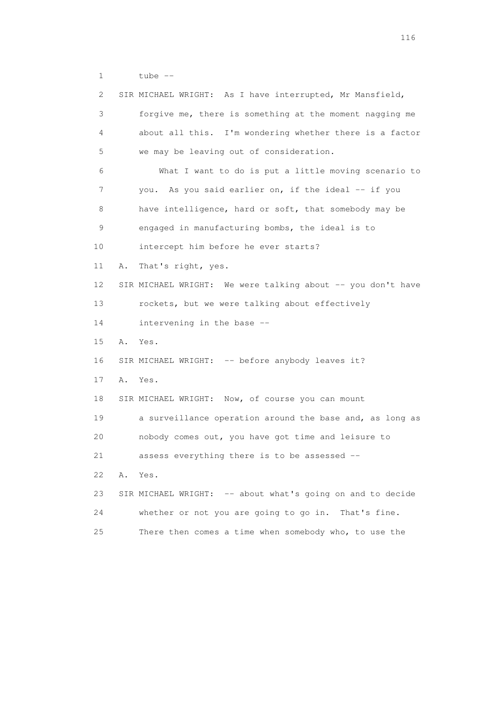1 tube --

| $\mathbf{2}^{\mathsf{I}}$ | SIR MICHAEL WRIGHT: As I have interrupted, Mr Mansfield,    |
|---------------------------|-------------------------------------------------------------|
| 3                         | forgive me, there is something at the moment nagging me     |
| 4                         | about all this. I'm wondering whether there is a factor     |
| 5                         | we may be leaving out of consideration.                     |
| 6                         | What I want to do is put a little moving scenario to        |
| 7                         | you. As you said earlier on, if the ideal -- if you         |
| 8                         | have intelligence, hard or soft, that somebody may be       |
| 9                         | engaged in manufacturing bombs, the ideal is to             |
| 10                        | intercept him before he ever starts?                        |
| 11                        | That's right, yes.<br>Α.                                    |
| 12                        | SIR MICHAEL WRIGHT: We were talking about -- you don't have |
| 13                        | rockets, but we were talking about effectively              |
| 14                        | intervening in the base --                                  |
| 15                        | A. Yes.                                                     |
| 16                        | SIR MICHAEL WRIGHT: -- before anybody leaves it?            |
| 17                        | Α.<br>Yes.                                                  |
| 18                        | SIR MICHAEL WRIGHT: Now, of course you can mount            |
| 19                        | a surveillance operation around the base and, as long as    |
| 20                        | nobody comes out, you have got time and leisure to          |
| 21                        | assess everything there is to be assessed --                |
| 22                        | Α.<br>Yes.                                                  |
| 23                        | SIR MICHAEL WRIGHT: -- about what's going on and to decide  |
| 24                        | whether or not you are going to go in. That's fine.         |
| 25                        | There then comes a time when somebody who, to use the       |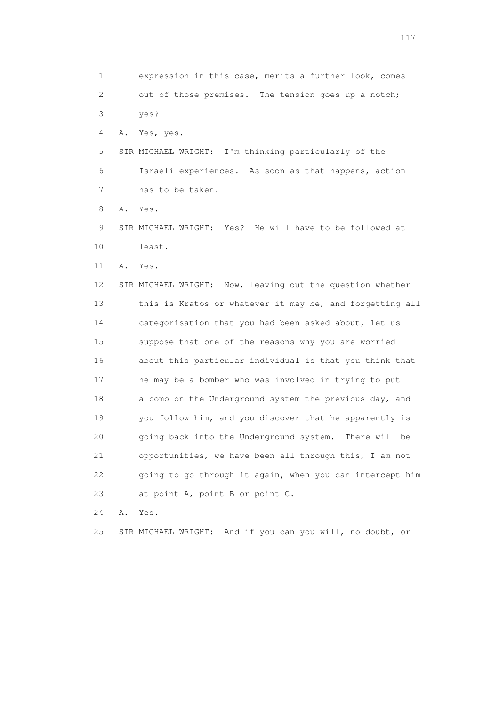1 expression in this case, merits a further look, comes 2 out of those premises. The tension goes up a notch; 3 yes? 4 A. Yes, yes. 5 SIR MICHAEL WRIGHT: I'm thinking particularly of the 6 Israeli experiences. As soon as that happens, action 7 has to be taken. 8 A. Yes. 9 SIR MICHAEL WRIGHT: Yes? He will have to be followed at 10 least. 11 A. Yes. 12 SIR MICHAEL WRIGHT: Now, leaving out the question whether 13 this is Kratos or whatever it may be, and forgetting all 14 categorisation that you had been asked about, let us 15 suppose that one of the reasons why you are worried 16 about this particular individual is that you think that 17 he may be a bomber who was involved in trying to put 18 a bomb on the Underground system the previous day, and 19 you follow him, and you discover that he apparently is 20 going back into the Underground system. There will be 21 opportunities, we have been all through this, I am not 22 going to go through it again, when you can intercept him 23 at point A, point B or point C. 24 A. Yes.

25 SIR MICHAEL WRIGHT: And if you can you will, no doubt, or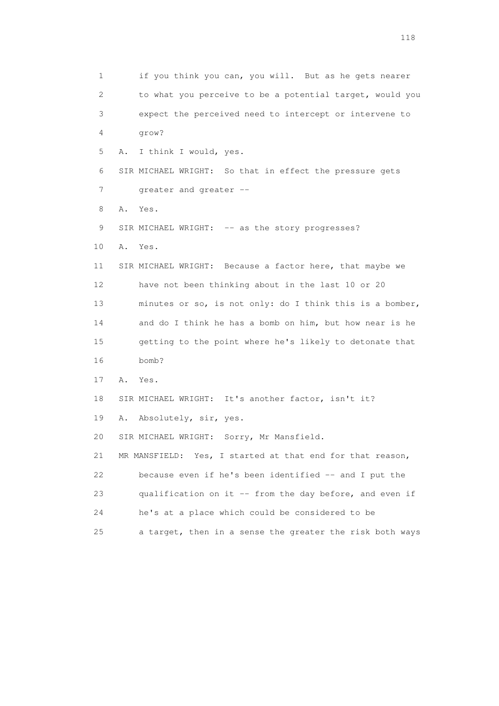1 if you think you can, you will. But as he gets nearer 2 to what you perceive to be a potential target, would you 3 expect the perceived need to intercept or intervene to 4 grow? 5 A. I think I would, yes. 6 SIR MICHAEL WRIGHT: So that in effect the pressure gets 7 greater and greater -- 8 A. Yes. 9 SIR MICHAEL WRIGHT: -- as the story progresses? 10 A. Yes. 11 SIR MICHAEL WRIGHT: Because a factor here, that maybe we 12 have not been thinking about in the last 10 or 20 13 minutes or so, is not only: do I think this is a bomber, 14 and do I think he has a bomb on him, but how near is he 15 getting to the point where he's likely to detonate that 16 bomb? 17 A. Yes. 18 SIR MICHAEL WRIGHT: It's another factor, isn't it? 19 A. Absolutely, sir, yes. 20 SIR MICHAEL WRIGHT: Sorry, Mr Mansfield. 21 MR MANSFIELD: Yes, I started at that end for that reason, 22 because even if he's been identified -- and I put the 23 qualification on it -- from the day before, and even if 24 he's at a place which could be considered to be 25 a target, then in a sense the greater the risk both ways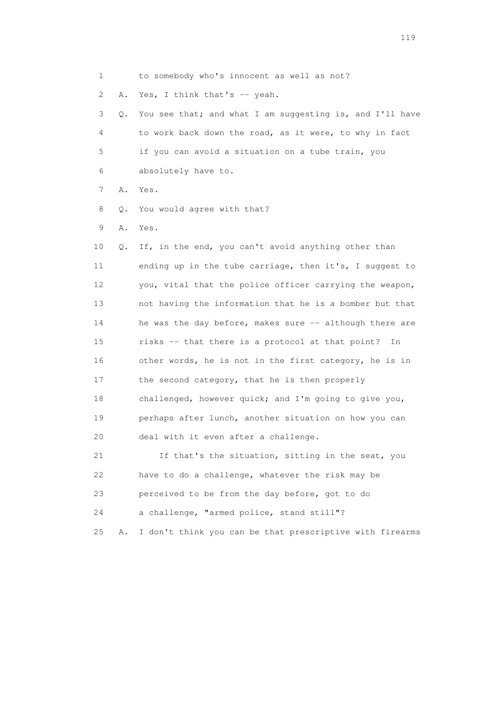1 to somebody who's innocent as well as not? 2 A. Yes, I think that's -- yeah. 3 Q. You see that; and what I am suggesting is, and I'll have 4 to work back down the road, as it were, to why in fact 5 if you can avoid a situation on a tube train, you 6 absolutely have to. 7 A. Yes. 8 Q. You would agree with that? 9 A. Yes. 10 Q. If, in the end, you can't avoid anything other than 11 ending up in the tube carriage, then it's, I suggest to 12 you, vital that the police officer carrying the weapon, 13 not having the information that he is a bomber but that 14 he was the day before, makes sure -- although there are 15 risks -- that there is a protocol at that point? In 16 other words, he is not in the first category, he is in 17 the second category, that he is then properly 18 challenged, however quick; and I'm going to give you, 19 perhaps after lunch, another situation on how you can 20 deal with it even after a challenge. 21 If that's the situation, sitting in the seat, you 22 have to do a challenge, whatever the risk may be 23 perceived to be from the day before, got to do 24 a challenge, "armed police, stand still"? 25 A. I don't think you can be that prescriptive with firearms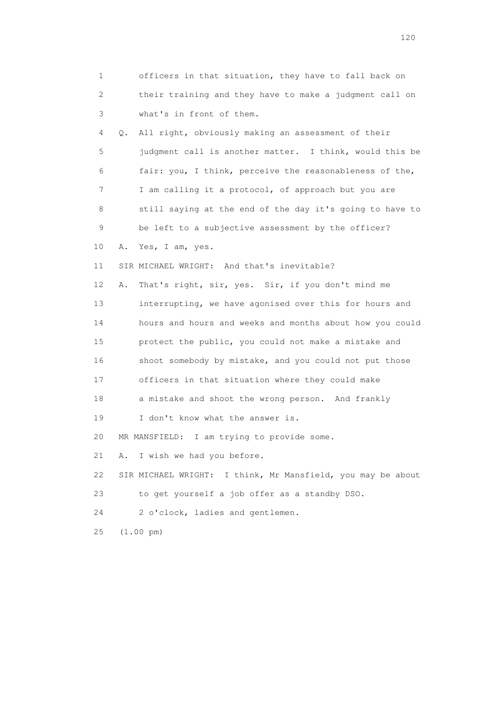| 1  | officers in that situation, they have to fall back on       |
|----|-------------------------------------------------------------|
| 2  | their training and they have to make a judgment call on     |
| 3  | what's in front of them.                                    |
| 4  | All right, obviously making an assessment of their<br>0.    |
| 5  | judgment call is another matter. I think, would this be     |
| 6  | fair: you, I think, perceive the reasonableness of the,     |
| 7  | I am calling it a protocol, of approach but you are         |
| 8  | still saying at the end of the day it's going to have to    |
| 9  | be left to a subjective assessment by the officer?          |
| 10 | Yes, I am, yes.<br>Α.                                       |
| 11 | SIR MICHAEL WRIGHT: And that's inevitable?                  |
| 12 | That's right, sir, yes. Sir, if you don't mind me<br>Α.     |
| 13 | interrupting, we have agonised over this for hours and      |
| 14 | hours and hours and weeks and months about how you could    |
| 15 | protect the public, you could not make a mistake and        |
| 16 | shoot somebody by mistake, and you could not put those      |
| 17 | officers in that situation where they could make            |
| 18 | a mistake and shoot the wrong person. And frankly           |
| 19 | I don't know what the answer is.                            |
| 20 | I am trying to provide some.<br>MR MANSFIELD:               |
| 21 | I wish we had you before.<br>Α.                             |
| 22 | SIR MICHAEL WRIGHT: I think, Mr Mansfield, you may be about |
| 23 | to get yourself a job offer as a standby DSO.               |
| 24 | 2 o'clock, ladies and gentlemen.                            |
| 25 | $(1.00 \text{ pm})$                                         |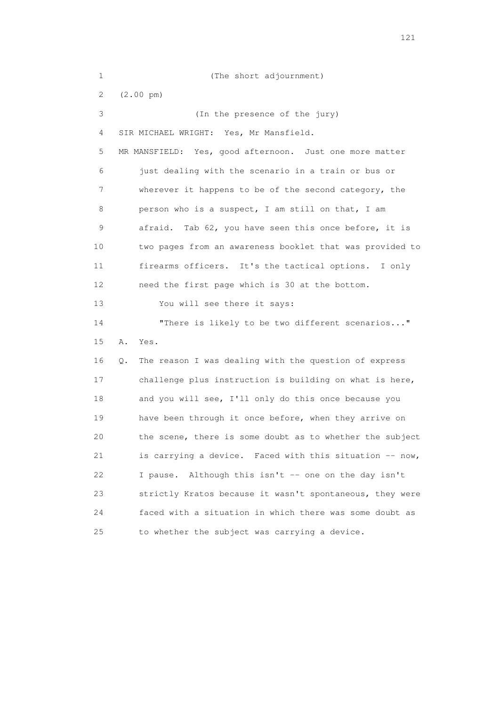| 1               | (The short adjournment)                                     |
|-----------------|-------------------------------------------------------------|
| 2               | $(2.00 \text{ pm})$                                         |
| 3               | (In the presence of the jury)                               |
| 4               | SIR MICHAEL WRIGHT: Yes, Mr Mansfield.                      |
| 5               | MR MANSFIELD: Yes, good afternoon. Just one more matter     |
| 6               | just dealing with the scenario in a train or bus or         |
| 7               | wherever it happens to be of the second category, the       |
| 8               | person who is a suspect, I am still on that, I am           |
| 9               | Tab 62, you have seen this once before, it is<br>afraid.    |
| 10              | two pages from an awareness booklet that was provided to    |
| 11              | firearms officers. It's the tactical options. I only        |
| 12 <sup>°</sup> | need the first page which is 30 at the bottom.              |
| 13              | You will see there it says:                                 |
| 14              | "There is likely to be two different scenarios"             |
| 15              | Α.<br>Yes.                                                  |
| 16              | The reason I was dealing with the question of express<br>Q. |
| 17              | challenge plus instruction is building on what is here,     |
| 18              | and you will see, I'll only do this once because you        |
| 19              | have been through it once before, when they arrive on       |
| 20              | the scene, there is some doubt as to whether the subject    |
| 21              | is carrying a device. Faced with this situation -- now,     |
| 22              | Although this isn't -- one on the day isn't<br>I pause.     |
| 23              | strictly Kratos because it wasn't spontaneous, they were    |
| 24              | faced with a situation in which there was some doubt as     |
| 25              | to whether the subject was carrying a device.               |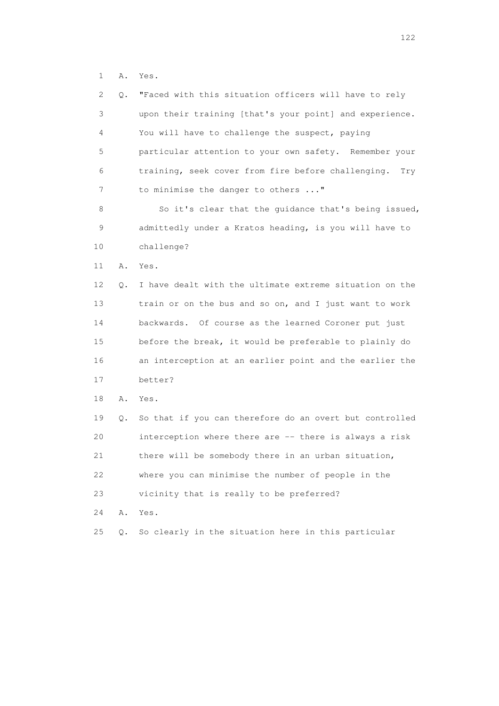1 A. Yes.

| 2  | Q. | "Faced with this situation officers will have to rely     |
|----|----|-----------------------------------------------------------|
| 3  |    | upon their training [that's your point] and experience.   |
| 4  |    | You will have to challenge the suspect, paying            |
| 5  |    | particular attention to your own safety. Remember your    |
| 6  |    | training, seek cover from fire before challenging.<br>Try |
| 7  |    | to minimise the danger to others "                        |
| 8  |    | So it's clear that the guidance that's being issued,      |
| 9  |    | admittedly under a Kratos heading, is you will have to    |
| 10 |    | challenge?                                                |
| 11 | Α. | Yes.                                                      |
| 12 | Q. | I have dealt with the ultimate extreme situation on the   |
| 13 |    | train or on the bus and so on, and I just want to work    |
| 14 |    | backwards. Of course as the learned Coroner put just      |
| 15 |    | before the break, it would be preferable to plainly do    |
| 16 |    | an interception at an earlier point and the earlier the   |
| 17 |    | better?                                                   |
| 18 | Α. | Yes.                                                      |
| 19 | Q. | So that if you can therefore do an overt but controlled   |
| 20 |    | interception where there are -- there is always a risk    |
| 21 |    | there will be somebody there in an urban situation,       |
| 22 |    | where you can minimise the number of people in the        |
| 23 |    | vicinity that is really to be preferred?                  |
| 24 | Α. | Yes.                                                      |
| 25 | Q. | So clearly in the situation here in this particular       |
|    |    |                                                           |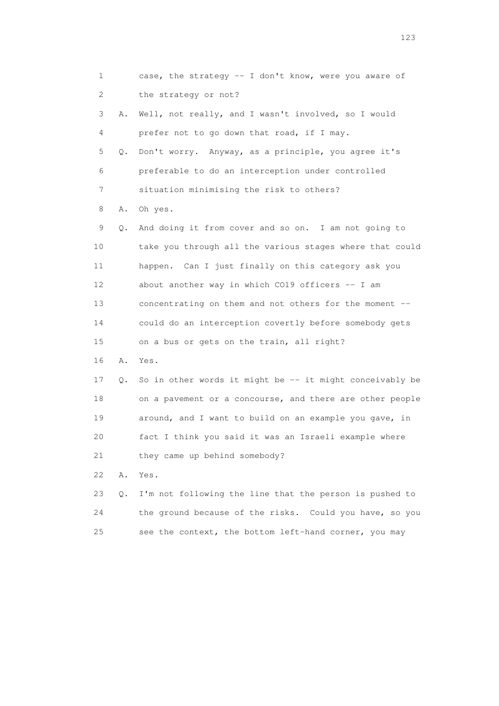1 case, the strategy -- I don't know, were you aware of 2 the strategy or not? 3 A. Well, not really, and I wasn't involved, so I would 4 prefer not to go down that road, if I may. 5 Q. Don't worry. Anyway, as a principle, you agree it's 6 preferable to do an interception under controlled 7 situation minimising the risk to others? 8 A. Oh yes. 9 Q. And doing it from cover and so on. I am not going to 10 take you through all the various stages where that could 11 happen. Can I just finally on this category ask you 12 about another way in which CO19 officers -- I am 13 concentrating on them and not others for the moment -- 14 could do an interception covertly before somebody gets 15 on a bus or gets on the train, all right? 16 A. Yes. 17 Q. So in other words it might be -- it might conceivably be 18 on a pavement or a concourse, and there are other people 19 around, and I want to build on an example you gave, in 20 fact I think you said it was an Israeli example where 21 they came up behind somebody? 22 A. Yes. 23 Q. I'm not following the line that the person is pushed to 24 the ground because of the risks. Could you have, so you 25 see the context, the bottom left-hand corner, you may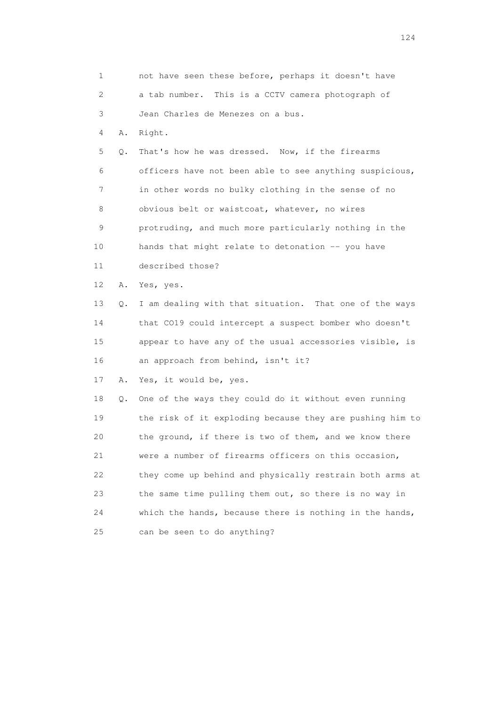| 1                         |    | not have seen these before, perhaps it doesn't have      |
|---------------------------|----|----------------------------------------------------------|
| $\mathbf{2}^{\mathsf{I}}$ |    | a tab number. This is a CCTV camera photograph of        |
| 3                         |    | Jean Charles de Menezes on a bus.                        |
| 4                         | Α. | Right.                                                   |
| 5                         | Q. | That's how he was dressed. Now, if the firearms          |
| 6                         |    | officers have not been able to see anything suspicious,  |
| 7                         |    | in other words no bulky clothing in the sense of no      |
| 8                         |    | obvious belt or waistcoat, whatever, no wires            |
| 9                         |    | protruding, and much more particularly nothing in the    |
| 10                        |    | hands that might relate to detonation -- you have        |
| 11                        |    | described those?                                         |
| 12                        | Α. | Yes, yes.                                                |
| 13                        | Q. | I am dealing with that situation. That one of the ways   |
| 14                        |    | that CO19 could intercept a suspect bomber who doesn't   |
| 15                        |    | appear to have any of the usual accessories visible, is  |
| 16                        |    | an approach from behind, isn't it?                       |
| 17                        | Α. | Yes, it would be, yes.                                   |
| 18                        | Q. | One of the ways they could do it without even running    |
| 19                        |    | the risk of it exploding because they are pushing him to |
| 20                        |    | the ground, if there is two of them, and we know there   |
| 21                        |    | were a number of firearms officers on this occasion,     |
| 22                        |    | they come up behind and physically restrain both arms at |
| 23                        |    | the same time pulling them out, so there is no way in    |
| 24                        |    | which the hands, because there is nothing in the hands,  |
| 25                        |    | can be seen to do anything?                              |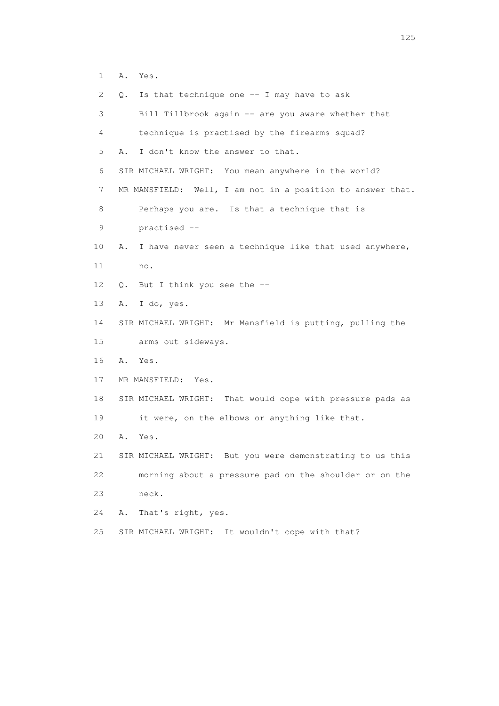1 A. Yes.

| 2  | О. | Is that technique one -- I may have to ask                 |
|----|----|------------------------------------------------------------|
| 3  |    | Bill Tillbrook again -- are you aware whether that         |
| 4  |    | technique is practised by the firearms squad?              |
| 5  | Α. | I don't know the answer to that.                           |
| 6  |    | SIR MICHAEL WRIGHT: You mean anywhere in the world?        |
| 7  |    | MR MANSFIELD: Well, I am not in a position to answer that. |
| 8  |    | Perhaps you are. Is that a technique that is               |
| 9  |    | practised --                                               |
| 10 | Α. | I have never seen a technique like that used anywhere,     |
| 11 |    | no.                                                        |
| 12 | О. | But I think you see the --                                 |
| 13 | Α. | I do, yes.                                                 |
| 14 |    | SIR MICHAEL WRIGHT: Mr Mansfield is putting, pulling the   |
| 15 |    | arms out sideways.                                         |
| 16 | Α. | Yes.                                                       |
| 17 |    | MR MANSFIELD: Yes.                                         |
| 18 |    | SIR MICHAEL WRIGHT: That would cope with pressure pads as  |
| 19 |    | it were, on the elbows or anything like that.              |
| 20 | Α. | Yes.                                                       |
| 21 |    | SIR MICHAEL WRIGHT: But you were demonstrating to us this  |
| 22 |    | morning about a pressure pad on the shoulder or on the     |
| 23 |    | neck.                                                      |
| 24 | Α. | That's right, yes.                                         |
| 25 |    | It wouldn't cope with that?<br>SIR MICHAEL WRIGHT:         |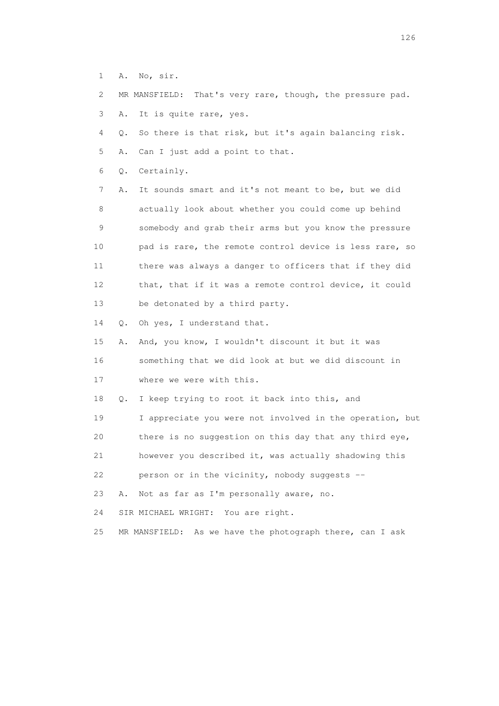1 A. No, sir.

2 MR MANSFIELD: That's very rare, though, the pressure pad.

3 A. It is quite rare, yes.

4 Q. So there is that risk, but it's again balancing risk.

5 A. Can I just add a point to that.

6 Q. Certainly.

 7 A. It sounds smart and it's not meant to be, but we did 8 actually look about whether you could come up behind 9 somebody and grab their arms but you know the pressure 10 pad is rare, the remote control device is less rare, so 11 there was always a danger to officers that if they did 12 that, that if it was a remote control device, it could 13 be detonated by a third party.

14 Q. Oh yes, I understand that.

 15 A. And, you know, I wouldn't discount it but it was 16 something that we did look at but we did discount in 17 where we were with this.

18 Q. I keep trying to root it back into this, and

19 I appreciate you were not involved in the operation, but

20 there is no suggestion on this day that any third eye,

21 however you described it, was actually shadowing this

22 person or in the vicinity, nobody suggests --

23 A. Not as far as I'm personally aware, no.

24 SIR MICHAEL WRIGHT: You are right.

25 MR MANSFIELD: As we have the photograph there, can I ask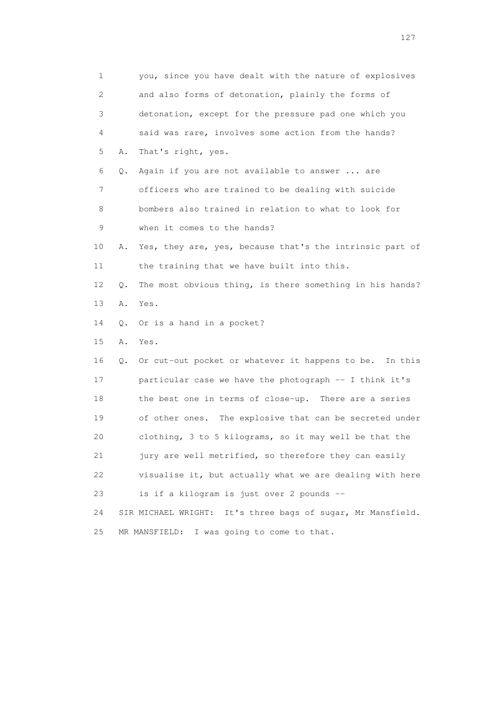1 you, since you have dealt with the nature of explosives 2 and also forms of detonation, plainly the forms of 3 detonation, except for the pressure pad one which you 4 said was rare, involves some action from the hands? 5 A. That's right, yes. 6 Q. Again if you are not available to answer ... are 7 officers who are trained to be dealing with suicide 8 bombers also trained in relation to what to look for 9 when it comes to the hands? 10 A. Yes, they are, yes, because that's the intrinsic part of 11 the training that we have built into this. 12 Q. The most obvious thing, is there something in his hands? 13 A. Yes. 14 Q. Or is a hand in a pocket? 15 A. Yes. 16 Q. Or cut-out pocket or whatever it happens to be. In this 17 particular case we have the photograph -- I think it's 18 the best one in terms of close-up. There are a series 19 of other ones. The explosive that can be secreted under 20 clothing, 3 to 5 kilograms, so it may well be that the 21 jury are well metrified, so therefore they can easily 22 visualise it, but actually what we are dealing with here 23 is if a kilogram is just over 2 pounds -- 24 SIR MICHAEL WRIGHT: It's three bags of sugar, Mr Mansfield. 25 MR MANSFIELD: I was going to come to that.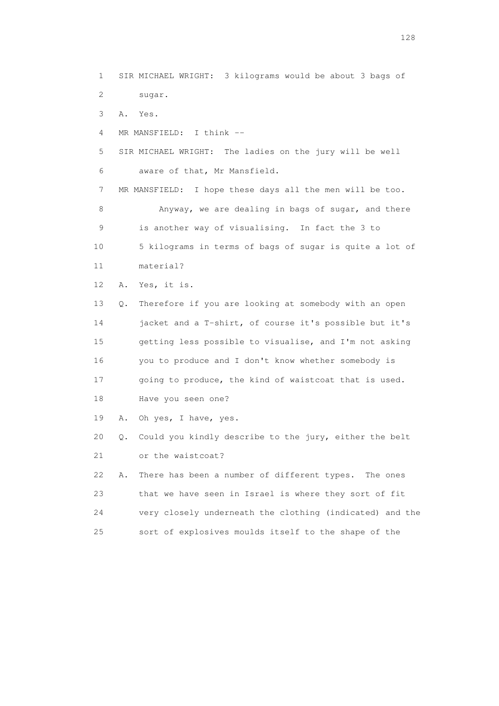1 SIR MICHAEL WRIGHT: 3 kilograms would be about 3 bags of 2 sugar. 3 A. Yes. 4 MR MANSFIELD: I think -- 5 SIR MICHAEL WRIGHT: The ladies on the jury will be well 6 aware of that, Mr Mansfield. 7 MR MANSFIELD: I hope these days all the men will be too. 8 Anyway, we are dealing in bags of sugar, and there 9 is another way of visualising. In fact the 3 to 10 5 kilograms in terms of bags of sugar is quite a lot of 11 material? 12 A. Yes, it is. 13 Q. Therefore if you are looking at somebody with an open 14 jacket and a T-shirt, of course it's possible but it's 15 getting less possible to visualise, and I'm not asking 16 you to produce and I don't know whether somebody is 17 going to produce, the kind of waistcoat that is used. 18 Have you seen one? 19 A. Oh yes, I have, yes. 20 Q. Could you kindly describe to the jury, either the belt 21 or the waistcoat? 22 A. There has been a number of different types. The ones 23 that we have seen in Israel is where they sort of fit 24 very closely underneath the clothing (indicated) and the 25 sort of explosives moulds itself to the shape of the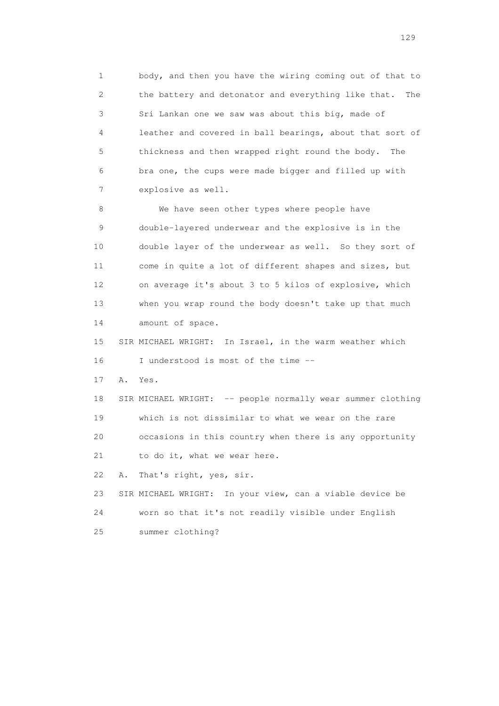1 body, and then you have the wiring coming out of that to 2 the battery and detonator and everything like that. The 3 Sri Lankan one we saw was about this big, made of 4 leather and covered in ball bearings, about that sort of 5 thickness and then wrapped right round the body. The 6 bra one, the cups were made bigger and filled up with 7 explosive as well.

8 We have seen other types where people have 9 double-layered underwear and the explosive is in the 10 double layer of the underwear as well. So they sort of 11 come in quite a lot of different shapes and sizes, but 12 on average it's about 3 to 5 kilos of explosive, which 13 when you wrap round the body doesn't take up that much 14 amount of space.

 15 SIR MICHAEL WRIGHT: In Israel, in the warm weather which 16 I understood is most of the time --

17 A. Yes.

18 SIR MICHAEL WRIGHT: -- people normally wear summer clothing 19 which is not dissimilar to what we wear on the rare 20 occasions in this country when there is any opportunity 21 to do it, what we wear here.

22 A. That's right, yes, sir.

 23 SIR MICHAEL WRIGHT: In your view, can a viable device be 24 worn so that it's not readily visible under English 25 summer clothing?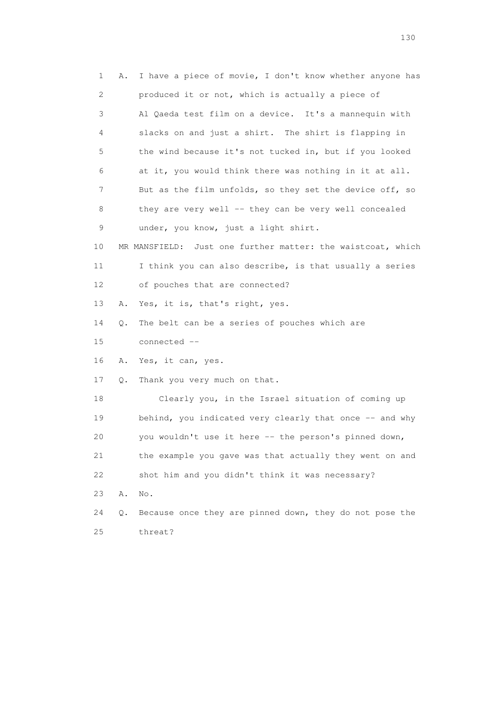| $\mathbf 1$ | Α. | I have a piece of movie, I don't know whether anyone has    |
|-------------|----|-------------------------------------------------------------|
| 2           |    | produced it or not, which is actually a piece of            |
| 3           |    | Al Qaeda test film on a device. It's a mannequin with       |
| 4           |    | slacks on and just a shirt. The shirt is flapping in        |
| 5           |    | the wind because it's not tucked in, but if you looked      |
| 6           |    | at it, you would think there was nothing in it at all.      |
| 7           |    | But as the film unfolds, so they set the device off, so     |
| 8           |    | they are very well -- they can be very well concealed       |
| 9           |    | under, you know, just a light shirt.                        |
| 10          |    | MR MANSFIELD: Just one further matter: the waistcoat, which |
| 11          |    | I think you can also describe, is that usually a series     |
| 12          |    | of pouches that are connected?                              |
| 13          | Α. | Yes, it is, that's right, yes.                              |
| 14          | Q. | The belt can be a series of pouches which are               |
| 15          |    | connected --                                                |
| 16          | Α. | Yes, it can, yes.                                           |
| 17          | Q. | Thank you very much on that.                                |
| 18          |    | Clearly you, in the Israel situation of coming up           |
| 19          |    | behind, you indicated very clearly that once -- and why     |
| 20          |    | you wouldn't use it here -- the person's pinned down,       |
| 21          |    | the example you gave was that actually they went on and     |
| 22          |    | shot him and you didn't think it was necessary?             |
| 23          | Α. | No.                                                         |
| 24          | Q. | Because once they are pinned down, they do not pose the     |
| 25          |    | threat?                                                     |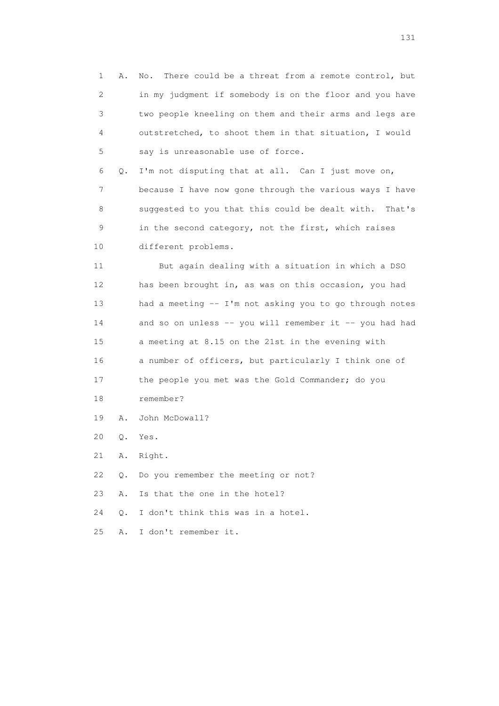1 A. No. There could be a threat from a remote control, but 2 in my judgment if somebody is on the floor and you have 3 two people kneeling on them and their arms and legs are 4 outstretched, to shoot them in that situation, I would 5 say is unreasonable use of force. 6 Q. I'm not disputing that at all. Can I just move on, 7 because I have now gone through the various ways I have 8 suggested to you that this could be dealt with. That's 9 in the second category, not the first, which raises 10 different problems. 11 But again dealing with a situation in which a DSO 12 has been brought in, as was on this occasion, you had 13 had a meeting -- I'm not asking you to go through notes 14 and so on unless -- you will remember it -- you had had 15 a meeting at 8.15 on the 21st in the evening with 16 a number of officers, but particularly I think one of 17 the people you met was the Gold Commander; do you 18 remember?

- 19 A. John McDowall?
- 20 Q. Yes.
- 21 A. Right.
- 22 Q. Do you remember the meeting or not?
- 23 A. Is that the one in the hotel?
- 24 Q. I don't think this was in a hotel.
- 25 A. I don't remember it.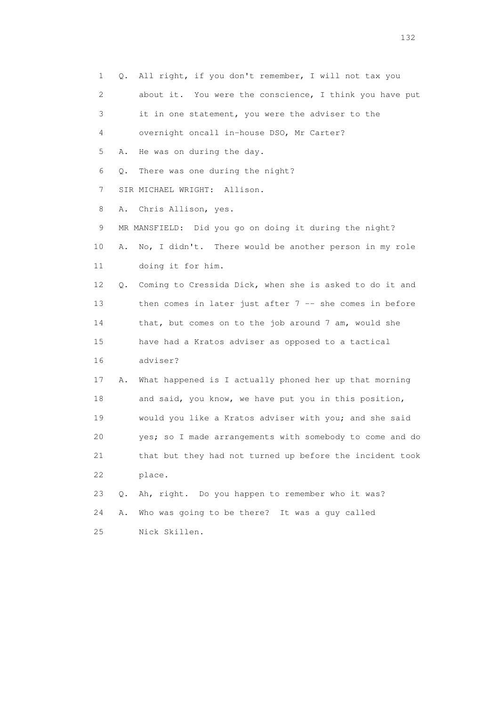1 Q. All right, if you don't remember, I will not tax you 2 about it. You were the conscience, I think you have put 3 it in one statement, you were the adviser to the 4 overnight oncall in-house DSO, Mr Carter? 5 A. He was on during the day. 6 Q. There was one during the night? 7 SIR MICHAEL WRIGHT: Allison. 8 A. Chris Allison, yes. 9 MR MANSFIELD: Did you go on doing it during the night? 10 A. No, I didn't. There would be another person in my role 11 doing it for him. 12 Q. Coming to Cressida Dick, when she is asked to do it and 13 then comes in later just after 7 -- she comes in before 14 that, but comes on to the job around 7 am, would she 15 have had a Kratos adviser as opposed to a tactical 16 adviser? 17 A. What happened is I actually phoned her up that morning 18 and said, you know, we have put you in this position, 19 would you like a Kratos adviser with you; and she said 20 yes; so I made arrangements with somebody to come and do 21 that but they had not turned up before the incident took 22 place. 23 Q. Ah, right. Do you happen to remember who it was? 24 A. Who was going to be there? It was a guy called 25 Nick Skillen.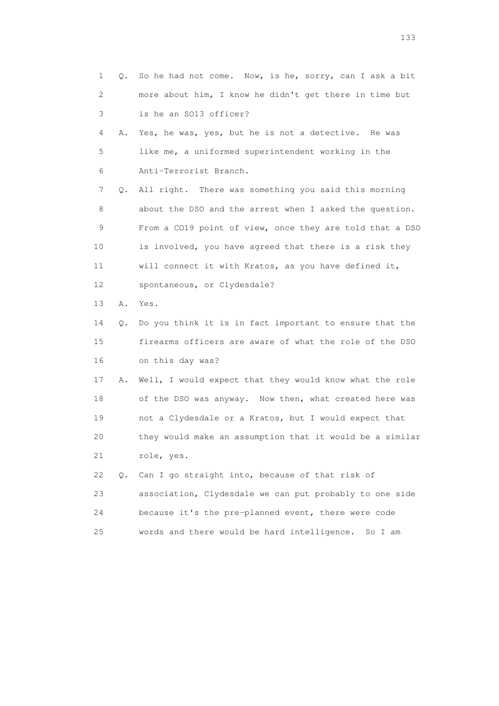1 Q. So he had not come. Now, is he, sorry, can I ask a bit 2 more about him, I know he didn't get there in time but 3 is he an SO13 officer? 4 A. Yes, he was, yes, but he is not a detective. He was 5 like me, a uniformed superintendent working in the 6 Anti-Terrorist Branch. 7 Q. All right. There was something you said this morning 8 about the DSO and the arrest when I asked the question. 9 From a CO19 point of view, once they are told that a DSO 10 is involved, you have agreed that there is a risk they 11 will connect it with Kratos, as you have defined it, 12 spontaneous, or Clydesdale? 13 A. Yes. 14 Q. Do you think it is in fact important to ensure that the 15 firearms officers are aware of what the role of the DSO 16 on this day was? 17 A. Well, I would expect that they would know what the role 18 of the DSO was anyway. Now then, what created here was 19 not a Clydesdale or a Kratos, but I would expect that 20 they would make an assumption that it would be a similar 21 role, yes. 22 Q. Can I go straight into, because of that risk of 23 association, Clydesdale we can put probably to one side 24 because it's the pre-planned event, there were code 25 words and there would be hard intelligence. So I am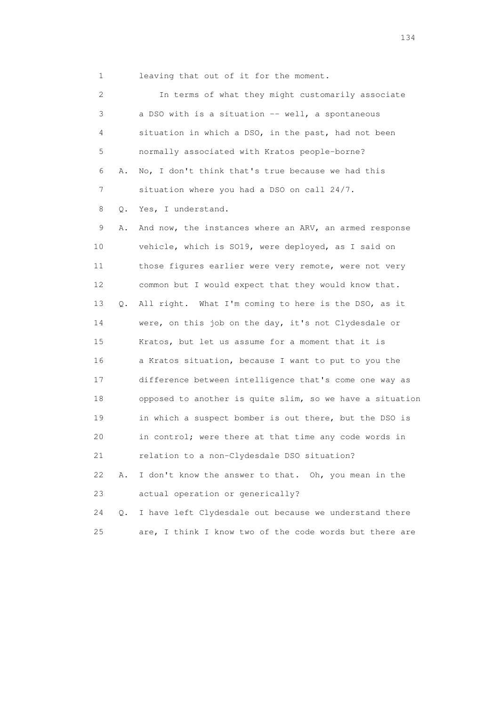1 leaving that out of it for the moment.

 2 In terms of what they might customarily associate 3 a DSO with is a situation -- well, a spontaneous 4 situation in which a DSO, in the past, had not been 5 normally associated with Kratos people-borne? 6 A. No, I don't think that's true because we had this 7 situation where you had a DSO on call 24/7. 8 Q. Yes, I understand. 9 A. And now, the instances where an ARV, an armed response 10 vehicle, which is SO19, were deployed, as I said on 11 those figures earlier were very remote, were not very 12 common but I would expect that they would know that. 13 Q. All right. What I'm coming to here is the DSO, as it 14 were, on this job on the day, it's not Clydesdale or 15 Kratos, but let us assume for a moment that it is 16 a Kratos situation, because I want to put to you the 17 difference between intelligence that's come one way as 18 opposed to another is quite slim, so we have a situation 19 in which a suspect bomber is out there, but the DSO is 20 in control; were there at that time any code words in 21 relation to a non-Clydesdale DSO situation? 22 A. I don't know the answer to that. Oh, you mean in the 23 actual operation or generically? 24 Q. I have left Clydesdale out because we understand there 25 are, I think I know two of the code words but there are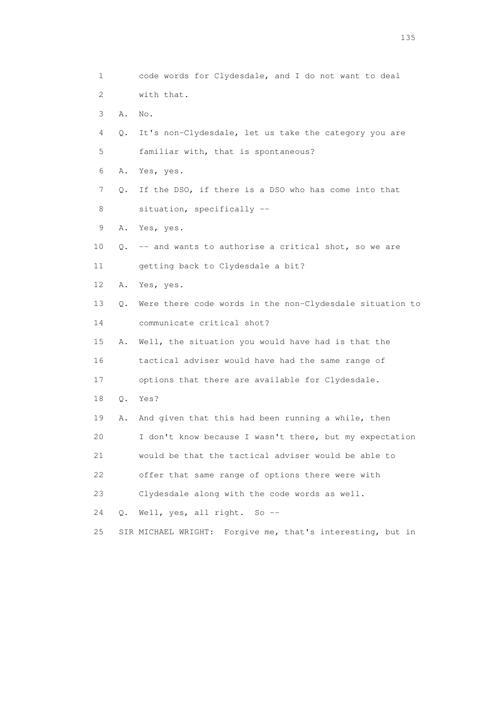1 code words for Clydesdale, and I do not want to deal 2 with that. 3 A. No. 4 Q. It's non-Clydesdale, let us take the category you are 5 familiar with, that is spontaneous? 6 A. Yes, yes. 7 Q. If the DSO, if there is a DSO who has come into that 8 situation, specifically -- 9 A. Yes, yes. 10 Q. -- and wants to authorise a critical shot, so we are 11 getting back to Clydesdale a bit? 12 A. Yes, yes. 13 Q. Were there code words in the non-Clydesdale situation to 14 communicate critical shot? 15 A. Well, the situation you would have had is that the 16 tactical adviser would have had the same range of 17 options that there are available for Clydesdale. 18 Q. Yes? 19 A. And given that this had been running a while, then 20 I don't know because I wasn't there, but my expectation 21 would be that the tactical adviser would be able to 22 offer that same range of options there were with 23 Clydesdale along with the code words as well. 24 Q. Well, yes, all right. So -- 25 SIR MICHAEL WRIGHT: Forgive me, that's interesting, but in

n 135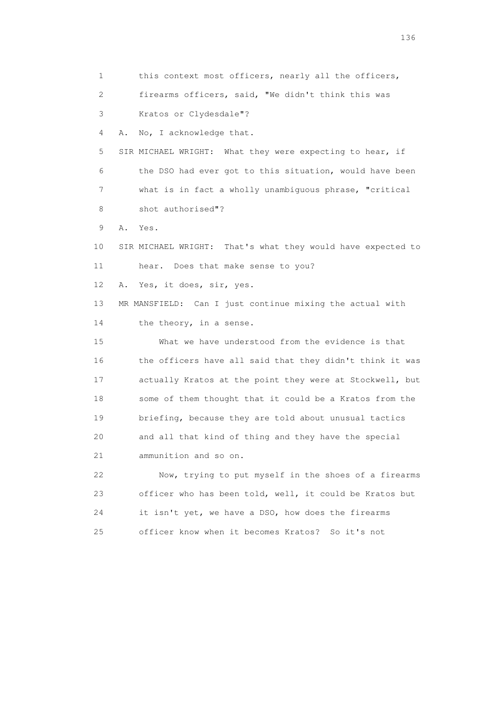1 this context most officers, nearly all the officers, 2 firearms officers, said, "We didn't think this was 3 Kratos or Clydesdale"? 4 A. No, I acknowledge that. 5 SIR MICHAEL WRIGHT: What they were expecting to hear, if 6 the DSO had ever got to this situation, would have been 7 what is in fact a wholly unambiguous phrase, "critical 8 shot authorised"? 9 A. Yes. 10 SIR MICHAEL WRIGHT: That's what they would have expected to 11 hear. Does that make sense to you? 12 A. Yes, it does, sir, yes. 13 MR MANSFIELD: Can I just continue mixing the actual with 14 the theory, in a sense. 15 What we have understood from the evidence is that 16 the officers have all said that they didn't think it was 17 actually Kratos at the point they were at Stockwell, but 18 some of them thought that it could be a Kratos from the 19 briefing, because they are told about unusual tactics 20 and all that kind of thing and they have the special 21 ammunition and so on. 22 Now, trying to put myself in the shoes of a firearms 23 officer who has been told, well, it could be Kratos but 24 it isn't yet, we have a DSO, how does the firearms

25 officer know when it becomes Kratos? So it's not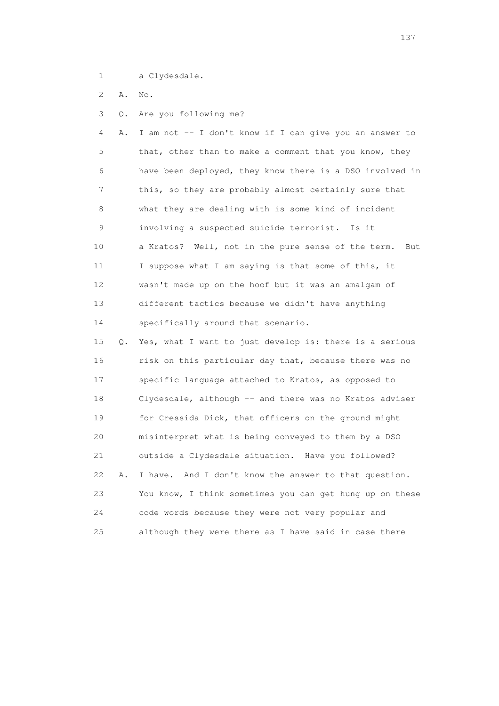1 a Clydesdale.

2 A. No.

3 Q. Are you following me?

 4 A. I am not -- I don't know if I can give you an answer to 5 that, other than to make a comment that you know, they 6 have been deployed, they know there is a DSO involved in 7 this, so they are probably almost certainly sure that 8 what they are dealing with is some kind of incident 9 involving a suspected suicide terrorist. Is it 10 a Kratos? Well, not in the pure sense of the term. But 11 I suppose what I am saying is that some of this, it 12 wasn't made up on the hoof but it was an amalgam of 13 different tactics because we didn't have anything 14 specifically around that scenario.

 15 Q. Yes, what I want to just develop is: there is a serious 16 risk on this particular day that, because there was no 17 specific language attached to Kratos, as opposed to 18 Clydesdale, although -- and there was no Kratos adviser 19 for Cressida Dick, that officers on the ground might 20 misinterpret what is being conveyed to them by a DSO 21 outside a Clydesdale situation. Have you followed? 22 A. I have. And I don't know the answer to that question. 23 You know, I think sometimes you can get hung up on these 24 code words because they were not very popular and 25 although they were there as I have said in case there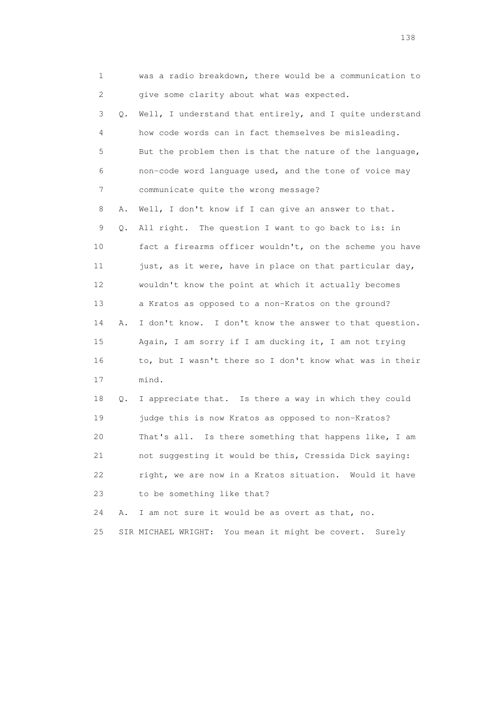| $\mathbf 1$ |    | was a radio breakdown, there would be a communication to  |
|-------------|----|-----------------------------------------------------------|
| 2           |    | give some clarity about what was expected.                |
| 3           | Q. | Well, I understand that entirely, and I quite understand  |
| 4           |    | how code words can in fact themselves be misleading.      |
| 5           |    | But the problem then is that the nature of the language,  |
| 6           |    | non-code word language used, and the tone of voice may    |
| 7           |    | communicate quite the wrong message?                      |
| 8           | Α. | Well, I don't know if I can give an answer to that.       |
| 9           | Q. | All right. The question I want to go back to is: in       |
| 10          |    | fact a firearms officer wouldn't, on the scheme you have  |
| 11          |    | just, as it were, have in place on that particular day,   |
| 12          |    | wouldn't know the point at which it actually becomes      |
| 13          |    | a Kratos as opposed to a non-Kratos on the ground?        |
| 14          | Α. | I don't know. I don't know the answer to that question.   |
| 15          |    | Again, I am sorry if I am ducking it, I am not trying     |
| 16          |    | to, but I wasn't there so I don't know what was in their  |
| 17          |    | mind.                                                     |
| 18          | Q. | I appreciate that. Is there a way in which they could     |
| 19          |    | judge this is now Kratos as opposed to non-Kratos?        |
| 20          |    | That's all. Is there something that happens like, I am    |
| 21          |    | not suggesting it would be this, Cressida Dick saying:    |
| 22          |    | right, we are now in a Kratos situation.<br>Would it have |
| 23          |    | to be something like that?                                |

24 A. I am not sure it would be as overt as that, no.

25 SIR MICHAEL WRIGHT: You mean it might be covert. Surely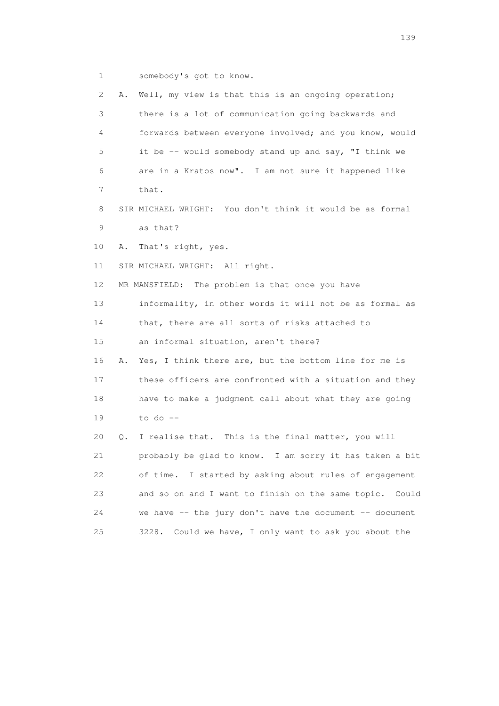1 somebody's got to know.

| $\mathbf{2}^{\mathsf{I}}$ | Α. | Well, my view is that this is an ongoing operation;        |
|---------------------------|----|------------------------------------------------------------|
| 3                         |    | there is a lot of communication going backwards and        |
| 4                         |    | forwards between everyone involved; and you know, would    |
| 5                         |    | it be -- would somebody stand up and say, "I think we      |
| 6                         |    | are in a Kratos now". I am not sure it happened like       |
| 7                         |    | that.                                                      |
| 8                         |    | SIR MICHAEL WRIGHT: You don't think it would be as formal  |
| 9                         |    | as that?                                                   |
| 10                        | Α. | That's right, yes.                                         |
| 11                        |    | SIR MICHAEL WRIGHT: All right.                             |
| 12 <sup>°</sup>           |    | MR MANSFIELD: The problem is that once you have            |
| 13                        |    | informality, in other words it will not be as formal as    |
| 14                        |    | that, there are all sorts of risks attached to             |
| 15                        |    | an informal situation, aren't there?                       |
| 16                        | Α. | Yes, I think there are, but the bottom line for me is      |
| 17                        |    | these officers are confronted with a situation and they    |
| 18                        |    | have to make a judgment call about what they are going     |
| 19                        |    | to do $--$                                                 |
| 20                        | Q. | I realise that. This is the final matter, you will         |
| 21                        |    | probably be glad to know. I am sorry it has taken a bit    |
| 22                        |    | of time. I started by asking about rules of engagement     |
| 23                        |    | and so on and I want to finish on the same topic.<br>Could |
| 24                        |    | we have -- the jury don't have the document -- document    |
| 25                        |    | 3228.<br>Could we have, I only want to ask you about the   |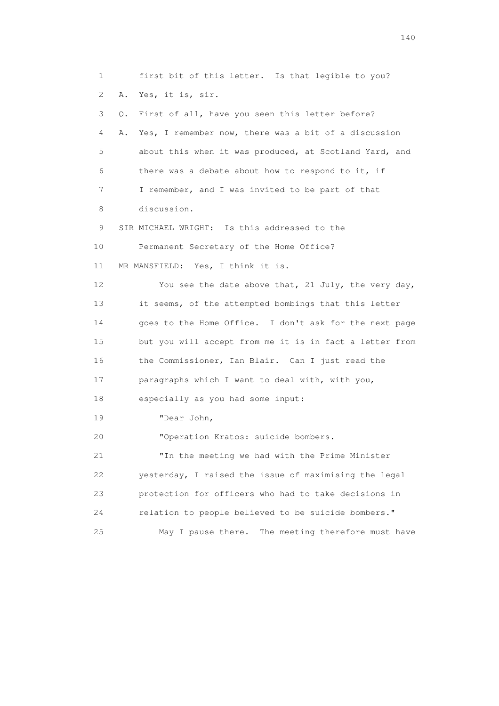1 first bit of this letter. Is that legible to you? 2 A. Yes, it is, sir. 3 Q. First of all, have you seen this letter before? 4 A. Yes, I remember now, there was a bit of a discussion 5 about this when it was produced, at Scotland Yard, and 6 there was a debate about how to respond to it, if 7 I remember, and I was invited to be part of that 8 discussion. 9 SIR MICHAEL WRIGHT: Is this addressed to the 10 Permanent Secretary of the Home Office? 11 MR MANSFIELD: Yes, I think it is. 12 You see the date above that, 21 July, the very day, 13 it seems, of the attempted bombings that this letter 14 goes to the Home Office. I don't ask for the next page 15 but you will accept from me it is in fact a letter from 16 the Commissioner, Ian Blair. Can I just read the 17 paragraphs which I want to deal with, with you, 18 especially as you had some input: 19 "Dear John, 20 "Operation Kratos: suicide bombers. 21 "In the meeting we had with the Prime Minister 22 yesterday, I raised the issue of maximising the legal 23 protection for officers who had to take decisions in 24 relation to people believed to be suicide bombers." 25 May I pause there. The meeting therefore must have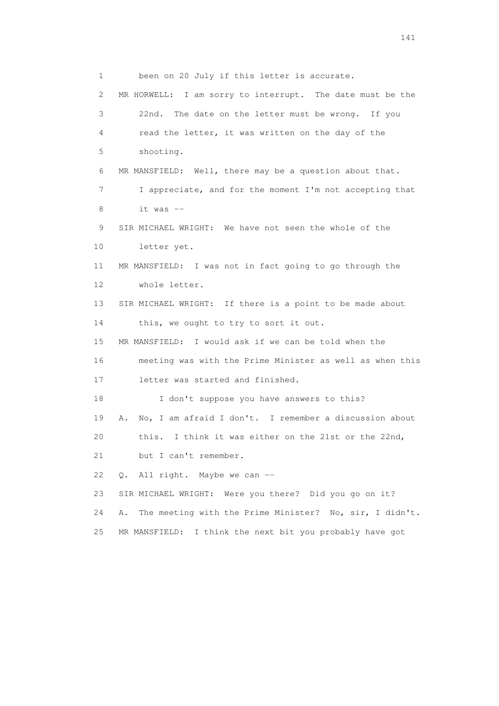1 been on 20 July if this letter is accurate. 2 MR HORWELL: I am sorry to interrupt. The date must be the 3 22nd. The date on the letter must be wrong. If you 4 read the letter, it was written on the day of the 5 shooting. 6 MR MANSFIELD: Well, there may be a question about that. 7 I appreciate, and for the moment I'm not accepting that  $8$  it was  $-$  9 SIR MICHAEL WRIGHT: We have not seen the whole of the 10 letter yet. 11 MR MANSFIELD: I was not in fact going to go through the 12 whole letter. 13 SIR MICHAEL WRIGHT: If there is a point to be made about 14 this, we ought to try to sort it out. 15 MR MANSFIELD: I would ask if we can be told when the 16 meeting was with the Prime Minister as well as when this 17 letter was started and finished. 18 I don't suppose you have answers to this? 19 A. No, I am afraid I don't. I remember a discussion about 20 this. I think it was either on the 21st or the 22nd, 21 but I can't remember. 22 Q. All right. Maybe we can -- 23 SIR MICHAEL WRIGHT: Were you there? Did you go on it? 24 A. The meeting with the Prime Minister? No, sir, I didn't. 25 MR MANSFIELD: I think the next bit you probably have got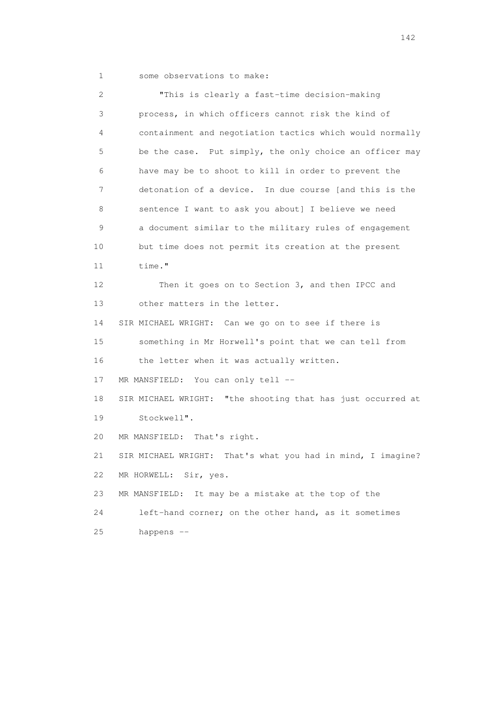|  |  | some observations to make: |  |  |  |
|--|--|----------------------------|--|--|--|
|--|--|----------------------------|--|--|--|

 2 "This is clearly a fast-time decision-making 3 process, in which officers cannot risk the kind of 4 containment and negotiation tactics which would normally 5 be the case. Put simply, the only choice an officer may 6 have may be to shoot to kill in order to prevent the 7 detonation of a device. In due course [and this is the 8 sentence I want to ask you about] I believe we need 9 a document similar to the military rules of engagement 10 but time does not permit its creation at the present 11 time." 12 Then it goes on to Section 3, and then IPCC and 13 other matters in the letter. 14 SIR MICHAEL WRIGHT: Can we go on to see if there is 15 something in Mr Horwell's point that we can tell from 16 the letter when it was actually written. 17 MR MANSFIELD: You can only tell -- 18 SIR MICHAEL WRIGHT: "the shooting that has just occurred at 19 Stockwell". 20 MR MANSFIELD: That's right. 21 SIR MICHAEL WRIGHT: That's what you had in mind, I imagine? 22 MR HORWELL: Sir, yes. 23 MR MANSFIELD: It may be a mistake at the top of the 24 left-hand corner; on the other hand, as it sometimes 25 happens --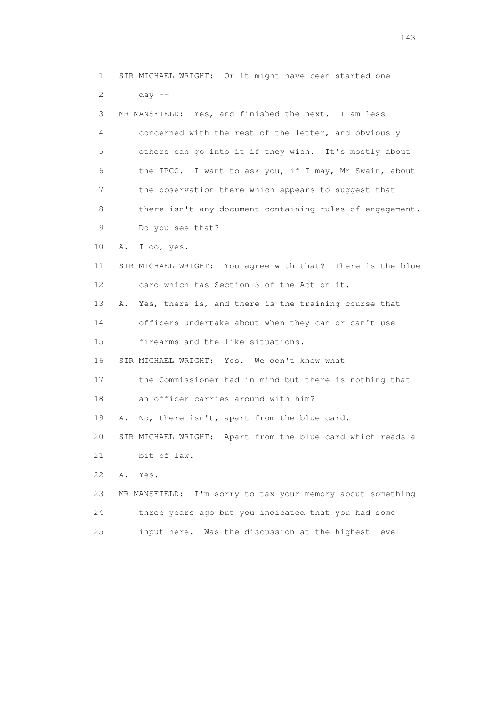1 SIR MICHAEL WRIGHT: Or it might have been started one 2 day -- 3 MR MANSFIELD: Yes, and finished the next. I am less 4 concerned with the rest of the letter, and obviously 5 others can go into it if they wish. It's mostly about 6 the IPCC. I want to ask you, if I may, Mr Swain, about 7 the observation there which appears to suggest that 8 there isn't any document containing rules of engagement. 9 Do you see that? 10 A. I do, yes. 11 SIR MICHAEL WRIGHT: You agree with that? There is the blue 12 card which has Section 3 of the Act on it. 13 A. Yes, there is, and there is the training course that 14 officers undertake about when they can or can't use 15 firearms and the like situations. 16 SIR MICHAEL WRIGHT: Yes. We don't know what 17 the Commissioner had in mind but there is nothing that 18 an officer carries around with him? 19 A. No, there isn't, apart from the blue card. 20 SIR MICHAEL WRIGHT: Apart from the blue card which reads a 21 bit of law. 22 A. Yes. 23 MR MANSFIELD: I'm sorry to tax your memory about something 24 three years ago but you indicated that you had some 25 input here. Was the discussion at the highest level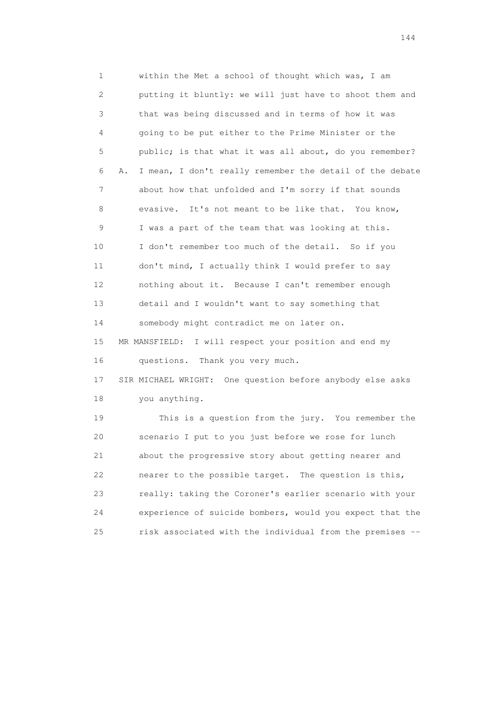1 within the Met a school of thought which was, I am 2 putting it bluntly: we will just have to shoot them and 3 that was being discussed and in terms of how it was 4 going to be put either to the Prime Minister or the 5 public; is that what it was all about, do you remember? 6 A. I mean, I don't really remember the detail of the debate 7 about how that unfolded and I'm sorry if that sounds 8 evasive. It's not meant to be like that. You know, 9 I was a part of the team that was looking at this. 10 I don't remember too much of the detail. So if you 11 don't mind, I actually think I would prefer to say 12 nothing about it. Because I can't remember enough 13 detail and I wouldn't want to say something that 14 somebody might contradict me on later on. 15 MR MANSFIELD: I will respect your position and end my 16 questions. Thank you very much. 17 SIR MICHAEL WRIGHT: One question before anybody else asks 18 you anything. 19 This is a question from the jury. You remember the 20 scenario I put to you just before we rose for lunch 21 about the progressive story about getting nearer and 22 nearer to the possible target. The question is this, 23 really: taking the Coroner's earlier scenario with your 24 experience of suicide bombers, would you expect that the 25 risk associated with the individual from the premises --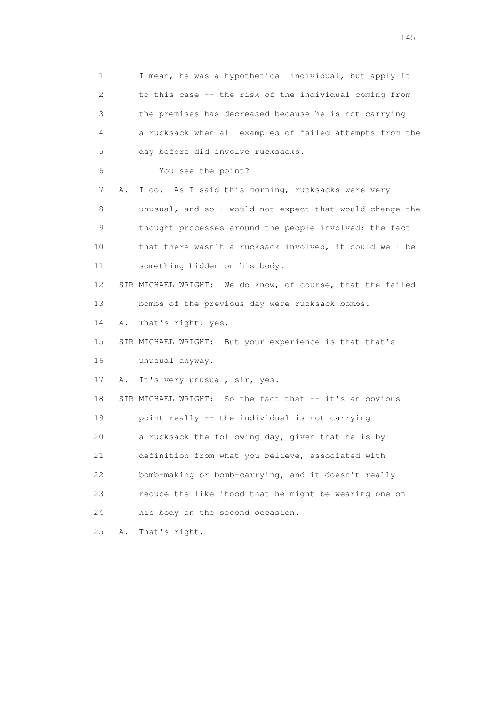1 I mean, he was a hypothetical individual, but apply it 2 to this case -- the risk of the individual coming from 3 the premises has decreased because he is not carrying 4 a rucksack when all examples of failed attempts from the 5 day before did involve rucksacks. 6 You see the point? 7 A. I do. As I said this morning, rucksacks were very 8 unusual, and so I would not expect that would change the 9 thought processes around the people involved; the fact 10 that there wasn't a rucksack involved, it could well be 11 something hidden on his body. 12 SIR MICHAEL WRIGHT: We do know, of course, that the failed 13 bombs of the previous day were rucksack bombs. 14 A. That's right, yes. 15 SIR MICHAEL WRIGHT: But your experience is that that's 16 unusual anyway. 17 A. It's very unusual, sir, yes. 18 SIR MICHAEL WRIGHT: So the fact that -- it's an obvious 19 point really -- the individual is not carrying 20 a rucksack the following day, given that he is by 21 definition from what you believe, associated with 22 bomb-making or bomb-carrying, and it doesn't really 23 reduce the likelihood that he might be wearing one on 24 his body on the second occasion. 25 A. That's right.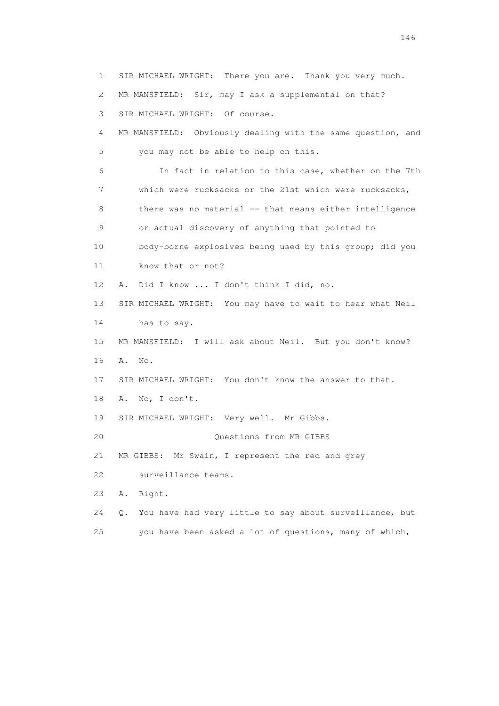1 SIR MICHAEL WRIGHT: There you are. Thank you very much. 2 MR MANSFIELD: Sir, may I ask a supplemental on that? 3 SIR MICHAEL WRIGHT: Of course. 4 MR MANSFIELD: Obviously dealing with the same question, and 5 you may not be able to help on this. 6 In fact in relation to this case, whether on the 7th 7 which were rucksacks or the 21st which were rucksacks, 8 there was no material -- that means either intelligence 9 or actual discovery of anything that pointed to 10 body-borne explosives being used by this group; did you 11 know that or not? 12 A. Did I know ... I don't think I did, no. 13 SIR MICHAEL WRIGHT: You may have to wait to hear what Neil 14 has to say. 15 MR MANSFIELD: I will ask about Neil. But you don't know? 16 A. No. 17 SIR MICHAEL WRIGHT: You don't know the answer to that. 18 A. No, I don't. 19 SIR MICHAEL WRIGHT: Very well. Mr Gibbs. 20 Questions from MR GIBBS 21 MR GIBBS: Mr Swain, I represent the red and grey 22 surveillance teams. 23 A. Right. 24 Q. You have had very little to say about surveillance, but 25 you have been asked a lot of questions, many of which,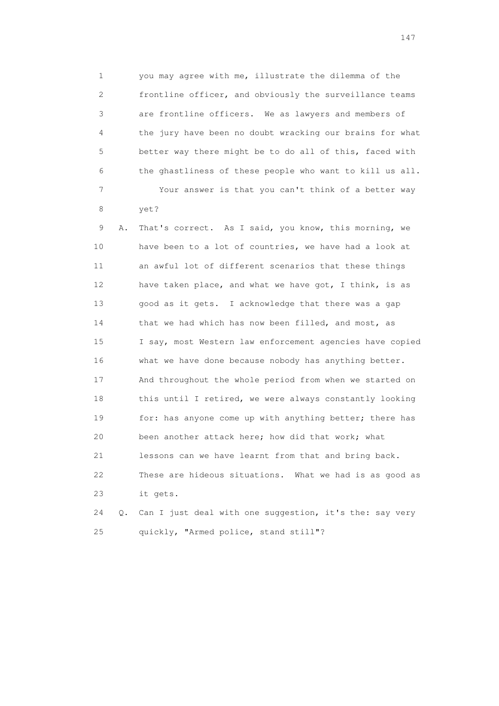1 you may agree with me, illustrate the dilemma of the 2 frontline officer, and obviously the surveillance teams 3 are frontline officers. We as lawyers and members of 4 the jury have been no doubt wracking our brains for what 5 better way there might be to do all of this, faced with 6 the ghastliness of these people who want to kill us all. 7 Your answer is that you can't think of a better way 8 yet?

 9 A. That's correct. As I said, you know, this morning, we 10 have been to a lot of countries, we have had a look at 11 an awful lot of different scenarios that these things 12 have taken place, and what we have got, I think, is as 13 good as it gets. I acknowledge that there was a gap 14 that we had which has now been filled, and most, as 15 I say, most Western law enforcement agencies have copied 16 what we have done because nobody has anything better. 17 And throughout the whole period from when we started on 18 this until I retired, we were always constantly looking 19 for: has anyone come up with anything better; there has 20 been another attack here; how did that work; what 21 lessons can we have learnt from that and bring back. 22 These are hideous situations. What we had is as good as 23 it gets.

 24 Q. Can I just deal with one suggestion, it's the: say very 25 quickly, "Armed police, stand still"?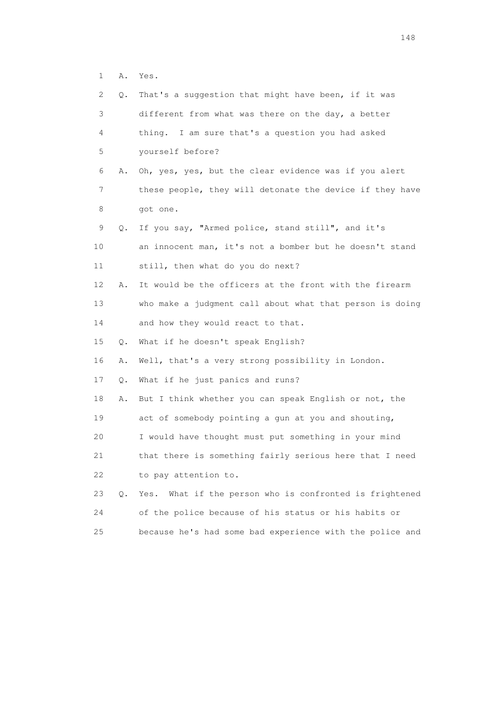1 A. Yes.

| 2  | Q. | That's a suggestion that might have been, if it was        |
|----|----|------------------------------------------------------------|
| 3  |    | different from what was there on the day, a better         |
| 4  |    | thing. I am sure that's a question you had asked           |
| 5  |    | yourself before?                                           |
| 6  | Α. | Oh, yes, yes, but the clear evidence was if you alert      |
| 7  |    | these people, they will detonate the device if they have   |
| 8  |    | got one.                                                   |
| 9  | Q. | If you say, "Armed police, stand still", and it's          |
| 10 |    | an innocent man, it's not a bomber but he doesn't stand    |
| 11 |    | still, then what do you do next?                           |
| 12 | Α. | It would be the officers at the front with the firearm     |
| 13 |    | who make a judgment call about what that person is doing   |
| 14 |    | and how they would react to that.                          |
| 15 | Q. | What if he doesn't speak English?                          |
| 16 | Α. | Well, that's a very strong possibility in London.          |
| 17 | Q. | What if he just panics and runs?                           |
| 18 | Α. | But I think whether you can speak English or not, the      |
| 19 |    | act of somebody pointing a gun at you and shouting,        |
| 20 |    | I would have thought must put something in your mind       |
| 21 |    | that there is something fairly serious here that I need    |
| 22 |    | to pay attention to.                                       |
| 23 | О. | What if the person who is confronted is frightened<br>Yes. |
| 24 |    | of the police because of his status or his habits or       |
| 25 |    | because he's had some bad experience with the police and   |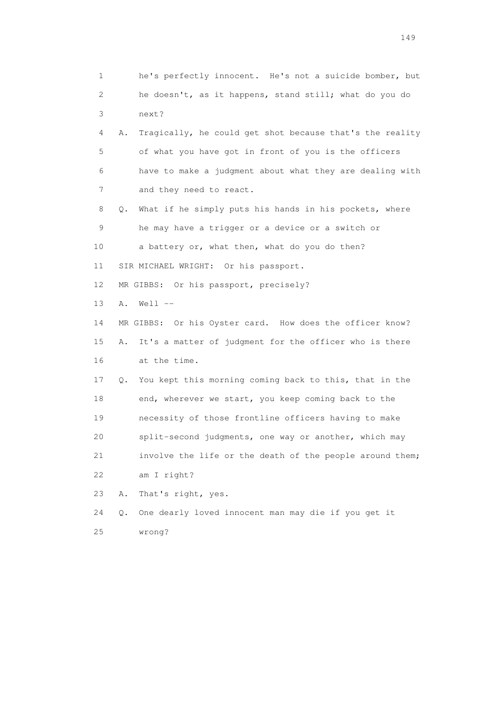1 he's perfectly innocent. He's not a suicide bomber, but 2 he doesn't, as it happens, stand still; what do you do 3 next? 4 A. Tragically, he could get shot because that's the reality 5 of what you have got in front of you is the officers 6 have to make a judgment about what they are dealing with 7 and they need to react. 8 Q. What if he simply puts his hands in his pockets, where 9 he may have a trigger or a device or a switch or 10 a battery or, what then, what do you do then? 11 SIR MICHAEL WRIGHT: Or his passport. 12 MR GIBBS: Or his passport, precisely? 13 A. Well -- 14 MR GIBBS: Or his Oyster card. How does the officer know? 15 A. It's a matter of judgment for the officer who is there 16 at the time. 17 Q. You kept this morning coming back to this, that in the 18 end, wherever we start, you keep coming back to the 19 necessity of those frontline officers having to make 20 split-second judgments, one way or another, which may 21 involve the life or the death of the people around them; 22 am I right? 23 A. That's right, yes. 24 Q. One dearly loved innocent man may die if you get it 25 wrong?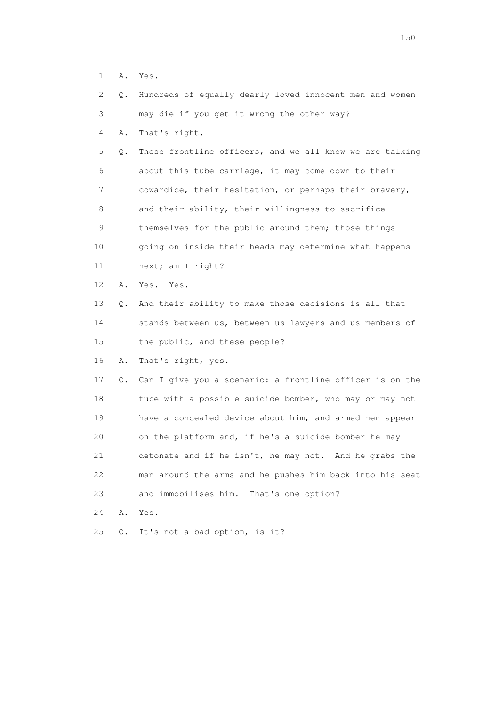1 A. Yes.

|  | 2 Q. Hundreds of equally dearly loved innocent men and women |  |  |  |  |
|--|--------------------------------------------------------------|--|--|--|--|
|  |                                                              |  |  |  |  |

3 may die if you get it wrong the other way?

4 A. That's right.

 5 Q. Those frontline officers, and we all know we are talking 6 about this tube carriage, it may come down to their 7 cowardice, their hesitation, or perhaps their bravery, 8 and their ability, their willingness to sacrifice 9 themselves for the public around them; those things 10 going on inside their heads may determine what happens 11 next; am I right?

12 A. Yes. Yes.

 13 Q. And their ability to make those decisions is all that 14 stands between us, between us lawyers and us members of 15 the public, and these people?

16 A. That's right, yes.

 17 Q. Can I give you a scenario: a frontline officer is on the 18 tube with a possible suicide bomber, who may or may not 19 have a concealed device about him, and armed men appear 20 on the platform and, if he's a suicide bomber he may 21 detonate and if he isn't, he may not. And he grabs the 22 man around the arms and he pushes him back into his seat 23 and immobilises him. That's one option?

24 A. Yes.

25 Q. It's not a bad option, is it?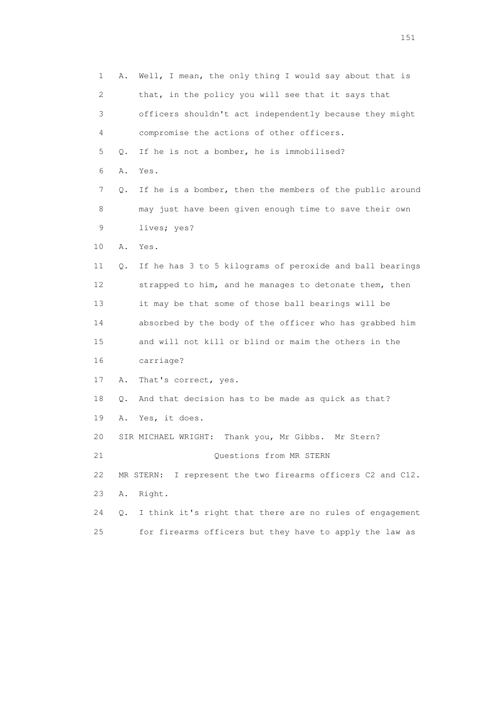1 A. Well, I mean, the only thing I would say about that is 2 that, in the policy you will see that it says that 3 officers shouldn't act independently because they might 4 compromise the actions of other officers. 5 Q. If he is not a bomber, he is immobilised? 6 A. Yes. 7 Q. If he is a bomber, then the members of the public around 8 may just have been given enough time to save their own 9 lives; yes? 10 A. Yes. 11 Q. If he has 3 to 5 kilograms of peroxide and ball bearings 12 strapped to him, and he manages to detonate them, then 13 it may be that some of those ball bearings will be 14 absorbed by the body of the officer who has grabbed him 15 and will not kill or blind or maim the others in the 16 carriage? 17 A. That's correct, yes. 18 Q. And that decision has to be made as quick as that? 19 A. Yes, it does. 20 SIR MICHAEL WRIGHT: Thank you, Mr Gibbs. Mr Stern? 21 Questions from MR STERN 22 MR STERN: I represent the two firearms officers C2 and C12. 23 A. Right. 24 Q. I think it's right that there are no rules of engagement 25 for firearms officers but they have to apply the law as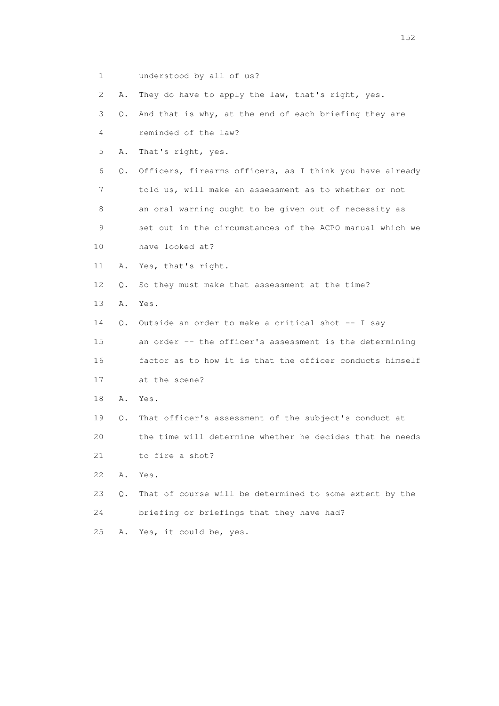1 understood by all of us?

2 A. They do have to apply the law, that's right, yes.

3 Q. And that is why, at the end of each briefing they are

4 reminded of the law?

5 A. That's right, yes.

 6 Q. Officers, firearms officers, as I think you have already 7 told us, will make an assessment as to whether or not 8 an oral warning ought to be given out of necessity as 9 set out in the circumstances of the ACPO manual which we

10 have looked at?

11 A. Yes, that's right.

12 Q. So they must make that assessment at the time?

13 A. Yes.

14 Q. Outside an order to make a critical shot -- I say

 15 an order -- the officer's assessment is the determining 16 factor as to how it is that the officer conducts himself

17 at the scene?

18 A. Yes.

 19 Q. That officer's assessment of the subject's conduct at 20 the time will determine whether he decides that he needs

21 to fire a shot?

22 A. Yes.

23 Q. That of course will be determined to some extent by the

24 briefing or briefings that they have had?

25 A. Yes, it could be, yes.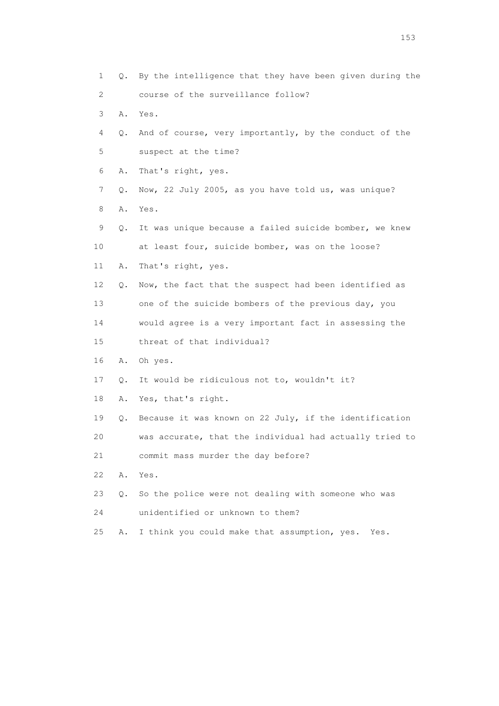1 Q. By the intelligence that they have been given during the 2 course of the surveillance follow? 3 A. Yes. 4 Q. And of course, very importantly, by the conduct of the 5 suspect at the time? 6 A. That's right, yes. 7 Q. Now, 22 July 2005, as you have told us, was unique? 8 A. Yes. 9 Q. It was unique because a failed suicide bomber, we knew 10 at least four, suicide bomber, was on the loose? 11 A. That's right, yes. 12 Q. Now, the fact that the suspect had been identified as 13 one of the suicide bombers of the previous day, you 14 would agree is a very important fact in assessing the 15 threat of that individual? 16 A. Oh yes. 17 Q. It would be ridiculous not to, wouldn't it? 18 A. Yes, that's right. 19 Q. Because it was known on 22 July, if the identification 20 was accurate, that the individual had actually tried to 21 commit mass murder the day before? 22 A. Yes. 23 Q. So the police were not dealing with someone who was 24 unidentified or unknown to them? 25 A. I think you could make that assumption, yes. Yes.

n 153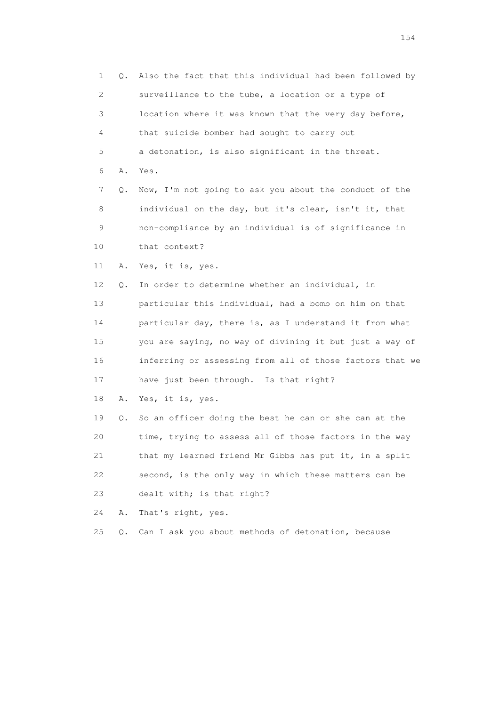1 Q. Also the fact that this individual had been followed by 2 surveillance to the tube, a location or a type of 3 location where it was known that the very day before, 4 that suicide bomber had sought to carry out 5 a detonation, is also significant in the threat. 6 A. Yes. 7 Q. Now, I'm not going to ask you about the conduct of the 8 individual on the day, but it's clear, isn't it, that 9 non-compliance by an individual is of significance in 10 that context? 11 A. Yes, it is, yes. 12 Q. In order to determine whether an individual, in 13 particular this individual, had a bomb on him on that 14 particular day, there is, as I understand it from what 15 you are saying, no way of divining it but just a way of 16 inferring or assessing from all of those factors that we 17 have just been through. Is that right? 18 A. Yes, it is, yes. 19 Q. So an officer doing the best he can or she can at the 20 time, trying to assess all of those factors in the way 21 that my learned friend Mr Gibbs has put it, in a split 22 second, is the only way in which these matters can be 23 dealt with; is that right? 24 A. That's right, yes. 25 Q. Can I ask you about methods of detonation, because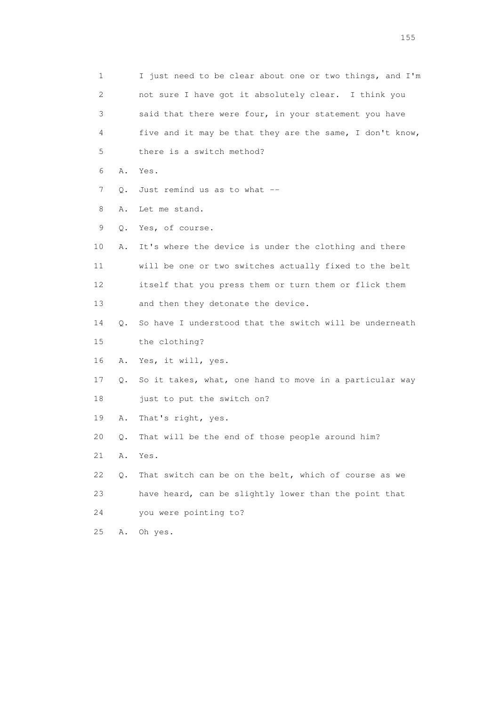1 I just need to be clear about one or two things, and I'm 2 not sure I have got it absolutely clear. I think you 3 said that there were four, in your statement you have 4 five and it may be that they are the same, I don't know, 5 there is a switch method? 6 A. Yes. 7 0. Just remind us as to what -- 8 A. Let me stand. 9 Q. Yes, of course. 10 A. It's where the device is under the clothing and there 11 will be one or two switches actually fixed to the belt 12 itself that you press them or turn them or flick them 13 and then they detonate the device. 14 Q. So have I understood that the switch will be underneath 15 the clothing? 16 A. Yes, it will, yes. 17 Q. So it takes, what, one hand to move in a particular way 18 just to put the switch on? 19 A. That's right, yes. 20 Q. That will be the end of those people around him? 21 A. Yes. 22 Q. That switch can be on the belt, which of course as we 23 have heard, can be slightly lower than the point that 24 you were pointing to? 25 A. Oh yes.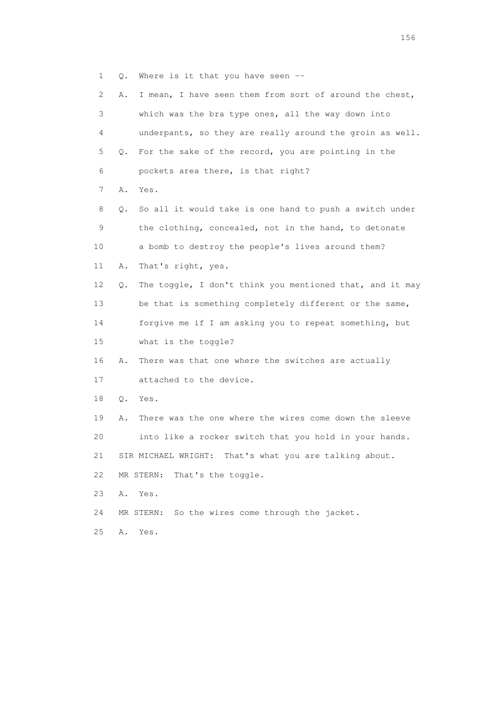1 Q. Where is it that you have seen --

| $\mathbf{2}^{\mathsf{I}}$ | Α. | I mean, I have seen them from sort of around the chest,   |
|---------------------------|----|-----------------------------------------------------------|
| 3                         |    | which was the bra type ones, all the way down into        |
| 4                         |    | underpants, so they are really around the groin as well.  |
| 5                         | Q. | For the sake of the record, you are pointing in the       |
| 6                         |    | pockets area there, is that right?                        |
| 7                         | Α. | Yes.                                                      |
| 8                         | Q. | So all it would take is one hand to push a switch under   |
| 9                         |    | the clothing, concealed, not in the hand, to detonate     |
| 10                        |    | a bomb to destroy the people's lives around them?         |
| 11                        | Α. | That's right, yes.                                        |
| 12                        | Q. | The toggle, I don't think you mentioned that, and it may  |
| 13                        |    | be that is something completely different or the same,    |
| 14                        |    | forgive me if I am asking you to repeat something, but    |
| 15                        |    | what is the toggle?                                       |
| 16                        | Α. | There was that one where the switches are actually        |
| 17                        |    | attached to the device.                                   |
| 18                        | Q. | Yes.                                                      |
| 19                        | Α. | There was the one where the wires come down the sleeve    |
| 20                        |    | into like a rocker switch that you hold in your hands.    |
| 21                        |    | SIR MICHAEL WRIGHT:<br>That's what you are talking about. |
| 22                        |    | That's the toggle.<br>MR STERN:                           |
| 23                        | Α. | Yes.                                                      |
| 24                        |    | So the wires come through the jacket.<br>MR STERN:        |
| 25                        | Α. | Yes.                                                      |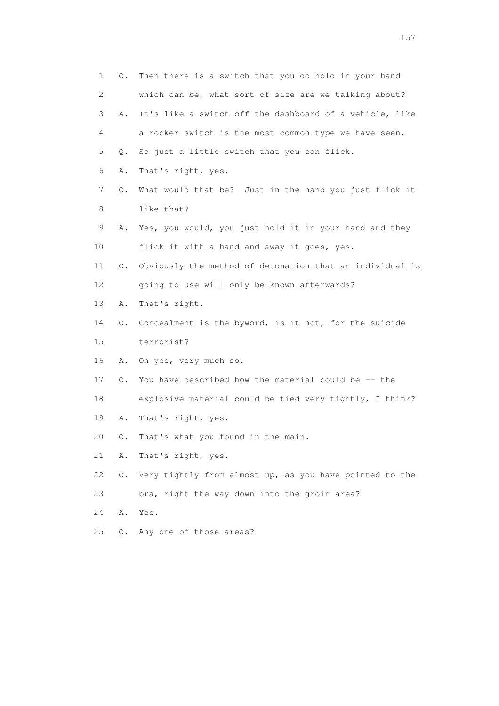1 Q. Then there is a switch that you do hold in your hand 2 which can be, what sort of size are we talking about? 3 A. It's like a switch off the dashboard of a vehicle, like 4 a rocker switch is the most common type we have seen. 5 Q. So just a little switch that you can flick. 6 A. That's right, yes. 7 Q. What would that be? Just in the hand you just flick it 8 like that? 9 A. Yes, you would, you just hold it in your hand and they 10 flick it with a hand and away it goes, yes. 11 Q. Obviously the method of detonation that an individual is 12 going to use will only be known afterwards? 13 A. That's right. 14 Q. Concealment is the byword, is it not, for the suicide 15 terrorist? 16 A. Oh yes, very much so. 17 Q. You have described how the material could be -- the 18 explosive material could be tied very tightly, I think? 19 A. That's right, yes. 20 Q. That's what you found in the main. 21 A. That's right, yes. 22 Q. Very tightly from almost up, as you have pointed to the 23 bra, right the way down into the groin area? 24 A. Yes. 25 Q. Any one of those areas?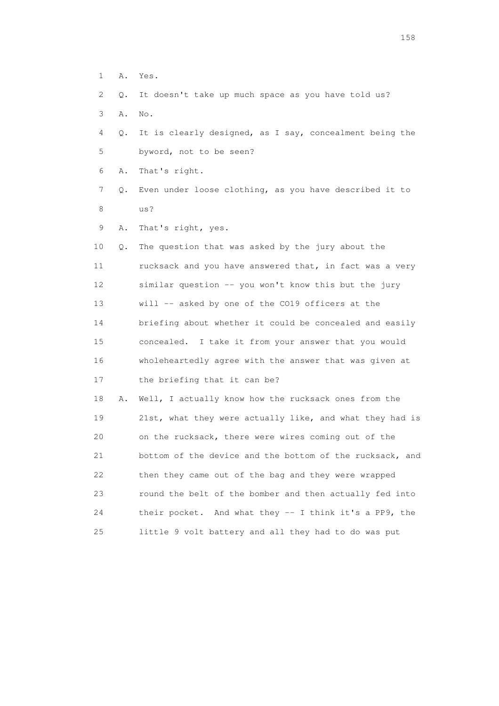- 1 A. Yes.
- 2 Q. It doesn't take up much space as you have told us?
- 3 A. No.
- 4 Q. It is clearly designed, as I say, concealment being the 5 byword, not to be seen?
- 6 A. That's right.
- 7 Q. Even under loose clothing, as you have described it to 8 us?
- 9 A. That's right, yes.

 10 Q. The question that was asked by the jury about the 11 rucksack and you have answered that, in fact was a very 12 similar question -- you won't know this but the jury 13 will -- asked by one of the CO19 officers at the 14 briefing about whether it could be concealed and easily 15 concealed. I take it from your answer that you would 16 wholeheartedly agree with the answer that was given at 17 the briefing that it can be?

 18 A. Well, I actually know how the rucksack ones from the 19 21st, what they were actually like, and what they had is 20 on the rucksack, there were wires coming out of the 21 bottom of the device and the bottom of the rucksack, and 22 then they came out of the bag and they were wrapped 23 round the belt of the bomber and then actually fed into 24 their pocket. And what they -- I think it's a PP9, the 25 little 9 volt battery and all they had to do was put

158 and 158 and 158 and 158 and 158 and 158 and 158 and 158 and 158 and 158 and 158 and 158 and 158 and 158 and 158 and 158 and 158 and 158 and 158 and 158 and 159 and 159 and 159 and 159 and 159 and 159 and 159 and 159 an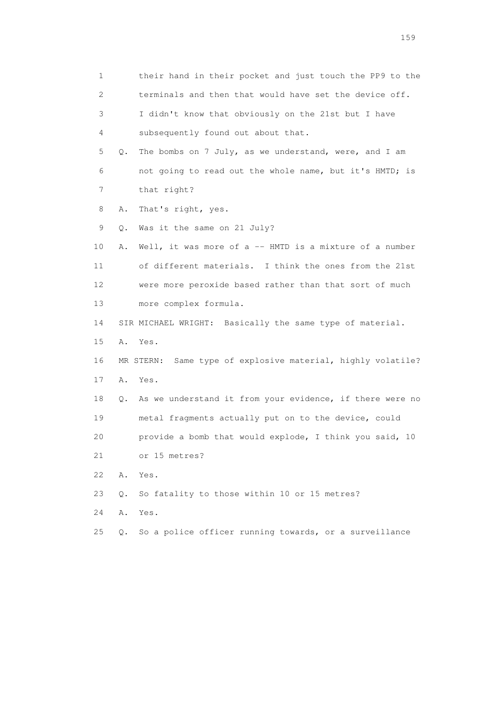1 their hand in their pocket and just touch the PP9 to the 2 terminals and then that would have set the device off. 3 I didn't know that obviously on the 21st but I have 4 subsequently found out about that. 5 Q. The bombs on 7 July, as we understand, were, and I am 6 not going to read out the whole name, but it's HMTD; is 7 that right? 8 A. That's right, yes. 9 Q. Was it the same on 21 July? 10 A. Well, it was more of a -- HMTD is a mixture of a number 11 of different materials. I think the ones from the 21st 12 were more peroxide based rather than that sort of much 13 more complex formula. 14 SIR MICHAEL WRIGHT: Basically the same type of material. 15 A. Yes. 16 MR STERN: Same type of explosive material, highly volatile? 17 A. Yes. 18 Q. As we understand it from your evidence, if there were no 19 metal fragments actually put on to the device, could 20 provide a bomb that would explode, I think you said, 10 21 or 15 metres? 22 A. Yes. 23 Q. So fatality to those within 10 or 15 metres? 24 A. Yes. 25 Q. So a police officer running towards, or a surveillance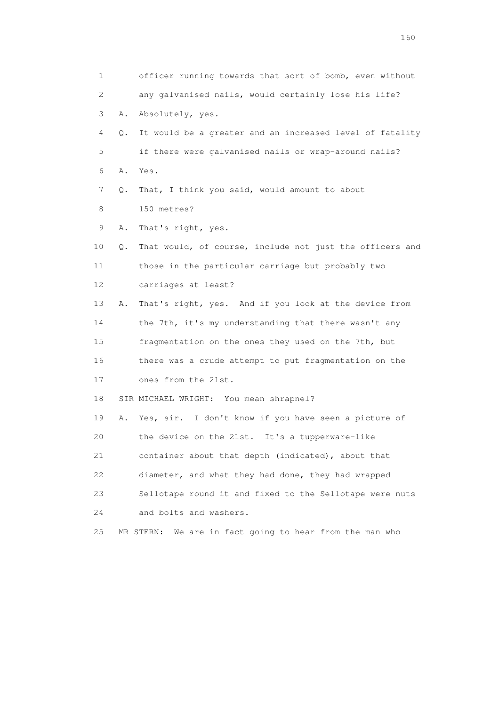| 1  |    | officer running towards that sort of bomb, even without    |
|----|----|------------------------------------------------------------|
| 2  |    | any galvanised nails, would certainly lose his life?       |
| 3  | Α. | Absolutely, yes.                                           |
| 4  | Q. | It would be a greater and an increased level of fatality   |
| 5  |    | if there were galvanised nails or wrap-around nails?       |
| 6  | Α. | Yes.                                                       |
| 7  | Q. | That, I think you said, would amount to about              |
| 8  |    | 150 metres?                                                |
| 9  | Α. | That's right, yes.                                         |
| 10 | Q. | That would, of course, include not just the officers and   |
| 11 |    | those in the particular carriage but probably two          |
| 12 |    | carriages at least?                                        |
| 13 | Α. | That's right, yes. And if you look at the device from      |
| 14 |    | the 7th, it's my understanding that there wasn't any       |
| 15 |    | fragmentation on the ones they used on the 7th, but        |
| 16 |    | there was a crude attempt to put fragmentation on the      |
| 17 |    | ones from the 21st.                                        |
| 18 |    | SIR MICHAEL WRIGHT: You mean shrapnel?                     |
| 19 | Α. | Yes, sir. I don't know if you have seen a picture of       |
| 20 |    | the device on the 21st. It's a tupperware-like             |
| 21 |    | container about that depth (indicated), about that         |
| 22 |    | diameter, and what they had done, they had wrapped         |
| 23 |    | Sellotape round it and fixed to the Sellotape were nuts    |
| 24 |    | and bolts and washers.                                     |
| 25 |    | We are in fact going to hear from the man who<br>MR STERN: |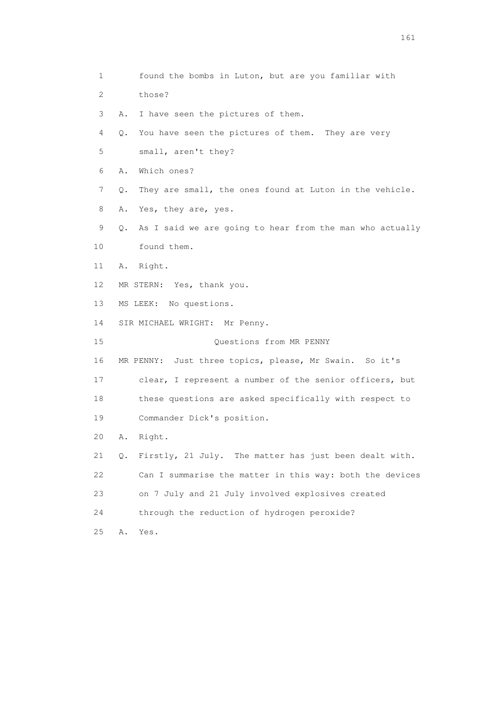1 found the bombs in Luton, but are you familiar with 2 those? 3 A. I have seen the pictures of them. 4 Q. You have seen the pictures of them. They are very 5 small, aren't they? 6 A. Which ones? 7 Q. They are small, the ones found at Luton in the vehicle. 8 A. Yes, they are, yes. 9 Q. As I said we are going to hear from the man who actually 10 found them. 11 A. Right. 12 MR STERN: Yes, thank you. 13 MS LEEK: No questions. 14 SIR MICHAEL WRIGHT: Mr Penny. 15 Questions from MR PENNY 16 MR PENNY: Just three topics, please, Mr Swain. So it's 17 clear, I represent a number of the senior officers, but 18 these questions are asked specifically with respect to 19 Commander Dick's position. 20 A. Right. 21 Q. Firstly, 21 July. The matter has just been dealt with. 22 Can I summarise the matter in this way: both the devices 23 on 7 July and 21 July involved explosives created 24 through the reduction of hydrogen peroxide? 25 A. Yes.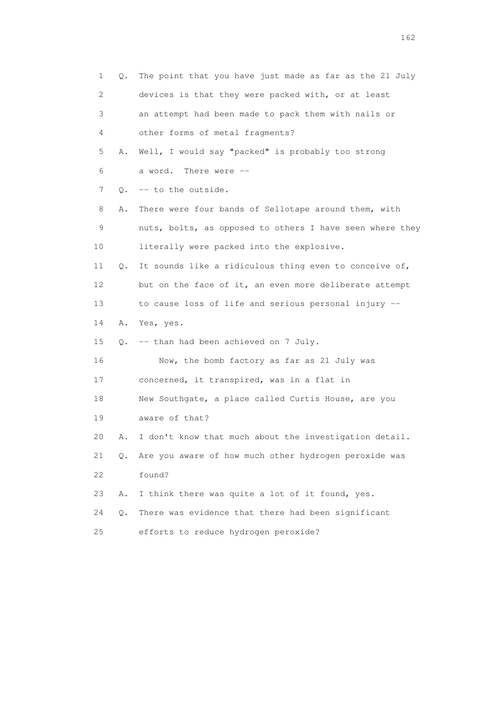| 1  | Q. | The point that you have just made as far as the 21 July  |
|----|----|----------------------------------------------------------|
| 2  |    | devices is that they were packed with, or at least       |
| 3  |    | an attempt had been made to pack them with nails or      |
| 4  |    | other forms of metal fragments?                          |
| 5  | Α. | Well, I would say "packed" is probably too strong        |
| 6  |    | a word.<br>There were --                                 |
| 7  | Q. | -- to the outside.                                       |
| 8  | Α. | There were four bands of Sellotape around them, with     |
| 9  |    | nuts, bolts, as opposed to others I have seen where they |
| 10 |    | literally were packed into the explosive.                |
| 11 | Q. | It sounds like a ridiculous thing even to conceive of,   |
| 12 |    | but on the face of it, an even more deliberate attempt   |
| 13 |    | to cause loss of life and serious personal injury --     |
| 14 | Α. | Yes, yes.                                                |
| 15 | О. | -- than had been achieved on 7 July.                     |
| 16 |    | Now, the bomb factory as far as 21 July was              |
| 17 |    | concerned, it transpired, was in a flat in               |
| 18 |    | New Southgate, a place called Curtis House, are you      |
| 19 |    | aware of that?                                           |
| 20 | Α. | I don't know that much about the investigation detail.   |
| 21 | Q. | Are you aware of how much other hydrogen peroxide was    |
| 22 |    | found?                                                   |
| 23 | Α. | I think there was quite a lot of it found, yes.          |
| 24 | О. | There was evidence that there had been significant       |
| 25 |    | efforts to reduce hydrogen peroxide?                     |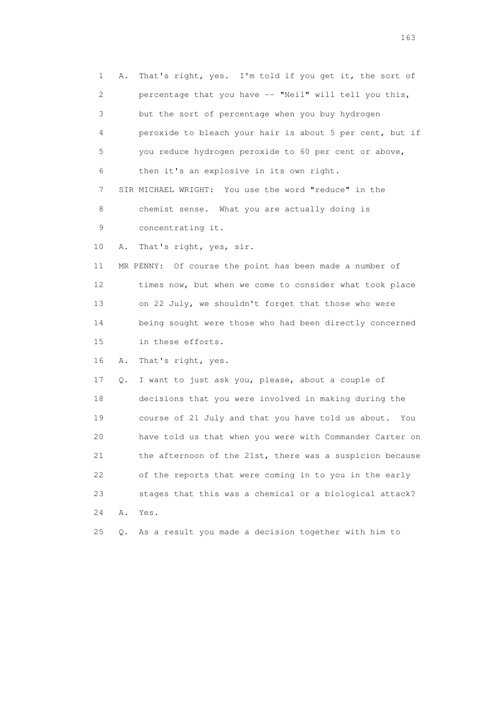1 A. That's right, yes. I'm told if you get it, the sort of 2 percentage that you have -- "Neil" will tell you this, 3 but the sort of percentage when you buy hydrogen 4 peroxide to bleach your hair is about 5 per cent, but if 5 you reduce hydrogen peroxide to 60 per cent or above, 6 then it's an explosive in its own right. 7 SIR MICHAEL WRIGHT: You use the word "reduce" in the 8 chemist sense. What you are actually doing is 9 concentrating it. 10 A. That's right, yes, sir. 11 MR PENNY: Of course the point has been made a number of 12 times now, but when we come to consider what took place 13 on 22 July, we shouldn't forget that those who were 14 being sought were those who had been directly concerned 15 in these efforts. 16 A. That's right, yes. 17 Q. I want to just ask you, please, about a couple of 18 decisions that you were involved in making during the 19 course of 21 July and that you have told us about. You 20 have told us that when you were with Commander Carter on 21 the afternoon of the 21st, there was a suspicion because 22 of the reports that were coming in to you in the early 23 stages that this was a chemical or a biological attack? 24 A. Yes. 25 Q. As a result you made a decision together with him to

<u>163</u>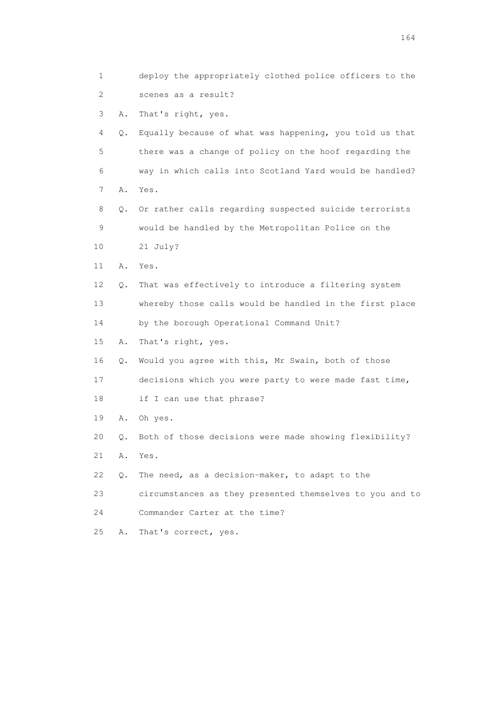| 1              |       | deploy the appropriately clothed police officers to the  |
|----------------|-------|----------------------------------------------------------|
| $\overline{c}$ |       | scenes as a result?                                      |
| 3              | Α.    | That's right, yes.                                       |
| 4              | Q.    | Equally because of what was happening, you told us that  |
| 5              |       | there was a change of policy on the hoof regarding the   |
| 6              |       | way in which calls into Scotland Yard would be handled?  |
| 7              | Α.    | Yes.                                                     |
| 8              | Q.    | Or rather calls regarding suspected suicide terrorists   |
| 9              |       | would be handled by the Metropolitan Police on the       |
| 10             |       | 21 July?                                                 |
| 11             | Α.    | Yes.                                                     |
| 12             | Q.    | That was effectively to introduce a filtering system     |
| 13             |       | whereby those calls would be handled in the first place  |
| 14             |       | by the borough Operational Command Unit?                 |
| 15             | Α.    | That's right, yes.                                       |
| 16             | Q.    | Would you agree with this, Mr Swain, both of those       |
| 17             |       | decisions which you were party to were made fast time,   |
| 18             |       | if I can use that phrase?                                |
| 19             | Α.    | Oh yes.                                                  |
| 20             | Q.    | Both of those decisions were made showing flexibility?   |
| 21             | Α.    | Yes.                                                     |
| 22             | $Q$ . | The need, as a decision-maker, to adapt to the           |
| 23             |       | circumstances as they presented themselves to you and to |
| 24             |       | Commander Carter at the time?                            |
| 25             | Α.    | That's correct, yes.                                     |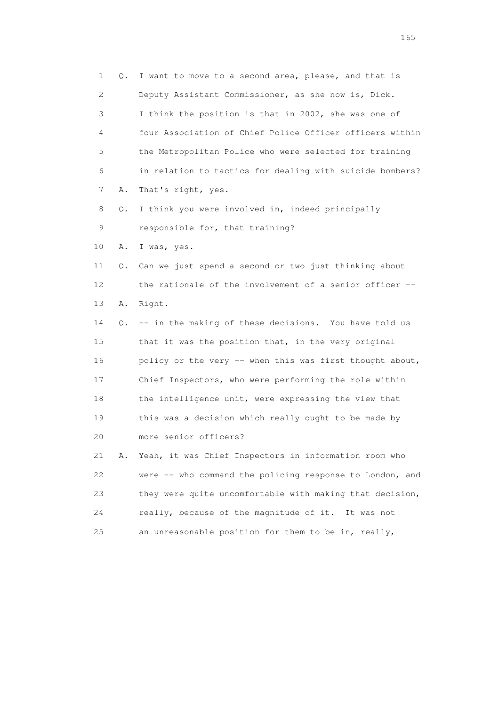1 Q. I want to move to a second area, please, and that is 2 Deputy Assistant Commissioner, as she now is, Dick. 3 I think the position is that in 2002, she was one of 4 four Association of Chief Police Officer officers within 5 the Metropolitan Police who were selected for training 6 in relation to tactics for dealing with suicide bombers? 7 A. That's right, yes. 8 Q. I think you were involved in, indeed principally 9 responsible for, that training? 10 A. I was, yes. 11 Q. Can we just spend a second or two just thinking about 12 the rationale of the involvement of a senior officer -- 13 A. Right. 14 Q. -- in the making of these decisions. You have told us 15 that it was the position that, in the very original 16 policy or the very -- when this was first thought about, 17 Chief Inspectors, who were performing the role within 18 the intelligence unit, were expressing the view that 19 this was a decision which really ought to be made by 20 more senior officers? 21 A. Yeah, it was Chief Inspectors in information room who 22 were -- who command the policing response to London, and 23 they were quite uncomfortable with making that decision, 24 really, because of the magnitude of it. It was not 25 an unreasonable position for them to be in, really,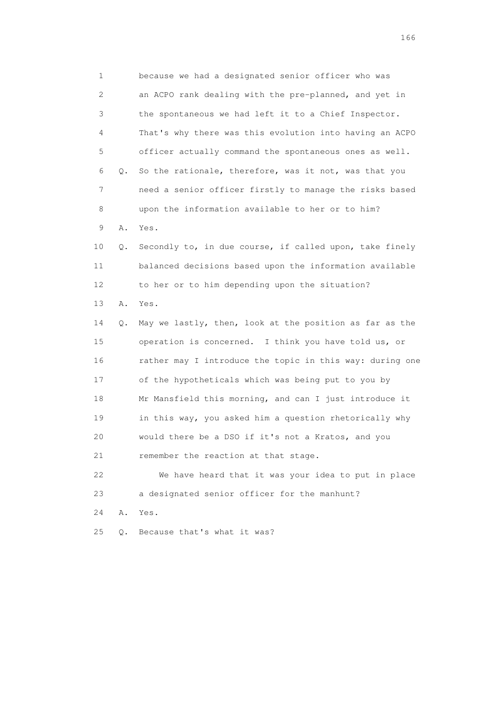1 because we had a designated senior officer who was 2 an ACPO rank dealing with the pre-planned, and yet in 3 the spontaneous we had left it to a Chief Inspector. 4 That's why there was this evolution into having an ACPO 5 officer actually command the spontaneous ones as well. 6 Q. So the rationale, therefore, was it not, was that you 7 need a senior officer firstly to manage the risks based 8 upon the information available to her or to him? 9 A. Yes. 10 Q. Secondly to, in due course, if called upon, take finely 11 balanced decisions based upon the information available 12 to her or to him depending upon the situation? 13 A. Yes. 14 Q. May we lastly, then, look at the position as far as the 15 operation is concerned. I think you have told us, or 16 rather may I introduce the topic in this way: during one 17 of the hypotheticals which was being put to you by 18 Mr Mansfield this morning, and can I just introduce it 19 in this way, you asked him a question rhetorically why 20 would there be a DSO if it's not a Kratos, and you 21 remember the reaction at that stage. 22 We have heard that it was your idea to put in place 23 a designated senior officer for the manhunt? 24 A. Yes. 25 Q. Because that's what it was?

<u>166</u> **166**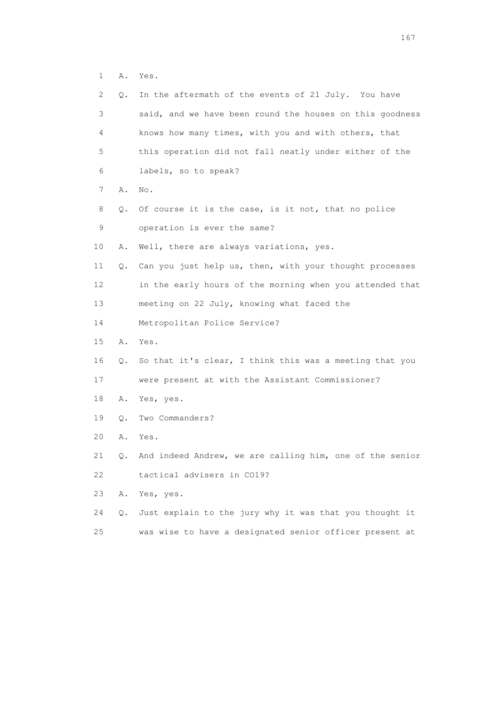1 A. Yes.

| 2. | Q. | In the aftermath of the events of 21 July. You have      |
|----|----|----------------------------------------------------------|
| 3  |    | said, and we have been round the houses on this goodness |
| 4  |    | knows how many times, with you and with others, that     |
| 5  |    | this operation did not fall neatly under either of the   |
| 6  |    | labels, so to speak?                                     |
| 7  | Α. | No.                                                      |
| 8  | Q. | Of course it is the case, is it not, that no police      |
| 9  |    | operation is ever the same?                              |
| 10 | Α. | Well, there are always variations, yes.                  |
| 11 | Q. | Can you just help us, then, with your thought processes  |
| 12 |    | in the early hours of the morning when you attended that |
| 13 |    | meeting on 22 July, knowing what faced the               |
| 14 |    | Metropolitan Police Service?                             |
| 15 | Α. | Yes.                                                     |
| 16 | Q. | So that it's clear, I think this was a meeting that you  |
| 17 |    | were present at with the Assistant Commissioner?         |
| 18 | Α. | Yes, yes.                                                |
| 19 | Q. | Two Commanders?                                          |
| 20 | Α. | Yes.                                                     |
| 21 | Q. | And indeed Andrew, we are calling him, one of the senior |
| 22 |    | tactical advisers in CO19?                               |
| 23 | Α. | Yes, yes.                                                |
| 24 | Q. | Just explain to the jury why it was that you thought it  |
| 25 |    | was wise to have a designated senior officer present at  |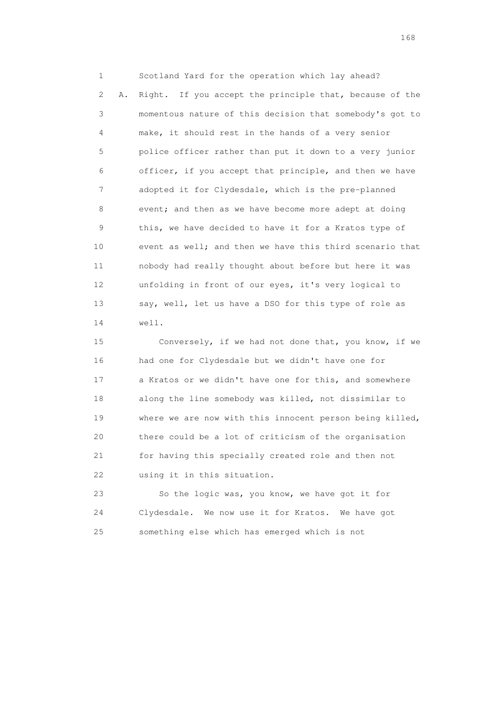1 Scotland Yard for the operation which lay ahead? 2 A. Right. If you accept the principle that, because of the 3 momentous nature of this decision that somebody's got to 4 make, it should rest in the hands of a very senior 5 police officer rather than put it down to a very junior 6 officer, if you accept that principle, and then we have 7 adopted it for Clydesdale, which is the pre-planned 8 event; and then as we have become more adept at doing 9 this, we have decided to have it for a Kratos type of 10 event as well; and then we have this third scenario that 11 nobody had really thought about before but here it was 12 unfolding in front of our eyes, it's very logical to 13 say, well, let us have a DSO for this type of role as 14 well.

 15 Conversely, if we had not done that, you know, if we 16 had one for Clydesdale but we didn't have one for 17 a Kratos or we didn't have one for this, and somewhere 18 along the line somebody was killed, not dissimilar to 19 where we are now with this innocent person being killed, 20 there could be a lot of criticism of the organisation 21 for having this specially created role and then not 22 using it in this situation.

 23 So the logic was, you know, we have got it for 24 Clydesdale. We now use it for Kratos. We have got 25 something else which has emerged which is not

<u>168</u> **168**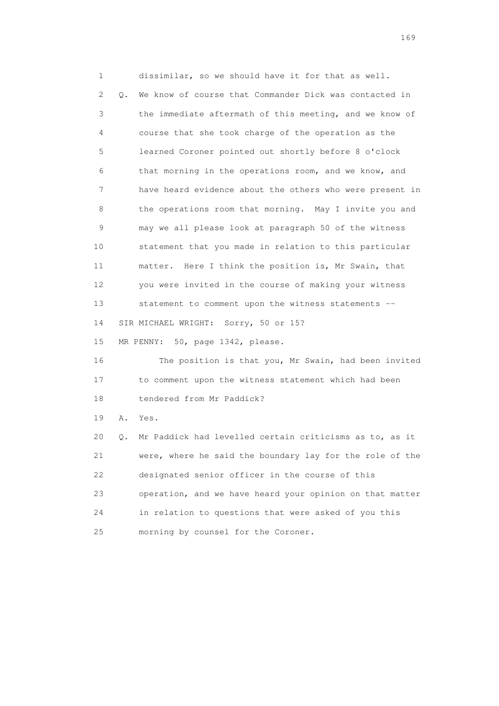1 dissimilar, so we should have it for that as well. 2 Q. We know of course that Commander Dick was contacted in 3 the immediate aftermath of this meeting, and we know of 4 course that she took charge of the operation as the 5 learned Coroner pointed out shortly before 8 o'clock 6 that morning in the operations room, and we know, and 7 have heard evidence about the others who were present in 8 the operations room that morning. May I invite you and 9 may we all please look at paragraph 50 of the witness 10 statement that you made in relation to this particular 11 matter. Here I think the position is, Mr Swain, that 12 you were invited in the course of making your witness 13 statement to comment upon the witness statements -- 14 SIR MICHAEL WRIGHT: Sorry, 50 or 15? 15 MR PENNY: 50, page 1342, please. 16 The position is that you, Mr Swain, had been invited 17 to comment upon the witness statement which had been 18 tendered from Mr Paddick? 19 A. Yes. 20 Q. Mr Paddick had levelled certain criticisms as to, as it 21 were, where he said the boundary lay for the role of the 22 designated senior officer in the course of this 23 operation, and we have heard your opinion on that matter 24 in relation to questions that were asked of you this

25 morning by counsel for the Coroner.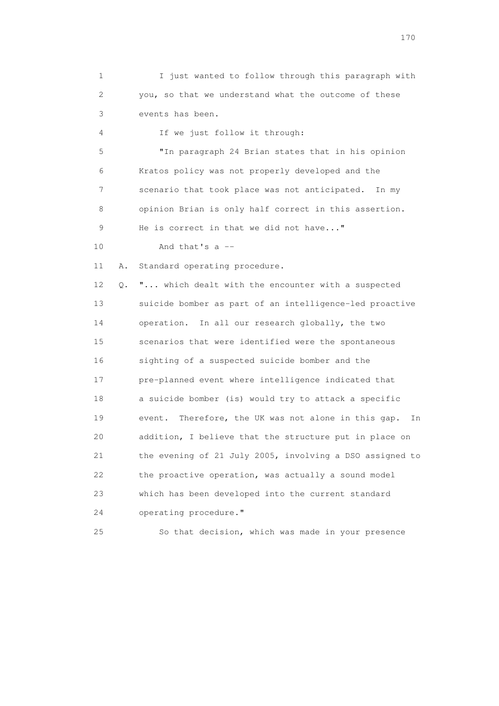1 I just wanted to follow through this paragraph with 2 you, so that we understand what the outcome of these 3 events has been. 4 If we just follow it through: 5 "In paragraph 24 Brian states that in his opinion 6 Kratos policy was not properly developed and the 7 scenario that took place was not anticipated. In my 8 opinion Brian is only half correct in this assertion. 9 He is correct in that we did not have..." 10 And that's a -- 11 A. Standard operating procedure. 12 Q. "... which dealt with the encounter with a suspected 13 suicide bomber as part of an intelligence-led proactive 14 operation. In all our research globally, the two 15 scenarios that were identified were the spontaneous 16 sighting of a suspected suicide bomber and the 17 pre-planned event where intelligence indicated that 18 a suicide bomber (is) would try to attack a specific 19 event. Therefore, the UK was not alone in this gap. In 20 addition, I believe that the structure put in place on 21 the evening of 21 July 2005, involving a DSO assigned to 22 the proactive operation, was actually a sound model 23 which has been developed into the current standard 24 operating procedure."

25 So that decision, which was made in your presence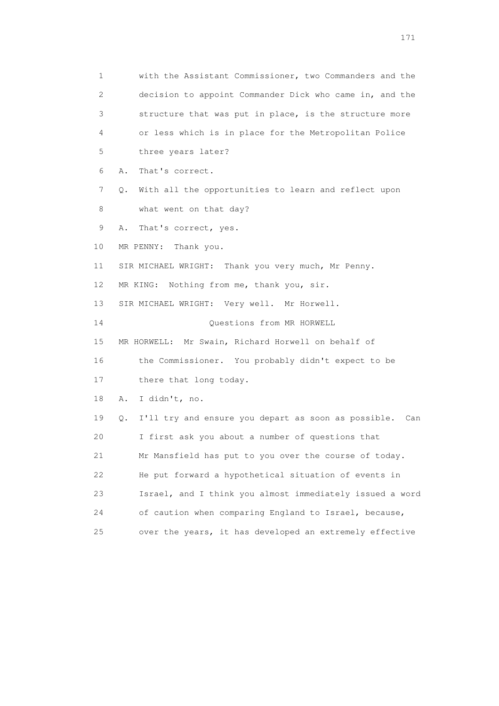1 with the Assistant Commissioner, two Commanders and the 2 decision to appoint Commander Dick who came in, and the 3 structure that was put in place, is the structure more 4 or less which is in place for the Metropolitan Police 5 three years later? 6 A. That's correct. 7 Q. With all the opportunities to learn and reflect upon 8 what went on that day? 9 A. That's correct, yes. 10 MR PENNY: Thank you. 11 SIR MICHAEL WRIGHT: Thank you very much, Mr Penny. 12 MR KING: Nothing from me, thank you, sir. 13 SIR MICHAEL WRIGHT: Very well. Mr Horwell. 14 Questions from MR HORWELL 15 MR HORWELL: Mr Swain, Richard Horwell on behalf of 16 the Commissioner. You probably didn't expect to be 17 there that long today. 18 A. I didn't, no. 19 Q. I'll try and ensure you depart as soon as possible. Can 20 I first ask you about a number of questions that 21 Mr Mansfield has put to you over the course of today. 22 He put forward a hypothetical situation of events in 23 Israel, and I think you almost immediately issued a word 24 of caution when comparing England to Israel, because, 25 over the years, it has developed an extremely effective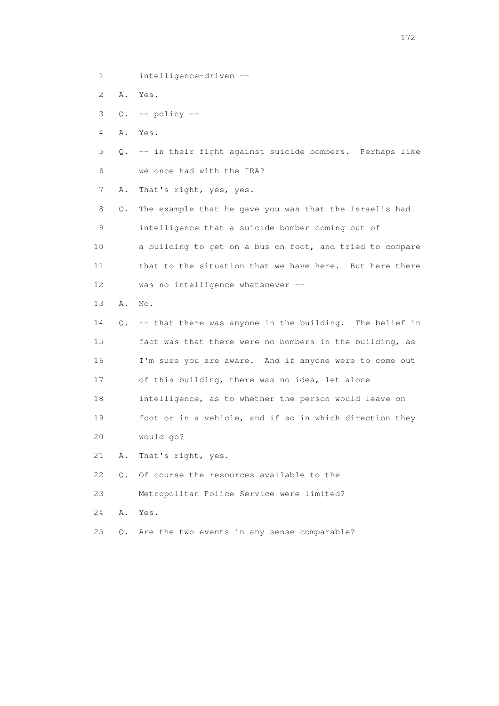1 intelligence-driven --

2 A. Yes.

 $3 \quad Q. \quad -- \text{ policy --}$ 

4 A. Yes.

 5 Q. -- in their fight against suicide bombers. Perhaps like 6 we once had with the IRA?

7 A. That's right, yes, yes.

 8 Q. The example that he gave you was that the Israelis had 9 intelligence that a suicide bomber coming out of 10 a building to get on a bus on foot, and tried to compare 11 that to the situation that we have here. But here there 12 was no intelligence whatsoever --

13 A. No.

 14 Q. -- that there was anyone in the building. The belief in 15 fact was that there were no bombers in the building, as 16 I'm sure you are aware. And if anyone were to come out 17 of this building, there was no idea, let alone 18 intelligence, as to whether the person would leave on 19 foot or in a vehicle, and if so in which direction they 20 would go?

21 A. That's right, yes.

22 Q. Of course the resources available to the

23 Metropolitan Police Service were limited?

24 A. Yes.

25 Q. Are the two events in any sense comparable?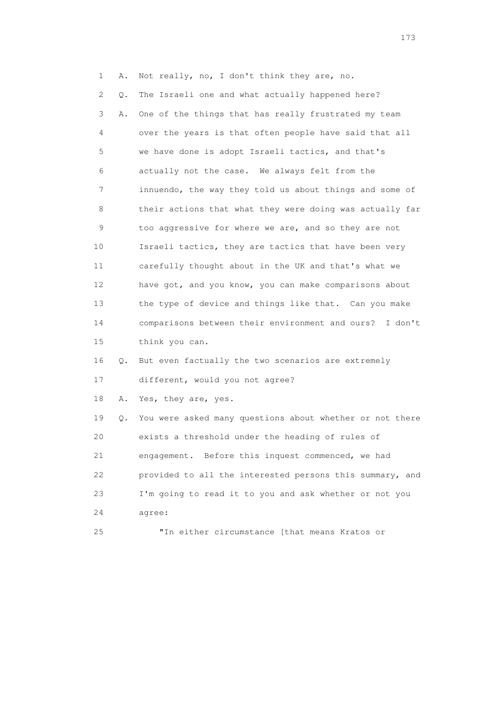| 1  | Α. | Not really, no, I don't think they are, no.              |
|----|----|----------------------------------------------------------|
| 2  | Q. | The Israeli one and what actually happened here?         |
| 3  | Α. | One of the things that has really frustrated my team     |
| 4  |    | over the years is that often people have said that all   |
| 5  |    | we have done is adopt Israeli tactics, and that's        |
| 6  |    | actually not the case. We always felt from the           |
| 7  |    | innuendo, the way they told us about things and some of  |
| 8  |    | their actions that what they were doing was actually far |
| 9  |    | too aggressive for where we are, and so they are not     |
| 10 |    | Israeli tactics, they are tactics that have been very    |
| 11 |    | carefully thought about in the UK and that's what we     |
| 12 |    | have got, and you know, you can make comparisons about   |
| 13 |    | the type of device and things like that. Can you make    |
| 14 |    | comparisons between their environment and ours? I don't  |
| 15 |    | think you can.                                           |
| 16 | Q. | But even factually the two scenarios are extremely       |
| 17 |    | different, would you not agree?                          |
| 18 | Α. | Yes, they are, yes.                                      |
| 19 | Q. | You were asked many questions about whether or not there |
| 20 |    | exists a threshold under the heading of rules of         |
| 21 |    | engagement. Before this inquest commenced, we had        |
| 22 |    | provided to all the interested persons this summary, and |
| 23 |    | I'm going to read it to you and ask whether or not you   |
| 24 |    | agree:                                                   |
| 25 |    | "In either circumstance [that means Kratos or            |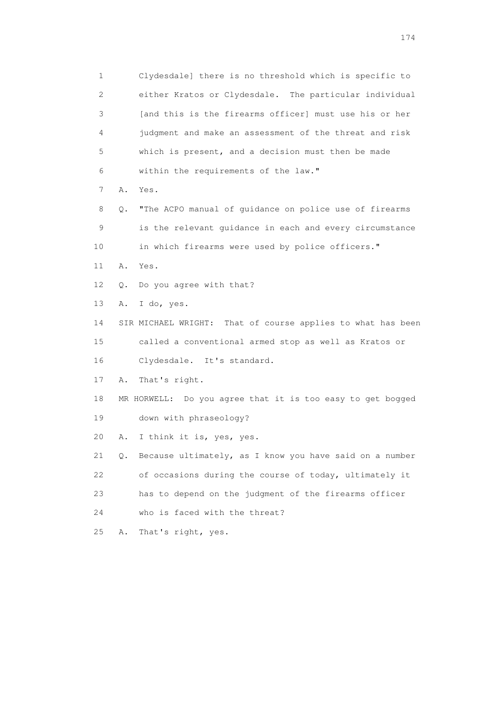1 Clydesdale] there is no threshold which is specific to 2 either Kratos or Clydesdale. The particular individual 3 [and this is the firearms officer] must use his or her 4 judgment and make an assessment of the threat and risk 5 which is present, and a decision must then be made 6 within the requirements of the law." 7 A. Yes. 8 Q. "The ACPO manual of guidance on police use of firearms 9 is the relevant guidance in each and every circumstance 10 in which firearms were used by police officers." 11 A. Yes. 12 Q. Do you agree with that? 13 A. I do, yes. 14 SIR MICHAEL WRIGHT: That of course applies to what has been 15 called a conventional armed stop as well as Kratos or 16 Clydesdale. It's standard. 17 A. That's right. 18 MR HORWELL: Do you agree that it is too easy to get bogged 19 down with phraseology? 20 A. I think it is, yes, yes. 21 Q. Because ultimately, as I know you have said on a number 22 of occasions during the course of today, ultimately it 23 has to depend on the judgment of the firearms officer 24 who is faced with the threat? 25 A. That's right, yes.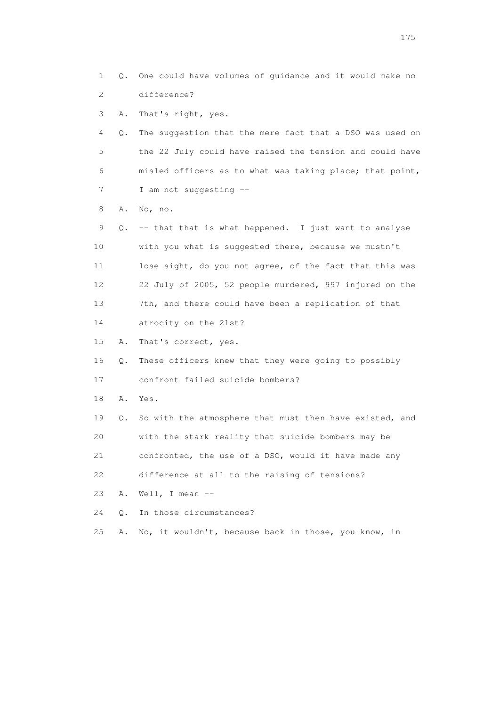1 Q. One could have volumes of guidance and it would make no 2 difference?

3 A. That's right, yes.

 4 Q. The suggestion that the mere fact that a DSO was used on 5 the 22 July could have raised the tension and could have 6 misled officers as to what was taking place; that point, 7 I am not suggesting --

8 A. No, no.

 9 Q. -- that that is what happened. I just want to analyse 10 with you what is suggested there, because we mustn't 11 lose sight, do you not agree, of the fact that this was 12 22 July of 2005, 52 people murdered, 997 injured on the 13 7th, and there could have been a replication of that 14 atrocity on the 21st?

15 A. That's correct, yes.

16 Q. These officers knew that they were going to possibly

17 confront failed suicide bombers?

18 A. Yes.

 19 Q. So with the atmosphere that must then have existed, and 20 with the stark reality that suicide bombers may be 21 confronted, the use of a DSO, would it have made any

22 difference at all to the raising of tensions?

23 A. Well, I mean --

24 O. In those circumstances?

25 A. No, it wouldn't, because back in those, you know, in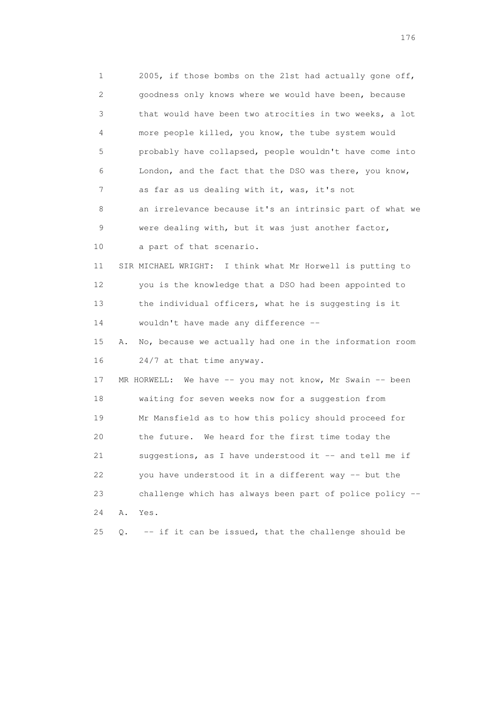1 2005, if those bombs on the 21st had actually gone off, 2 goodness only knows where we would have been, because 3 that would have been two atrocities in two weeks, a lot 4 more people killed, you know, the tube system would 5 probably have collapsed, people wouldn't have come into 6 London, and the fact that the DSO was there, you know, 7 as far as us dealing with it, was, it's not 8 an irrelevance because it's an intrinsic part of what we 9 were dealing with, but it was just another factor, 10 a part of that scenario. 11 SIR MICHAEL WRIGHT: I think what Mr Horwell is putting to 12 you is the knowledge that a DSO had been appointed to 13 the individual officers, what he is suggesting is it 14 wouldn't have made any difference -- 15 A. No, because we actually had one in the information room 16 24/7 at that time anyway. 17 MR HORWELL: We have -- you may not know, Mr Swain -- been 18 waiting for seven weeks now for a suggestion from 19 Mr Mansfield as to how this policy should proceed for 20 the future. We heard for the first time today the 21 suggestions, as I have understood it -- and tell me if 22 you have understood it in a different way -- but the 23 challenge which has always been part of police policy -- 24 A. Yes. 25 Q. -- if it can be issued, that the challenge should be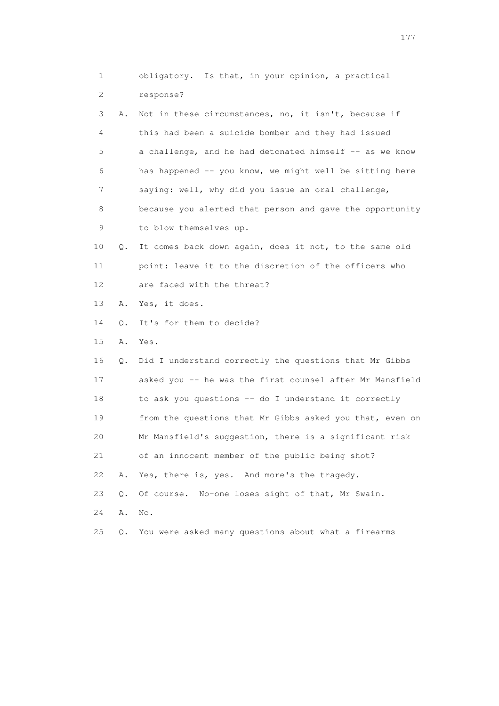|    | 1                         | obligatory. Is that, in your opinion, a practical        |
|----|---------------------------|----------------------------------------------------------|
|    | $\mathbf{2}^{\mathsf{I}}$ | response?                                                |
|    | 3<br>Α.                   | Not in these circumstances, no, it isn't, because if     |
|    | 4                         | this had been a suicide bomber and they had issued       |
|    | 5                         | a challenge, and he had detonated himself -- as we know  |
|    | 6                         | has happened -- you know, we might well be sitting here  |
|    | 7                         | saying: well, why did you issue an oral challenge,       |
|    | 8                         | because you alerted that person and gave the opportunity |
|    | 9                         | to blow themselves up.                                   |
|    | 10<br>Q.                  | It comes back down again, does it not, to the same old   |
|    | 11                        | point: leave it to the discretion of the officers who    |
|    | 12                        | are faced with the threat?                               |
|    | 13<br>Α.                  | Yes, it does.                                            |
|    | 14<br>Q.                  | It's for them to decide?                                 |
|    | 15<br>Α.                  | Yes.                                                     |
|    | 16<br>Q.                  | Did I understand correctly the questions that Mr Gibbs   |
|    | 17                        | asked you -- he was the first counsel after Mr Mansfield |
|    | 18                        | to ask you questions -- do I understand it correctly     |
|    | 19                        | from the questions that Mr Gibbs asked you that, even on |
|    | 20                        | Mr Mansfield's suggestion, there is a significant risk   |
|    | 21                        | of an innocent member of the public being shot?          |
|    | 22<br>Α.                  | Yes, there is, yes. And more's the tragedy.              |
|    | 23<br>Q.                  | Of course. No-one loses sight of that, Mr Swain.         |
|    | 24<br>Α.                  | No.                                                      |
| 25 |                           |                                                          |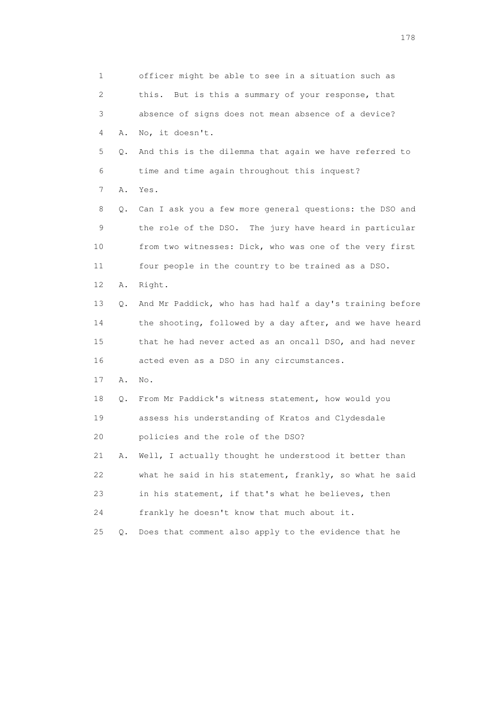1 officer might be able to see in a situation such as 2 this. But is this a summary of your response, that 3 absence of signs does not mean absence of a device? 4 A. No, it doesn't. 5 Q. And this is the dilemma that again we have referred to 6 time and time again throughout this inquest? 7 A. Yes. 8 Q. Can I ask you a few more general questions: the DSO and 9 the role of the DSO. The jury have heard in particular 10 from two witnesses: Dick, who was one of the very first 11 four people in the country to be trained as a DSO. 12 A. Right. 13 Q. And Mr Paddick, who has had half a day's training before 14 the shooting, followed by a day after, and we have heard 15 that he had never acted as an oncall DSO, and had never 16 acted even as a DSO in any circumstances. 17 A. No. 18 Q. From Mr Paddick's witness statement, how would you 19 assess his understanding of Kratos and Clydesdale 20 policies and the role of the DSO? 21 A. Well, I actually thought he understood it better than 22 what he said in his statement, frankly, so what he said 23 in his statement, if that's what he believes, then 24 frankly he doesn't know that much about it. 25 Q. Does that comment also apply to the evidence that he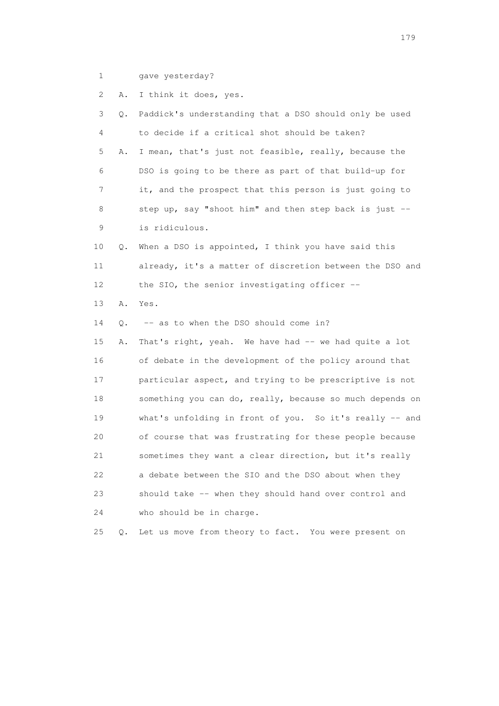1 gave yesterday?

 2 A. I think it does, yes. 3 Q. Paddick's understanding that a DSO should only be used 4 to decide if a critical shot should be taken? 5 A. I mean, that's just not feasible, really, because the 6 DSO is going to be there as part of that build-up for 7 it, and the prospect that this person is just going to 8 step up, say "shoot him" and then step back is just -- 9 is ridiculous. 10 Q. When a DSO is appointed, I think you have said this 11 already, it's a matter of discretion between the DSO and 12 the SIO, the senior investigating officer -- 13 A. Yes. 14 Q. -- as to when the DSO should come in? 15 A. That's right, yeah. We have had -- we had quite a lot 16 of debate in the development of the policy around that 17 particular aspect, and trying to be prescriptive is not 18 something you can do, really, because so much depends on 19 what's unfolding in front of you. So it's really -- and 20 of course that was frustrating for these people because 21 sometimes they want a clear direction, but it's really 22 a debate between the SIO and the DSO about when they 23 should take -- when they should hand over control and 24 who should be in charge. 25 Q. Let us move from theory to fact. You were present on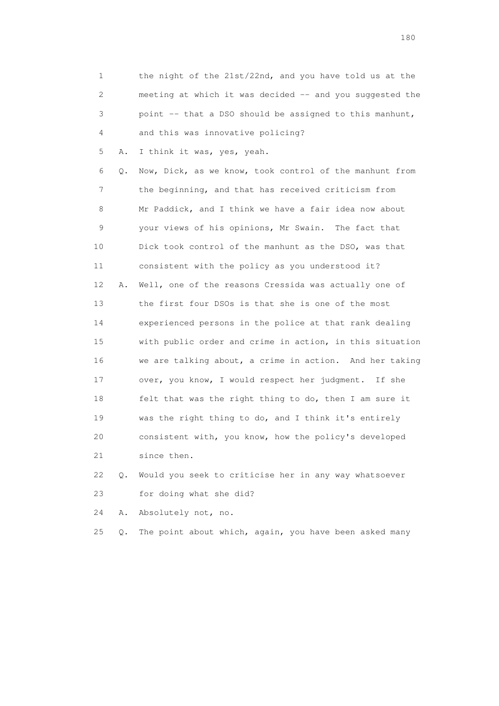| 1              |    | the night of the 21st/22nd, and you have told us at the  |
|----------------|----|----------------------------------------------------------|
| $\overline{c}$ |    | meeting at which it was decided -- and you suggested the |
| 3              |    | point -- that a DSO should be assigned to this manhunt,  |
| 4              |    | and this was innovative policing?                        |
| 5              | Α. | I think it was, yes, yeah.                               |
| 6              | Q. | Now, Dick, as we know, took control of the manhunt from  |
| 7              |    | the beginning, and that has received criticism from      |
| 8              |    | Mr Paddick, and I think we have a fair idea now about    |
| 9              |    | your views of his opinions, Mr Swain. The fact that      |
| 10             |    | Dick took control of the manhunt as the DSO, was that    |
| 11             |    | consistent with the policy as you understood it?         |
| 12             | Α. | Well, one of the reasons Cressida was actually one of    |
| 13             |    | the first four DSOs is that she is one of the most       |
| 14             |    | experienced persons in the police at that rank dealing   |
| 15             |    | with public order and crime in action, in this situation |
| 16             |    | we are talking about, a crime in action. And her taking  |
| 17             |    | over, you know, I would respect her judgment. If she     |
| 18             |    | felt that was the right thing to do, then I am sure it   |
| 19             |    | was the right thing to do, and I think it's entirely     |
| 20             |    | consistent with, you know, how the policy's developed    |
| 21             |    | since then.                                              |
| 22             | О. | Would you seek to criticise her in any way whatsoever    |

23 for doing what she did?

24 A. Absolutely not, no.

25 Q. The point about which, again, you have been asked many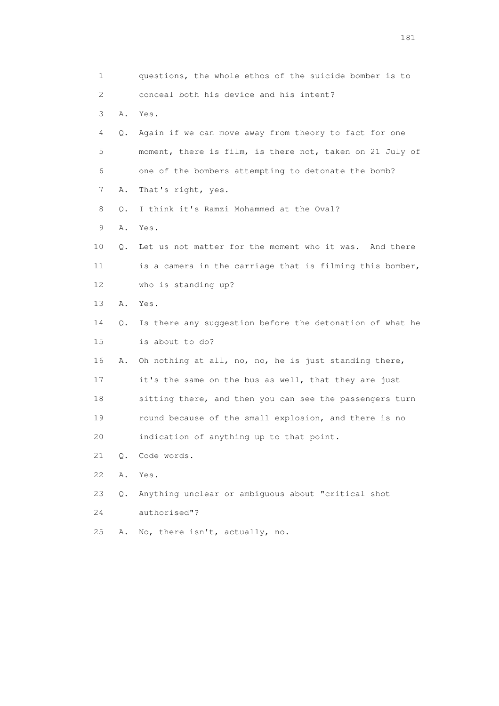| 1  |       | questions, the whole ethos of the suicide bomber is to   |
|----|-------|----------------------------------------------------------|
| 2  |       | conceal both his device and his intent?                  |
| 3  | Α.    | Yes.                                                     |
| 4  | Q.    | Again if we can move away from theory to fact for one    |
| 5  |       | moment, there is film, is there not, taken on 21 July of |
| 6  |       | one of the bombers attempting to detonate the bomb?      |
| 7  | Α.    | That's right, yes.                                       |
| 8  | О.    | I think it's Ramzi Mohammed at the Oval?                 |
| 9  | Α.    | Yes.                                                     |
| 10 | О.    | Let us not matter for the moment who it was. And there   |
| 11 |       | is a camera in the carriage that is filming this bomber, |
| 12 |       | who is standing up?                                      |
| 13 | Α.    | Yes.                                                     |
| 14 | Q.    | Is there any suggestion before the detonation of what he |
| 15 |       | is about to do?                                          |
| 16 | Α.    | Oh nothing at all, no, no, he is just standing there,    |
| 17 |       | it's the same on the bus as well, that they are just     |
| 18 |       | sitting there, and then you can see the passengers turn  |
| 19 |       | round because of the small explosion, and there is no    |
| 20 |       | indication of anything up to that point.                 |
| 21 | О.    | Code words.                                              |
| 22 | Α.    | Yes.                                                     |
| 23 | $Q$ . | Anything unclear or ambiguous about "critical shot       |
| 24 |       | authorised"?                                             |
| 25 | Α.    | No, there isn't, actually, no.                           |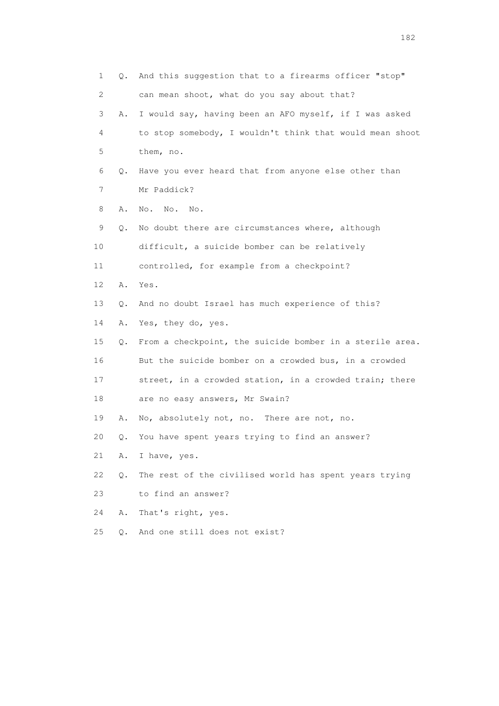1 Q. And this suggestion that to a firearms officer "stop" 2 can mean shoot, what do you say about that? 3 A. I would say, having been an AFO myself, if I was asked 4 to stop somebody, I wouldn't think that would mean shoot 5 them, no. 6 Q. Have you ever heard that from anyone else other than 7 Mr Paddick? 8 A. No. No. No. 9 Q. No doubt there are circumstances where, although 10 difficult, a suicide bomber can be relatively 11 controlled, for example from a checkpoint? 12 A. Yes. 13 Q. And no doubt Israel has much experience of this? 14 A. Yes, they do, yes. 15 Q. From a checkpoint, the suicide bomber in a sterile area. 16 But the suicide bomber on a crowded bus, in a crowded 17 street, in a crowded station, in a crowded train; there 18 are no easy answers, Mr Swain? 19 A. No, absolutely not, no. There are not, no. 20 Q. You have spent years trying to find an answer? 21 A. I have, yes. 22 Q. The rest of the civilised world has spent years trying 23 to find an answer? 24 A. That's right, yes. 25 Q. And one still does not exist?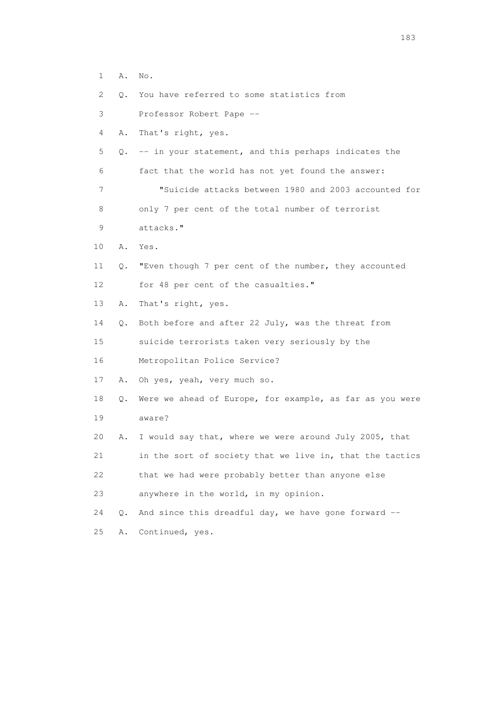| $\mathbf 1$ | Α. | No.                                                      |
|-------------|----|----------------------------------------------------------|
| 2           | Q. | You have referred to some statistics from                |
| 3           |    | Professor Robert Pape --                                 |
| 4           | Α. | That's right, yes.                                       |
| 5           |    | Q. -- in your statement, and this perhaps indicates the  |
| 6           |    | fact that the world has not yet found the answer:        |
| 7           |    | "Suicide attacks between 1980 and 2003 accounted for     |
| 8           |    | only 7 per cent of the total number of terrorist         |
| 9           |    | attacks."                                                |
| 10          | Α. | Yes.                                                     |
| 11          | Q. | "Even though 7 per cent of the number, they accounted    |
| 12          |    | for 48 per cent of the casualties."                      |
| 13          | Α. | That's right, yes.                                       |
| 14          |    | Q. Both before and after 22 July, was the threat from    |
| 15          |    | suicide terrorists taken very seriously by the           |
| 16          |    | Metropolitan Police Service?                             |
| 17          | Α. | Oh yes, yeah, very much so.                              |
| 18          | Q. | Were we ahead of Europe, for example, as far as you were |
| 19          |    | aware?                                                   |
| 20          | Α. | I would say that, where we were around July 2005, that   |
| 21          |    | in the sort of society that we live in, that the tactics |
| 22          |    | that we had were probably better than anyone else        |
| 23          |    | anywhere in the world, in my opinion.                    |
| 24          | Q. | And since this dreadful day, we have gone forward --     |
| 25          | Α. | Continued, yes.                                          |

183 and the contract of the contract of the contract of the contract of the contract of the contract of the contract of the contract of the contract of the contract of the contract of the contract of the contract of the co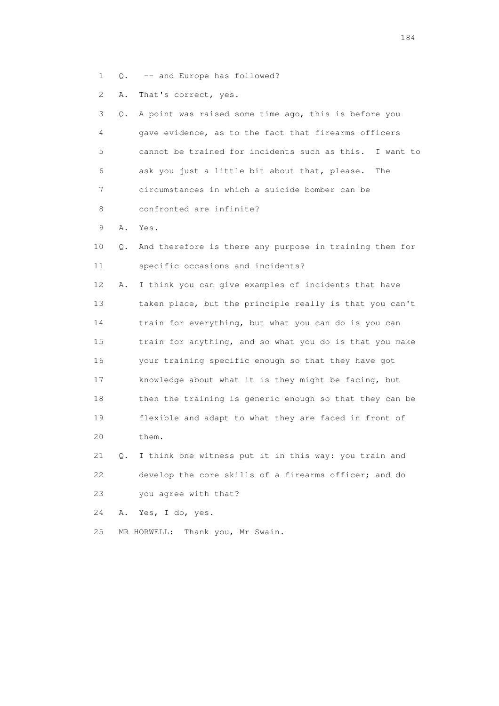- 1 Q. -- and Europe has followed?
- 2 A. That's correct, yes.

| 3  | О. | A point was raised some time ago, this is before you    |
|----|----|---------------------------------------------------------|
| 4  |    | gave evidence, as to the fact that firearms officers    |
| 5  |    | cannot be trained for incidents such as this. I want to |
| 6  |    | ask you just a little bit about that, please.<br>The    |
| 7  |    | circumstances in which a suicide bomber can be          |
| 8  |    | confronted are infinite?                                |
| 9  | Α. | Yes.                                                    |
| 10 | Q. | And therefore is there any purpose in training them for |
| 11 |    | specific occasions and incidents?                       |
| 12 | Α. | I think you can give examples of incidents that have    |
| 13 |    | taken place, but the principle really is that you can't |
| 14 |    | train for everything, but what you can do is you can    |
| 15 |    | train for anything, and so what you do is that you make |
| 16 |    | your training specific enough so that they have got     |
| 17 |    | knowledge about what it is they might be facing, but    |
| 18 |    | then the training is generic enough so that they can be |
| 19 |    | flexible and adapt to what they are faced in front of   |
| 20 |    | them.                                                   |
| 21 | Q. | I think one witness put it in this way: you train and   |
| 22 |    | develop the core skills of a firearms officer; and do   |

23 you agree with that?

- 24 A. Yes, I do, yes.
- 25 MR HORWELL: Thank you, Mr Swain.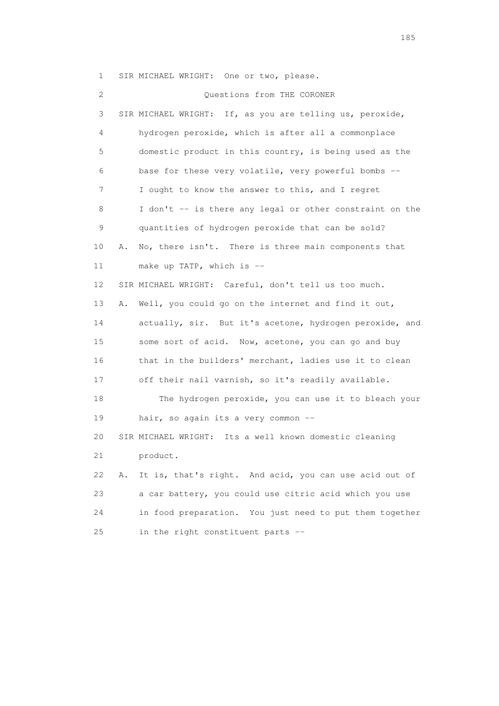1 SIR MICHAEL WRIGHT: One or two, please.

 2 Questions from THE CORONER 3 SIR MICHAEL WRIGHT: If, as you are telling us, peroxide, 4 hydrogen peroxide, which is after all a commonplace 5 domestic product in this country, is being used as the 6 base for these very volatile, very powerful bombs -- 7 I ought to know the answer to this, and I regret 8 I don't -- is there any legal or other constraint on the 9 quantities of hydrogen peroxide that can be sold? 10 A. No, there isn't. There is three main components that 11 make up TATP, which is -- 12 SIR MICHAEL WRIGHT: Careful, don't tell us too much. 13 A. Well, you could go on the internet and find it out, 14 actually, sir. But it's acetone, hydrogen peroxide, and 15 some sort of acid. Now, acetone, you can go and buy 16 that in the builders' merchant, ladies use it to clean 17 off their nail varnish, so it's readily available. 18 The hydrogen peroxide, you can use it to bleach your 19 hair, so again its a very common -- 20 SIR MICHAEL WRIGHT: Its a well known domestic cleaning 21 product. 22 A. It is, that's right. And acid, you can use acid out of 23 a car battery, you could use citric acid which you use 24 in food preparation. You just need to put them together 25 in the right constituent parts --

<u>185</u>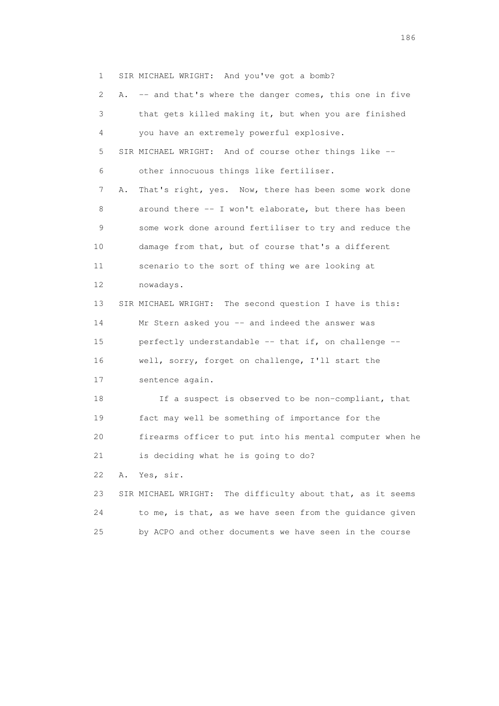1 SIR MICHAEL WRIGHT: And you've got a bomb?

 2 A. -- and that's where the danger comes, this one in five 3 that gets killed making it, but when you are finished 4 you have an extremely powerful explosive. 5 SIR MICHAEL WRIGHT: And of course other things like -- 6 other innocuous things like fertiliser. 7 A. That's right, yes. Now, there has been some work done 8 around there -- I won't elaborate, but there has been 9 some work done around fertiliser to try and reduce the 10 damage from that, but of course that's a different 11 scenario to the sort of thing we are looking at 12 nowadays. 13 SIR MICHAEL WRIGHT: The second question I have is this: 14 Mr Stern asked you -- and indeed the answer was 15 perfectly understandable -- that if, on challenge -- 16 well, sorry, forget on challenge, I'll start the 17 sentence again. 18 If a suspect is observed to be non-compliant, that 19 fact may well be something of importance for the 20 firearms officer to put into his mental computer when he 21 is deciding what he is going to do? 22 A. Yes, sir. 23 SIR MICHAEL WRIGHT: The difficulty about that, as it seems 24 to me, is that, as we have seen from the guidance given 25 by ACPO and other documents we have seen in the course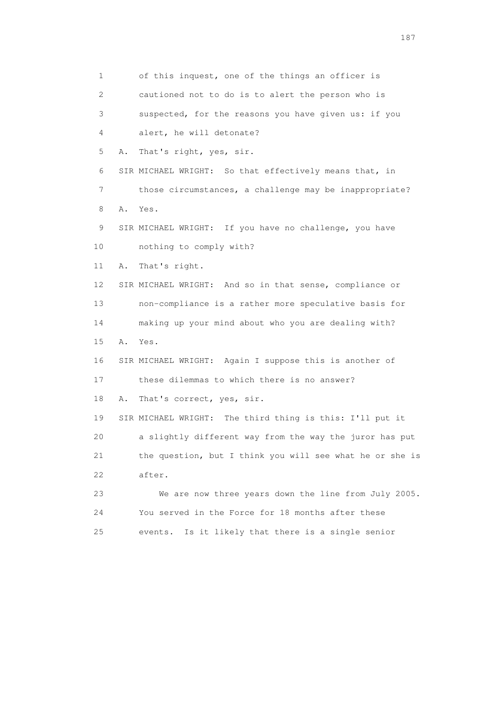1 of this inquest, one of the things an officer is 2 cautioned not to do is to alert the person who is 3 suspected, for the reasons you have given us: if you 4 alert, he will detonate? 5 A. That's right, yes, sir. 6 SIR MICHAEL WRIGHT: So that effectively means that, in 7 those circumstances, a challenge may be inappropriate? 8 A. Yes. 9 SIR MICHAEL WRIGHT: If you have no challenge, you have 10 nothing to comply with? 11 A. That's right. 12 SIR MICHAEL WRIGHT: And so in that sense, compliance or 13 non-compliance is a rather more speculative basis for 14 making up your mind about who you are dealing with? 15 A. Yes. 16 SIR MICHAEL WRIGHT: Again I suppose this is another of 17 these dilemmas to which there is no answer? 18 A. That's correct, yes, sir. 19 SIR MICHAEL WRIGHT: The third thing is this: I'll put it 20 a slightly different way from the way the juror has put 21 the question, but I think you will see what he or she is 22 after. 23 We are now three years down the line from July 2005. 24 You served in the Force for 18 months after these 25 events. Is it likely that there is a single senior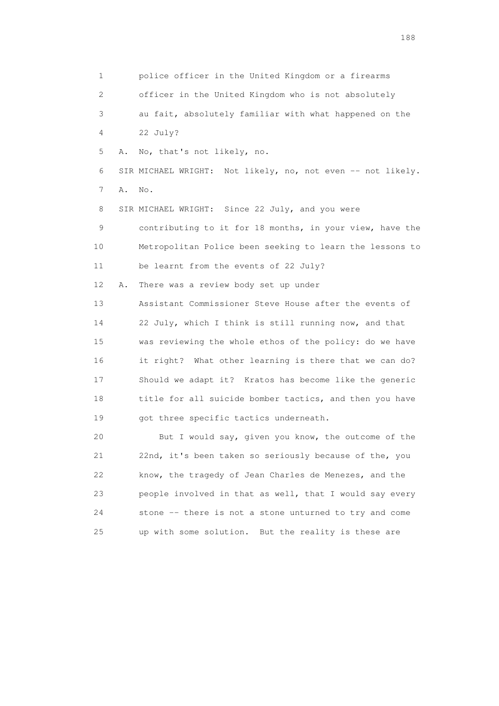1 police officer in the United Kingdom or a firearms 2 officer in the United Kingdom who is not absolutely 3 au fait, absolutely familiar with what happened on the 4 22 July? 5 A. No, that's not likely, no. 6 SIR MICHAEL WRIGHT: Not likely, no, not even -- not likely. 7 A. No. 8 SIR MICHAEL WRIGHT: Since 22 July, and you were 9 contributing to it for 18 months, in your view, have the 10 Metropolitan Police been seeking to learn the lessons to 11 be learnt from the events of 22 July? 12 A. There was a review body set up under 13 Assistant Commissioner Steve House after the events of 14 22 July, which I think is still running now, and that 15 was reviewing the whole ethos of the policy: do we have 16 it right? What other learning is there that we can do? 17 Should we adapt it? Kratos has become like the generic 18 title for all suicide bomber tactics, and then you have 19 got three specific tactics underneath. 20 But I would say, given you know, the outcome of the 21 22nd, it's been taken so seriously because of the, you 22 know, the tragedy of Jean Charles de Menezes, and the 23 people involved in that as well, that I would say every 24 stone -- there is not a stone unturned to try and come

25 up with some solution. But the reality is these are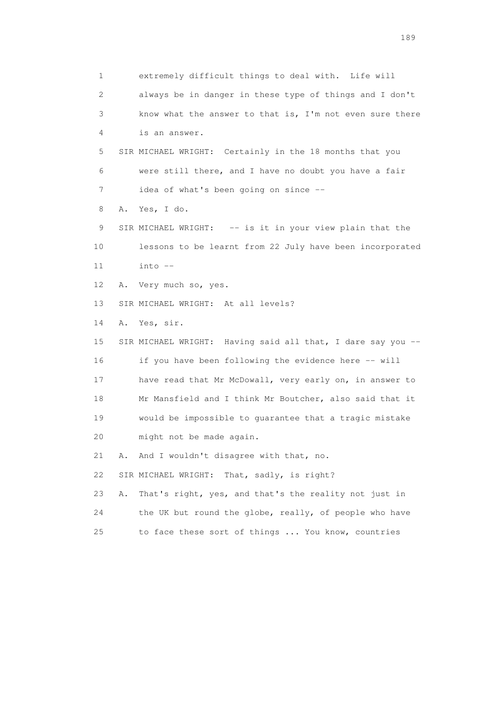1 extremely difficult things to deal with. Life will 2 always be in danger in these type of things and I don't 3 know what the answer to that is, I'm not even sure there 4 is an answer. 5 SIR MICHAEL WRIGHT: Certainly in the 18 months that you 6 were still there, and I have no doubt you have a fair 7 idea of what's been going on since -- 8 A. Yes, I do. 9 SIR MICHAEL WRIGHT: -- is it in your view plain that the 10 lessons to be learnt from 22 July have been incorporated 11 into -- 12 A. Very much so, yes. 13 SIR MICHAEL WRIGHT: At all levels? 14 A. Yes, sir. 15 SIR MICHAEL WRIGHT: Having said all that, I dare say you -- 16 if you have been following the evidence here -- will 17 have read that Mr McDowall, very early on, in answer to 18 Mr Mansfield and I think Mr Boutcher, also said that it 19 would be impossible to guarantee that a tragic mistake 20 might not be made again. 21 A. And I wouldn't disagree with that, no. 22 SIR MICHAEL WRIGHT: That, sadly, is right? 23 A. That's right, yes, and that's the reality not just in 24 the UK but round the globe, really, of people who have 25 to face these sort of things ... You know, countries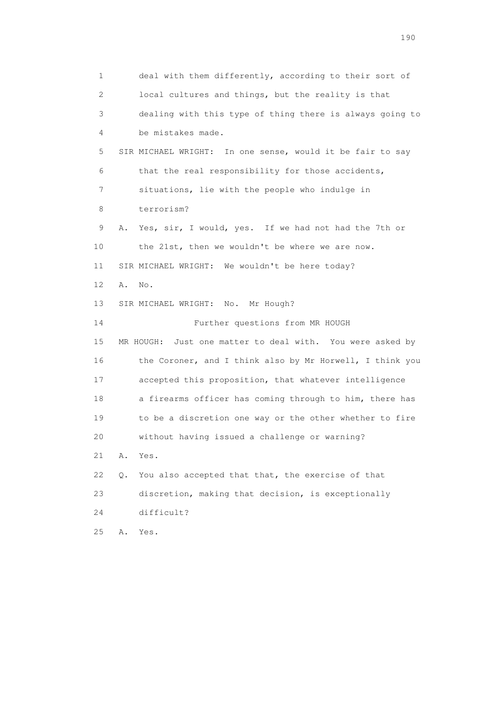1 deal with them differently, according to their sort of 2 local cultures and things, but the reality is that 3 dealing with this type of thing there is always going to 4 be mistakes made. 5 SIR MICHAEL WRIGHT: In one sense, would it be fair to say 6 that the real responsibility for those accidents, 7 situations, lie with the people who indulge in 8 terrorism? 9 A. Yes, sir, I would, yes. If we had not had the 7th or 10 the 21st, then we wouldn't be where we are now. 11 SIR MICHAEL WRIGHT: We wouldn't be here today? 12 A. No. 13 SIR MICHAEL WRIGHT: No. Mr Hough? 14 Further questions from MR HOUGH 15 MR HOUGH: Just one matter to deal with. You were asked by 16 the Coroner, and I think also by Mr Horwell, I think you 17 accepted this proposition, that whatever intelligence 18 a firearms officer has coming through to him, there has 19 to be a discretion one way or the other whether to fire 20 without having issued a challenge or warning? 21 A. Yes. 22 Q. You also accepted that that, the exercise of that 23 discretion, making that decision, is exceptionally 24 difficult? 25 A. Yes.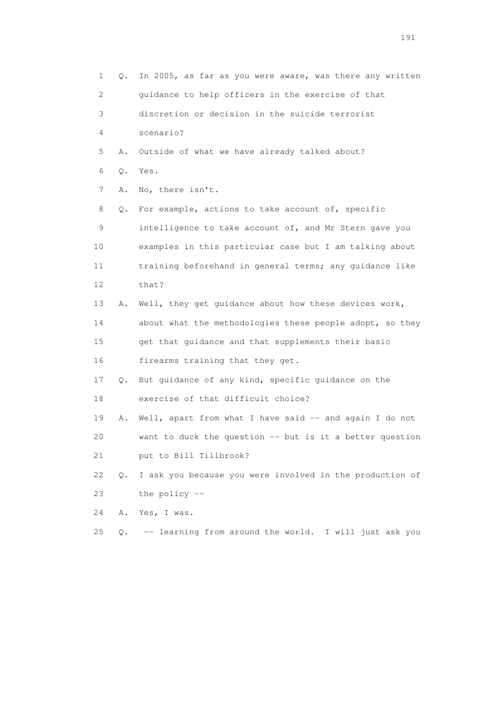| 1  | Q. | In 2005, as far as you were aware, was there any written |
|----|----|----------------------------------------------------------|
| 2  |    | guidance to help officers in the exercise of that        |
| 3  |    | discretion or decision in the suicide terrorist          |
| 4  |    | scenario?                                                |
| 5  | Α. | Outside of what we have already talked about?            |
| 6  | Q. | Yes.                                                     |
| 7  | Α. | No, there isn't.                                         |
| 8  | Q. | For example, actions to take account of, specific        |
| 9  |    | intelligence to take account of, and Mr Stern gave you   |
| 10 |    | examples in this particular case but I am talking about  |
| 11 |    | training beforehand in general terms; any guidance like  |
| 12 |    | that?                                                    |
| 13 | Α. | Well, they get guidance about how these devices work,    |
| 14 |    | about what the methodologies these people adopt, so they |
| 15 |    | get that guidance and that supplements their basic       |
| 16 |    | firearms training that they get.                         |
| 17 | Q. | But guidance of any kind, specific guidance on the       |
| 18 |    | exercise of that difficult choice?                       |
| 19 | Α. | Well, apart from what I have said -- and again I do not  |
| 20 |    | want to duck the question -- but is it a better question |
| 21 |    | put to Bill Tillbrook?                                   |
| 22 | О. | I ask you because you were involved in the production of |
| 23 |    | the policy $-$                                           |
| 24 | Α. | Yes, I was.                                              |
| 25 | Q. | -- learning from around the world. I will just ask you   |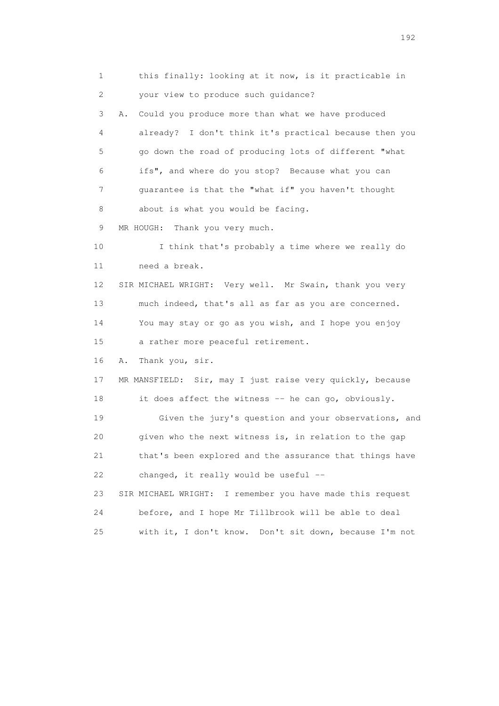1 this finally: looking at it now, is it practicable in 2 your view to produce such guidance? 3 A. Could you produce more than what we have produced 4 already? I don't think it's practical because then you 5 go down the road of producing lots of different "what 6 ifs", and where do you stop? Because what you can 7 guarantee is that the "what if" you haven't thought 8 about is what you would be facing. 9 MR HOUGH: Thank you very much. 10 I think that's probably a time where we really do 11 need a break. 12 SIR MICHAEL WRIGHT: Very well. Mr Swain, thank you very 13 much indeed, that's all as far as you are concerned. 14 You may stay or go as you wish, and I hope you enjoy 15 a rather more peaceful retirement. 16 A. Thank you, sir. 17 MR MANSFIELD: Sir, may I just raise very quickly, because 18 it does affect the witness -- he can go, obviously. 19 Given the jury's question and your observations, and 20 given who the next witness is, in relation to the gap 21 that's been explored and the assurance that things have 22 changed, it really would be useful -- 23 SIR MICHAEL WRIGHT: I remember you have made this request 24 before, and I hope Mr Tillbrook will be able to deal 25 with it, I don't know. Don't sit down, because I'm not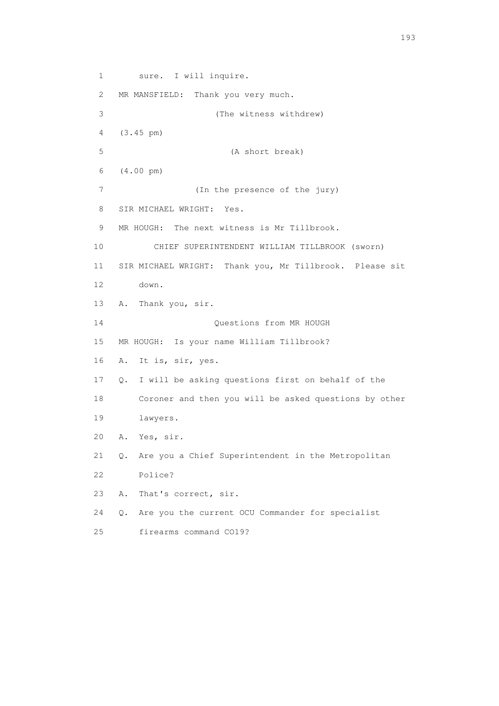1 sure. I will inquire. 2 MR MANSFIELD: Thank you very much. 3 (The witness withdrew) 4 (3.45 pm) 5 (A short break) 6 (4.00 pm) 7 (In the presence of the jury) 8 SIR MICHAEL WRIGHT: Yes. 9 MR HOUGH: The next witness is Mr Tillbrook. 10 CHIEF SUPERINTENDENT WILLIAM TILLBROOK (sworn) 11 SIR MICHAEL WRIGHT: Thank you, Mr Tillbrook. Please sit 12 down. 13 A. Thank you, sir. 14 Questions from MR HOUGH 15 MR HOUGH: Is your name William Tillbrook? 16 A. It is, sir, yes. 17 Q. I will be asking questions first on behalf of the 18 Coroner and then you will be asked questions by other 19 lawyers. 20 A. Yes, sir. 21 Q. Are you a Chief Superintendent in the Metropolitan 22 Police? 23 A. That's correct, sir. 24 Q. Are you the current OCU Commander for specialist 25 firearms command CO19?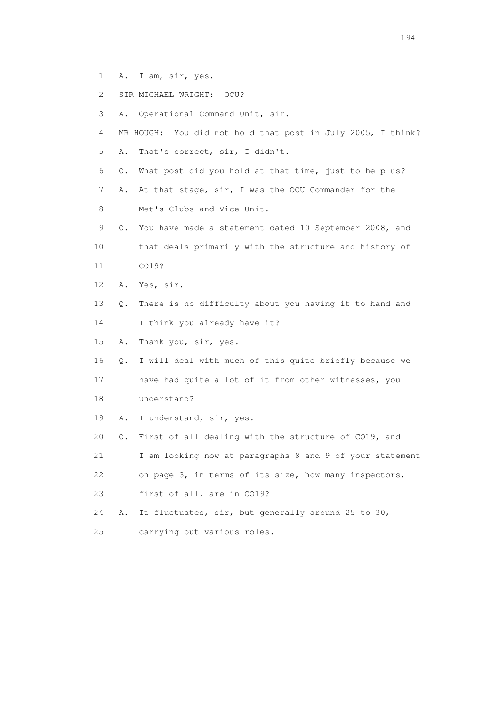- 1 A. I am, sir, yes.
- 2 SIR MICHAEL WRIGHT: OCU?
- 3 A. Operational Command Unit, sir.
- 4 MR HOUGH: You did not hold that post in July 2005, I think? 5 A. That's correct, sir, I didn't.
- 6 Q. What post did you hold at that time, just to help us?
- 7 A. At that stage, sir, I was the OCU Commander for the 8 Met's Clubs and Vice Unit.
- 9 Q. You have made a statement dated 10 September 2008, and 10 that deals primarily with the structure and history of 11 CO19?
- 12 A. Yes, sir.
- 13 Q. There is no difficulty about you having it to hand and
- 14 I think you already have it?
- 15 A. Thank you, sir, yes.
- 16 Q. I will deal with much of this quite briefly because we
- 17 have had quite a lot of it from other witnesses, you
- 18 understand?
- 19 A. I understand, sir, yes.
- 20 Q. First of all dealing with the structure of CO19, and

21 I am looking now at paragraphs 8 and 9 of your statement

- 22 on page 3, in terms of its size, how many inspectors,
- 23 first of all, are in CO19?
- 24 A. It fluctuates, sir, but generally around 25 to 30,
- 25 carrying out various roles.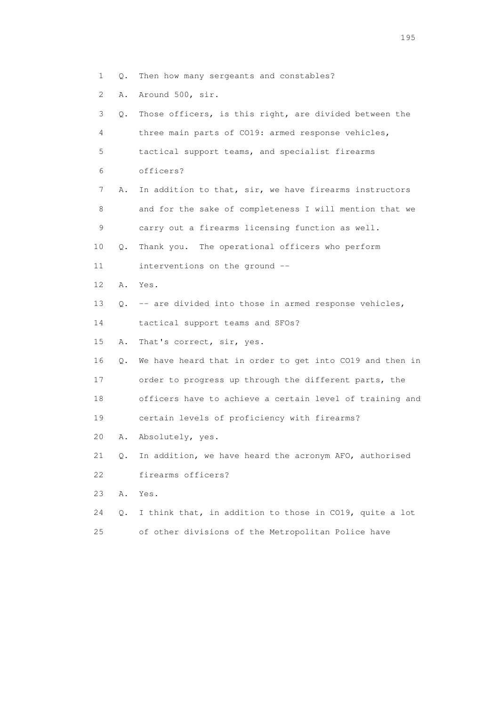- 1 Q. Then how many sergeants and constables?
- 2 A. Around 500, sir.

| 3               | Q.        | Those officers, is this right, are divided between the   |
|-----------------|-----------|----------------------------------------------------------|
| 4               |           | three main parts of CO19: armed response vehicles,       |
| 5               |           | tactical support teams, and specialist firearms          |
| 6               |           | officers?                                                |
| 7               | Α.        | In addition to that, sir, we have firearms instructors   |
| 8               |           | and for the sake of completeness I will mention that we  |
| 9               |           | carry out a firearms licensing function as well.         |
| 10              | Q.        | Thank you. The operational officers who perform          |
| 11              |           | interventions on the ground --                           |
| 12 <sup>°</sup> | Α.        | Yes.                                                     |
| 13              | 0.        | -- are divided into those in armed response vehicles,    |
| 14              |           | tactical support teams and SFOs?                         |
| 15              | Α.        | That's correct, sir, yes.                                |
| 16              | Q.        | We have heard that in order to get into CO19 and then in |
| 17              |           | order to progress up through the different parts, the    |
| 18              |           | officers have to achieve a certain level of training and |
| 19              |           | certain levels of proficiency with firearms?             |
| 20              | Α.        | Absolutely, yes.                                         |
| 21              | Q.        | In addition, we have heard the acronym AFO, authorised   |
| 22              |           | firearms officers?                                       |
| 23              | Α.        | Yes.                                                     |
| 24              | $\circ$ . | I think that, in addition to those in CO19, quite a lot  |
| 25              |           | of other divisions of the Metropolitan Police have       |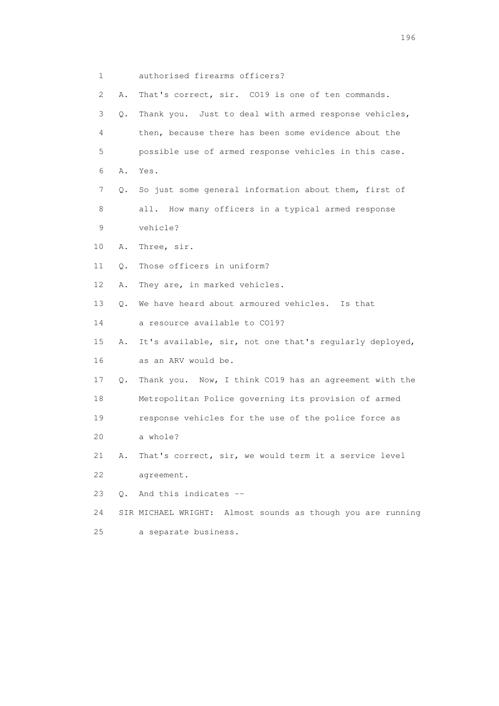1 authorised firearms officers? 2 A. That's correct, sir. CO19 is one of ten commands. 3 Q. Thank you. Just to deal with armed response vehicles, 4 then, because there has been some evidence about the 5 possible use of armed response vehicles in this case. 6 A. Yes. 7 Q. So just some general information about them, first of 8 all. How many officers in a typical armed response 9 vehicle? 10 A. Three, sir. 11 Q. Those officers in uniform? 12 A. They are, in marked vehicles. 13 Q. We have heard about armoured vehicles. Is that 14 a resource available to CO19? 15 A. It's available, sir, not one that's regularly deployed, 16 as an ARV would be. 17 Q. Thank you. Now, I think CO19 has an agreement with the 18 Metropolitan Police governing its provision of armed 19 response vehicles for the use of the police force as 20 a whole? 21 A. That's correct, sir, we would term it a service level 22 agreement. 23 Q. And this indicates -- 24 SIR MICHAEL WRIGHT: Almost sounds as though you are running 25 a separate business.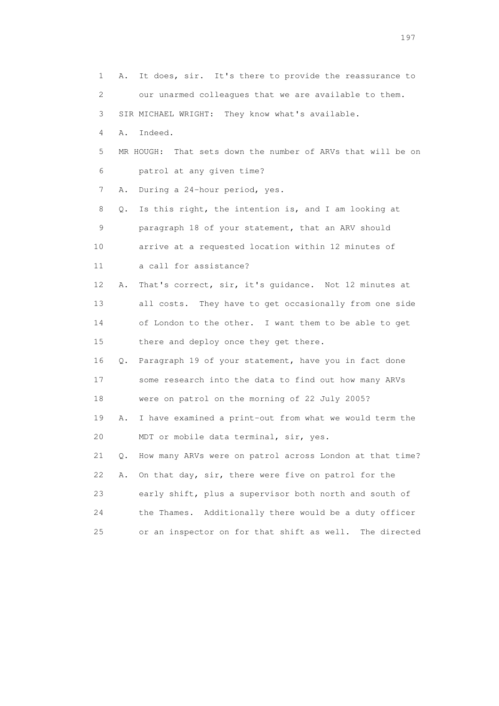1 A. It does, sir. It's there to provide the reassurance to 2 our unarmed colleagues that we are available to them. 3 SIR MICHAEL WRIGHT: They know what's available. 4 A. Indeed. 5 MR HOUGH: That sets down the number of ARVs that will be on 6 patrol at any given time? 7 A. During a 24-hour period, yes. 8 Q. Is this right, the intention is, and I am looking at 9 paragraph 18 of your statement, that an ARV should 10 arrive at a requested location within 12 minutes of 11 a call for assistance? 12 A. That's correct, sir, it's guidance. Not 12 minutes at 13 all costs. They have to get occasionally from one side 14 of London to the other. I want them to be able to get 15 there and deploy once they get there. 16 Q. Paragraph 19 of your statement, have you in fact done 17 some research into the data to find out how many ARVs 18 were on patrol on the morning of 22 July 2005? 19 A. I have examined a print-out from what we would term the 20 MDT or mobile data terminal, sir, yes. 21 Q. How many ARVs were on patrol across London at that time? 22 A. On that day, sir, there were five on patrol for the 23 early shift, plus a supervisor both north and south of 24 the Thames. Additionally there would be a duty officer 25 or an inspector on for that shift as well. The directed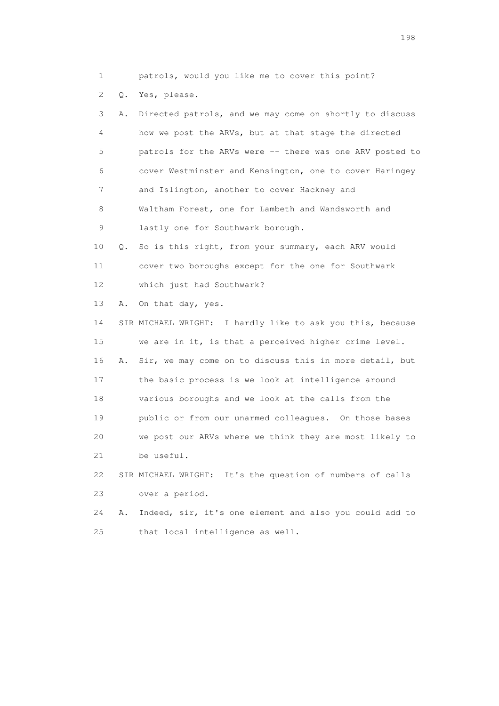1 patrols, would you like me to cover this point?

2 Q. Yes, please.

| 3  | Α. | Directed patrols, and we may come on shortly to discuss    |
|----|----|------------------------------------------------------------|
| 4  |    | how we post the ARVs, but at that stage the directed       |
| 5  |    | patrols for the ARVs were -- there was one ARV posted to   |
| 6  |    | cover Westminster and Kensington, one to cover Haringey    |
| 7  |    | and Islington, another to cover Hackney and                |
| 8  |    | Waltham Forest, one for Lambeth and Wandsworth and         |
| 9  |    | lastly one for Southwark borough.                          |
| 10 | Q. | So is this right, from your summary, each ARV would        |
| 11 |    | cover two boroughs except for the one for Southwark        |
| 12 |    | which just had Southwark?                                  |
| 13 | Α. | On that day, yes.                                          |
| 14 |    | SIR MICHAEL WRIGHT: I hardly like to ask you this, because |
| 15 |    | we are in it, is that a perceived higher crime level.      |
| 16 | Α. | Sir, we may come on to discuss this in more detail, but    |
| 17 |    | the basic process is we look at intelligence around        |
| 18 |    | various boroughs and we look at the calls from the         |
| 19 |    | public or from our unarmed colleagues. On those bases      |
| 20 |    | we post our ARVs where we think they are most likely to    |
| 21 |    | be useful.                                                 |
| 22 |    | SIR MICHAEL WRIGHT: It's the question of numbers of calls  |
| 23 |    | over a period.                                             |
| 24 | Α. | Indeed, sir, it's one element and also you could add to    |

25 that local intelligence as well.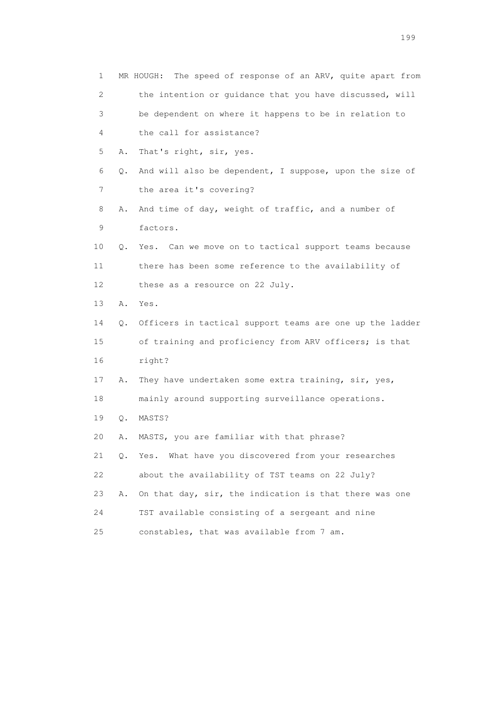| $\mathbf 1$               |    | The speed of response of an ARV, quite apart from<br>MR HOUGH: |
|---------------------------|----|----------------------------------------------------------------|
| $\mathbf{2}^{\mathsf{I}}$ |    | the intention or guidance that you have discussed, will        |
| 3                         |    | be dependent on where it happens to be in relation to          |
| 4                         |    | the call for assistance?                                       |
| 5                         | Α. | That's right, sir, yes.                                        |
| 6                         | Q. | And will also be dependent, I suppose, upon the size of        |
| 7                         |    | the area it's covering?                                        |
| 8                         | Α. | And time of day, weight of traffic, and a number of            |
| 9                         |    | factors.                                                       |
| 10                        | Q. | Yes. Can we move on to tactical support teams because          |
| 11                        |    | there has been some reference to the availability of           |
| 12 <sup>°</sup>           |    | these as a resource on 22 July.                                |
| 13                        | Α. | Yes.                                                           |
| 14                        | Q. | Officers in tactical support teams are one up the ladder       |
| 15                        |    | of training and proficiency from ARV officers; is that         |
| 16                        |    | right?                                                         |
| 17                        | Α. | They have undertaken some extra training, sir, yes,            |
| 18                        |    | mainly around supporting surveillance operations.              |
| 19                        | Q. | MASTS?                                                         |
| 20                        | Α. | MASTS, you are familiar with that phrase?                      |
| 21                        | Q. | Yes. What have you discovered from your researches             |
| 22                        |    | about the availability of TST teams on 22 July?                |
| 23                        | Α. | On that day, sir, the indication is that there was one         |
| 24                        |    | TST available consisting of a sergeant and nine                |
| 25                        |    | constables, that was available from 7 am.                      |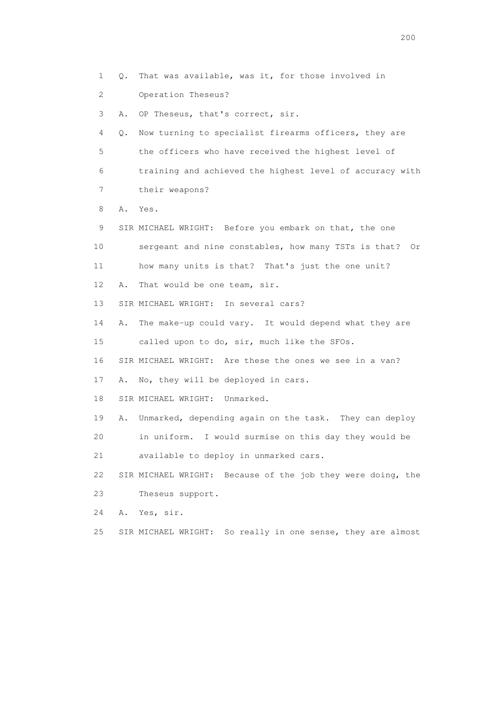2 Operation Theseus? 3 A. OP Theseus, that's correct, sir. 4 Q. Now turning to specialist firearms officers, they are 5 the officers who have received the highest level of 6 training and achieved the highest level of accuracy with 7 their weapons? 8 A. Yes. 9 SIR MICHAEL WRIGHT: Before you embark on that, the one 10 sergeant and nine constables, how many TSTs is that? Or 11 how many units is that? That's just the one unit? 12 A. That would be one team, sir. 13 SIR MICHAEL WRIGHT: In several cars? 14 A. The make-up could vary. It would depend what they are 15 called upon to do, sir, much like the SFOs. 16 SIR MICHAEL WRIGHT: Are these the ones we see in a van? 17 A. No, they will be deployed in cars. 18 SIR MICHAEL WRIGHT: Unmarked. 19 A. Unmarked, depending again on the task. They can deploy 20 in uniform. I would surmise on this day they would be 21 available to deploy in unmarked cars. 22 SIR MICHAEL WRIGHT: Because of the job they were doing, the 23 Theseus support. 24 A. Yes, sir. 25 SIR MICHAEL WRIGHT: So really in one sense, they are almost

1 Q. That was available, was it, for those involved in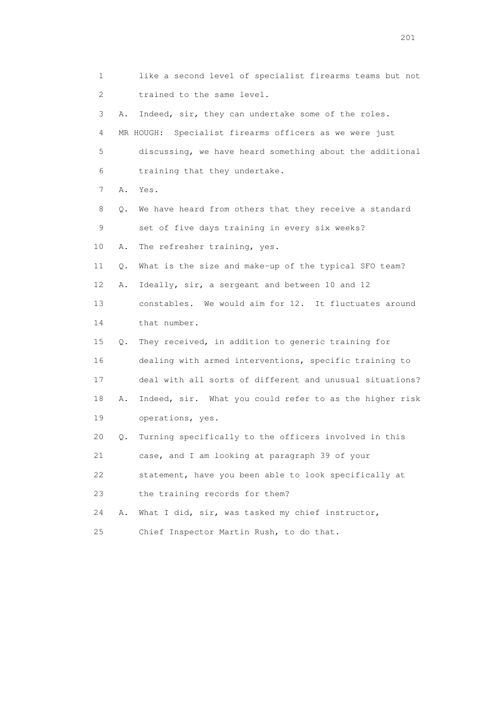1 like a second level of specialist firearms teams but not 2 trained to the same level. 3 A. Indeed, sir, they can undertake some of the roles. 4 MR HOUGH: Specialist firearms officers as we were just 5 discussing, we have heard something about the additional 6 training that they undertake. 7 A. Yes. 8 Q. We have heard from others that they receive a standard 9 set of five days training in every six weeks? 10 A. The refresher training, yes. 11 Q. What is the size and make-up of the typical SFO team? 12 A. Ideally, sir, a sergeant and between 10 and 12 13 constables. We would aim for 12. It fluctuates around 14 that number. 15 Q. They received, in addition to generic training for 16 dealing with armed interventions, specific training to 17 deal with all sorts of different and unusual situations? 18 A. Indeed, sir. What you could refer to as the higher risk 19 operations, yes. 20 Q. Turning specifically to the officers involved in this 21 case, and I am looking at paragraph 39 of your 22 statement, have you been able to look specifically at 23 the training records for them? 24 A. What I did, sir, was tasked my chief instructor, 25 Chief Inspector Martin Rush, to do that.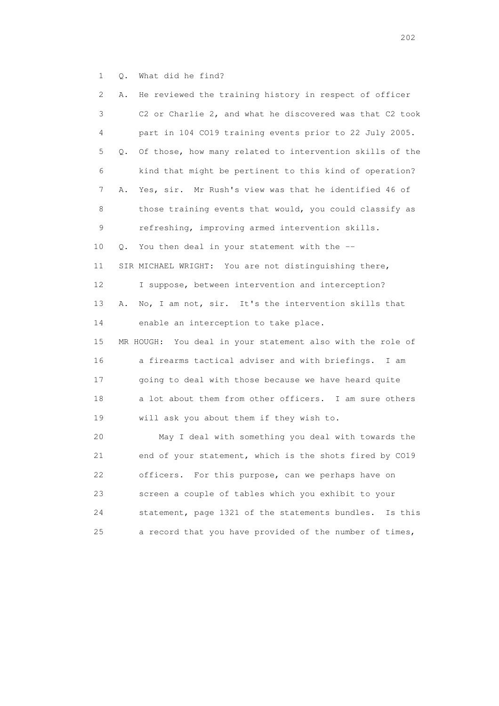1 Q. What did he find?

| $\mathbf{2}^{\mathsf{I}}$ | He reviewed the training history in respect of officer<br>Α.   |
|---------------------------|----------------------------------------------------------------|
| 3                         | C2 or Charlie 2, and what he discovered was that C2 took       |
| 4                         | part in 104 CO19 training events prior to 22 July 2005.        |
| 5                         | Of those, how many related to intervention skills of the<br>Q. |
| 6                         | kind that might be pertinent to this kind of operation?        |
| 7                         | Yes, sir. Mr Rush's view was that he identified 46 of<br>Α.    |
| 8                         | those training events that would, you could classify as        |
| 9                         | refreshing, improving armed intervention skills.               |
| 10                        | You then deal in your statement with the --<br>Q.              |
| 11                        | SIR MICHAEL WRIGHT: You are not distinguishing there,          |
| 12                        | I suppose, between intervention and interception?              |
| 13                        | No, I am not, sir. It's the intervention skills that<br>Α.     |
| 14                        | enable an interception to take place.                          |
| 15                        | MR HOUGH: You deal in your statement also with the role of     |
| 16                        | a firearms tactical adviser and with briefings. I am           |
| 17                        | going to deal with those because we have heard quite           |
| 18                        | a lot about them from other officers. I am sure others         |
| 19                        | will ask you about them if they wish to.                       |
| 20                        | May I deal with something you deal with towards the            |
| 21                        | end of your statement, which is the shots fired by CO19        |
| 22                        | officers. For this purpose, can we perhaps have on             |
| 23                        | screen a couple of tables which you exhibit to your            |
| 24                        | statement, page 1321 of the statements bundles.<br>Is this     |
| 25                        | a record that you have provided of the number of times,        |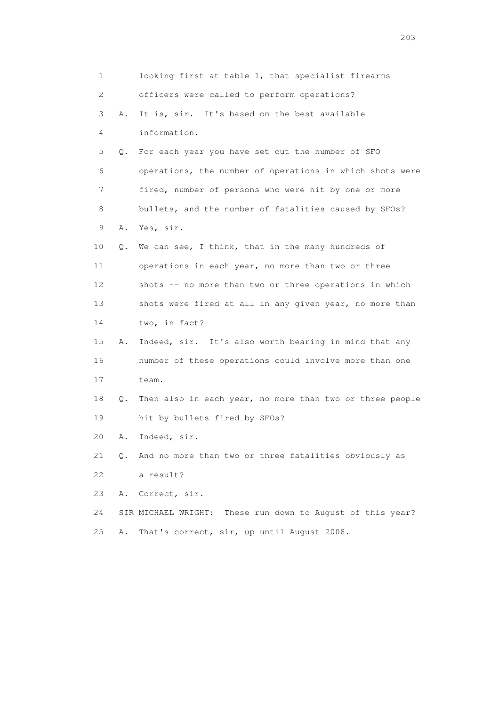1 looking first at table 1, that specialist firearms 2 officers were called to perform operations? 3 A. It is, sir. It's based on the best available 4 information. 5 Q. For each year you have set out the number of SFO 6 operations, the number of operations in which shots were 7 fired, number of persons who were hit by one or more 8 bullets, and the number of fatalities caused by SFOs? 9 A. Yes, sir. 10 Q. We can see, I think, that in the many hundreds of 11 operations in each year, no more than two or three 12 shots -- no more than two or three operations in which 13 shots were fired at all in any given year, no more than 14 two, in fact? 15 A. Indeed, sir. It's also worth bearing in mind that any 16 number of these operations could involve more than one 17 team. 18 Q. Then also in each year, no more than two or three people 19 hit by bullets fired by SFOs? 20 A. Indeed, sir. 21 Q. And no more than two or three fatalities obviously as 22 a result? 23 A. Correct, sir. 24 SIR MICHAEL WRIGHT: These run down to August of this year? 25 A. That's correct, sir, up until August 2008.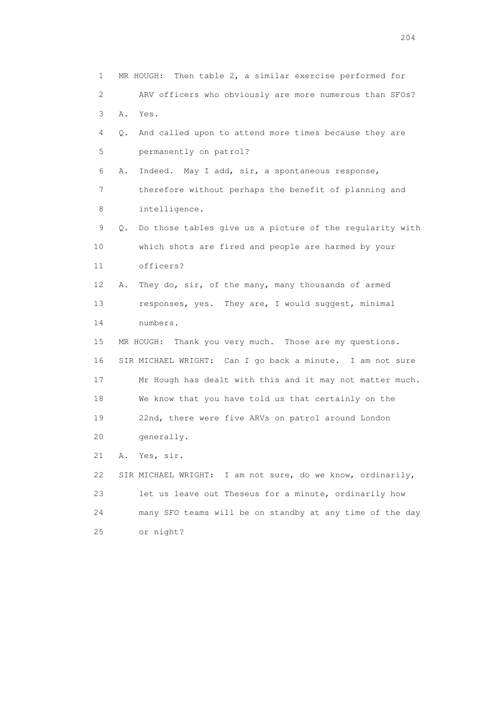1 MR HOUGH: Then table 2, a similar exercise performed for 2 ARV officers who obviously are more numerous than SFOs? 3 A. Yes. 4 Q. And called upon to attend more times because they are 5 permanently on patrol? 6 A. Indeed. May I add, sir, a spontaneous response, 7 therefore without perhaps the benefit of planning and 8 intelligence. 9 Q. Do those tables give us a picture of the regularity with 10 which shots are fired and people are harmed by your 11 officers? 12 A. They do, sir, of the many, many thousands of armed 13 responses, yes. They are, I would suggest, minimal 14 numbers. 15 MR HOUGH: Thank you very much. Those are my questions. 16 SIR MICHAEL WRIGHT: Can I go back a minute. I am not sure 17 Mr Hough has dealt with this and it may not matter much. 18 We know that you have told us that certainly on the 19 22nd, there were five ARVs on patrol around London 20 generally. 21 A. Yes, sir. 22 SIR MICHAEL WRIGHT: I am not sure, do we know, ordinarily, 23 let us leave out Theseus for a minute, ordinarily how 24 many SFO teams will be on standby at any time of the day 25 or night?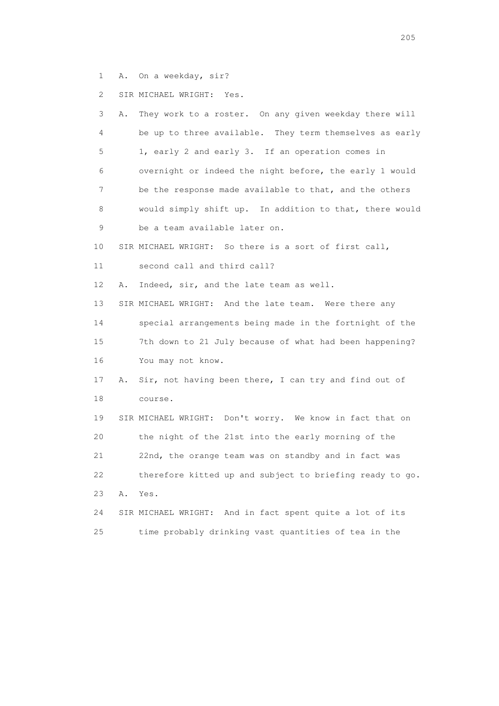1 A. On a weekday, sir?

2 SIR MICHAEL WRIGHT: Yes.

| 3  | Α. | They work to a roster. On any given weekday there will   |
|----|----|----------------------------------------------------------|
| 4  |    | be up to three available. They term themselves as early  |
| 5  |    | 1, early 2 and early 3. If an operation comes in         |
| 6  |    | overnight or indeed the night before, the early 1 would  |
| 7  |    | be the response made available to that, and the others   |
| 8  |    | would simply shift up. In addition to that, there would  |
| 9  |    | be a team available later on.                            |
| 10 |    | SIR MICHAEL WRIGHT: So there is a sort of first call,    |
| 11 |    | second call and third call?                              |
| 12 | Α. | Indeed, sir, and the late team as well.                  |
| 13 |    | SIR MICHAEL WRIGHT: And the late team. Were there any    |
| 14 |    | special arrangements being made in the fortnight of the  |
| 15 |    | 7th down to 21 July because of what had been happening?  |
| 16 |    | You may not know.                                        |
| 17 | Α. | Sir, not having been there, I can try and find out of    |
| 18 |    | course.                                                  |
| 19 |    | SIR MICHAEL WRIGHT: Don't worry. We know in fact that on |
| 20 |    | the night of the 21st into the early morning of the      |
| 21 |    | 22nd, the orange team was on standby and in fact was     |
| 22 |    | therefore kitted up and subject to briefing ready to go. |
| 23 | Α. | Yes.                                                     |
| 24 |    | SIR MICHAEL WRIGHT: And in fact spent quite a lot of its |
| 25 |    | time probably drinking vast quantities of tea in the     |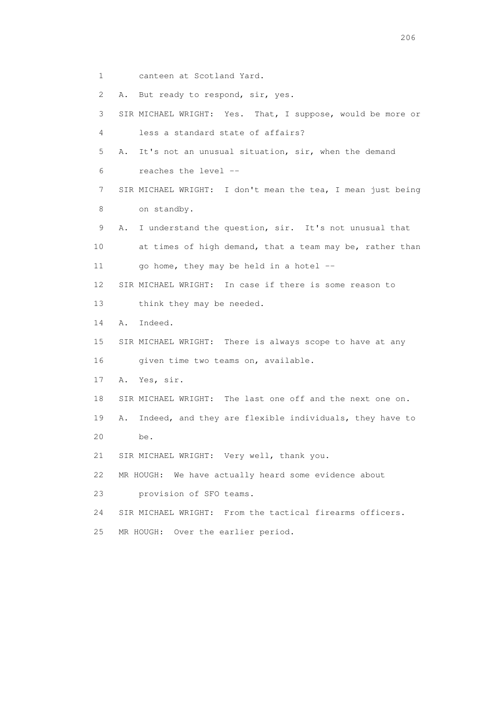1 canteen at Scotland Yard.

2 A. But ready to respond, sir, yes.

 3 SIR MICHAEL WRIGHT: Yes. That, I suppose, would be more or 4 less a standard state of affairs? 5 A. It's not an unusual situation, sir, when the demand 6 reaches the level -- 7 SIR MICHAEL WRIGHT: I don't mean the tea, I mean just being 8 on standby. 9 A. I understand the question, sir. It's not unusual that 10 at times of high demand, that a team may be, rather than 11 go home, they may be held in a hotel  $-$  12 SIR MICHAEL WRIGHT: In case if there is some reason to 13 think they may be needed. 14 A. Indeed. 15 SIR MICHAEL WRIGHT: There is always scope to have at any 16 given time two teams on, available. 17 A. Yes, sir. 18 SIR MICHAEL WRIGHT: The last one off and the next one on. 19 A. Indeed, and they are flexible individuals, they have to 20 be.

21 SIR MICHAEL WRIGHT: Very well, thank you.

22 MR HOUGH: We have actually heard some evidence about

23 provision of SFO teams.

24 SIR MICHAEL WRIGHT: From the tactical firearms officers.

25 MR HOUGH: Over the earlier period.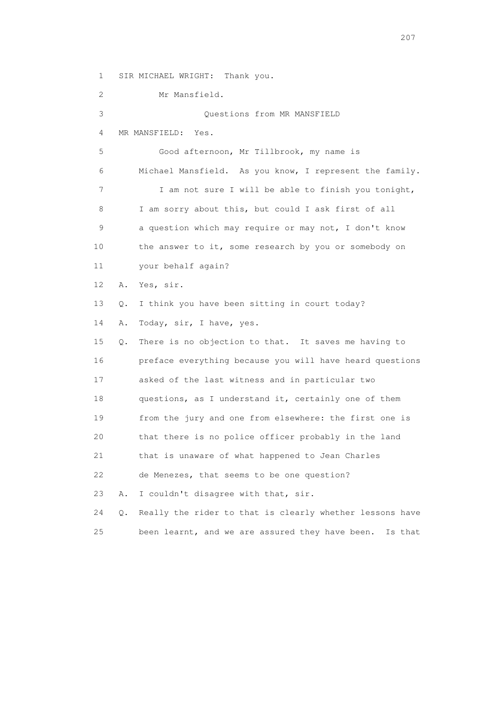1 SIR MICHAEL WRIGHT: Thank you.

 2 Mr Mansfield. 3 Questions from MR MANSFIELD 4 MR MANSFIELD: Yes. 5 Good afternoon, Mr Tillbrook, my name is 6 Michael Mansfield. As you know, I represent the family. 7 I am not sure I will be able to finish you tonight, 8 I am sorry about this, but could I ask first of all 9 a question which may require or may not, I don't know 10 the answer to it, some research by you or somebody on 11 your behalf again? 12 A. Yes, sir. 13 Q. I think you have been sitting in court today? 14 A. Today, sir, I have, yes. 15 Q. There is no objection to that. It saves me having to 16 preface everything because you will have heard questions 17 asked of the last witness and in particular two 18 questions, as I understand it, certainly one of them 19 from the jury and one from elsewhere: the first one is 20 that there is no police officer probably in the land 21 that is unaware of what happened to Jean Charles 22 de Menezes, that seems to be one question? 23 A. I couldn't disagree with that, sir. 24 Q. Really the rider to that is clearly whether lessons have 25 been learnt, and we are assured they have been. Is that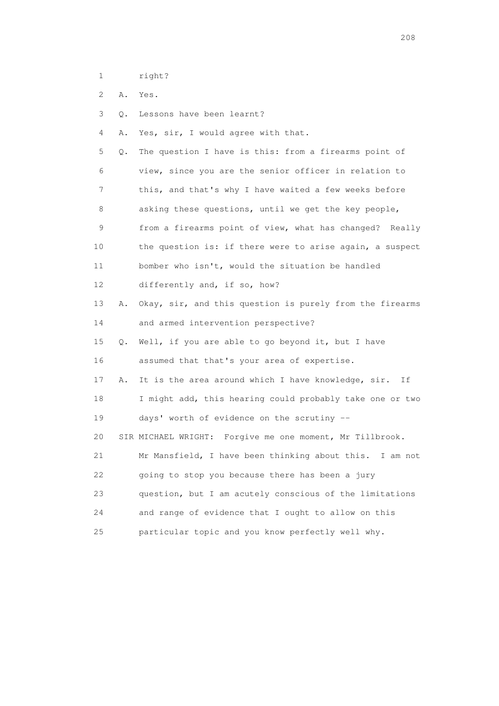1 right?

2 A. Yes.

3 Q. Lessons have been learnt?

4 A. Yes, sir, I would agree with that.

 5 Q. The question I have is this: from a firearms point of 6 view, since you are the senior officer in relation to 7 this, and that's why I have waited a few weeks before 8 asking these questions, until we get the key people, 9 from a firearms point of view, what has changed? Really 10 the question is: if there were to arise again, a suspect 11 bomber who isn't, would the situation be handled 12 differently and, if so, how? 13 A. Okay, sir, and this question is purely from the firearms 14 and armed intervention perspective? 15 Q. Well, if you are able to go beyond it, but I have 16 assumed that that's your area of expertise. 17 A. It is the area around which I have knowledge, sir. If 18 I might add, this hearing could probably take one or two 19 days' worth of evidence on the scrutiny -- 20 SIR MICHAEL WRIGHT: Forgive me one moment, Mr Tillbrook. 21 Mr Mansfield, I have been thinking about this. I am not 22 going to stop you because there has been a jury 23 question, but I am acutely conscious of the limitations 24 and range of evidence that I ought to allow on this 25 particular topic and you know perfectly well why.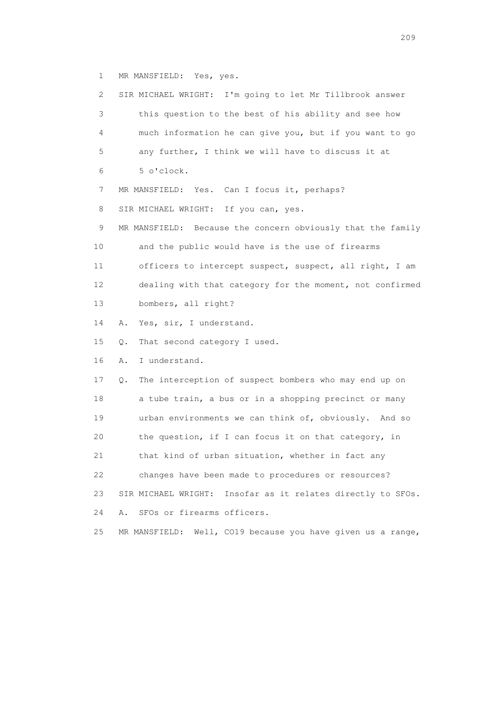1 MR MANSFIELD: Yes, yes.

| $\mathbf{2}^{\mathsf{I}}$ | SIR MICHAEL WRIGHT: I'm going to let Mr Tillbrook answer       |
|---------------------------|----------------------------------------------------------------|
| 3                         | this question to the best of his ability and see how           |
| 4                         | much information he can give you, but if you want to go        |
| 5                         | any further, I think we will have to discuss it at             |
| 6                         | 5 o'clock.                                                     |
| 7                         | MR MANSFIELD: Yes. Can I focus it, perhaps?                    |
| 8                         | SIR MICHAEL WRIGHT: If you can, yes.                           |
| 9                         | MR MANSFIELD: Because the concern obviously that the family    |
| 10                        | and the public would have is the use of firearms               |
| 11                        | officers to intercept suspect, suspect, all right, I am        |
| 12                        | dealing with that category for the moment, not confirmed       |
| 13                        | bombers, all right?                                            |
| 14                        | Yes, sir, I understand.<br>Α.                                  |
| 15                        | That second category I used.<br>Q.                             |
| 16                        | I understand.<br>Α.                                            |
| 17                        | The interception of suspect bombers who may end up on<br>Q.    |
| 18                        | a tube train, a bus or in a shopping precinct or many          |
| 19                        | urban environments we can think of, obviously. And so          |
| 20                        | the question, if I can focus it on that category, in           |
| 21                        | that kind of urban situation, whether in fact any              |
| 22                        | changes have been made to procedures or resources?             |
| 23                        | Insofar as it relates directly to SFOs.<br>SIR MICHAEL WRIGHT: |
| 24                        | SFOs or firearms officers.<br>Α.                               |
| 25                        | Well, CO19 because you have given us a range,<br>MR MANSFIELD: |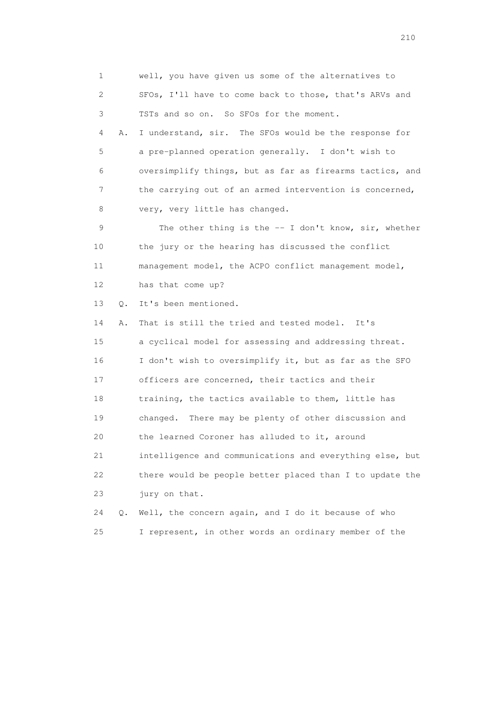1 well, you have given us some of the alternatives to 2 SFOs, I'll have to come back to those, that's ARVs and 3 TSTs and so on. So SFOs for the moment. 4 A. I understand, sir. The SFOs would be the response for 5 a pre-planned operation generally. I don't wish to 6 oversimplify things, but as far as firearms tactics, and 7 the carrying out of an armed intervention is concerned, 8 very, very little has changed. 9 The other thing is the -- I don't know, sir, whether 10 the jury or the hearing has discussed the conflict 11 management model, the ACPO conflict management model, 12 has that come up? 13 Q. It's been mentioned. 14 A. That is still the tried and tested model. It's 15 a cyclical model for assessing and addressing threat. 16 I don't wish to oversimplify it, but as far as the SFO 17 officers are concerned, their tactics and their 18 training, the tactics available to them, little has 19 changed. There may be plenty of other discussion and 20 the learned Coroner has alluded to it, around 21 intelligence and communications and everything else, but 22 there would be people better placed than I to update the 23 jury on that. 24 Q. Well, the concern again, and I do it because of who 25 I represent, in other words an ordinary member of the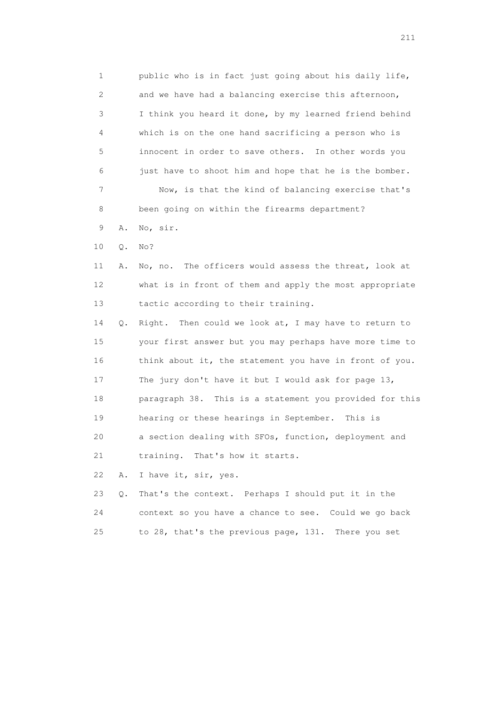1 public who is in fact just going about his daily life, 2 and we have had a balancing exercise this afternoon, 3 I think you heard it done, by my learned friend behind 4 which is on the one hand sacrificing a person who is 5 innocent in order to save others. In other words you 6 just have to shoot him and hope that he is the bomber. 7 Now, is that the kind of balancing exercise that's 8 been going on within the firearms department? 9 A. No, sir.

10 Q. No?

 11 A. No, no. The officers would assess the threat, look at 12 what is in front of them and apply the most appropriate 13 tactic according to their training.

 14 Q. Right. Then could we look at, I may have to return to 15 your first answer but you may perhaps have more time to 16 think about it, the statement you have in front of you. 17 The jury don't have it but I would ask for page 13, 18 paragraph 38. This is a statement you provided for this 19 hearing or these hearings in September. This is 20 a section dealing with SFOs, function, deployment and 21 training. That's how it starts.

22 A. I have it, sir, yes.

|    | 23 Q. That's the context. Perhaps I should put it in the |
|----|----------------------------------------------------------|
| 24 | context so you have a chance to see. Could we go back    |
|    | to 28, that's the previous page, 131. There you set      |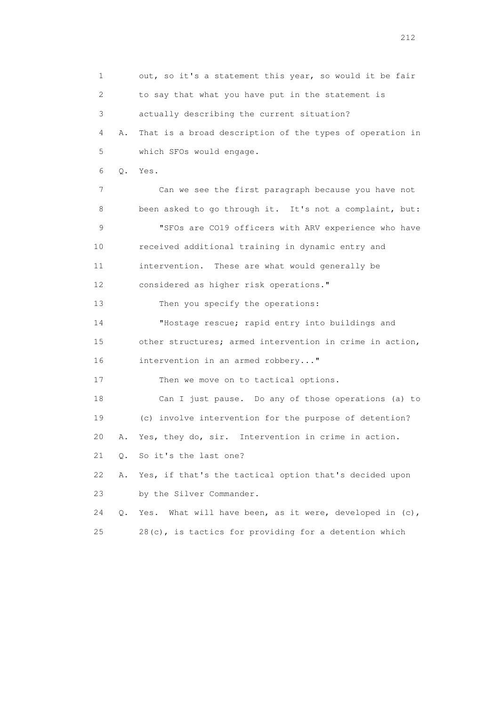1 out, so it's a statement this year, so would it be fair 2 to say that what you have put in the statement is 3 actually describing the current situation? 4 A. That is a broad description of the types of operation in 5 which SFOs would engage. 6 Q. Yes. 7 Can we see the first paragraph because you have not 8 been asked to go through it. It's not a complaint, but: 9 "SFOs are CO19 officers with ARV experience who have 10 received additional training in dynamic entry and 11 intervention. These are what would generally be 12 considered as higher risk operations." 13 Then you specify the operations: 14 "Hostage rescue; rapid entry into buildings and 15 other structures; armed intervention in crime in action, 16 intervention in an armed robbery..." 17 Then we move on to tactical options. 18 Can I just pause. Do any of those operations (a) to 19 (c) involve intervention for the purpose of detention? 20 A. Yes, they do, sir. Intervention in crime in action. 21 Q. So it's the last one? 22 A. Yes, if that's the tactical option that's decided upon 23 by the Silver Commander. 24 Q. Yes. What will have been, as it were, developed in (c), 25 28(c), is tactics for providing for a detention which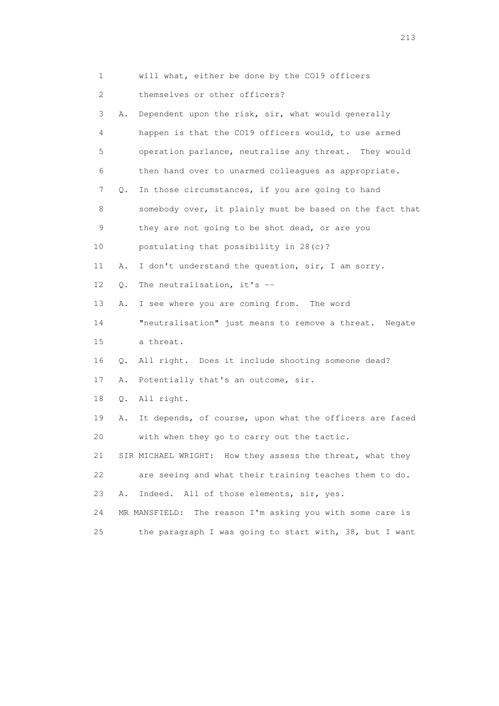| 1                         |    | will what, either be done by the CO19 officers               |
|---------------------------|----|--------------------------------------------------------------|
| $\mathbf{2}^{\mathsf{I}}$ |    | themselves or other officers?                                |
| 3                         | Α. | Dependent upon the risk, sir, what would generally           |
| 4                         |    | happen is that the CO19 officers would, to use armed         |
| 5                         |    | operation parlance, neutralise any threat. They would        |
| 6                         |    | then hand over to unarmed colleagues as appropriate.         |
| 7                         | Q. | In those circumstances, if you are going to hand             |
| 8                         |    | somebody over, it plainly must be based on the fact that     |
| 9                         |    | they are not going to be shot dead, or are you               |
| 10                        |    | postulating that possibility in 28(c)?                       |
| 11                        | Α. | I don't understand the question, sir, I am sorry.            |
| 12 <sup>°</sup>           | Q. | The neutralisation, it's --                                  |
| 13                        | Α. | I see where you are coming from. The word                    |
| 14                        |    | "neutralisation" just means to remove a threat. Negate       |
| 15                        |    | a threat.                                                    |
| 16                        | Q. | All right. Does it include shooting someone dead?            |
| 17                        | Α. | Potentially that's an outcome, sir.                          |
| 18                        | Q. | All right.                                                   |
| 19                        | Α. | It depends, of course, upon what the officers are faced      |
| 20                        |    | with when they go to carry out the tactic.                   |
| 21                        |    | SIR MICHAEL WRIGHT: How they assess the threat, what they    |
| 22                        |    | are seeing and what their training teaches them to do.       |
| 23                        | Α. | All of those elements, sir, yes.<br>Indeed.                  |
| 24                        |    | The reason I'm asking you with some care is<br>MR MANSFIELD: |
| 25                        |    | the paragraph I was going to start with, 38, but I want      |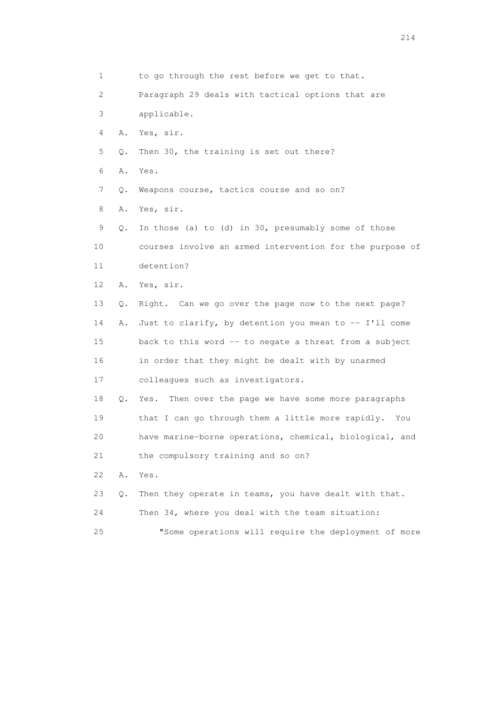1 to go through the rest before we get to that. 2 Paragraph 29 deals with tactical options that are 3 applicable. 4 A. Yes, sir. 5 Q. Then 30, the training is set out there? 6 A. Yes. 7 Q. Weapons course, tactics course and so on? 8 A. Yes, sir. 9 Q. In those (a) to (d) in 30, presumably some of those 10 courses involve an armed intervention for the purpose of 11 detention? 12 A. Yes, sir. 13 Q. Right. Can we go over the page now to the next page? 14 A. Just to clarify, by detention you mean to -- I'll come 15 back to this word -- to negate a threat from a subject 16 in order that they might be dealt with by unarmed 17 colleagues such as investigators. 18 Q. Yes. Then over the page we have some more paragraphs 19 that I can go through them a little more rapidly. You 20 have marine-borne operations, chemical, biological, and 21 the compulsory training and so on? 22 A. Yes. 23 Q. Then they operate in teams, you have dealt with that. 24 Then 34, where you deal with the team situation: 25 "Some operations will require the deployment of more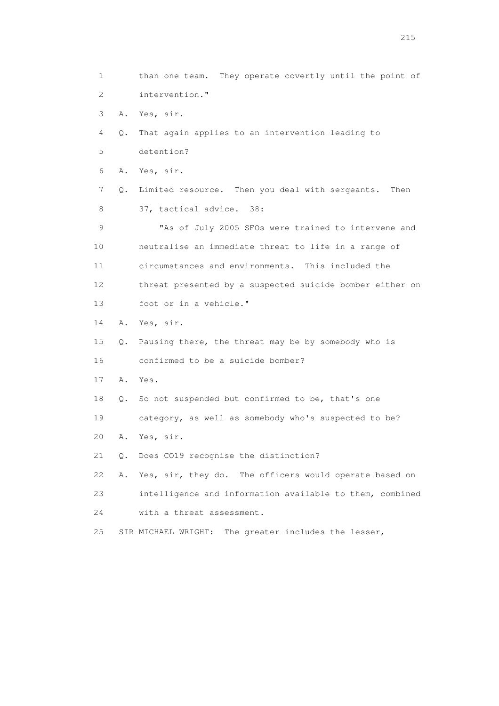1 than one team. They operate covertly until the point of 2 intervention." 3 A. Yes, sir. 4 Q. That again applies to an intervention leading to 5 detention? 6 A. Yes, sir. 7 Q. Limited resource. Then you deal with sergeants. Then 8 37, tactical advice. 38: 9 "As of July 2005 SFOs were trained to intervene and 10 neutralise an immediate threat to life in a range of 11 circumstances and environments. This included the 12 threat presented by a suspected suicide bomber either on 13 foot or in a vehicle." 14 A. Yes, sir. 15 Q. Pausing there, the threat may be by somebody who is 16 confirmed to be a suicide bomber? 17 A. Yes. 18 Q. So not suspended but confirmed to be, that's one 19 category, as well as somebody who's suspected to be? 20 A. Yes, sir. 21 Q. Does CO19 recognise the distinction? 22 A. Yes, sir, they do. The officers would operate based on 23 intelligence and information available to them, combined 24 with a threat assessment. 25 SIR MICHAEL WRIGHT: The greater includes the lesser,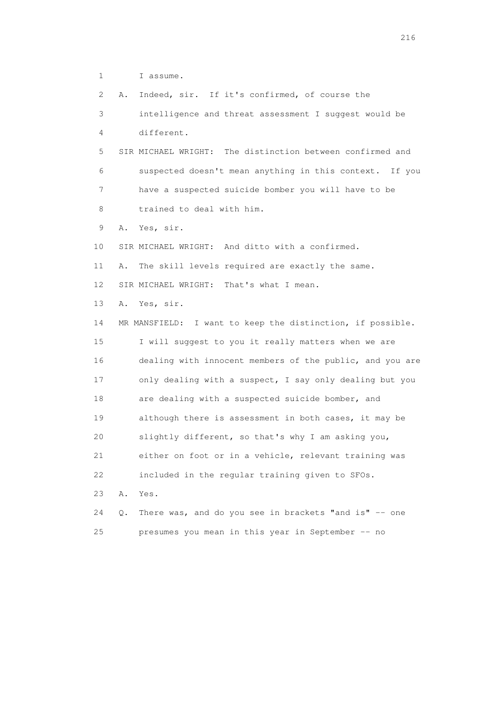1 I assume.

 2 A. Indeed, sir. If it's confirmed, of course the 3 intelligence and threat assessment I suggest would be 4 different. 5 SIR MICHAEL WRIGHT: The distinction between confirmed and 6 suspected doesn't mean anything in this context. If you 7 have a suspected suicide bomber you will have to be 8 trained to deal with him. 9 A. Yes, sir. 10 SIR MICHAEL WRIGHT: And ditto with a confirmed. 11 A. The skill levels required are exactly the same. 12 SIR MICHAEL WRIGHT: That's what I mean. 13 A. Yes, sir. 14 MR MANSFIELD: I want to keep the distinction, if possible. 15 I will suggest to you it really matters when we are 16 dealing with innocent members of the public, and you are 17 only dealing with a suspect, I say only dealing but you 18 are dealing with a suspected suicide bomber, and 19 although there is assessment in both cases, it may be 20 slightly different, so that's why I am asking you, 21 either on foot or in a vehicle, relevant training was 22 included in the regular training given to SFOs. 23 A. Yes. 24 Q. There was, and do you see in brackets "and is" -- one 25 presumes you mean in this year in September -- no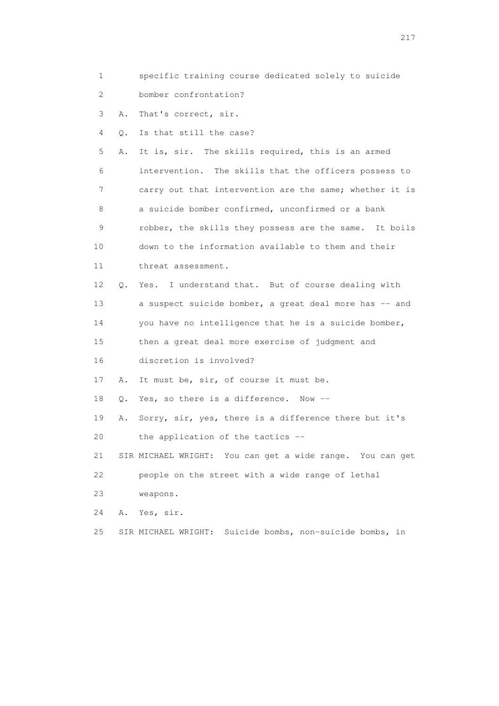- 1 specific training course dedicated solely to suicide
- 2 bomber confrontation?
- 3 A. That's correct, sir.
- 4 Q. Is that still the case?

 5 A. It is, sir. The skills required, this is an armed 6 intervention. The skills that the officers possess to 7 carry out that intervention are the same; whether it is 8 a suicide bomber confirmed, unconfirmed or a bank 9 robber, the skills they possess are the same. It boils 10 down to the information available to them and their 11 threat assessment. 12 Q. Yes. I understand that. But of course dealing with

- 13 a suspect suicide bomber, a great deal more has -- and
- 14 you have no intelligence that he is a suicide bomber,
- 15 then a great deal more exercise of judgment and 16 discretion is involved?
- 17 A. It must be, sir, of course it must be.
- 18 Q. Yes, so there is a difference. Now --
- 19 A. Sorry, sir, yes, there is a difference there but it's
- 20 the application of the tactics --
- 21 SIR MICHAEL WRIGHT: You can get a wide range. You can get 22 people on the street with a wide range of lethal
- 23 weapons.
- 24 A. Yes, sir.
- 25 SIR MICHAEL WRIGHT: Suicide bombs, non-suicide bombs, in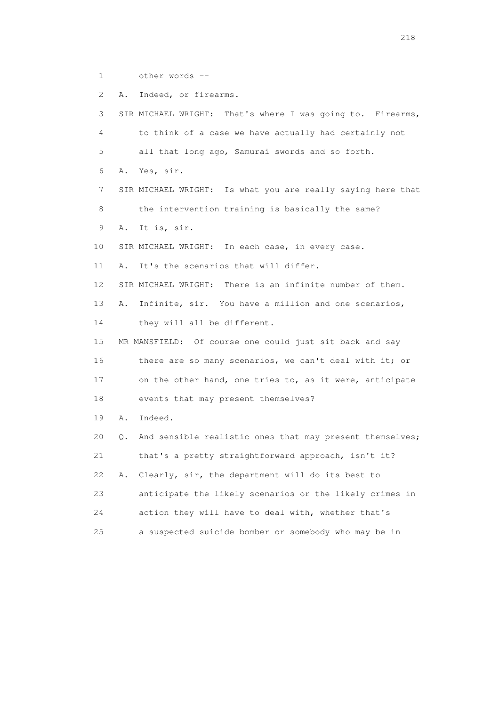1 other words --

 2 A. Indeed, or firearms. 3 SIR MICHAEL WRIGHT: That's where I was going to. Firearms, 4 to think of a case we have actually had certainly not 5 all that long ago, Samurai swords and so forth. 6 A. Yes, sir. 7 SIR MICHAEL WRIGHT: Is what you are really saying here that 8 the intervention training is basically the same? 9 A. It is, sir. 10 SIR MICHAEL WRIGHT: In each case, in every case. 11 A. It's the scenarios that will differ. 12 SIR MICHAEL WRIGHT: There is an infinite number of them. 13 A. Infinite, sir. You have a million and one scenarios, 14 they will all be different. 15 MR MANSFIELD: Of course one could just sit back and say 16 there are so many scenarios, we can't deal with it; or 17 on the other hand, one tries to, as it were, anticipate 18 events that may present themselves? 19 A. Indeed. 20 Q. And sensible realistic ones that may present themselves; 21 that's a pretty straightforward approach, isn't it? 22 A. Clearly, sir, the department will do its best to 23 anticipate the likely scenarios or the likely crimes in 24 action they will have to deal with, whether that's 25 a suspected suicide bomber or somebody who may be in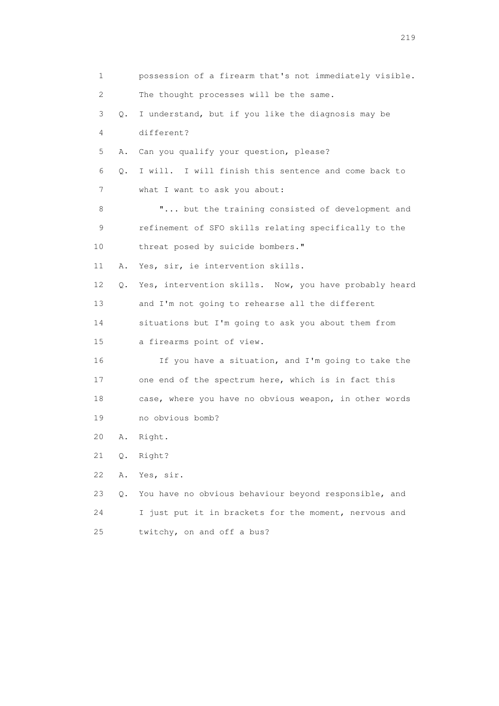| 1  |    | possession of a firearm that's not immediately visible. |
|----|----|---------------------------------------------------------|
| 2  |    | The thought processes will be the same.                 |
| 3  | Q. | I understand, but if you like the diagnosis may be      |
| 4  |    | different?                                              |
| 5  | Α. | Can you qualify your question, please?                  |
| 6  | Q. | I will. I will finish this sentence and come back to    |
| 7  |    | what I want to ask you about:                           |
| 8  |    | " but the training consisted of development and         |
| 9  |    | refinement of SFO skills relating specifically to the   |
| 10 |    | threat posed by suicide bombers."                       |
| 11 | Α. | Yes, sir, ie intervention skills.                       |
| 12 | Q. | Yes, intervention skills. Now, you have probably heard  |
| 13 |    | and I'm not going to rehearse all the different         |
| 14 |    | situations but I'm going to ask you about them from     |
| 15 |    | a firearms point of view.                               |
| 16 |    | If you have a situation, and I'm going to take the      |
| 17 |    | one end of the spectrum here, which is in fact this     |
| 18 |    | case, where you have no obvious weapon, in other words  |
| 19 |    | no obvious bomb?                                        |
| 20 | Α. | Right.                                                  |
| 21 | Q. | Right?                                                  |
| 22 | Α. | Yes, sir.                                               |
| 23 | О. | You have no obvious behaviour beyond responsible, and   |
| 24 |    | I just put it in brackets for the moment, nervous and   |
| 25 |    | twitchy, on and off a bus?                              |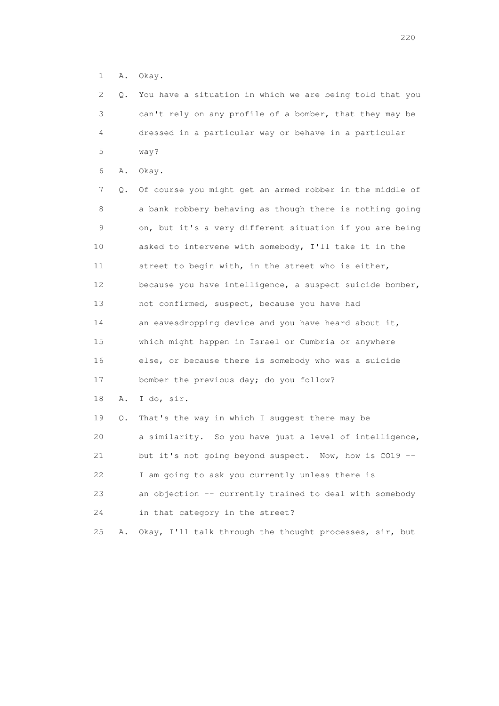1 A. Okay.

 2 Q. You have a situation in which we are being told that you 3 can't rely on any profile of a bomber, that they may be 4 dressed in a particular way or behave in a particular 5 way?

6 A. Okay.

 7 Q. Of course you might get an armed robber in the middle of 8 a bank robbery behaving as though there is nothing going 9 on, but it's a very different situation if you are being 10 asked to intervene with somebody, I'll take it in the 11 street to begin with, in the street who is either, 12 because you have intelligence, a suspect suicide bomber, 13 not confirmed, suspect, because you have had 14 an eavesdropping device and you have heard about it, 15 which might happen in Israel or Cumbria or anywhere 16 else, or because there is somebody who was a suicide 17 bomber the previous day; do you follow? 18 A. I do, sir. 19 Q. That's the way in which I suggest there may be 20 a similarity. So you have just a level of intelligence,

21 but it's not going beyond suspect. Now, how is CO19 --

22 I am going to ask you currently unless there is

 23 an objection -- currently trained to deal with somebody 24 in that category in the street?

25 A. Okay, I'll talk through the thought processes, sir, but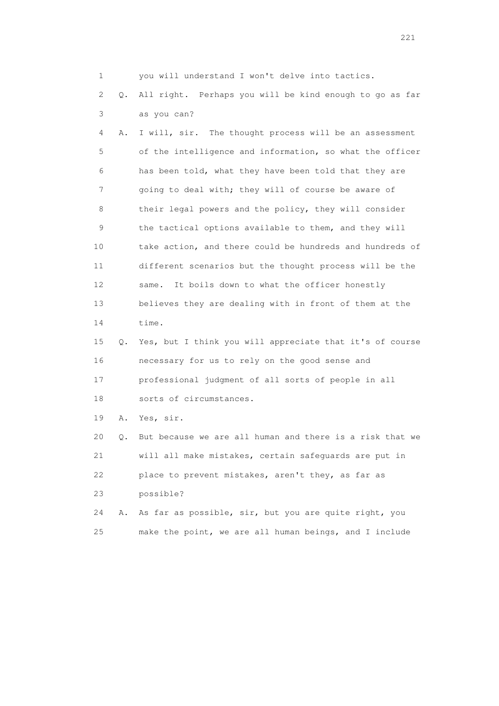1 you will understand I won't delve into tactics.

 2 Q. All right. Perhaps you will be kind enough to go as far 3 as you can?

 4 A. I will, sir. The thought process will be an assessment 5 of the intelligence and information, so what the officer 6 has been told, what they have been told that they are 7 going to deal with; they will of course be aware of 8 their legal powers and the policy, they will consider 9 the tactical options available to them, and they will 10 take action, and there could be hundreds and hundreds of 11 different scenarios but the thought process will be the 12 same. It boils down to what the officer honestly 13 believes they are dealing with in front of them at the 14 time.

 15 Q. Yes, but I think you will appreciate that it's of course 16 necessary for us to rely on the good sense and 17 professional judgment of all sorts of people in all 18 sorts of circumstances.

19 A. Yes, sir.

 20 Q. But because we are all human and there is a risk that we 21 will all make mistakes, certain safeguards are put in 22 place to prevent mistakes, aren't they, as far as 23 possible? 24 A. As far as possible, sir, but you are quite right, you

25 make the point, we are all human beings, and I include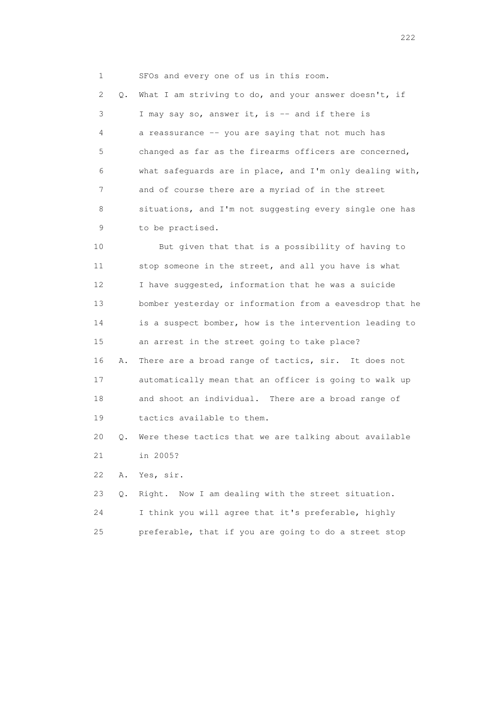1 SFOs and every one of us in this room.

 2 Q. What I am striving to do, and your answer doesn't, if 3 I may say so, answer it, is -- and if there is 4 a reassurance -- you are saying that not much has 5 changed as far as the firearms officers are concerned, 6 what safeguards are in place, and I'm only dealing with, 7 and of course there are a myriad of in the street 8 situations, and I'm not suggesting every single one has 9 to be practised.

 10 But given that that is a possibility of having to 11 stop someone in the street, and all you have is what 12 I have suggested, information that he was a suicide 13 bomber yesterday or information from a eavesdrop that he 14 is a suspect bomber, how is the intervention leading to 15 an arrest in the street going to take place? 16 A. There are a broad range of tactics, sir. It does not 17 automatically mean that an officer is going to walk up 18 and shoot an individual. There are a broad range of 19 tactics available to them.

 20 Q. Were these tactics that we are talking about available 21 in 2005?

22 A. Yes, sir.

 23 Q. Right. Now I am dealing with the street situation. 24 I think you will agree that it's preferable, highly 25 preferable, that if you are going to do a street stop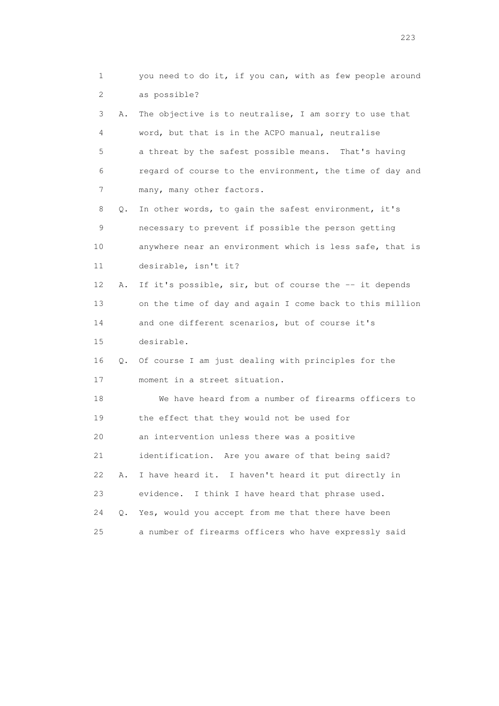1 you need to do it, if you can, with as few people around 2 as possible? 3 A. The objective is to neutralise, I am sorry to use that 4 word, but that is in the ACPO manual, neutralise 5 a threat by the safest possible means. That's having 6 regard of course to the environment, the time of day and 7 many, many other factors. 8 Q. In other words, to gain the safest environment, it's 9 necessary to prevent if possible the person getting 10 anywhere near an environment which is less safe, that is 11 desirable, isn't it? 12 A. If it's possible, sir, but of course the -- it depends 13 on the time of day and again I come back to this million 14 and one different scenarios, but of course it's 15 desirable. 16 Q. Of course I am just dealing with principles for the 17 moment in a street situation. 18 We have heard from a number of firearms officers to 19 the effect that they would not be used for 20 an intervention unless there was a positive 21 identification. Are you aware of that being said? 22 A. I have heard it. I haven't heard it put directly in 23 evidence. I think I have heard that phrase used. 24 Q. Yes, would you accept from me that there have been 25 a number of firearms officers who have expressly said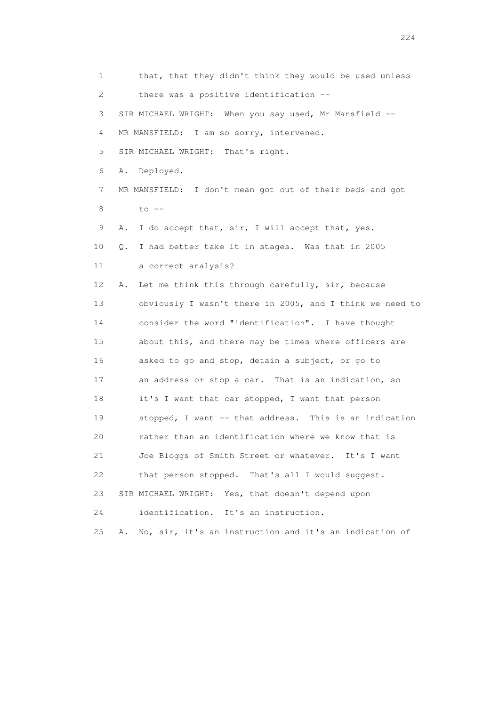1 that, that they didn't think they would be used unless 2 there was a positive identification -- 3 SIR MICHAEL WRIGHT: When you say used, Mr Mansfield -- 4 MR MANSFIELD: I am so sorry, intervened. 5 SIR MICHAEL WRIGHT: That's right. 6 A. Deployed. 7 MR MANSFIELD: I don't mean got out of their beds and got 8 to -- 9 A. I do accept that, sir, I will accept that, yes. 10 Q. I had better take it in stages. Was that in 2005 11 a correct analysis? 12 A. Let me think this through carefully, sir, because 13 obviously I wasn't there in 2005, and I think we need to 14 consider the word "identification". I have thought 15 about this, and there may be times where officers are 16 asked to go and stop, detain a subject, or go to 17 an address or stop a car. That is an indication, so 18 it's I want that car stopped, I want that person 19 stopped, I want -- that address. This is an indication 20 rather than an identification where we know that is 21 Joe Bloggs of Smith Street or whatever. It's I want 22 that person stopped. That's all I would suggest. 23 SIR MICHAEL WRIGHT: Yes, that doesn't depend upon 24 identification. It's an instruction. 25 A. No, sir, it's an instruction and it's an indication of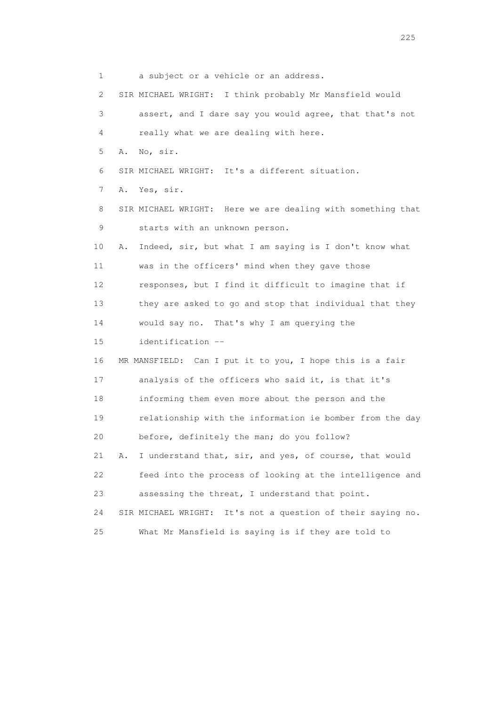1 a subject or a vehicle or an address. 2 SIR MICHAEL WRIGHT: I think probably Mr Mansfield would 3 assert, and I dare say you would agree, that that's not 4 really what we are dealing with here. 5 A. No, sir. 6 SIR MICHAEL WRIGHT: It's a different situation. 7 A. Yes, sir. 8 SIR MICHAEL WRIGHT: Here we are dealing with something that 9 starts with an unknown person. 10 A. Indeed, sir, but what I am saying is I don't know what 11 was in the officers' mind when they gave those 12 responses, but I find it difficult to imagine that if 13 they are asked to go and stop that individual that they 14 would say no. That's why I am querying the 15 identification -- 16 MR MANSFIELD: Can I put it to you, I hope this is a fair 17 analysis of the officers who said it, is that it's 18 informing them even more about the person and the 19 relationship with the information ie bomber from the day 20 before, definitely the man; do you follow? 21 A. I understand that, sir, and yes, of course, that would 22 feed into the process of looking at the intelligence and 23 assessing the threat, I understand that point. 24 SIR MICHAEL WRIGHT: It's not a question of their saying no. 25 What Mr Mansfield is saying is if they are told to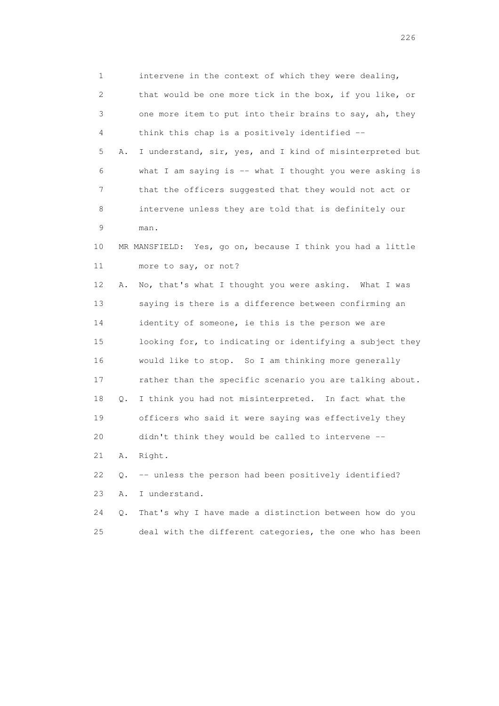1 intervene in the context of which they were dealing, 2 that would be one more tick in the box, if you like, or 3 one more item to put into their brains to say, ah, they 4 think this chap is a positively identified -- 5 A. I understand, sir, yes, and I kind of misinterpreted but 6 what I am saying is -- what I thought you were asking is 7 that the officers suggested that they would not act or 8 intervene unless they are told that is definitely our 9 man. 10 MR MANSFIELD: Yes, go on, because I think you had a little 11 more to say, or not? 12 A. No, that's what I thought you were asking. What I was 13 saying is there is a difference between confirming an 14 identity of someone, ie this is the person we are 15 looking for, to indicating or identifying a subject they 16 would like to stop. So I am thinking more generally 17 rather than the specific scenario you are talking about. 18 Q. I think you had not misinterpreted. In fact what the 19 officers who said it were saying was effectively they 20 didn't think they would be called to intervene -- 21 A. Right. 22 Q. -- unless the person had been positively identified? 23 A. I understand. 24 Q. That's why I have made a distinction between how do you

25 deal with the different categories, the one who has been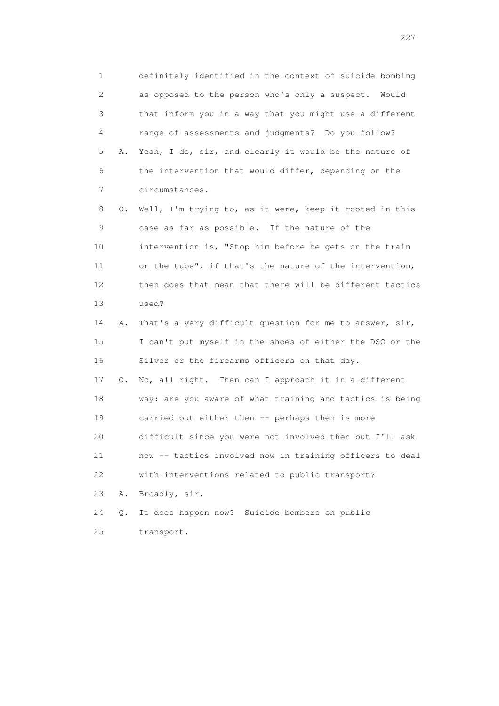1 definitely identified in the context of suicide bombing 2 as opposed to the person who's only a suspect. Would 3 that inform you in a way that you might use a different 4 range of assessments and judgments? Do you follow? 5 A. Yeah, I do, sir, and clearly it would be the nature of 6 the intervention that would differ, depending on the 7 circumstances. 8 Q. Well, I'm trying to, as it were, keep it rooted in this

 9 case as far as possible. If the nature of the 10 intervention is, "Stop him before he gets on the train 11 or the tube", if that's the nature of the intervention, 12 then does that mean that there will be different tactics 13 used?

 14 A. That's a very difficult question for me to answer, sir, 15 I can't put myself in the shoes of either the DSO or the 16 Silver or the firearms officers on that day.

 17 Q. No, all right. Then can I approach it in a different 18 way: are you aware of what training and tactics is being 19 carried out either then -- perhaps then is more 20 difficult since you were not involved then but I'll ask 21 now -- tactics involved now in training officers to deal 22 with interventions related to public transport?

23 A. Broadly, sir.

 24 Q. It does happen now? Suicide bombers on public 25 transport.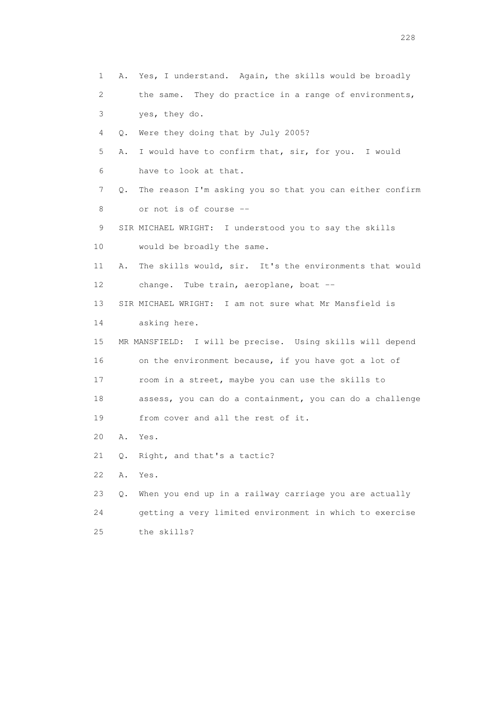1 A. Yes, I understand. Again, the skills would be broadly 2 the same. They do practice in a range of environments, 3 yes, they do. 4 Q. Were they doing that by July 2005? 5 A. I would have to confirm that, sir, for you. I would 6 have to look at that. 7 Q. The reason I'm asking you so that you can either confirm 8 or not is of course -- 9 SIR MICHAEL WRIGHT: I understood you to say the skills 10 would be broadly the same. 11 A. The skills would, sir. It's the environments that would 12 change. Tube train, aeroplane, boat -- 13 SIR MICHAEL WRIGHT: I am not sure what Mr Mansfield is 14 asking here. 15 MR MANSFIELD: I will be precise. Using skills will depend 16 on the environment because, if you have got a lot of 17 room in a street, maybe you can use the skills to 18 assess, you can do a containment, you can do a challenge 19 from cover and all the rest of it. 20 A. Yes. 21 Q. Right, and that's a tactic? 22 A. Yes. 23 Q. When you end up in a railway carriage you are actually 24 getting a very limited environment in which to exercise 25 the skills?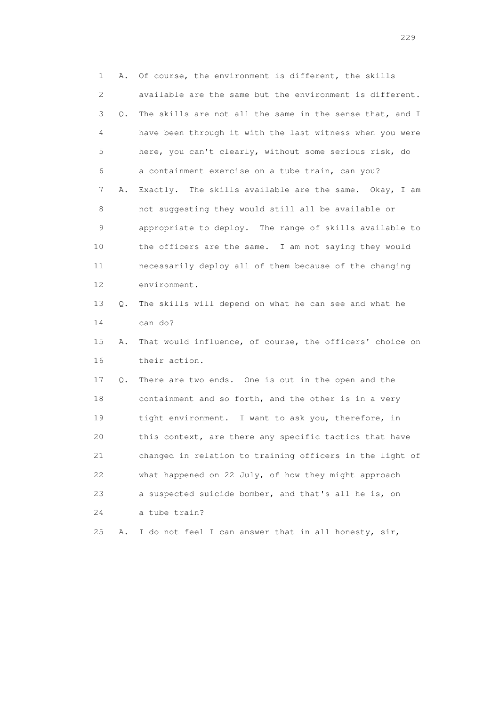1 A. Of course, the environment is different, the skills 2 available are the same but the environment is different. 3 Q. The skills are not all the same in the sense that, and I 4 have been through it with the last witness when you were 5 here, you can't clearly, without some serious risk, do 6 a containment exercise on a tube train, can you? 7 A. Exactly. The skills available are the same. Okay, I am 8 not suggesting they would still all be available or 9 appropriate to deploy. The range of skills available to 10 the officers are the same. I am not saying they would 11 necessarily deploy all of them because of the changing 12 environment. 13 Q. The skills will depend on what he can see and what he 14 can do? 15 A. That would influence, of course, the officers' choice on 16 their action. 17 Q. There are two ends. One is out in the open and the 18 containment and so forth, and the other is in a very 19 tight environment. I want to ask you, therefore, in 20 this context, are there any specific tactics that have 21 changed in relation to training officers in the light of 22 what happened on 22 July, of how they might approach 23 a suspected suicide bomber, and that's all he is, on 24 a tube train? 25 A. I do not feel I can answer that in all honesty, sir,

<u>229</u><br>229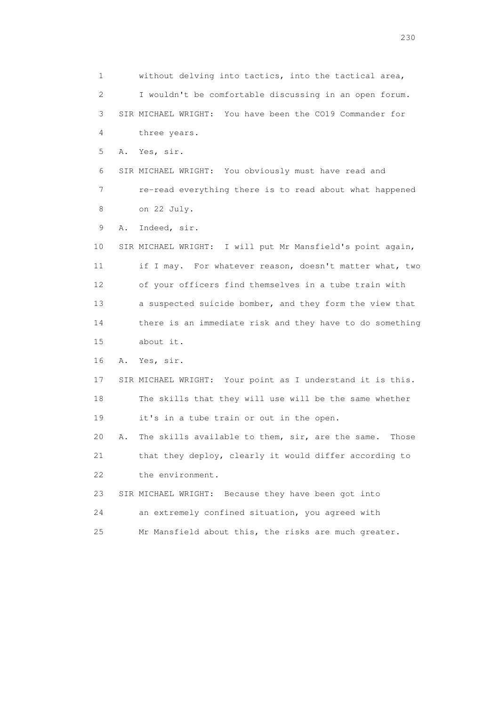1 without delving into tactics, into the tactical area, 2 I wouldn't be comfortable discussing in an open forum. 3 SIR MICHAEL WRIGHT: You have been the CO19 Commander for 4 three years. 5 A. Yes, sir. 6 SIR MICHAEL WRIGHT: You obviously must have read and 7 re-read everything there is to read about what happened 8 on 22 July. 9 A. Indeed, sir. 10 SIR MICHAEL WRIGHT: I will put Mr Mansfield's point again, 11 if I may. For whatever reason, doesn't matter what, two 12 of your officers find themselves in a tube train with 13 a suspected suicide bomber, and they form the view that 14 there is an immediate risk and they have to do something 15 about it. 16 A. Yes, sir. 17 SIR MICHAEL WRIGHT: Your point as I understand it is this. 18 The skills that they will use will be the same whether 19 it's in a tube train or out in the open. 20 A. The skills available to them, sir, are the same. Those 21 that they deploy, clearly it would differ according to 22 the environment. 23 SIR MICHAEL WRIGHT: Because they have been got into 24 an extremely confined situation, you agreed with 25 Mr Mansfield about this, the risks are much greater.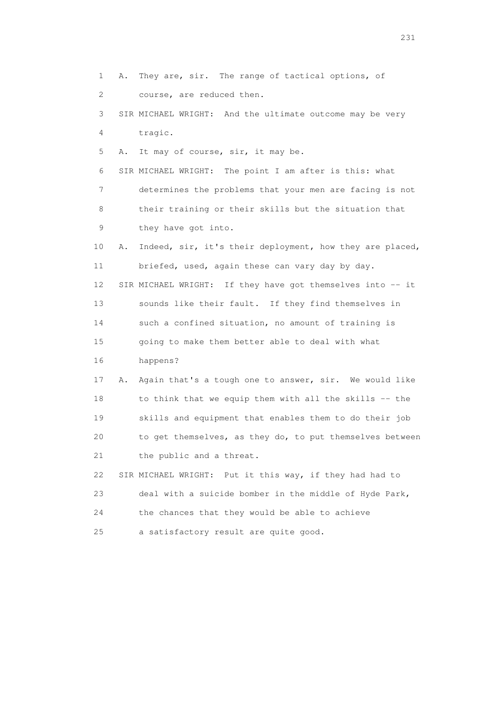1 A. They are, sir. The range of tactical options, of 2 course, are reduced then. 3 SIR MICHAEL WRIGHT: And the ultimate outcome may be very 4 tragic. 5 A. It may of course, sir, it may be. 6 SIR MICHAEL WRIGHT: The point I am after is this: what 7 determines the problems that your men are facing is not 8 their training or their skills but the situation that 9 they have got into. 10 A. Indeed, sir, it's their deployment, how they are placed, 11 briefed, used, again these can vary day by day. 12 SIR MICHAEL WRIGHT: If they have got themselves into -- it 13 sounds like their fault. If they find themselves in 14 such a confined situation, no amount of training is 15 going to make them better able to deal with what 16 happens? 17 A. Again that's a tough one to answer, sir. We would like 18 to think that we equip them with all the skills -- the 19 skills and equipment that enables them to do their job 20 to get themselves, as they do, to put themselves between 21 the public and a threat. 22 SIR MICHAEL WRIGHT: Put it this way, if they had had to 23 deal with a suicide bomber in the middle of Hyde Park, 24 the chances that they would be able to achieve 25 a satisfactory result are quite good.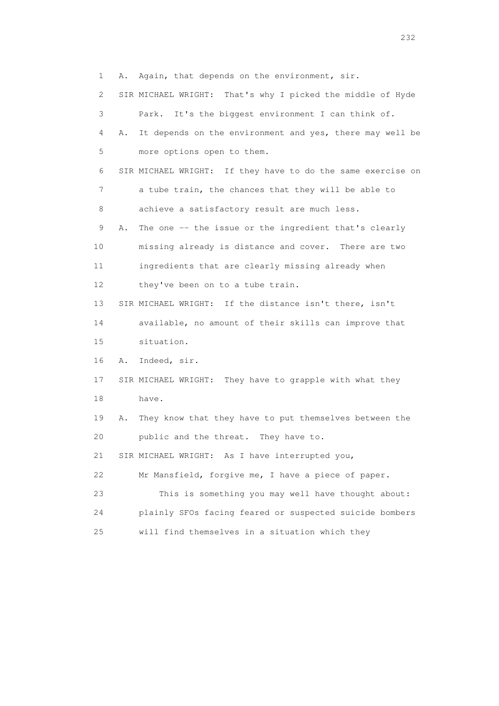1 A. Again, that depends on the environment, sir. 2 SIR MICHAEL WRIGHT: That's why I picked the middle of Hyde 3 Park. It's the biggest environment I can think of. 4 A. It depends on the environment and yes, there may well be 5 more options open to them. 6 SIR MICHAEL WRIGHT: If they have to do the same exercise on 7 a tube train, the chances that they will be able to 8 achieve a satisfactory result are much less. 9 A. The one -- the issue or the ingredient that's clearly 10 missing already is distance and cover. There are two 11 ingredients that are clearly missing already when 12 they've been on to a tube train. 13 SIR MICHAEL WRIGHT: If the distance isn't there, isn't 14 available, no amount of their skills can improve that 15 situation. 16 A. Indeed, sir. 17 SIR MICHAEL WRIGHT: They have to grapple with what they 18 have. 19 A. They know that they have to put themselves between the 20 public and the threat. They have to. 21 SIR MICHAEL WRIGHT: As I have interrupted you, 22 Mr Mansfield, forgive me, I have a piece of paper. 23 This is something you may well have thought about: 24 plainly SFOs facing feared or suspected suicide bombers 25 will find themselves in a situation which they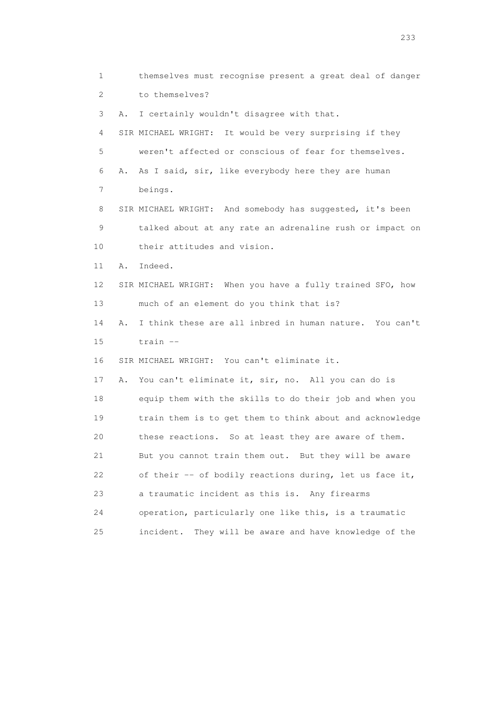1 themselves must recognise present a great deal of danger 2 to themselves? 3 A. I certainly wouldn't disagree with that. 4 SIR MICHAEL WRIGHT: It would be very surprising if they 5 weren't affected or conscious of fear for themselves. 6 A. As I said, sir, like everybody here they are human 7 beings. 8 SIR MICHAEL WRIGHT: And somebody has suggested, it's been 9 talked about at any rate an adrenaline rush or impact on 10 their attitudes and vision. 11 A. Indeed. 12 SIR MICHAEL WRIGHT: When you have a fully trained SFO, how 13 much of an element do you think that is? 14 A. I think these are all inbred in human nature. You can't 15 train -- 16 SIR MICHAEL WRIGHT: You can't eliminate it. 17 A. You can't eliminate it, sir, no. All you can do is 18 equip them with the skills to do their job and when you 19 train them is to get them to think about and acknowledge 20 these reactions. So at least they are aware of them. 21 But you cannot train them out. But they will be aware 22 of their -- of bodily reactions during, let us face it, 23 a traumatic incident as this is. Any firearms 24 operation, particularly one like this, is a traumatic 25 incident. They will be aware and have knowledge of the

<u>233</u>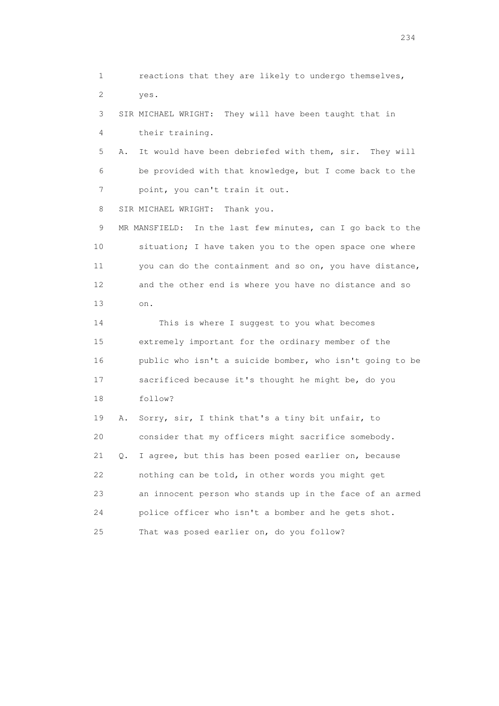1 reactions that they are likely to undergo themselves, 2 yes. 3 SIR MICHAEL WRIGHT: They will have been taught that in 4 their training. 5 A. It would have been debriefed with them, sir. They will 6 be provided with that knowledge, but I come back to the 7 point, you can't train it out. 8 SIR MICHAEL WRIGHT: Thank you. 9 MR MANSFIELD: In the last few minutes, can I go back to the 10 situation; I have taken you to the open space one where 11 you can do the containment and so on, you have distance, 12 and the other end is where you have no distance and so 13 on. 14 This is where I suggest to you what becomes 15 extremely important for the ordinary member of the 16 public who isn't a suicide bomber, who isn't going to be 17 sacrificed because it's thought he might be, do you 18 follow? 19 A. Sorry, sir, I think that's a tiny bit unfair, to 20 consider that my officers might sacrifice somebody. 21 Q. I agree, but this has been posed earlier on, because 22 nothing can be told, in other words you might get 23 an innocent person who stands up in the face of an armed 24 police officer who isn't a bomber and he gets shot. 25 That was posed earlier on, do you follow?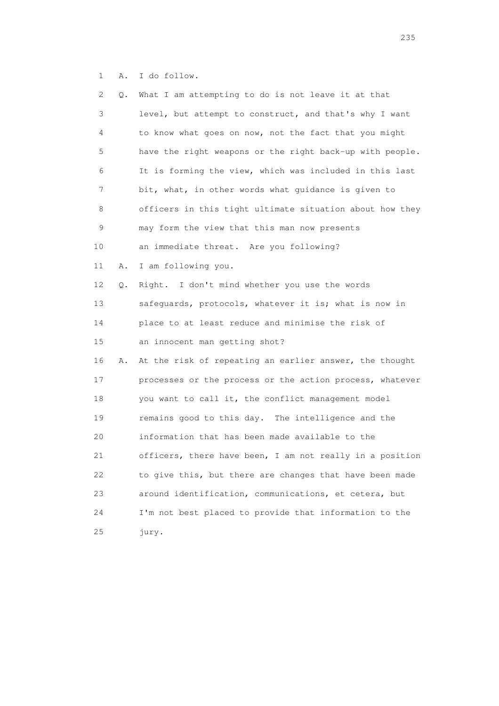1 A. I do follow.

| 2  | Q. | What I am attempting to do is not leave it at that       |
|----|----|----------------------------------------------------------|
| 3  |    | level, but attempt to construct, and that's why I want   |
| 4  |    | to know what goes on now, not the fact that you might    |
| 5  |    | have the right weapons or the right back-up with people. |
| 6  |    | It is forming the view, which was included in this last  |
| 7  |    | bit, what, in other words what guidance is given to      |
| 8  |    | officers in this tight ultimate situation about how they |
| 9  |    | may form the view that this man now presents             |
| 10 |    | an immediate threat. Are you following?                  |
| 11 | Α. | I am following you.                                      |
| 12 | Q. | Right. I don't mind whether you use the words            |
| 13 |    | safeguards, protocols, whatever it is; what is now in    |
| 14 |    | place to at least reduce and minimise the risk of        |
| 15 |    | an innocent man getting shot?                            |
| 16 | Α. | At the risk of repeating an earlier answer, the thought  |
| 17 |    | processes or the process or the action process, whatever |
| 18 |    | you want to call it, the conflict management model       |
| 19 |    | remains good to this day. The intelligence and the       |
| 20 |    | information that has been made available to the          |
| 21 |    | officers, there have been, I am not really in a position |
| 22 |    | to give this, but there are changes that have been made  |
| 23 |    | around identification, communications, et cetera, but    |
| 24 |    | I'm not best placed to provide that information to the   |
| 25 |    | jury.                                                    |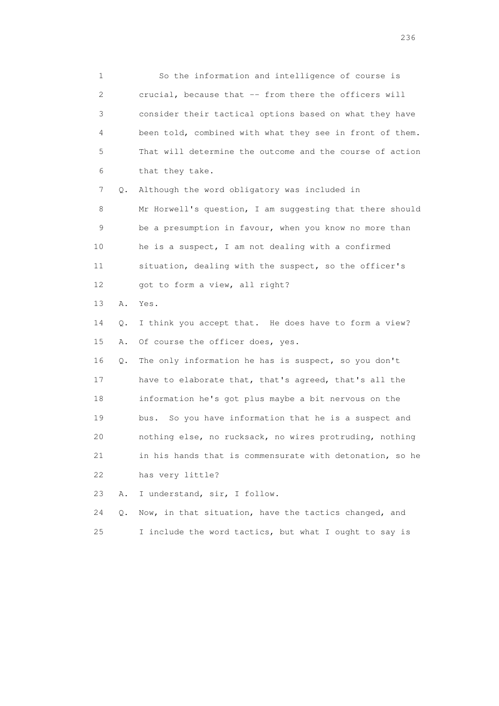1 So the information and intelligence of course is 2 crucial, because that -- from there the officers will 3 consider their tactical options based on what they have 4 been told, combined with what they see in front of them. 5 That will determine the outcome and the course of action 6 that they take. 7 Q. Although the word obligatory was included in 8 Mr Horwell's question, I am suggesting that there should 9 be a presumption in favour, when you know no more than 10 he is a suspect, I am not dealing with a confirmed 11 situation, dealing with the suspect, so the officer's 12 got to form a view, all right? 13 A. Yes. 14 Q. I think you accept that. He does have to form a view? 15 A. Of course the officer does, yes. 16 Q. The only information he has is suspect, so you don't 17 have to elaborate that, that's agreed, that's all the 18 information he's got plus maybe a bit nervous on the 19 bus. So you have information that he is a suspect and 20 nothing else, no rucksack, no wires protruding, nothing 21 in his hands that is commensurate with detonation, so he 22 has very little?

23 A. I understand, sir, I follow.

 24 Q. Now, in that situation, have the tactics changed, and 25 I include the word tactics, but what I ought to say is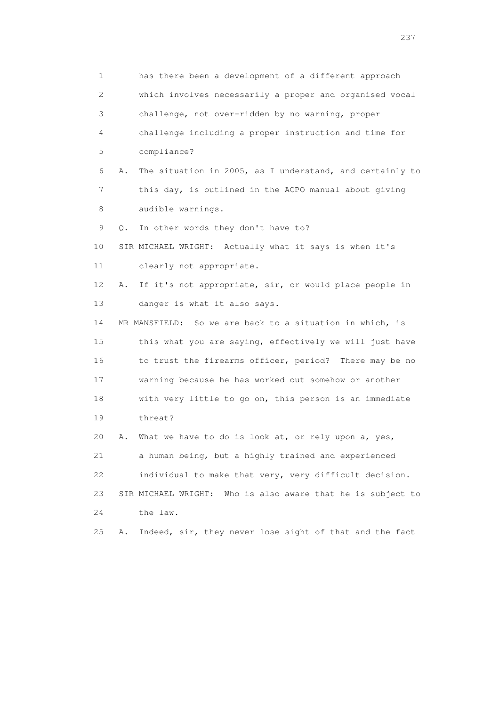1 has there been a development of a different approach 2 which involves necessarily a proper and organised vocal 3 challenge, not over-ridden by no warning, proper 4 challenge including a proper instruction and time for 5 compliance? 6 A. The situation in 2005, as I understand, and certainly to 7 this day, is outlined in the ACPO manual about giving 8 audible warnings. 9 Q. In other words they don't have to? 10 SIR MICHAEL WRIGHT: Actually what it says is when it's 11 clearly not appropriate. 12 A. If it's not appropriate, sir, or would place people in 13 danger is what it also says. 14 MR MANSFIELD: So we are back to a situation in which, is 15 this what you are saying, effectively we will just have 16 to trust the firearms officer, period? There may be no 17 warning because he has worked out somehow or another 18 with very little to go on, this person is an immediate 19 threat? 20 A. What we have to do is look at, or rely upon a, yes, 21 a human being, but a highly trained and experienced 22 individual to make that very, very difficult decision. 23 SIR MICHAEL WRIGHT: Who is also aware that he is subject to 24 the law. 25 A. Indeed, sir, they never lose sight of that and the fact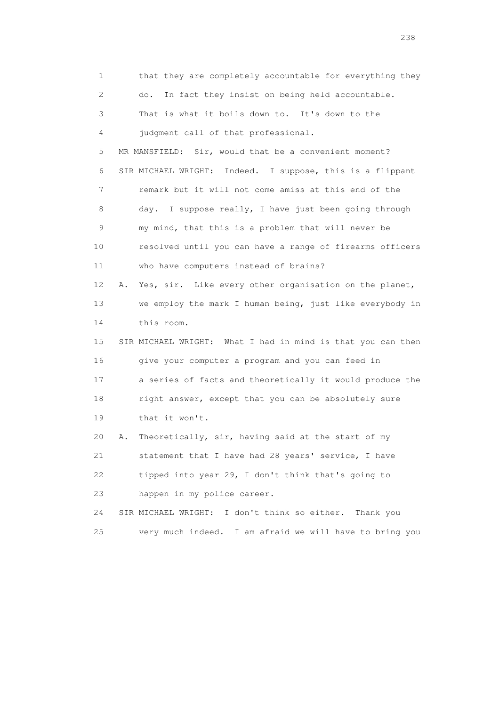1 that they are completely accountable for everything they 2 do. In fact they insist on being held accountable. 3 That is what it boils down to. It's down to the 4 judgment call of that professional. 5 MR MANSFIELD: Sir, would that be a convenient moment? 6 SIR MICHAEL WRIGHT: Indeed. I suppose, this is a flippant 7 remark but it will not come amiss at this end of the 8 day. I suppose really, I have just been going through 9 my mind, that this is a problem that will never be 10 resolved until you can have a range of firearms officers 11 who have computers instead of brains? 12 A. Yes, sir. Like every other organisation on the planet, 13 we employ the mark I human being, just like everybody in 14 this room. 15 SIR MICHAEL WRIGHT: What I had in mind is that you can then 16 give your computer a program and you can feed in 17 a series of facts and theoretically it would produce the 18 right answer, except that you can be absolutely sure 19 that it won't. 20 A. Theoretically, sir, having said at the start of my 21 statement that I have had 28 years' service, I have 22 tipped into year 29, I don't think that's going to 23 happen in my police career. 24 SIR MICHAEL WRIGHT: I don't think so either. Thank you 25 very much indeed. I am afraid we will have to bring you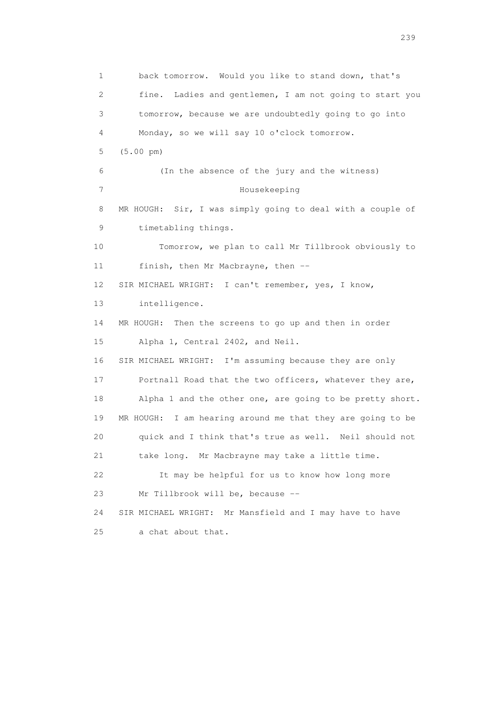1 back tomorrow. Would you like to stand down, that's 2 fine. Ladies and gentlemen, I am not going to start you 3 tomorrow, because we are undoubtedly going to go into 4 Monday, so we will say 10 o'clock tomorrow. 5 (5.00 pm) 6 (In the absence of the jury and the witness) 7 Housekeeping 8 MR HOUGH: Sir, I was simply going to deal with a couple of 9 timetabling things. 10 Tomorrow, we plan to call Mr Tillbrook obviously to 11 finish, then Mr Macbrayne, then -- 12 SIR MICHAEL WRIGHT: I can't remember, yes, I know, 13 intelligence. 14 MR HOUGH: Then the screens to go up and then in order 15 Alpha 1, Central 2402, and Neil. 16 SIR MICHAEL WRIGHT: I'm assuming because they are only 17 Portnall Road that the two officers, whatever they are, 18 Alpha 1 and the other one, are going to be pretty short. 19 MR HOUGH: I am hearing around me that they are going to be 20 quick and I think that's true as well. Neil should not 21 take long. Mr Macbrayne may take a little time. 22 It may be helpful for us to know how long more 23 Mr Tillbrook will be, because -- 24 SIR MICHAEL WRIGHT: Mr Mansfield and I may have to have 25 a chat about that.

239 and 239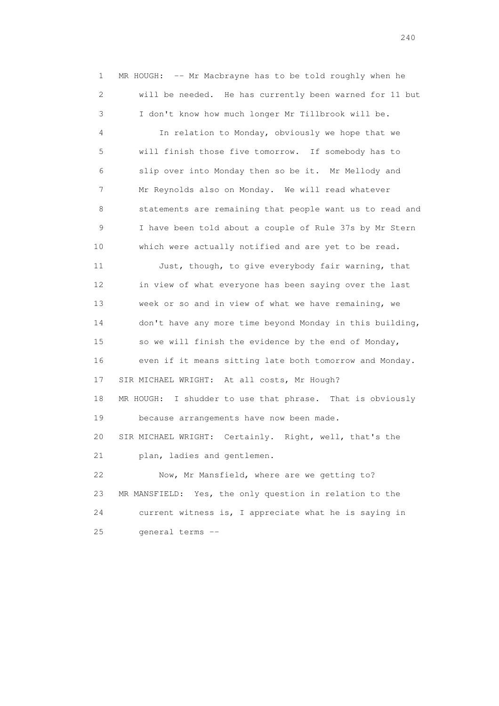1 MR HOUGH: -- Mr Macbrayne has to be told roughly when he 2 will be needed. He has currently been warned for 11 but 3 I don't know how much longer Mr Tillbrook will be.

 4 In relation to Monday, obviously we hope that we 5 will finish those five tomorrow. If somebody has to 6 slip over into Monday then so be it. Mr Mellody and 7 Mr Reynolds also on Monday. We will read whatever 8 statements are remaining that people want us to read and 9 I have been told about a couple of Rule 37s by Mr Stern 10 which were actually notified and are yet to be read.

 11 Just, though, to give everybody fair warning, that 12 in view of what everyone has been saying over the last 13 week or so and in view of what we have remaining, we 14 don't have any more time beyond Monday in this building, 15 so we will finish the evidence by the end of Monday, 16 even if it means sitting late both tomorrow and Monday. 17 SIR MICHAEL WRIGHT: At all costs, Mr Hough? 18 MR HOUGH: I shudder to use that phrase. That is obviously 19 because arrangements have now been made. 20 SIR MICHAEL WRIGHT: Certainly. Right, well, that's the 21 plan, ladies and gentlemen. 22 Now, Mr Mansfield, where are we getting to? 23 MR MANSFIELD: Yes, the only question in relation to the 24 current witness is, I appreciate what he is saying in

25 general terms --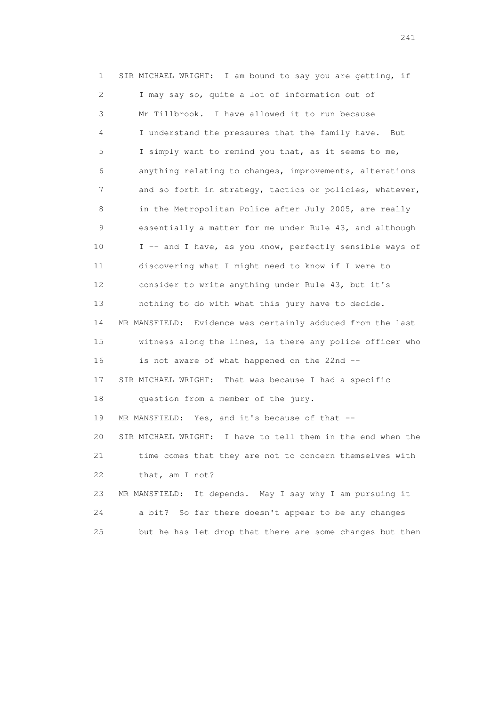1 SIR MICHAEL WRIGHT: I am bound to say you are getting, if 2 I may say so, quite a lot of information out of 3 Mr Tillbrook. I have allowed it to run because 4 I understand the pressures that the family have. But 5 I simply want to remind you that, as it seems to me, 6 anything relating to changes, improvements, alterations 7 and so forth in strategy, tactics or policies, whatever, 8 in the Metropolitan Police after July 2005, are really 9 essentially a matter for me under Rule 43, and although 10 I -- and I have, as you know, perfectly sensible ways of 11 discovering what I might need to know if I were to 12 consider to write anything under Rule 43, but it's 13 nothing to do with what this jury have to decide. 14 MR MANSFIELD: Evidence was certainly adduced from the last 15 witness along the lines, is there any police officer who 16 is not aware of what happened on the 22nd -- 17 SIR MICHAEL WRIGHT: That was because I had a specific 18 question from a member of the jury. 19 MR MANSFIELD: Yes, and it's because of that -- 20 SIR MICHAEL WRIGHT: I have to tell them in the end when the 21 time comes that they are not to concern themselves with 22 that, am I not? 23 MR MANSFIELD: It depends. May I say why I am pursuing it 24 a bit? So far there doesn't appear to be any changes 25 but he has let drop that there are some changes but then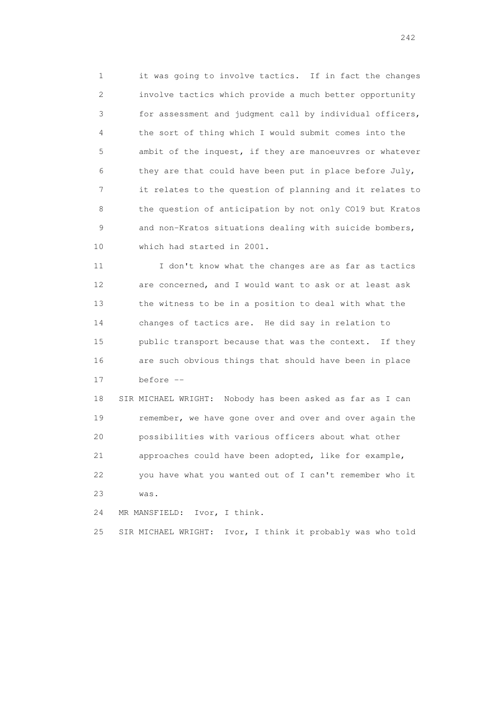1 it was going to involve tactics. If in fact the changes 2 involve tactics which provide a much better opportunity 3 for assessment and judgment call by individual officers, 4 the sort of thing which I would submit comes into the 5 ambit of the inquest, if they are manoeuvres or whatever 6 they are that could have been put in place before July, 7 it relates to the question of planning and it relates to 8 the question of anticipation by not only CO19 but Kratos 9 and non-Kratos situations dealing with suicide bombers, 10 which had started in 2001.

 11 I don't know what the changes are as far as tactics 12 are concerned, and I would want to ask or at least ask 13 the witness to be in a position to deal with what the 14 changes of tactics are. He did say in relation to 15 public transport because that was the context. If they 16 are such obvious things that should have been in place 17 before --

 18 SIR MICHAEL WRIGHT: Nobody has been asked as far as I can 19 remember, we have gone over and over and over again the 20 possibilities with various officers about what other 21 approaches could have been adopted, like for example, 22 you have what you wanted out of I can't remember who it 23 was.

24 MR MANSFIELD: Ivor, I think.

25 SIR MICHAEL WRIGHT: Ivor, I think it probably was who told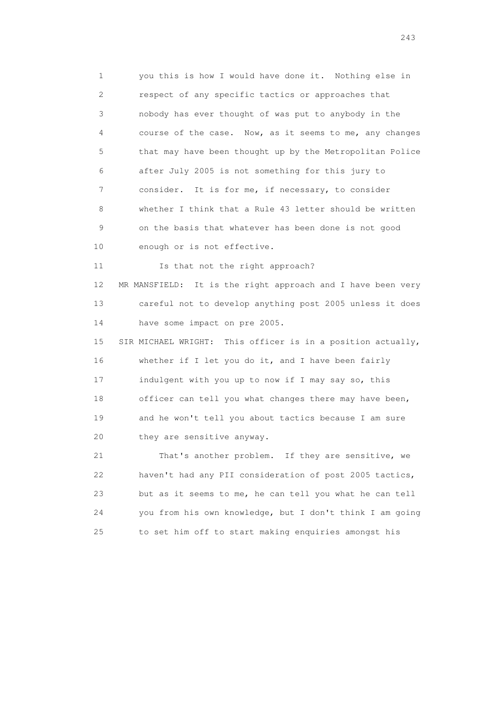1 you this is how I would have done it. Nothing else in 2 respect of any specific tactics or approaches that 3 nobody has ever thought of was put to anybody in the 4 course of the case. Now, as it seems to me, any changes 5 that may have been thought up by the Metropolitan Police 6 after July 2005 is not something for this jury to 7 consider. It is for me, if necessary, to consider 8 whether I think that a Rule 43 letter should be written 9 on the basis that whatever has been done is not good 10 enough or is not effective.

11 Is that not the right approach? 12 MR MANSFIELD: It is the right approach and I have been very 13 careful not to develop anything post 2005 unless it does 14 have some impact on pre 2005.

 15 SIR MICHAEL WRIGHT: This officer is in a position actually, 16 whether if I let you do it, and I have been fairly 17 indulgent with you up to now if I may say so, this 18 officer can tell you what changes there may have been, 19 and he won't tell you about tactics because I am sure 20 they are sensitive anyway.

 21 That's another problem. If they are sensitive, we 22 haven't had any PII consideration of post 2005 tactics, 23 but as it seems to me, he can tell you what he can tell 24 you from his own knowledge, but I don't think I am going 25 to set him off to start making enquiries amongst his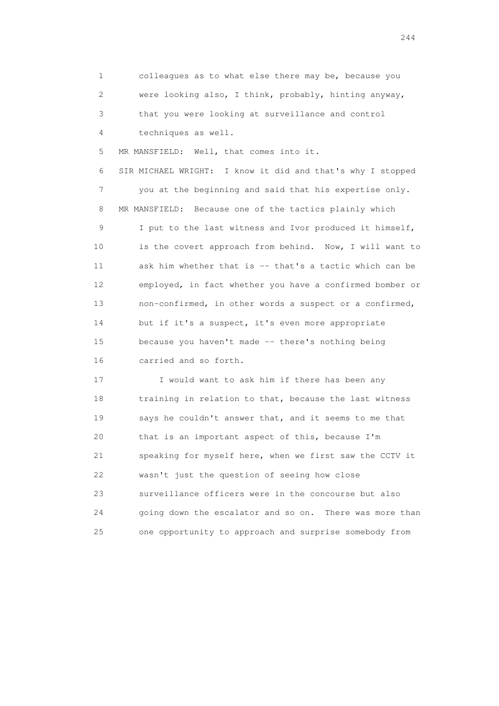1 colleagues as to what else there may be, because you 2 were looking also, I think, probably, hinting anyway, 3 that you were looking at surveillance and control 4 techniques as well.

5 MR MANSFIELD: Well, that comes into it.

 6 SIR MICHAEL WRIGHT: I know it did and that's why I stopped 7 you at the beginning and said that his expertise only. 8 MR MANSFIELD: Because one of the tactics plainly which 9 I put to the last witness and Ivor produced it himself, 10 is the covert approach from behind. Now, I will want to 11 ask him whether that is -- that's a tactic which can be 12 employed, in fact whether you have a confirmed bomber or 13 non-confirmed, in other words a suspect or a confirmed, 14 but if it's a suspect, it's even more appropriate 15 because you haven't made -- there's nothing being 16 carried and so forth.

17 I would want to ask him if there has been any 18 training in relation to that, because the last witness 19 says he couldn't answer that, and it seems to me that 20 that is an important aspect of this, because I'm 21 speaking for myself here, when we first saw the CCTV it 22 wasn't just the question of seeing how close 23 surveillance officers were in the concourse but also 24 going down the escalator and so on. There was more than 25 one opportunity to approach and surprise somebody from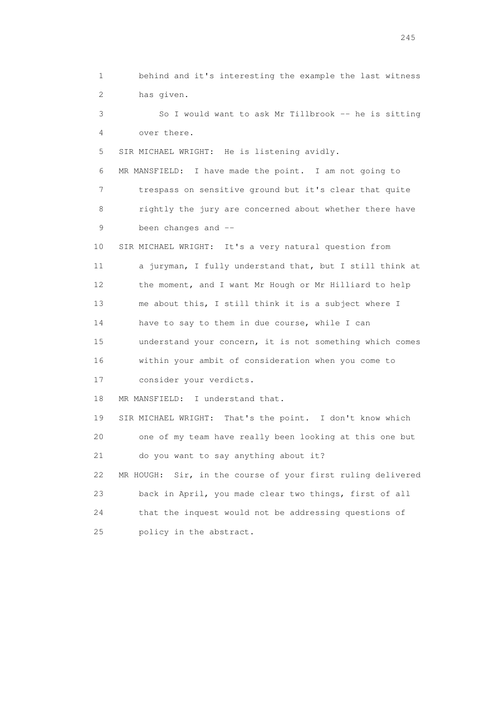1 behind and it's interesting the example the last witness 2 has given. 3 So I would want to ask Mr Tillbrook -- he is sitting 4 over there. 5 SIR MICHAEL WRIGHT: He is listening avidly. 6 MR MANSFIELD: I have made the point. I am not going to 7 trespass on sensitive ground but it's clear that quite 8 rightly the jury are concerned about whether there have 9 been changes and -- 10 SIR MICHAEL WRIGHT: It's a very natural question from 11 a juryman, I fully understand that, but I still think at 12 the moment, and I want Mr Hough or Mr Hilliard to help 13 me about this, I still think it is a subject where I 14 have to say to them in due course, while I can 15 understand your concern, it is not something which comes 16 within your ambit of consideration when you come to 17 consider your verdicts. 18 MR MANSFIELD: I understand that. 19 SIR MICHAEL WRIGHT: That's the point. I don't know which 20 one of my team have really been looking at this one but 21 do you want to say anything about it? 22 MR HOUGH: Sir, in the course of your first ruling delivered 23 back in April, you made clear two things, first of all 24 that the inquest would not be addressing questions of 25 policy in the abstract.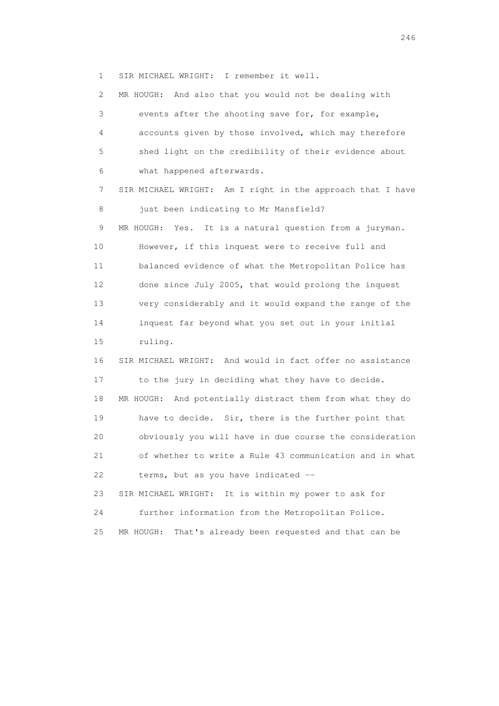1 SIR MICHAEL WRIGHT: I remember it well.

 2 MR HOUGH: And also that you would not be dealing with 3 events after the shooting save for, for example, 4 accounts given by those involved, which may therefore 5 shed light on the credibility of their evidence about 6 what happened afterwards. 7 SIR MICHAEL WRIGHT: Am I right in the approach that I have 8 just been indicating to Mr Mansfield? 9 MR HOUGH: Yes. It is a natural question from a juryman. 10 However, if this inquest were to receive full and 11 balanced evidence of what the Metropolitan Police has 12 done since July 2005, that would prolong the inquest 13 very considerably and it would expand the range of the 14 inquest far beyond what you set out in your initial 15 ruling. 16 SIR MICHAEL WRIGHT: And would in fact offer no assistance 17 to the jury in deciding what they have to decide. 18 MR HOUGH: And potentially distract them from what they do 19 have to decide. Sir, there is the further point that 20 obviously you will have in due course the consideration 21 of whether to write a Rule 43 communication and in what 22 terms, but as you have indicated -- 23 SIR MICHAEL WRIGHT: It is within my power to ask for 24 further information from the Metropolitan Police. 25 MR HOUGH: That's already been requested and that can be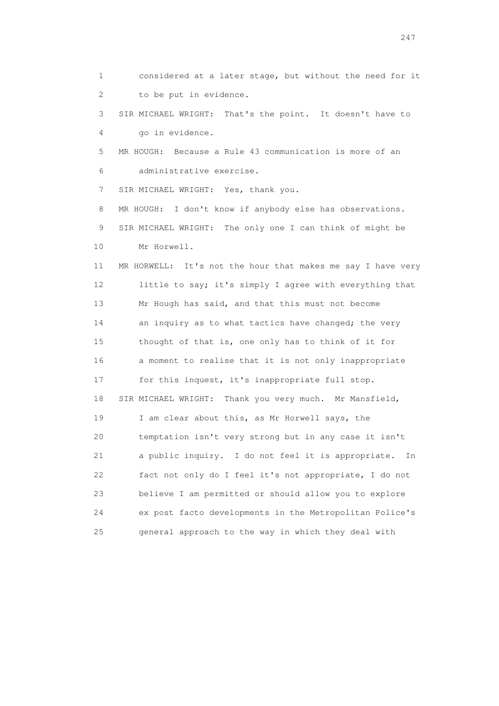1 considered at a later stage, but without the need for it 2 to be put in evidence. 3 SIR MICHAEL WRIGHT: That's the point. It doesn't have to 4 go in evidence. 5 MR HOUGH: Because a Rule 43 communication is more of an 6 administrative exercise. 7 SIR MICHAEL WRIGHT: Yes, thank you. 8 MR HOUGH: I don't know if anybody else has observations. 9 SIR MICHAEL WRIGHT: The only one I can think of might be 10 Mr Horwell. 11 MR HORWELL: It's not the hour that makes me say I have very 12 little to say; it's simply I agree with everything that 13 Mr Hough has said, and that this must not become 14 an inquiry as to what tactics have changed; the very 15 thought of that is, one only has to think of it for 16 a moment to realise that it is not only inappropriate 17 for this inquest, it's inappropriate full stop. 18 SIR MICHAEL WRIGHT: Thank you very much. Mr Mansfield, 19 I am clear about this, as Mr Horwell says, the 20 temptation isn't very strong but in any case it isn't 21 a public inquiry. I do not feel it is appropriate. In 22 fact not only do I feel it's not appropriate, I do not 23 believe I am permitted or should allow you to explore 24 ex post facto developments in the Metropolitan Police's 25 general approach to the way in which they deal with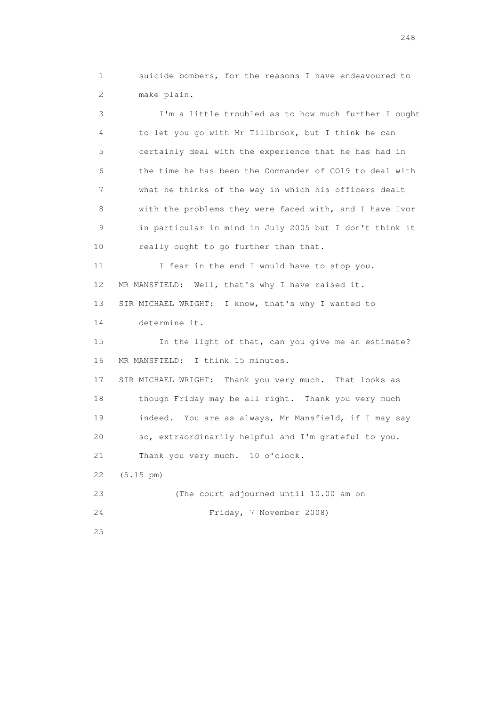1 suicide bombers, for the reasons I have endeavoured to 2 make plain.

 3 I'm a little troubled as to how much further I ought 4 to let you go with Mr Tillbrook, but I think he can 5 certainly deal with the experience that he has had in 6 the time he has been the Commander of CO19 to deal with 7 what he thinks of the way in which his officers dealt 8 with the problems they were faced with, and I have Ivor 9 in particular in mind in July 2005 but I don't think it 10 really ought to go further than that. 11 I fear in the end I would have to stop you. 12 MR MANSFIELD: Well, that's why I have raised it. 13 SIR MICHAEL WRIGHT: I know, that's why I wanted to 14 determine it. 15 In the light of that, can you give me an estimate? 16 MR MANSFIELD: I think 15 minutes. 17 SIR MICHAEL WRIGHT: Thank you very much. That looks as 18 though Friday may be all right. Thank you very much 19 indeed. You are as always, Mr Mansfield, if I may say 20 so, extraordinarily helpful and I'm grateful to you. 21 Thank you very much. 10 o'clock. 22 (5.15 pm) 23 (The court adjourned until 10.00 am on 24 Friday, 7 November 2008)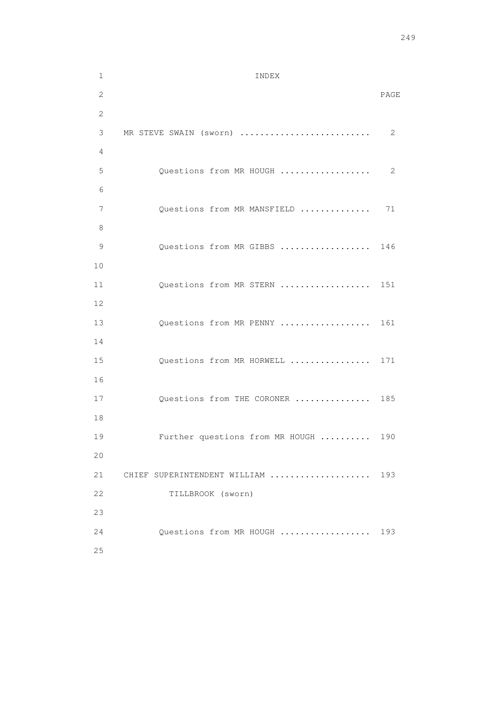1 INDEX 2 PAGE 2 3 MR STEVE SWAIN (sworn) .......................... 2 4 5 Questions from MR HOUGH ...................... 2 6 7 Questions from MR MANSFIELD ............... 71 8 9 Questions from MR GIBBS .................. 146 10 11 Questions from MR STERN .................. 151 12 13 Questions from MR PENNY .................. 161 14 15 Questions from MR HORWELL ................ 171 16 17 Questions from THE CORONER ............... 185 18 19 Further questions from MR HOUGH .......... 190 20 21 CHIEF SUPERINTENDENT WILLIAM ...................... 193 22 TILLBROOK (sworn) 23 24 Questions from MR HOUGH .................. 193 25